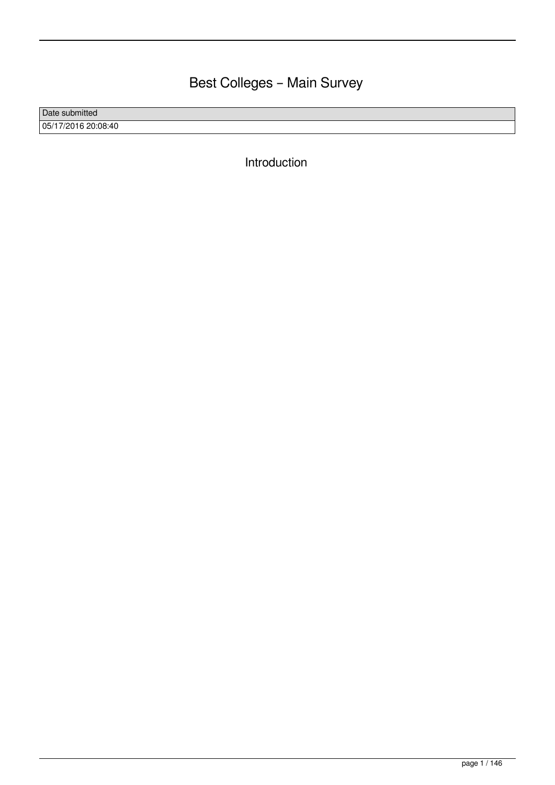# Best Colleges – Main Survey

Date submitted 05/17/2016 20:08:40

Introduction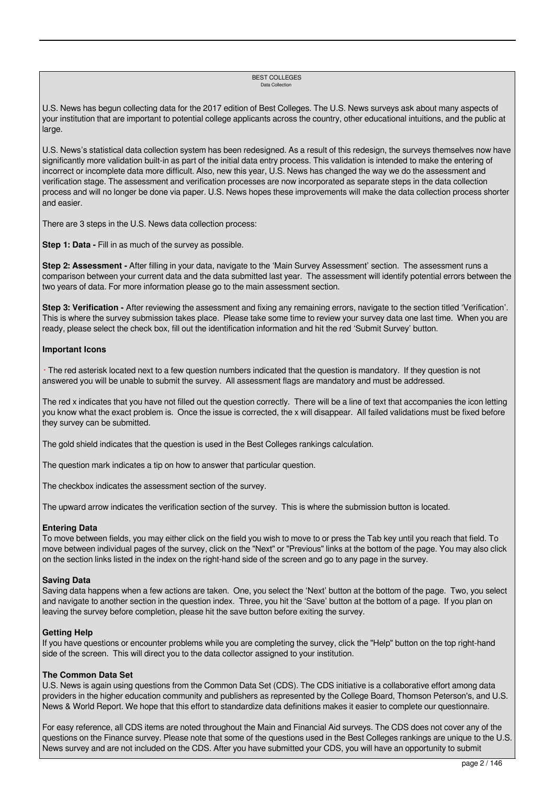#### BEST COLLEGES Data Collection

U.S. News has begun collecting data for the 2017 edition of Best Colleges. The U.S. News surveys ask about many aspects of your institution that are important to potential college applicants across the country, other educational intuitions, and the public at large.

U.S. News's statistical data collection system has been redesigned. As a result of this redesign, the surveys themselves now have significantly more validation built-in as part of the initial data entry process. This validation is intended to make the entering of incorrect or incomplete data more difficult. Also, new this year, U.S. News has changed the way we do the assessment and verification stage. The assessment and verification processes are now incorporated as separate steps in the data collection process and will no longer be done via paper. U.S. News hopes these improvements will make the data collection process shorter and easier.

There are 3 steps in the U.S. News data collection process:

**Step 1: Data -** Fill in as much of the survey as possible.

**Step 2: Assessment -** After filling in your data, navigate to the 'Main Survey Assessment' section. The assessment runs a comparison between your current data and the data submitted last year. The assessment will identify potential errors between the two years of data. For more information please go to the main assessment section.

**Step 3: Verification -** After reviewing the assessment and fixing any remaining errors, navigate to the section titled 'Verification'. This is where the survey submission takes place. Please take some time to review your survey data one last time. When you are ready, please select the check box, fill out the identification information and hit the red 'Submit Survey' button.

# **Important Icons**

 \* The red asterisk located next to a few question numbers indicated that the question is mandatory. If they question is not answered you will be unable to submit the survey. All assessment flags are mandatory and must be addressed.

The red x indicates that you have not filled out the question correctly. There will be a line of text that accompanies the icon letting you know what the exact problem is. Once the issue is corrected, the x will disappear. All failed validations must be fixed before they survey can be submitted.

The gold shield indicates that the question is used in the Best Colleges rankings calculation.

The question mark indicates a tip on how to answer that particular question.

The checkbox indicates the assessment section of the survey.

The upward arrow indicates the verification section of the survey. This is where the submission button is located.

# **Entering Data**

To move between fields, you may either click on the field you wish to move to or press the Tab key until you reach that field. To move between individual pages of the survey, click on the "Next" or "Previous" links at the bottom of the page. You may also click on the section links listed in the index on the right-hand side of the screen and go to any page in the survey.

# **Saving Data**

Saving data happens when a few actions are taken. One, you select the 'Next' button at the bottom of the page. Two, you select and navigate to another section in the question index. Three, you hit the 'Save' button at the bottom of a page. If you plan on leaving the survey before completion, please hit the save button before exiting the survey.

# **Getting Help**

If you have questions or encounter problems while you are completing the survey, click the "Help" button on the top right-hand side of the screen. This will direct you to the data collector assigned to your institution.

#### **The Common Data Set**

U.S. News is again using questions from the Common Data Set (CDS). The CDS initiative is a collaborative effort among data providers in the higher education community and publishers as represented by the College Board, Thomson Peterson's, and U.S. News & World Report. We hope that this effort to standardize data definitions makes it easier to complete our questionnaire.

For easy reference, all CDS items are noted throughout the Main and Financial Aid surveys. The CDS does not cover any of the questions on the Finance survey. Please note that some of the questions used in the Best Colleges rankings are unique to the U.S. News survey and are not included on the CDS. After you have submitted your CDS, you will have an opportunity to submit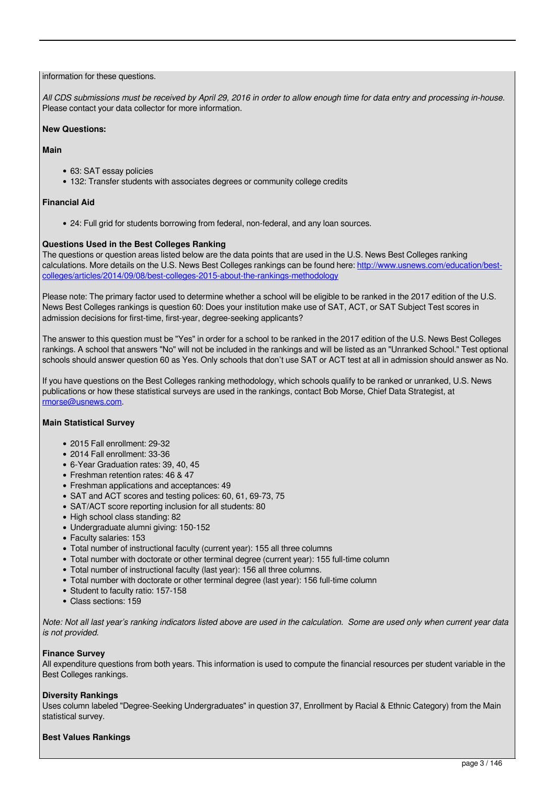# information for these questions.

*All CDS submissions must be received by April 29, 2016 in order to allow enough time for data entry and processing in-house.* Please contact your data collector for more information.

# **New Questions:**

### **Main**

- 63: SAT essay policies
- 132: Transfer students with associates degrees or community college credits

# **Financial Aid**

24: Full grid for students borrowing from federal, non-federal, and any loan sources.

# **Questions Used in the Best Colleges Ranking**

The questions or question areas listed below are the data points that are used in the U.S. News Best Colleges ranking calculations. More details on the U.S. News Best Colleges rankings can be found here: http://www.usnews.com/education/bestcolleges/articles/2014/09/08/best-colleges-2015-about-the-rankings-methodology

Please note: The primary factor used to determine whether a school will be eligible to be ranked in the 2017 edition of the U.S. News Best Colleges rankings is question 60: Does your institution make use of SAT, ACT, or SAT Subject Test scores in admission decisions for first-time, first-year, degree-seeking applicants?

The answer to this question must be "Yes" in order for a school to be ranked in the 2017 edition of the U.S. News Best Colleges rankings. A school that answers "No" will not be included in the rankings and will be listed as an "Unranked School." Test optional schools should answer question 60 as Yes. Only schools that don't use SAT or ACT test at all in admission should answer as No.

If you have questions on the Best Colleges ranking methodology, which schools qualify to be ranked or unranked, U.S. News publications or how these statistical surveys are used in the rankings, contact Bob Morse, Chief Data Strategist, at rmorse@usnews.com.

# **Main Statistical Survey**

- 2015 Fall enrollment: 29-32
- 2014 Fall enrollment: 33-36
- 6-Year Graduation rates: 39, 40, 45
- Freshman retention rates: 46 & 47
- Freshman applications and acceptances: 49
- SAT and ACT scores and testing polices: 60, 61, 69-73, 75
- SAT/ACT score reporting inclusion for all students: 80
- High school class standing: 82
- Undergraduate alumni giving: 150-152
- Faculty salaries: 153
- Total number of instructional faculty (current year): 155 all three columns
- Total number with doctorate or other terminal degree (current year): 155 full-time column
- Total number of instructional faculty (last year): 156 all three columns.
- Total number with doctorate or other terminal degree (last year): 156 full-time column
- Student to faculty ratio: 157-158
- Class sections: 159

*Note: Not all last year's ranking indicators listed above are used in the calculation. Some are used only when current year data is not provided.*

# **Finance Survey**

All expenditure questions from both years. This information is used to compute the financial resources per student variable in the Best Colleges rankings.

# **Diversity Rankings**

Uses column labeled "Degree-Seeking Undergraduates" in question 37, Enrollment by Racial & Ethnic Category) from the Main statistical survey.

# **Best Values Rankings**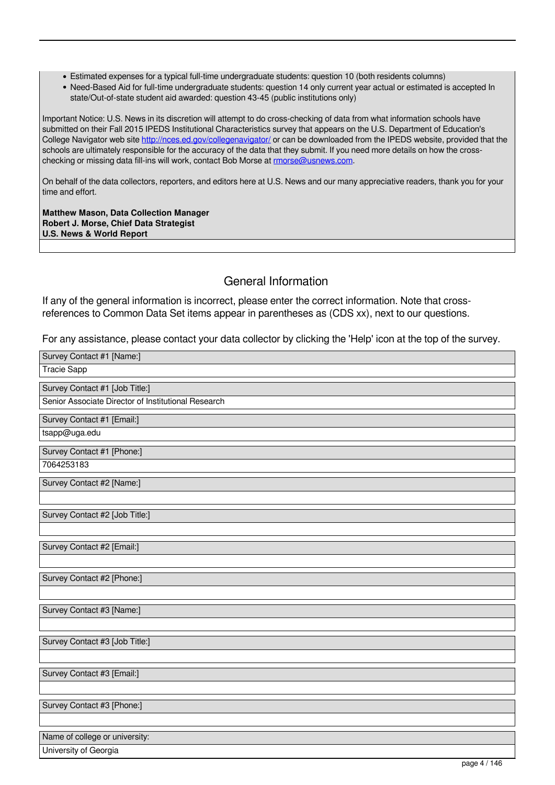- Estimated expenses for a typical full-time undergraduate students: question 10 (both residents columns)
- Need-Based Aid for full-time undergraduate students: question 14 only current year actual or estimated is accepted In state/Out-of-state student aid awarded: question 43-45 (public institutions only)

Important Notice: U.S. News in its discretion will attempt to do cross-checking of data from what information schools have submitted on their Fall 2015 IPEDS Institutional Characteristics survey that appears on the U.S. Department of Education's College Navigator web site http://nces.ed.gov/collegenavigator/ or can be downloaded from the IPEDS website, provided that the schools are ultimately responsible for the accuracy of the data that they submit. If you need more details on how the crosschecking or missing data fill-ins will work, contact Bob Morse at rmorse@usnews.com.

On behalf of the data collectors, reporters, and editors here at U.S. News and our many appreciative readers, thank you for your time and effort.

**Matthew Mason, Data Collection Manager Robert J. Morse, Chief Data Strategist U.S. News & World Report** 

# General Information

If any of the general information is incorrect, please enter the correct information. Note that crossreferences to Common Data Set items appear in parentheses as (CDS xx), next to our questions.

For any assistance, please contact your data collector by clicking the 'Help' icon at the top of the survey.

| Survey Contact #1 [Name:]                           |  |
|-----------------------------------------------------|--|
| <b>Tracie Sapp</b>                                  |  |
| Survey Contact #1 [Job Title:]                      |  |
| Senior Associate Director of Institutional Research |  |
| Survey Contact #1 [Email:]                          |  |
| tsapp@uga.edu                                       |  |
| Survey Contact #1 [Phone:]                          |  |
| 7064253183                                          |  |
| Survey Contact #2 [Name:]                           |  |
|                                                     |  |
| Survey Contact #2 [Job Title:]                      |  |
|                                                     |  |
| Survey Contact #2 [Email:]                          |  |
|                                                     |  |
| Survey Contact #2 [Phone:]                          |  |
|                                                     |  |
| Survey Contact #3 [Name:]                           |  |
|                                                     |  |
| Survey Contact #3 [Job Title:]                      |  |
|                                                     |  |
| Survey Contact #3 [Email:]                          |  |
|                                                     |  |
| Survey Contact #3 [Phone:]                          |  |
|                                                     |  |
| Name of college or university:                      |  |
| University of Georgia<br>$p_{0}q_{0}A/1AC$          |  |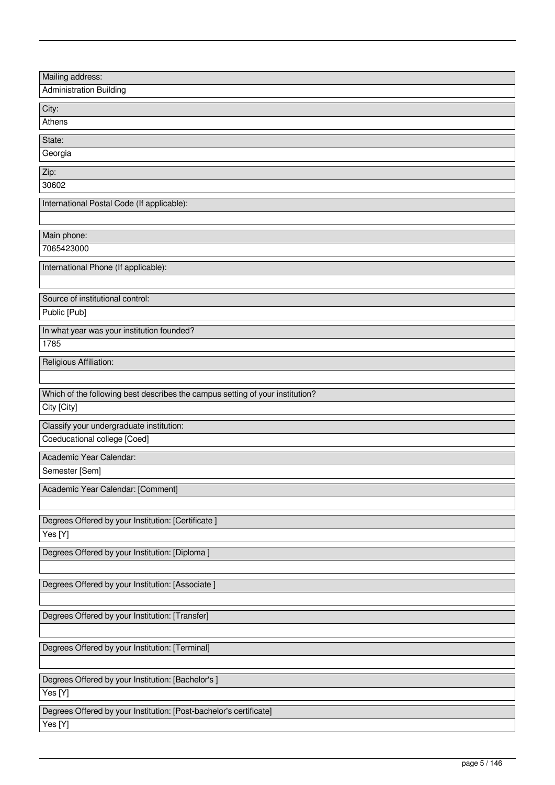| Mailing address:                                                                             |
|----------------------------------------------------------------------------------------------|
| <b>Administration Building</b>                                                               |
| City:                                                                                        |
| Athens                                                                                       |
| State:                                                                                       |
| Georgia                                                                                      |
|                                                                                              |
| Zip:<br>30602                                                                                |
|                                                                                              |
| International Postal Code (If applicable):                                                   |
|                                                                                              |
| Main phone:                                                                                  |
| 7065423000                                                                                   |
| International Phone (If applicable):                                                         |
|                                                                                              |
|                                                                                              |
| Source of institutional control:                                                             |
| Public [Pub]                                                                                 |
| In what year was your institution founded?                                                   |
| 1785                                                                                         |
| Religious Affiliation:                                                                       |
|                                                                                              |
|                                                                                              |
| Which of the following best describes the campus setting of your institution?<br>City [City] |
|                                                                                              |
| Classify your undergraduate institution:                                                     |
| Coeducational college [Coed]                                                                 |
| Academic Year Calendar:                                                                      |
| Semester [Sem]                                                                               |
| Academic Year Calendar: [Comment]                                                            |
|                                                                                              |
|                                                                                              |
| Degrees Offered by your Institution: [Certificate]                                           |
| Yes [Y]                                                                                      |
| Degrees Offered by your Institution: [Diploma ]                                              |
|                                                                                              |
| Degrees Offered by your Institution: [Associate ]                                            |
|                                                                                              |
| Degrees Offered by your Institution: [Transfer]                                              |
|                                                                                              |
|                                                                                              |
| Degrees Offered by your Institution: [Terminal]                                              |
|                                                                                              |
| Degrees Offered by your Institution: [Bachelor's ]                                           |
| Yes[Y]                                                                                       |
| Degrees Offered by your Institution: [Post-bachelor's certificate]                           |
|                                                                                              |
| Yes [Y]                                                                                      |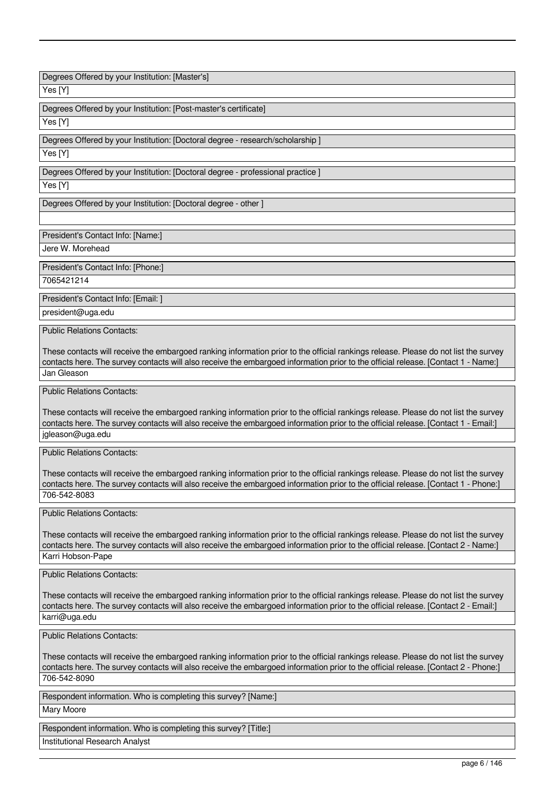Degrees Offered by your Institution: [Master's]

Yes [Y]

Degrees Offered by your Institution: [Post-master's certificate]

Yes [Y]

Degrees Offered by your Institution: [Doctoral degree - research/scholarship ]

Yes [Y]

Degrees Offered by your Institution: [Doctoral degree - professional practice ]

Yes [Y]

Degrees Offered by your Institution: [Doctoral degree - other ]

President's Contact Info: [Name:]

Jere W. Morehead

President's Contact Info: [Phone:]

7065421214

President's Contact Info: [Email: ]

president@uga.edu

Public Relations Contacts:

These contacts will receive the embargoed ranking information prior to the official rankings release. Please do not list the survey contacts here. The survey contacts will also receive the embargoed information prior to the official release. [Contact 1 - Name:] Jan Gleason

Public Relations Contacts:

These contacts will receive the embargoed ranking information prior to the official rankings release. Please do not list the survey contacts here. The survey contacts will also receive the embargoed information prior to the official release. [Contact 1 - Email:] jgleason@uga.edu

Public Relations Contacts:

These contacts will receive the embargoed ranking information prior to the official rankings release. Please do not list the survey contacts here. The survey contacts will also receive the embargoed information prior to the official release. [Contact 1 - Phone:] 706-542-8083

Public Relations Contacts:

These contacts will receive the embargoed ranking information prior to the official rankings release. Please do not list the survey contacts here. The survey contacts will also receive the embargoed information prior to the official release. [Contact 2 - Name:] Karri Hobson-Pape

Public Relations Contacts:

These contacts will receive the embargoed ranking information prior to the official rankings release. Please do not list the survey contacts here. The survey contacts will also receive the embargoed information prior to the official release. [Contact 2 - Email:] karri@uga.edu

Public Relations Contacts:

These contacts will receive the embargoed ranking information prior to the official rankings release. Please do not list the survey contacts here. The survey contacts will also receive the embargoed information prior to the official release. [Contact 2 - Phone:] 706-542-8090

Respondent information. Who is completing this survey? [Name:]

Mary Moore

Respondent information. Who is completing this survey? [Title:]

Institutional Research Analyst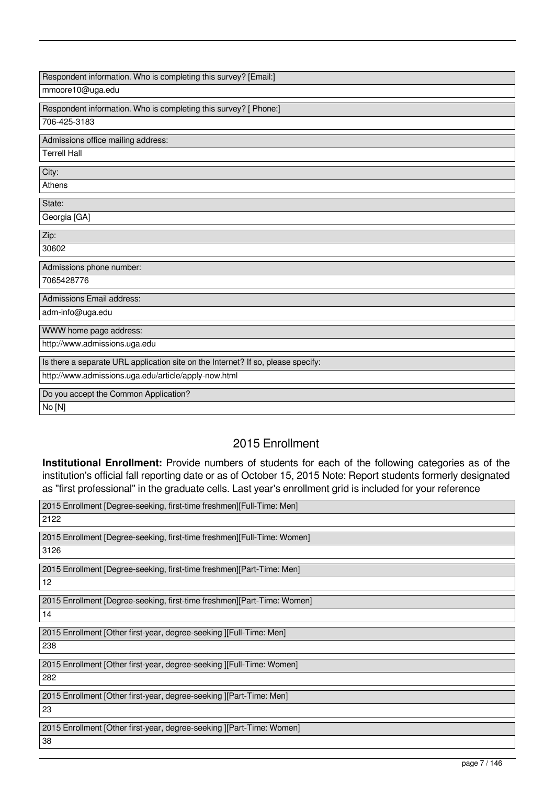| Respondent information. Who is completing this survey? [Email:]                  |
|----------------------------------------------------------------------------------|
| mmoore10@uga.edu                                                                 |
| Respondent information. Who is completing this survey? [ Phone:]                 |
| 706-425-3183                                                                     |
| Admissions office mailing address:                                               |
| <b>Terrell Hall</b>                                                              |
| City:                                                                            |
| Athens                                                                           |
| State:                                                                           |
| Georgia [GA]                                                                     |
| Zip:                                                                             |
| 30602                                                                            |
| Admissions phone number:                                                         |
| 7065428776                                                                       |
| Admissions Email address:                                                        |
| adm-info@uga.edu                                                                 |
| WWW home page address:                                                           |
| http://www.admissions.uga.edu                                                    |
| Is there a separate URL application site on the Internet? If so, please specify: |
| http://www.admissions.uga.edu/article/apply-now.html                             |
| Do you accept the Common Application?                                            |
| No [N]                                                                           |

# 2015 Enrollment

**Institutional Enrollment:** Provide numbers of students for each of the following categories as of the institution's official fall reporting date or as of October 15, 2015 Note: Report students formerly designated as "first professional" in the graduate cells. Last year's enrollment grid is included for your reference

| 2015 Enrollment [Degree-seeking, first-time freshmen][Full-Time: Men]   |
|-------------------------------------------------------------------------|
| 2122                                                                    |
| 2015 Enrollment [Degree-seeking, first-time freshmen][Full-Time: Women] |
| 3126                                                                    |
| 2015 Enrollment [Degree-seeking, first-time freshmen][Part-Time: Men]   |
| 12                                                                      |
| 2015 Enrollment [Degree-seeking, first-time freshmen][Part-Time: Women] |
| 14                                                                      |
| 2015 Enrollment [Other first-year, degree-seeking ][Full-Time: Men]     |
| 238                                                                     |
| 2015 Enrollment [Other first-year, degree-seeking ][Full-Time: Women]   |
| 282                                                                     |
| 2015 Enrollment [Other first-year, degree-seeking ][Part-Time: Men]     |
| 23                                                                      |
| 2015 Enrollment [Other first-year, degree-seeking ][Part-Time: Women]   |
| 38                                                                      |
|                                                                         |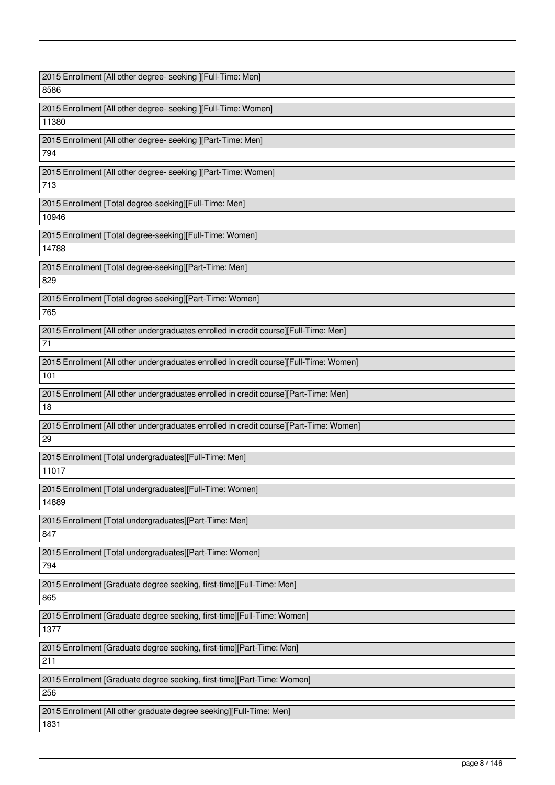| 2015 Enrollment [All other degree- seeking ][Full-Time: Men]                           |
|----------------------------------------------------------------------------------------|
| 8586                                                                                   |
| 2015 Enrollment [All other degree- seeking ][Full-Time: Women]                         |
| 11380                                                                                  |
| 2015 Enrollment [All other degree- seeking ][Part-Time: Men]                           |
| 794                                                                                    |
| 2015 Enrollment [All other degree- seeking ][Part-Time: Women]                         |
| 713                                                                                    |
| 2015 Enrollment [Total degree-seeking][Full-Time: Men]                                 |
| 10946                                                                                  |
|                                                                                        |
| 2015 Enrollment [Total degree-seeking][Full-Time: Women]<br>14788                      |
|                                                                                        |
| 2015 Enrollment [Total degree-seeking][Part-Time: Men]                                 |
| 829                                                                                    |
| 2015 Enrollment [Total degree-seeking][Part-Time: Women]                               |
| 765                                                                                    |
| 2015 Enrollment [All other undergraduates enrolled in credit course][Full-Time: Men]   |
| 71                                                                                     |
| 2015 Enrollment [All other undergraduates enrolled in credit course][Full-Time: Women] |
| 101                                                                                    |
| 2015 Enrollment [All other undergraduates enrolled in credit course][Part-Time: Men]   |
| 18                                                                                     |
| 2015 Enrollment [All other undergraduates enrolled in credit course][Part-Time: Women] |
| 29                                                                                     |
|                                                                                        |
| 2015 Enrollment [Total undergraduates][Full-Time: Men]<br>11017                        |
|                                                                                        |
| 2015 Enrollment [Total undergraduates][Full-Time: Women]                               |
| 14889                                                                                  |
| 2015 Enrollment [Total undergraduates][Part-Time: Men]                                 |
| 847                                                                                    |
| 2015 Enrollment [Total undergraduates][Part-Time: Women]                               |
| 794                                                                                    |
| 2015 Enrollment [Graduate degree seeking, first-time][Full-Time: Men]                  |
| 865                                                                                    |
| 2015 Enrollment [Graduate degree seeking, first-time][Full-Time: Women]                |
| 1377                                                                                   |
| 2015 Enrollment [Graduate degree seeking, first-time][Part-Time: Men]                  |
| 211                                                                                    |
|                                                                                        |
| 2015 Enrollment [Graduate degree seeking, first-time][Part-Time: Women]<br>256         |
|                                                                                        |
| 2015 Enrollment [All other graduate degree seeking][Full-Time: Men]                    |
| 1831                                                                                   |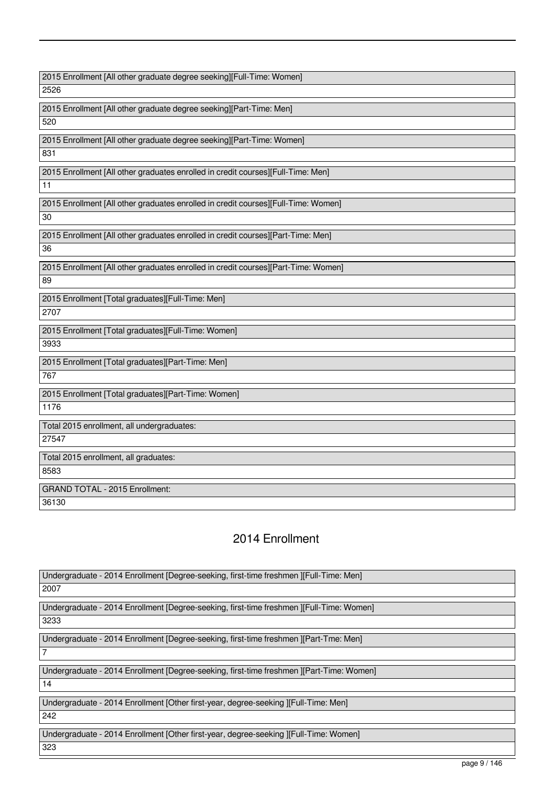2015 Enrollment [All other graduate degree seeking][Full-Time: Women] 2526 2015 Enrollment [All other graduate degree seeking][Part-Time: Men] 520 2015 Enrollment [All other graduate degree seeking][Part-Time: Women] 831 2015 Enrollment [All other graduates enrolled in credit courses][Full-Time: Men] 11 2015 Enrollment [All other graduates enrolled in credit courses][Full-Time: Women] 30 2015 Enrollment [All other graduates enrolled in credit courses][Part-Time: Men] 36 2015 Enrollment [All other graduates enrolled in credit courses][Part-Time: Women] 89 2015 Enrollment [Total graduates][Full-Time: Men] 2707 2015 Enrollment [Total graduates][Full-Time: Women] 3933 2015 Enrollment [Total graduates][Part-Time: Men] 767 2015 Enrollment [Total graduates][Part-Time: Women] 1176 Total 2015 enrollment, all undergraduates: 27547 Total 2015 enrollment, all graduates: 8583 GRAND TOTAL - 2015 Enrollment: 36130

# 2014 Enrollment

| Undergraduate - 2014 Enrollment [Degree-seeking, first-time freshmen ][Full-Time: Men]   |
|------------------------------------------------------------------------------------------|
| 2007                                                                                     |
|                                                                                          |
| Undergraduate - 2014 Enrollment [Degree-seeking, first-time freshmen ][Full-Time: Women] |
| 3233                                                                                     |
|                                                                                          |
| Undergraduate - 2014 Enrollment [Degree-seeking, first-time freshmen ][Part-Tme: Men]    |
| $\overline{7}$                                                                           |
|                                                                                          |
| Undergraduate - 2014 Enrollment [Degree-seeking, first-time freshmen ][Part-Time: Women] |
| 14                                                                                       |
|                                                                                          |
| Undergraduate - 2014 Enrollment [Other first-year, degree-seeking ][Full-Time: Men]      |
| 242                                                                                      |
|                                                                                          |
| Undergraduate - 2014 Enrollment [Other first-year, degree-seeking ][Full-Time: Women]    |
| 323                                                                                      |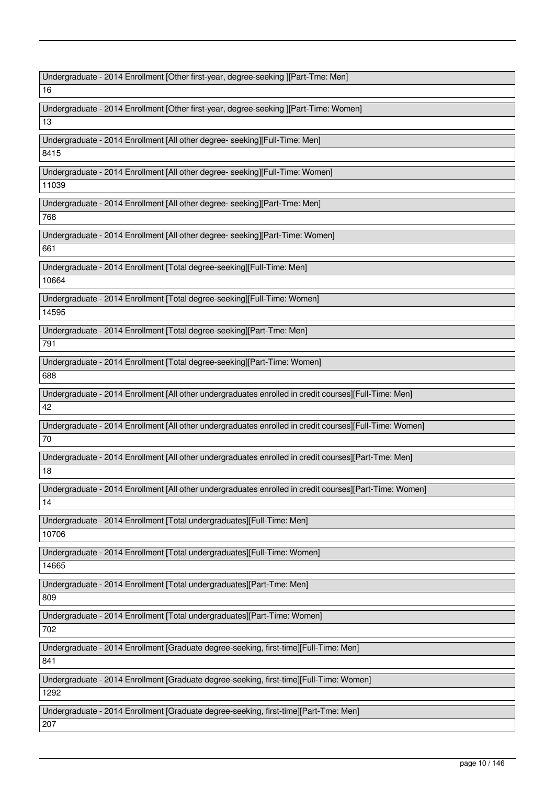Undergraduate - 2014 Enrollment [Other first-year, degree-seeking ][Part-Tme: Men]

16

Undergraduate - 2014 Enrollment [Other first-year, degree-seeking ][Part-Time: Women] 13

Undergraduate - 2014 Enrollment [All other degree- seeking][Full-Time: Men]

8415

Undergraduate - 2014 Enrollment [All other degree- seeking][Full-Time: Women]

11039

Undergraduate - 2014 Enrollment [All other degree- seeking][Part-Tme: Men]

768

Undergraduate - 2014 Enrollment [All other degree- seeking][Part-Time: Women] 661

Undergraduate - 2014 Enrollment [Total degree-seeking][Full-Time: Men] 10664

Undergraduate - 2014 Enrollment [Total degree-seeking][Full-Time: Women] 14595

Undergraduate - 2014 Enrollment [Total degree-seeking][Part-Tme: Men]

791

Undergraduate - 2014 Enrollment [Total degree-seeking][Part-Time: Women] 688

Undergraduate - 2014 Enrollment [All other undergraduates enrolled in credit courses][Full-Time: Men]

42

Undergraduate - 2014 Enrollment [All other undergraduates enrolled in credit courses][Full-Time: Women] 70

Undergraduate - 2014 Enrollment [All other undergraduates enrolled in credit courses][Part-Tme: Men]

18

Undergraduate - 2014 Enrollment [All other undergraduates enrolled in credit courses][Part-Time: Women]

14

Undergraduate - 2014 Enrollment [Total undergraduates][Full-Time: Men]

10706

Undergraduate - 2014 Enrollment [Total undergraduates][Full-Time: Women]

14665

Undergraduate - 2014 Enrollment [Total undergraduates][Part-Tme: Men]

809

Undergraduate - 2014 Enrollment [Total undergraduates][Part-Time: Women]

702

Undergraduate - 2014 Enrollment [Graduate degree-seeking, first-time][Full-Time: Men]

841

Undergraduate - 2014 Enrollment [Graduate degree-seeking, first-time][Full-Time: Women]

1292

Undergraduate - 2014 Enrollment [Graduate degree-seeking, first-time][Part-Tme: Men] 207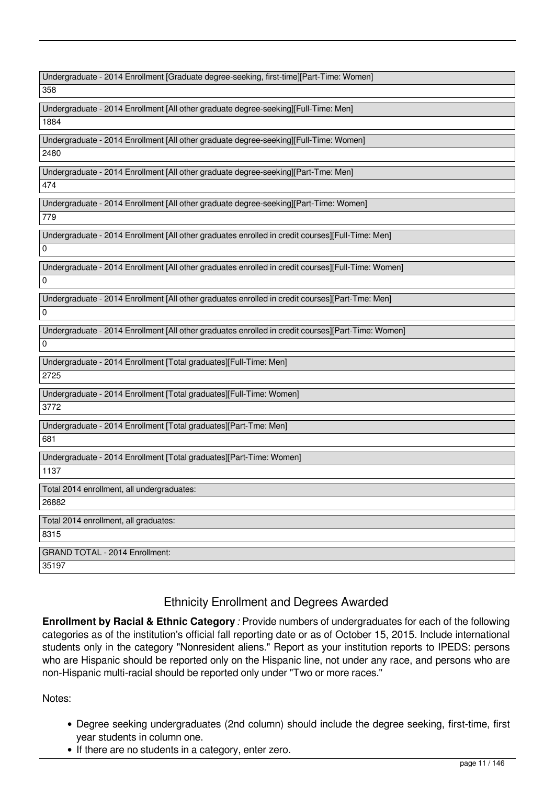| Undergraduate - 2014 Enrollment [Graduate degree-seeking, first-time][Part-Time: Women] |  |  |
|-----------------------------------------------------------------------------------------|--|--|
|-----------------------------------------------------------------------------------------|--|--|

358

Undergraduate - 2014 Enrollment [All other graduate degree-seeking][Full-Time: Men] 1884

Undergraduate - 2014 Enrollment [All other graduate degree-seeking][Full-Time: Women] 2480

Undergraduate - 2014 Enrollment [All other graduate degree-seeking][Part-Tme: Men]

474

Undergraduate - 2014 Enrollment [All other graduate degree-seeking][Part-Time: Women]

779

Undergraduate - 2014 Enrollment [All other graduates enrolled in credit courses][Full-Time: Men]

 $\Omega$ 

 $\Omega$ 

 $\overline{0}$ 

Undergraduate - 2014 Enrollment [All other graduates enrolled in credit courses][Full-Time: Women]

Undergraduate - 2014 Enrollment [All other graduates enrolled in credit courses][Part-Tme: Men]  $\overline{0}$ 

Undergraduate - 2014 Enrollment [All other graduates enrolled in credit courses][Part-Time: Women]

Undergraduate - 2014 Enrollment [Total graduates][Full-Time: Men] 2725

Undergraduate - 2014 Enrollment [Total graduates][Full-Time: Women] 3772

Undergraduate - 2014 Enrollment [Total graduates][Part-Tme: Men] 681

Undergraduate - 2014 Enrollment [Total graduates][Part-Time: Women] 1137

Total 2014 enrollment, all undergraduates:

26882

8315

Total 2014 enrollment, all graduates:

GRAND TOTAL - 2014 Enrollment: 35197

# Ethnicity Enrollment and Degrees Awarded

**Enrollment by Racial & Ethnic Category** *:* Provide numbers of undergraduates for each of the following categories as of the institution's official fall reporting date or as of October 15, 2015. Include international students only in the category "Nonresident aliens." Report as your institution reports to IPEDS: persons who are Hispanic should be reported only on the Hispanic line, not under any race, and persons who are non-Hispanic multi-racial should be reported only under "Two or more races."

# Notes:

- Degree seeking undergraduates (2nd column) should include the degree seeking, first-time, first year students in column one.
- If there are no students in a category, enter zero.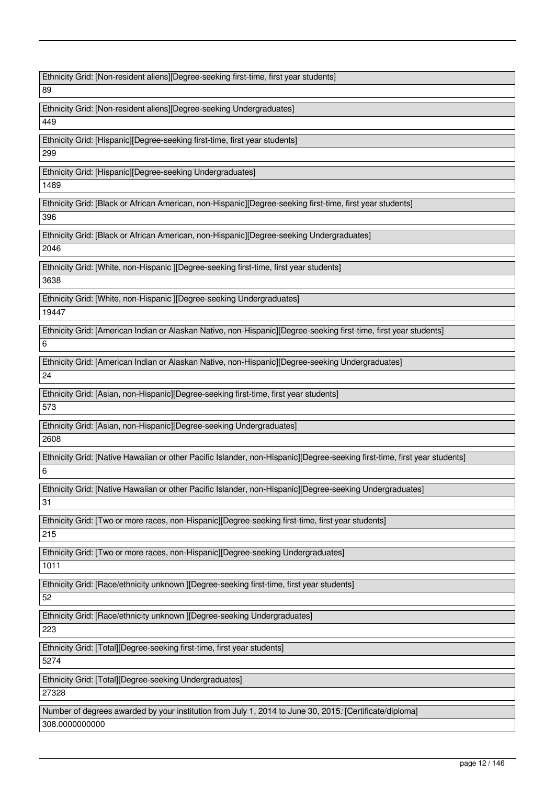Ethnicity Grid: [Non-resident aliens][Degree-seeking first-time, first year students]

89

Ethnicity Grid: [Non-resident aliens][Degree-seeking Undergraduates]

449

Ethnicity Grid: [Hispanic][Degree-seeking first-time, first year students]

299

Ethnicity Grid: [Hispanic][Degree-seeking Undergraduates]

1489

Ethnicity Grid: [Black or African American, non-Hispanic][Degree-seeking first-time, first year students]

396

Ethnicity Grid: [Black or African American, non-Hispanic][Degree-seeking Undergraduates]

2046

Ethnicity Grid: [White, non-Hispanic ][Degree-seeking first-time, first year students] 3638

Ethnicity Grid: [White, non-Hispanic ][Degree-seeking Undergraduates]

19447

Ethnicity Grid: [American Indian or Alaskan Native, non-Hispanic][Degree-seeking first-time, first year students]

6

Ethnicity Grid: [American Indian or Alaskan Native, non-Hispanic][Degree-seeking Undergraduates]

 $24$ 

Ethnicity Grid: [Asian, non-Hispanic][Degree-seeking first-time, first year students]

573

Ethnicity Grid: [Asian, non-Hispanic][Degree-seeking Undergraduates]

2608

Ethnicity Grid: [Native Hawaiian or other Pacific Islander, non-Hispanic][Degree-seeking first-time, first year students] 6

Ethnicity Grid: [Native Hawaiian or other Pacific Islander, non-Hispanic][Degree-seeking Undergraduates]

31

Ethnicity Grid: [Two or more races, non-Hispanic][Degree-seeking first-time, first year students]

215

Ethnicity Grid: [Two or more races, non-Hispanic][Degree-seeking Undergraduates]

1011

Ethnicity Grid: [Race/ethnicity unknown ][Degree-seeking first-time, first year students]

52

Ethnicity Grid: [Race/ethnicity unknown ][Degree-seeking Undergraduates]

223

Ethnicity Grid: [Total][Degree-seeking first-time, first year students]

5274

Ethnicity Grid: [Total][Degree-seeking Undergraduates]

27328

Number of degrees awarded by your institution from July 1, 2014 to June 30, 2015*:* [Certificate/diploma] 308.0000000000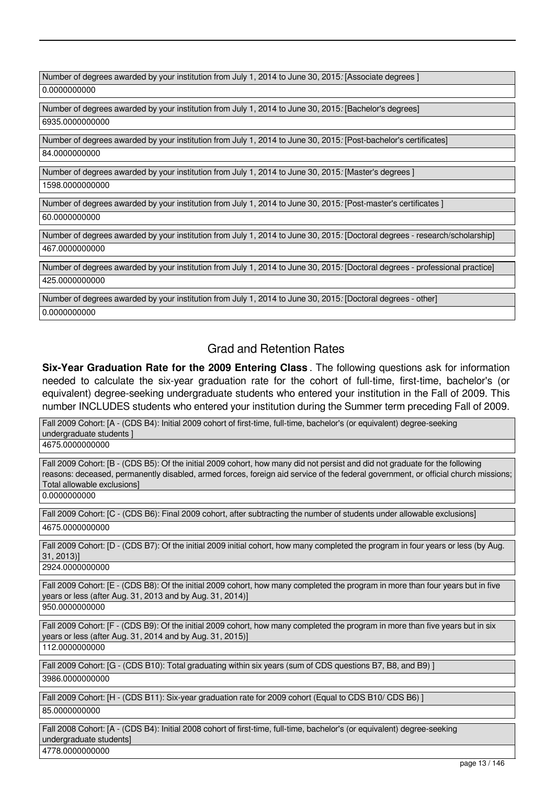Number of degrees awarded by your institution from July 1, 2014 to June 30, 2015*:* [Associate degrees ] 0.0000000000

Number of degrees awarded by your institution from July 1, 2014 to June 30, 2015*:* [Bachelor's degrees] 6935.0000000000

Number of degrees awarded by your institution from July 1, 2014 to June 30, 2015*:* [Post-bachelor's certificates] 84.0000000000

Number of degrees awarded by your institution from July 1, 2014 to June 30, 2015*:* [Master's degrees ]

1598.0000000000

Number of degrees awarded by your institution from July 1, 2014 to June 30, 2015*:* [Post-master's certificates ]

60.0000000000

Number of degrees awarded by your institution from July 1, 2014 to June 30, 2015*:* [Doctoral degrees - research/scholarship] 467.0000000000

Number of degrees awarded by your institution from July 1, 2014 to June 30, 2015*:* [Doctoral degrees - professional practice] 425.0000000000

Number of degrees awarded by your institution from July 1, 2014 to June 30, 2015*:* [Doctoral degrees - other] 0.0000000000

# Grad and Retention Rates

**Six-Year Graduation Rate for the 2009 Entering Class** . The following questions ask for information needed to calculate the six-year graduation rate for the cohort of full-time, first-time, bachelor's (or equivalent) degree-seeking undergraduate students who entered your institution in the Fall of 2009. This number INCLUDES students who entered your institution during the Summer term preceding Fall of 2009.

Fall 2009 Cohort: [A - (CDS B4): Initial 2009 cohort of first-time, full-time, bachelor's (or equivalent) degree-seeking undergraduate students ]

4675.0000000000

Fall 2009 Cohort: [B - (CDS B5): Of the initial 2009 cohort, how many did not persist and did not graduate for the following reasons: deceased, permanently disabled, armed forces, foreign aid service of the federal government, or official church missions; Total allowable exclusions]

0.0000000000

Fall 2009 Cohort: [C - (CDS B6): Final 2009 cohort, after subtracting the number of students under allowable exclusions] 4675.0000000000

Fall 2009 Cohort: [D - (CDS B7): Of the initial 2009 initial cohort, how many completed the program in four years or less (by Aug. 31, 2013)]

2924.0000000000

Fall 2009 Cohort: [E - (CDS B8): Of the initial 2009 cohort, how many completed the program in more than four years but in five years or less (after Aug. 31, 2013 and by Aug. 31, 2014)]

950.0000000000

Fall 2009 Cohort: [F - (CDS B9): Of the initial 2009 cohort, how many completed the program in more than five years but in six years or less (after Aug. 31, 2014 and by Aug. 31, 2015)]

112.0000000000

Fall 2009 Cohort: [G - (CDS B10): Total graduating within six years (sum of CDS questions B7, B8, and B9) ]

3986.0000000000

Fall 2009 Cohort: [H - (CDS B11): Six-year graduation rate for 2009 cohort (Equal to CDS B10/ CDS B6) ]

85.0000000000

Fall 2008 Cohort: [A - (CDS B4): Initial 2008 cohort of first-time, full-time, bachelor's (or equivalent) degree-seeking undergraduate students]

4778.0000000000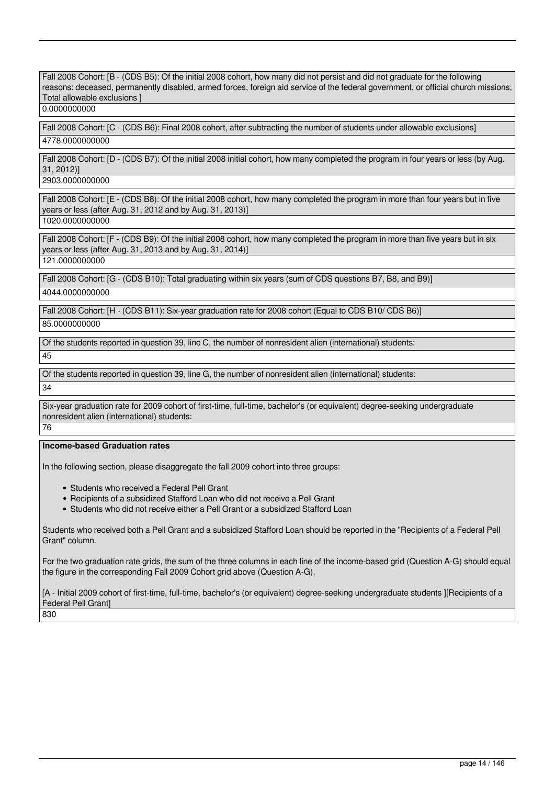Fall 2008 Cohort: [B - (CDS B5): Of the initial 2008 cohort, how many did not persist and did not graduate for the following reasons: deceased, permanently disabled, armed forces, foreign aid service of the federal government, or official church missions; Total allowable exclusions ]

0.0000000000

Fall 2008 Cohort: [C - (CDS B6): Final 2008 cohort, after subtracting the number of students under allowable exclusions] 4778.0000000000

Fall 2008 Cohort: [D - (CDS B7): Of the initial 2008 initial cohort, how many completed the program in four years or less (by Aug. 31, 2012)]

2903.0000000000

Fall 2008 Cohort: [E - (CDS B8): Of the initial 2008 cohort, how many completed the program in more than four years but in five years or less (after Aug. 31, 2012 and by Aug. 31, 2013)]

1020.0000000000

Fall 2008 Cohort: [F - (CDS B9): Of the initial 2008 cohort, how many completed the program in more than five years but in six years or less (after Aug. 31, 2013 and by Aug. 31, 2014)]

121.0000000000

Fall 2008 Cohort: [G - (CDS B10): Total graduating within six years (sum of CDS questions B7, B8, and B9)] 4044.0000000000

Fall 2008 Cohort: [H - (CDS B11): Six-year graduation rate for 2008 cohort (Equal to CDS B10/ CDS B6)] 85.0000000000

Of the students reported in question 39, line C, the number of nonresident alien (international) students: 45

Of the students reported in question 39, line G, the number of nonresident alien (international) students:

34

Six-year graduation rate for 2009 cohort of first-time, full-time, bachelor's (or equivalent) degree-seeking undergraduate nonresident alien (international) students: 76

# **Income-based Graduation rates**

In the following section, please disaggregate the fall 2009 cohort into three groups:

- Students who received a Federal Pell Grant
- Recipients of a subsidized Stafford Loan who did not receive a Pell Grant
- Students who did not receive either a Pell Grant or a subsidized Stafford Loan

Students who received both a Pell Grant and a subsidized Stafford Loan should be reported in the "Recipients of a Federal Pell Grant" column.

For the two graduation rate grids, the sum of the three columns in each line of the income-based grid (Question A-G) should equal the figure in the corresponding Fall 2009 Cohort grid above (Question A-G).

[A - Initial 2009 cohort of first-time, full-time, bachelor's (or equivalent) degree-seeking undergraduate students ][Recipients of a Federal Pell Grant]

830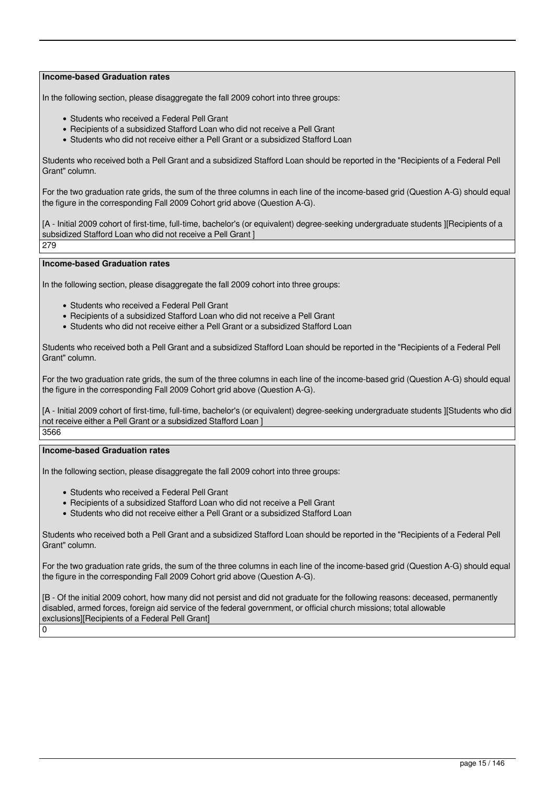In the following section, please disaggregate the fall 2009 cohort into three groups:

- Students who received a Federal Pell Grant
- Recipients of a subsidized Stafford Loan who did not receive a Pell Grant
- Students who did not receive either a Pell Grant or a subsidized Stafford Loan

Students who received both a Pell Grant and a subsidized Stafford Loan should be reported in the "Recipients of a Federal Pell Grant" column.

For the two graduation rate grids, the sum of the three columns in each line of the income-based grid (Question A-G) should equal the figure in the corresponding Fall 2009 Cohort grid above (Question A-G).

[A - Initial 2009 cohort of first-time, full-time, bachelor's (or equivalent) degree-seeking undergraduate students IIRecipients of a subsidized Stafford Loan who did not receive a Pell Grant ] 279

# **Income-based Graduation rates**

In the following section, please disaggregate the fall 2009 cohort into three groups:

- Students who received a Federal Pell Grant
- Recipients of a subsidized Stafford Loan who did not receive a Pell Grant
- Students who did not receive either a Pell Grant or a subsidized Stafford Loan

Students who received both a Pell Grant and a subsidized Stafford Loan should be reported in the "Recipients of a Federal Pell Grant" column.

For the two graduation rate grids, the sum of the three columns in each line of the income-based grid (Question A-G) should equal the figure in the corresponding Fall 2009 Cohort grid above (Question A-G).

[A - Initial 2009 cohort of first-time, full-time, bachelor's (or equivalent) degree-seeking undergraduate students ][Students who did not receive either a Pell Grant or a subsidized Stafford Loan ] 3566

#### **Income-based Graduation rates**

In the following section, please disaggregate the fall 2009 cohort into three groups:

- Students who received a Federal Pell Grant
- Recipients of a subsidized Stafford Loan who did not receive a Pell Grant
- Students who did not receive either a Pell Grant or a subsidized Stafford Loan

Students who received both a Pell Grant and a subsidized Stafford Loan should be reported in the "Recipients of a Federal Pell Grant" column.

For the two graduation rate grids, the sum of the three columns in each line of the income-based grid (Question A-G) should equal the figure in the corresponding Fall 2009 Cohort grid above (Question A-G).

[B - Of the initial 2009 cohort, how many did not persist and did not graduate for the following reasons: deceased, permanently disabled, armed forces, foreign aid service of the federal government, or official church missions; total allowable exclusions][Recipients of a Federal Pell Grant] 0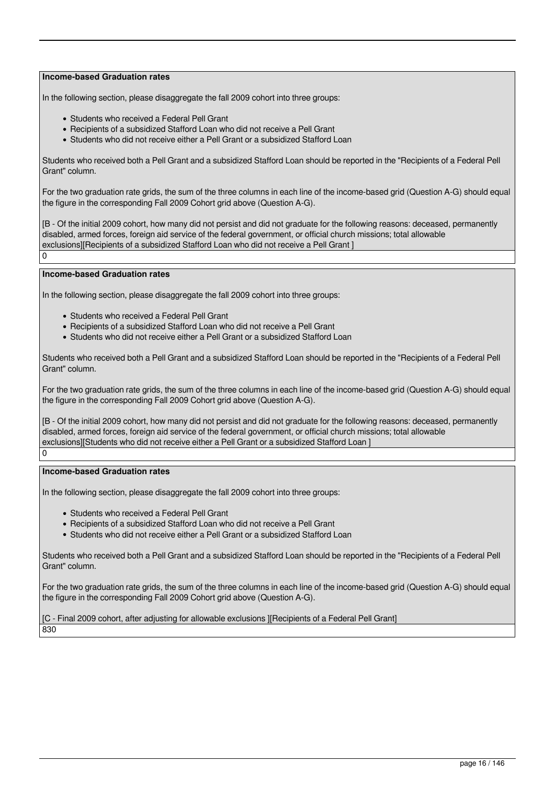In the following section, please disaggregate the fall 2009 cohort into three groups:

- Students who received a Federal Pell Grant
- Recipients of a subsidized Stafford Loan who did not receive a Pell Grant
- Students who did not receive either a Pell Grant or a subsidized Stafford Loan

Students who received both a Pell Grant and a subsidized Stafford Loan should be reported in the "Recipients of a Federal Pell Grant" column.

For the two graduation rate grids, the sum of the three columns in each line of the income-based grid (Question A-G) should equal the figure in the corresponding Fall 2009 Cohort grid above (Question A-G).

[B - Of the initial 2009 cohort, how many did not persist and did not graduate for the following reasons: deceased, permanently disabled, armed forces, foreign aid service of the federal government, or official church missions; total allowable exclusions][Recipients of a subsidized Stafford Loan who did not receive a Pell Grant ]

 $\Omega$ 

#### **Income-based Graduation rates**

In the following section, please disaggregate the fall 2009 cohort into three groups:

- Students who received a Federal Pell Grant
- Recipients of a subsidized Stafford Loan who did not receive a Pell Grant
- Students who did not receive either a Pell Grant or a subsidized Stafford Loan

Students who received both a Pell Grant and a subsidized Stafford Loan should be reported in the "Recipients of a Federal Pell Grant" column.

For the two graduation rate grids, the sum of the three columns in each line of the income-based grid (Question A-G) should equal the figure in the corresponding Fall 2009 Cohort grid above (Question A-G).

[B - Of the initial 2009 cohort, how many did not persist and did not graduate for the following reasons: deceased, permanently disabled, armed forces, foreign aid service of the federal government, or official church missions; total allowable exclusions][Students who did not receive either a Pell Grant or a subsidized Stafford Loan ]

# $\overline{0}$

# **Income-based Graduation rates**

In the following section, please disaggregate the fall 2009 cohort into three groups:

- Students who received a Federal Pell Grant
- Recipients of a subsidized Stafford Loan who did not receive a Pell Grant
- Students who did not receive either a Pell Grant or a subsidized Stafford Loan

Students who received both a Pell Grant and a subsidized Stafford Loan should be reported in the "Recipients of a Federal Pell Grant" column.

For the two graduation rate grids, the sum of the three columns in each line of the income-based grid (Question A-G) should equal the figure in the corresponding Fall 2009 Cohort grid above (Question A-G).

[C - Final 2009 cohort, after adjusting for allowable exclusions ][Recipients of a Federal Pell Grant]

830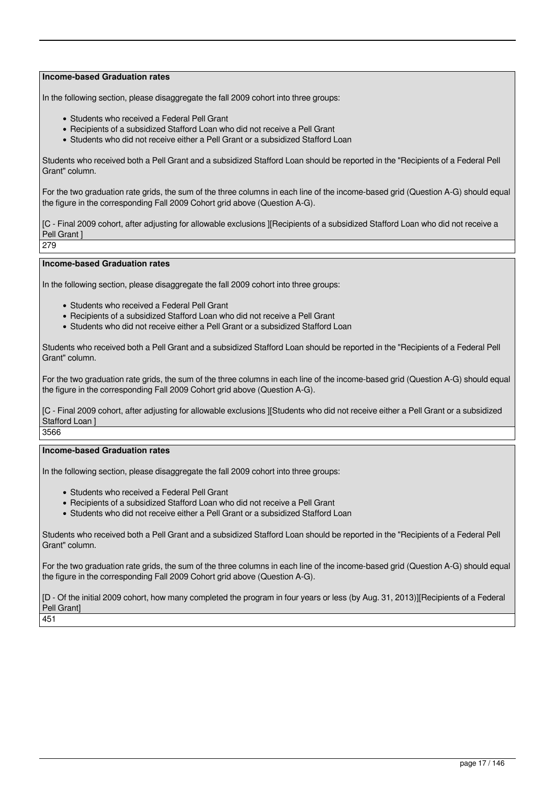In the following section, please disaggregate the fall 2009 cohort into three groups:

- Students who received a Federal Pell Grant
- Recipients of a subsidized Stafford Loan who did not receive a Pell Grant
- Students who did not receive either a Pell Grant or a subsidized Stafford Loan

Students who received both a Pell Grant and a subsidized Stafford Loan should be reported in the "Recipients of a Federal Pell Grant" column.

For the two graduation rate grids, the sum of the three columns in each line of the income-based grid (Question A-G) should equal the figure in the corresponding Fall 2009 Cohort grid above (Question A-G).

[C - Final 2009 cohort, after adjusting for allowable exclusions ][Recipients of a subsidized Stafford Loan who did not receive a Pell Grant 1

279

#### **Income-based Graduation rates**

In the following section, please disaggregate the fall 2009 cohort into three groups:

- Students who received a Federal Pell Grant
- Recipients of a subsidized Stafford Loan who did not receive a Pell Grant
- Students who did not receive either a Pell Grant or a subsidized Stafford Loan

Students who received both a Pell Grant and a subsidized Stafford Loan should be reported in the "Recipients of a Federal Pell Grant" column.

For the two graduation rate grids, the sum of the three columns in each line of the income-based grid (Question A-G) should equal the figure in the corresponding Fall 2009 Cohort grid above (Question A-G).

[C - Final 2009 cohort, after adjusting for allowable exclusions ][Students who did not receive either a Pell Grant or a subsidized Stafford Loan ]

3566

# **Income-based Graduation rates**

In the following section, please disaggregate the fall 2009 cohort into three groups:

- Students who received a Federal Pell Grant
- Recipients of a subsidized Stafford Loan who did not receive a Pell Grant
- Students who did not receive either a Pell Grant or a subsidized Stafford Loan

Students who received both a Pell Grant and a subsidized Stafford Loan should be reported in the "Recipients of a Federal Pell Grant" column.

For the two graduation rate grids, the sum of the three columns in each line of the income-based grid (Question A-G) should equal the figure in the corresponding Fall 2009 Cohort grid above (Question A-G).

[D - Of the initial 2009 cohort, how many completed the program in four years or less (by Aug. 31, 2013)][Recipients of a Federal Pell Grant] 451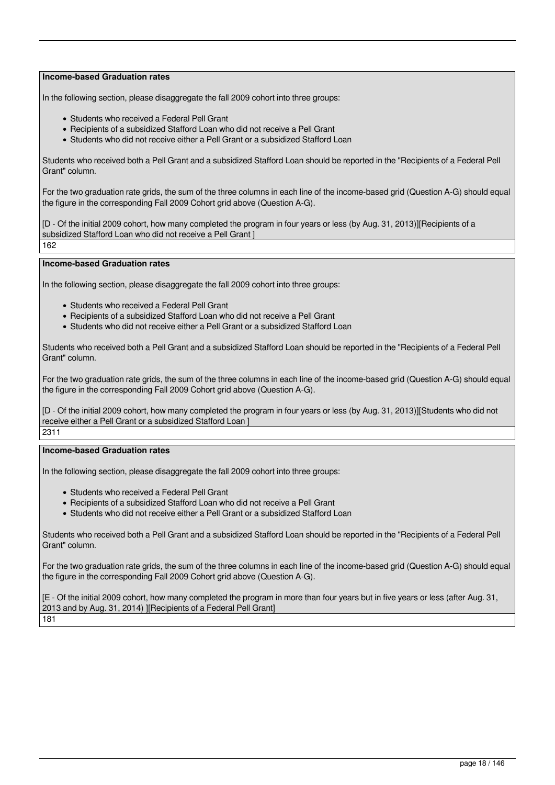In the following section, please disaggregate the fall 2009 cohort into three groups:

- Students who received a Federal Pell Grant
- Recipients of a subsidized Stafford Loan who did not receive a Pell Grant
- Students who did not receive either a Pell Grant or a subsidized Stafford Loan

Students who received both a Pell Grant and a subsidized Stafford Loan should be reported in the "Recipients of a Federal Pell Grant" column.

For the two graduation rate grids, the sum of the three columns in each line of the income-based grid (Question A-G) should equal the figure in the corresponding Fall 2009 Cohort grid above (Question A-G).

[D - Of the initial 2009 cohort, how many completed the program in four years or less (by Aug. 31, 2013)][Recipients of a subsidized Stafford Loan who did not receive a Pell Grant ] 162

**Income-based Graduation rates**

In the following section, please disaggregate the fall 2009 cohort into three groups:

- Students who received a Federal Pell Grant
- Recipients of a subsidized Stafford Loan who did not receive a Pell Grant
- Students who did not receive either a Pell Grant or a subsidized Stafford Loan

Students who received both a Pell Grant and a subsidized Stafford Loan should be reported in the "Recipients of a Federal Pell Grant" column.

For the two graduation rate grids, the sum of the three columns in each line of the income-based grid (Question A-G) should equal the figure in the corresponding Fall 2009 Cohort grid above (Question A-G).

[D - Of the initial 2009 cohort, how many completed the program in four years or less (by Aug. 31, 2013)][Students who did not receive either a Pell Grant or a subsidized Stafford Loan ]

2311

# **Income-based Graduation rates**

In the following section, please disaggregate the fall 2009 cohort into three groups:

- Students who received a Federal Pell Grant
- Recipients of a subsidized Stafford Loan who did not receive a Pell Grant
- Students who did not receive either a Pell Grant or a subsidized Stafford Loan

Students who received both a Pell Grant and a subsidized Stafford Loan should be reported in the "Recipients of a Federal Pell Grant" column.

For the two graduation rate grids, the sum of the three columns in each line of the income-based grid (Question A-G) should equal the figure in the corresponding Fall 2009 Cohort grid above (Question A-G).

[E - Of the initial 2009 cohort, how many completed the program in more than four years but in five years or less (after Aug. 31, 2013 and by Aug. 31, 2014) ][Recipients of a Federal Pell Grant] 181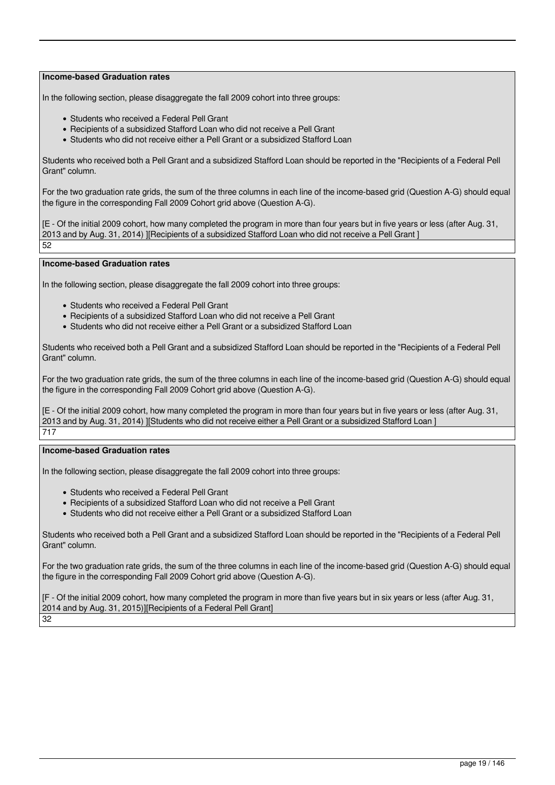In the following section, please disaggregate the fall 2009 cohort into three groups:

- Students who received a Federal Pell Grant
- Recipients of a subsidized Stafford Loan who did not receive a Pell Grant
- Students who did not receive either a Pell Grant or a subsidized Stafford Loan

Students who received both a Pell Grant and a subsidized Stafford Loan should be reported in the "Recipients of a Federal Pell Grant" column.

For the two graduation rate grids, the sum of the three columns in each line of the income-based grid (Question A-G) should equal the figure in the corresponding Fall 2009 Cohort grid above (Question A-G).

[E - Of the initial 2009 cohort, how many completed the program in more than four years but in five years or less (after Aug. 31, 2013 and by Aug. 31, 2014) ][Recipients of a subsidized Stafford Loan who did not receive a Pell Grant ] 52

# **Income-based Graduation rates**

In the following section, please disaggregate the fall 2009 cohort into three groups:

- Students who received a Federal Pell Grant
- Recipients of a subsidized Stafford Loan who did not receive a Pell Grant
- Students who did not receive either a Pell Grant or a subsidized Stafford Loan

Students who received both a Pell Grant and a subsidized Stafford Loan should be reported in the "Recipients of a Federal Pell Grant" column.

For the two graduation rate grids, the sum of the three columns in each line of the income-based grid (Question A-G) should equal the figure in the corresponding Fall 2009 Cohort grid above (Question A-G).

[E - Of the initial 2009 cohort, how many completed the program in more than four years but in five years or less (after Aug. 31, 2013 and by Aug. 31, 2014) ][Students who did not receive either a Pell Grant or a subsidized Stafford Loan ] 717

### **Income-based Graduation rates**

In the following section, please disaggregate the fall 2009 cohort into three groups:

- Students who received a Federal Pell Grant
- Recipients of a subsidized Stafford Loan who did not receive a Pell Grant
- Students who did not receive either a Pell Grant or a subsidized Stafford Loan

Students who received both a Pell Grant and a subsidized Stafford Loan should be reported in the "Recipients of a Federal Pell Grant" column.

For the two graduation rate grids, the sum of the three columns in each line of the income-based grid (Question A-G) should equal the figure in the corresponding Fall 2009 Cohort grid above (Question A-G).

[F - Of the initial 2009 cohort, how many completed the program in more than five years but in six years or less (after Aug. 31, 2014 and by Aug. 31, 2015)][Recipients of a Federal Pell Grant] 32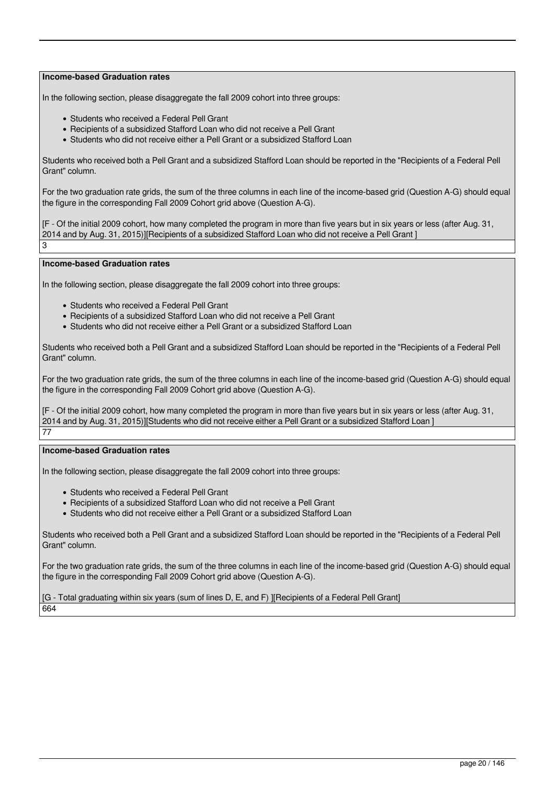In the following section, please disaggregate the fall 2009 cohort into three groups:

- Students who received a Federal Pell Grant
- Recipients of a subsidized Stafford Loan who did not receive a Pell Grant
- Students who did not receive either a Pell Grant or a subsidized Stafford Loan

Students who received both a Pell Grant and a subsidized Stafford Loan should be reported in the "Recipients of a Federal Pell Grant" column.

For the two graduation rate grids, the sum of the three columns in each line of the income-based grid (Question A-G) should equal the figure in the corresponding Fall 2009 Cohort grid above (Question A-G).

[F - Of the initial 2009 cohort, how many completed the program in more than five years but in six years or less (after Aug. 31, 2014 and by Aug. 31, 2015)][Recipients of a subsidized Stafford Loan who did not receive a Pell Grant ] 3

#### **Income-based Graduation rates**

In the following section, please disaggregate the fall 2009 cohort into three groups:

- Students who received a Federal Pell Grant
- Recipients of a subsidized Stafford Loan who did not receive a Pell Grant
- Students who did not receive either a Pell Grant or a subsidized Stafford Loan

Students who received both a Pell Grant and a subsidized Stafford Loan should be reported in the "Recipients of a Federal Pell Grant" column.

For the two graduation rate grids, the sum of the three columns in each line of the income-based grid (Question A-G) should equal the figure in the corresponding Fall 2009 Cohort grid above (Question A-G).

[F - Of the initial 2009 cohort, how many completed the program in more than five years but in six years or less (after Aug. 31, 2014 and by Aug. 31, 2015)][Students who did not receive either a Pell Grant or a subsidized Stafford Loan ] 77

### **Income-based Graduation rates**

In the following section, please disaggregate the fall 2009 cohort into three groups:

- Students who received a Federal Pell Grant
- Recipients of a subsidized Stafford Loan who did not receive a Pell Grant
- Students who did not receive either a Pell Grant or a subsidized Stafford Loan

Students who received both a Pell Grant and a subsidized Stafford Loan should be reported in the "Recipients of a Federal Pell Grant" column.

For the two graduation rate grids, the sum of the three columns in each line of the income-based grid (Question A-G) should equal the figure in the corresponding Fall 2009 Cohort grid above (Question A-G).

[G - Total graduating within six years (sum of lines D, E, and F) ][Recipients of a Federal Pell Grant] 664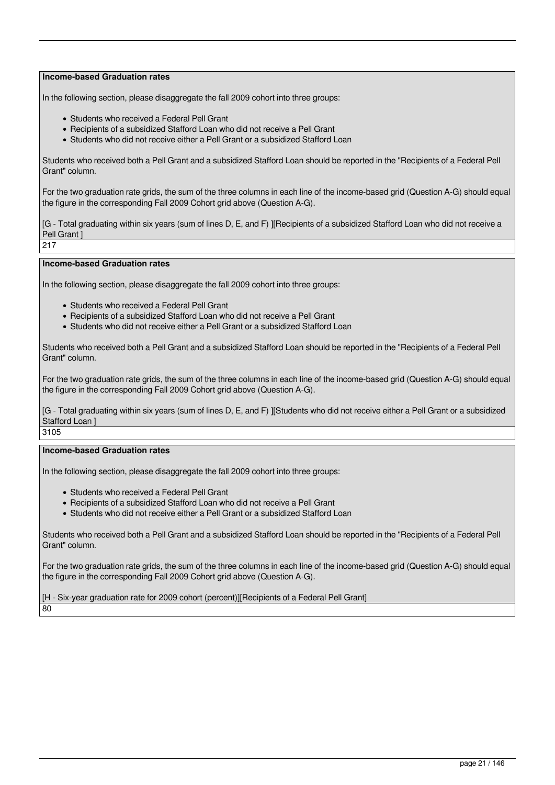In the following section, please disaggregate the fall 2009 cohort into three groups:

- Students who received a Federal Pell Grant
- Recipients of a subsidized Stafford Loan who did not receive a Pell Grant
- Students who did not receive either a Pell Grant or a subsidized Stafford Loan

Students who received both a Pell Grant and a subsidized Stafford Loan should be reported in the "Recipients of a Federal Pell Grant" column.

For the two graduation rate grids, the sum of the three columns in each line of the income-based grid (Question A-G) should equal the figure in the corresponding Fall 2009 Cohort grid above (Question A-G).

[G - Total graduating within six years (sum of lines D, E, and F) I[Recipients of a subsidized Stafford Loan who did not receive a Pell Grant ]

217

#### **Income-based Graduation rates**

In the following section, please disaggregate the fall 2009 cohort into three groups:

- Students who received a Federal Pell Grant
- Recipients of a subsidized Stafford Loan who did not receive a Pell Grant
- Students who did not receive either a Pell Grant or a subsidized Stafford Loan

Students who received both a Pell Grant and a subsidized Stafford Loan should be reported in the "Recipients of a Federal Pell Grant" column.

For the two graduation rate grids, the sum of the three columns in each line of the income-based grid (Question A-G) should equal the figure in the corresponding Fall 2009 Cohort grid above (Question A-G).

[G - Total graduating within six years (sum of lines D, E, and F) ][Students who did not receive either a Pell Grant or a subsidized Stafford Loan ]

3105

# **Income-based Graduation rates**

In the following section, please disaggregate the fall 2009 cohort into three groups:

- Students who received a Federal Pell Grant
- Recipients of a subsidized Stafford Loan who did not receive a Pell Grant
- Students who did not receive either a Pell Grant or a subsidized Stafford Loan

Students who received both a Pell Grant and a subsidized Stafford Loan should be reported in the "Recipients of a Federal Pell Grant" column.

For the two graduation rate grids, the sum of the three columns in each line of the income-based grid (Question A-G) should equal the figure in the corresponding Fall 2009 Cohort grid above (Question A-G).

[H - Six-year graduation rate for 2009 cohort (percent)][Recipients of a Federal Pell Grant] 80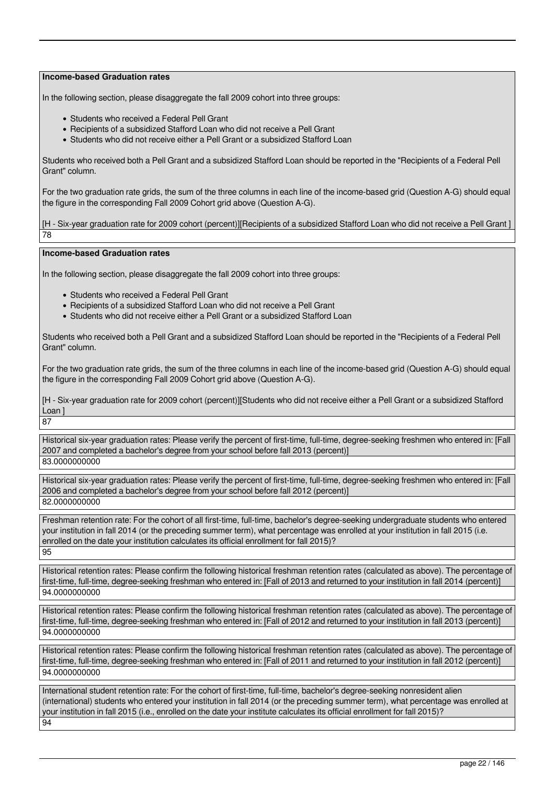In the following section, please disaggregate the fall 2009 cohort into three groups:

- Students who received a Federal Pell Grant
- Recipients of a subsidized Stafford Loan who did not receive a Pell Grant
- Students who did not receive either a Pell Grant or a subsidized Stafford Loan

Students who received both a Pell Grant and a subsidized Stafford Loan should be reported in the "Recipients of a Federal Pell Grant" column.

For the two graduation rate grids, the sum of the three columns in each line of the income-based grid (Question A-G) should equal the figure in the corresponding Fall 2009 Cohort grid above (Question A-G).

[H - Six-year graduation rate for 2009 cohort (percent)][Recipients of a subsidized Stafford Loan who did not receive a Pell Grant ] 78

# **Income-based Graduation rates**

In the following section, please disaggregate the fall 2009 cohort into three groups:

- Students who received a Federal Pell Grant
- Recipients of a subsidized Stafford Loan who did not receive a Pell Grant
- Students who did not receive either a Pell Grant or a subsidized Stafford Loan

Students who received both a Pell Grant and a subsidized Stafford Loan should be reported in the "Recipients of a Federal Pell Grant" column.

For the two graduation rate grids, the sum of the three columns in each line of the income-based grid (Question A-G) should equal the figure in the corresponding Fall 2009 Cohort grid above (Question A-G).

[H - Six-year graduation rate for 2009 cohort (percent)][Students who did not receive either a Pell Grant or a subsidized Stafford Loan ] 87

Historical six-year graduation rates: Please verify the percent of first-time, full-time, degree-seeking freshmen who entered in: [Fall 2007 and completed a bachelor's degree from your school before fall 2013 (percent)] 83.0000000000

Historical six-year graduation rates: Please verify the percent of first-time, full-time, degree-seeking freshmen who entered in: [Fall 2006 and completed a bachelor's degree from your school before fall 2012 (percent)] 82.0000000000

Freshman retention rate: For the cohort of all first-time, full-time, bachelor's degree-seeking undergraduate students who entered your institution in fall 2014 (or the preceding summer term), what percentage was enrolled at your institution in fall 2015 (i.e. enrolled on the date your institution calculates its official enrollment for fall 2015)? 95

Historical retention rates: Please confirm the following historical freshman retention rates (calculated as above). The percentage of first-time, full-time, degree-seeking freshman who entered in: [Fall of 2013 and returned to your institution in fall 2014 (percent)] 94.0000000000

Historical retention rates: Please confirm the following historical freshman retention rates (calculated as above). The percentage of first-time, full-time, degree-seeking freshman who entered in: [Fall of 2012 and returned to your institution in fall 2013 (percent)] 94.0000000000

Historical retention rates: Please confirm the following historical freshman retention rates (calculated as above). The percentage of first-time, full-time, degree-seeking freshman who entered in: [Fall of 2011 and returned to your institution in fall 2012 (percent)] 94.0000000000

International student retention rate: For the cohort of first-time, full-time, bachelor's degree-seeking nonresident alien (international) students who entered your institution in fall 2014 (or the preceding summer term), what percentage was enrolled at your institution in fall 2015 (i.e., enrolled on the date your institute calculates its official enrollment for fall 2015)? 94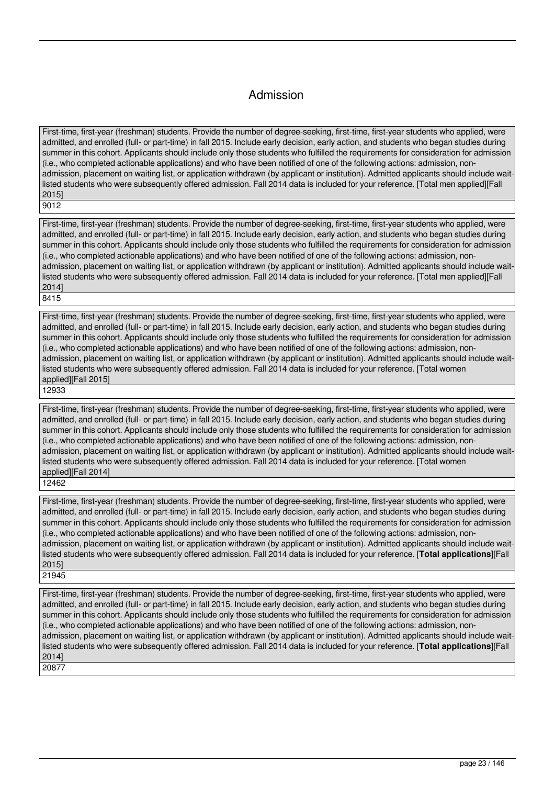# Admission

First-time, first-year (freshman) students. Provide the number of degree-seeking, first-time, first-year students who applied, were admitted, and enrolled (full- or part-time) in fall 2015. Include early decision, early action, and students who began studies during summer in this cohort. Applicants should include only those students who fulfilled the requirements for consideration for admission (i.e., who completed actionable applications) and who have been notified of one of the following actions: admission, nonadmission, placement on waiting list, or application withdrawn (by applicant or institution). Admitted applicants should include waitlisted students who were subsequently offered admission. Fall 2014 data is included for your reference. [Total men applied][Fall 2015]

9012

First-time, first-year (freshman) students. Provide the number of degree-seeking, first-time, first-year students who applied, were admitted, and enrolled (full- or part-time) in fall 2015. Include early decision, early action, and students who began studies during summer in this cohort. Applicants should include only those students who fulfilled the requirements for consideration for admission (i.e., who completed actionable applications) and who have been notified of one of the following actions: admission, nonadmission, placement on waiting list, or application withdrawn (by applicant or institution). Admitted applicants should include waitlisted students who were subsequently offered admission. Fall 2014 data is included for your reference. [Total men applied][Fall 2014] 8415

First-time, first-year (freshman) students. Provide the number of degree-seeking, first-time, first-year students who applied, were admitted, and enrolled (full- or part-time) in fall 2015. Include early decision, early action, and students who began studies during summer in this cohort. Applicants should include only those students who fulfilled the requirements for consideration for admission (i.e., who completed actionable applications) and who have been notified of one of the following actions: admission, nonadmission, placement on waiting list, or application withdrawn (by applicant or institution). Admitted applicants should include waitlisted students who were subsequently offered admission. Fall 2014 data is included for your reference. [Total women applied][Fall 2015]

12933

First-time, first-year (freshman) students. Provide the number of degree-seeking, first-time, first-year students who applied, were admitted, and enrolled (full- or part-time) in fall 2015. Include early decision, early action, and students who began studies during summer in this cohort. Applicants should include only those students who fulfilled the requirements for consideration for admission (i.e., who completed actionable applications) and who have been notified of one of the following actions: admission, nonadmission, placement on waiting list, or application withdrawn (by applicant or institution). Admitted applicants should include waitlisted students who were subsequently offered admission. Fall 2014 data is included for your reference. [Total women applied][Fall 2014]

12462

First-time, first-year (freshman) students. Provide the number of degree-seeking, first-time, first-year students who applied, were admitted, and enrolled (full- or part-time) in fall 2015. Include early decision, early action, and students who began studies during summer in this cohort. Applicants should include only those students who fulfilled the requirements for consideration for admission (i.e., who completed actionable applications) and who have been notified of one of the following actions: admission, nonadmission, placement on waiting list, or application withdrawn (by applicant or institution). Admitted applicants should include waitlisted students who were subsequently offered admission. Fall 2014 data is included for your reference. [**Total applications**][Fall 2015] 21945

First-time, first-year (freshman) students. Provide the number of degree-seeking, first-time, first-year students who applied, were admitted, and enrolled (full- or part-time) in fall 2015. Include early decision, early action, and students who began studies during summer in this cohort. Applicants should include only those students who fulfilled the requirements for consideration for admission (i.e., who completed actionable applications) and who have been notified of one of the following actions: admission, nonadmission, placement on waiting list, or application withdrawn (by applicant or institution). Admitted applicants should include waitlisted students who were subsequently offered admission. Fall 2014 data is included for your reference. [**Total applications**][Fall 2014] 20877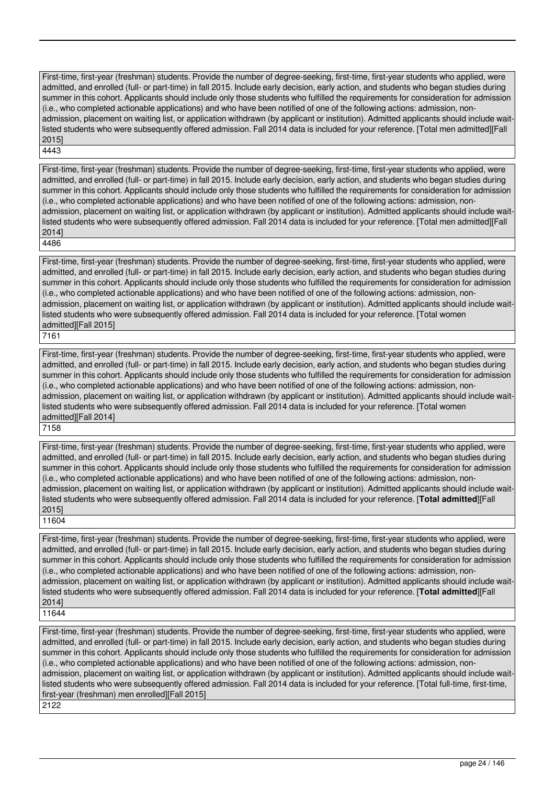First-time, first-year (freshman) students. Provide the number of degree-seeking, first-time, first-year students who applied, were admitted, and enrolled (full- or part-time) in fall 2015. Include early decision, early action, and students who began studies during summer in this cohort. Applicants should include only those students who fulfilled the requirements for consideration for admission (i.e., who completed actionable applications) and who have been notified of one of the following actions: admission, nonadmission, placement on waiting list, or application withdrawn (by applicant or institution). Admitted applicants should include waitlisted students who were subsequently offered admission. Fall 2014 data is included for your reference. [Total men admitted][Fall 2015] 4443

First-time, first-year (freshman) students. Provide the number of degree-seeking, first-time, first-year students who applied, were admitted, and enrolled (full- or part-time) in fall 2015. Include early decision, early action, and students who began studies during summer in this cohort. Applicants should include only those students who fulfilled the requirements for consideration for admission (i.e., who completed actionable applications) and who have been notified of one of the following actions: admission, nonadmission, placement on waiting list, or application withdrawn (by applicant or institution). Admitted applicants should include waitlisted students who were subsequently offered admission. Fall 2014 data is included for your reference. [Total men admitted][Fall 2014] 4486

First-time, first-year (freshman) students. Provide the number of degree-seeking, first-time, first-year students who applied, were admitted, and enrolled (full- or part-time) in fall 2015. Include early decision, early action, and students who began studies during summer in this cohort. Applicants should include only those students who fulfilled the requirements for consideration for admission (i.e., who completed actionable applications) and who have been notified of one of the following actions: admission, nonadmission, placement on waiting list, or application withdrawn (by applicant or institution). Admitted applicants should include waitlisted students who were subsequently offered admission. Fall 2014 data is included for your reference. [Total women admitted][Fall 2015]

7161

First-time, first-year (freshman) students. Provide the number of degree-seeking, first-time, first-year students who applied, were admitted, and enrolled (full- or part-time) in fall 2015. Include early decision, early action, and students who began studies during summer in this cohort. Applicants should include only those students who fulfilled the requirements for consideration for admission (i.e., who completed actionable applications) and who have been notified of one of the following actions: admission, nonadmission, placement on waiting list, or application withdrawn (by applicant or institution). Admitted applicants should include waitlisted students who were subsequently offered admission. Fall 2014 data is included for your reference. [Total women admitted][Fall 2014]

7158

First-time, first-year (freshman) students. Provide the number of degree-seeking, first-time, first-year students who applied, were admitted, and enrolled (full- or part-time) in fall 2015. Include early decision, early action, and students who began studies during summer in this cohort. Applicants should include only those students who fulfilled the requirements for consideration for admission (i.e., who completed actionable applications) and who have been notified of one of the following actions: admission, nonadmission, placement on waiting list, or application withdrawn (by applicant or institution). Admitted applicants should include waitlisted students who were subsequently offered admission. Fall 2014 data is included for your reference. [**Total admitted**][Fall 2015] 11604

First-time, first-year (freshman) students. Provide the number of degree-seeking, first-time, first-year students who applied, were admitted, and enrolled (full- or part-time) in fall 2015. Include early decision, early action, and students who began studies during summer in this cohort. Applicants should include only those students who fulfilled the requirements for consideration for admission (i.e., who completed actionable applications) and who have been notified of one of the following actions: admission, nonadmission, placement on waiting list, or application withdrawn (by applicant or institution). Admitted applicants should include waitlisted students who were subsequently offered admission. Fall 2014 data is included for your reference. [**Total admitted**][Fall 2014]

11644

First-time, first-year (freshman) students. Provide the number of degree-seeking, first-time, first-year students who applied, were admitted, and enrolled (full- or part-time) in fall 2015. Include early decision, early action, and students who began studies during summer in this cohort. Applicants should include only those students who fulfilled the requirements for consideration for admission (i.e., who completed actionable applications) and who have been notified of one of the following actions: admission, nonadmission, placement on waiting list, or application withdrawn (by applicant or institution). Admitted applicants should include waitlisted students who were subsequently offered admission. Fall 2014 data is included for your reference. [Total full-time, first-time, first-year (freshman) men enrolled][Fall 2015]

2122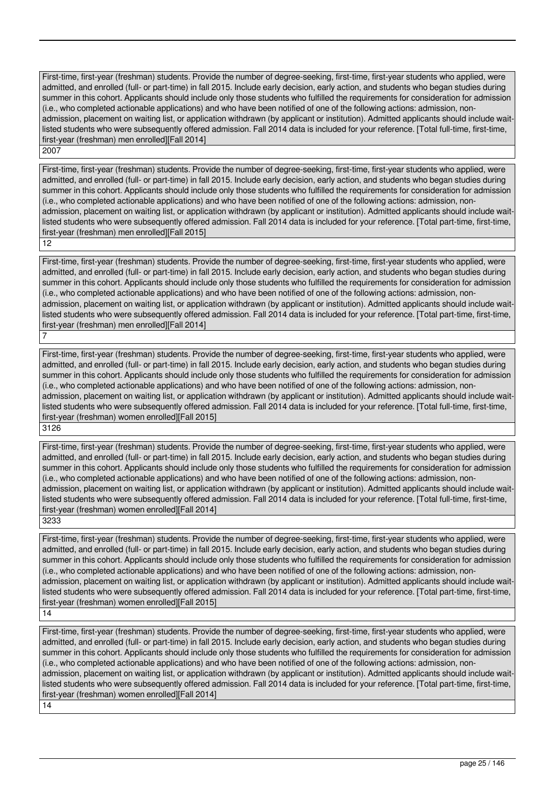First-time, first-year (freshman) students. Provide the number of degree-seeking, first-time, first-year students who applied, were admitted, and enrolled (full- or part-time) in fall 2015. Include early decision, early action, and students who began studies during summer in this cohort. Applicants should include only those students who fulfilled the requirements for consideration for admission (i.e., who completed actionable applications) and who have been notified of one of the following actions: admission, nonadmission, placement on waiting list, or application withdrawn (by applicant or institution). Admitted applicants should include waitlisted students who were subsequently offered admission. Fall 2014 data is included for your reference. [Total full-time, first-time, first-year (freshman) men enrolled][Fall 2014] 2007

First-time, first-year (freshman) students. Provide the number of degree-seeking, first-time, first-year students who applied, were admitted, and enrolled (full- or part-time) in fall 2015. Include early decision, early action, and students who began studies during summer in this cohort. Applicants should include only those students who fulfilled the requirements for consideration for admission (i.e., who completed actionable applications) and who have been notified of one of the following actions: admission, nonadmission, placement on waiting list, or application withdrawn (by applicant or institution). Admitted applicants should include waitlisted students who were subsequently offered admission. Fall 2014 data is included for your reference. [Total part-time, first-time, first-year (freshman) men enrolled][Fall 2015] 12

First-time, first-year (freshman) students. Provide the number of degree-seeking, first-time, first-year students who applied, were admitted, and enrolled (full- or part-time) in fall 2015. Include early decision, early action, and students who began studies during summer in this cohort. Applicants should include only those students who fulfilled the requirements for consideration for admission (i.e., who completed actionable applications) and who have been notified of one of the following actions: admission, nonadmission, placement on waiting list, or application withdrawn (by applicant or institution). Admitted applicants should include waitlisted students who were subsequently offered admission. Fall 2014 data is included for your reference. [Total part-time, first-time, first-year (freshman) men enrolled][Fall 2014]

First-time, first-year (freshman) students. Provide the number of degree-seeking, first-time, first-year students who applied, were admitted, and enrolled (full- or part-time) in fall 2015. Include early decision, early action, and students who began studies during summer in this cohort. Applicants should include only those students who fulfilled the requirements for consideration for admission (i.e., who completed actionable applications) and who have been notified of one of the following actions: admission, nonadmission, placement on waiting list, or application withdrawn (by applicant or institution). Admitted applicants should include waitlisted students who were subsequently offered admission. Fall 2014 data is included for your reference. [Total full-time, first-time, first-year (freshman) women enrolled][Fall 2015] 3126

First-time, first-year (freshman) students. Provide the number of degree-seeking, first-time, first-year students who applied, were admitted, and enrolled (full- or part-time) in fall 2015. Include early decision, early action, and students who began studies during summer in this cohort. Applicants should include only those students who fulfilled the requirements for consideration for admission (i.e., who completed actionable applications) and who have been notified of one of the following actions: admission, nonadmission, placement on waiting list, or application withdrawn (by applicant or institution). Admitted applicants should include waitlisted students who were subsequently offered admission. Fall 2014 data is included for your reference. [Total full-time, first-time, first-year (freshman) women enrolled][Fall 2014] 3233

First-time, first-year (freshman) students. Provide the number of degree-seeking, first-time, first-year students who applied, were admitted, and enrolled (full- or part-time) in fall 2015. Include early decision, early action, and students who began studies during summer in this cohort. Applicants should include only those students who fulfilled the requirements for consideration for admission (i.e., who completed actionable applications) and who have been notified of one of the following actions: admission, nonadmission, placement on waiting list, or application withdrawn (by applicant or institution). Admitted applicants should include waitlisted students who were subsequently offered admission. Fall 2014 data is included for your reference. [Total part-time, first-time, first-year (freshman) women enrolled][Fall 2015]

14

7

First-time, first-year (freshman) students. Provide the number of degree-seeking, first-time, first-year students who applied, were admitted, and enrolled (full- or part-time) in fall 2015. Include early decision, early action, and students who began studies during summer in this cohort. Applicants should include only those students who fulfilled the requirements for consideration for admission (i.e., who completed actionable applications) and who have been notified of one of the following actions: admission, nonadmission, placement on waiting list, or application withdrawn (by applicant or institution). Admitted applicants should include waitlisted students who were subsequently offered admission. Fall 2014 data is included for your reference. [Total part-time, first-time, first-year (freshman) women enrolled][Fall 2014]

14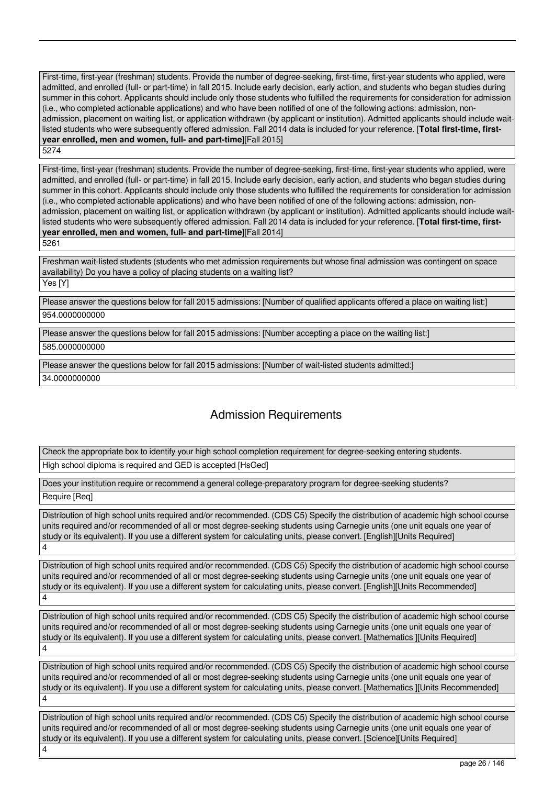First-time, first-year (freshman) students. Provide the number of degree-seeking, first-time, first-year students who applied, were admitted, and enrolled (full- or part-time) in fall 2015. Include early decision, early action, and students who began studies during summer in this cohort. Applicants should include only those students who fulfilled the requirements for consideration for admission (i.e., who completed actionable applications) and who have been notified of one of the following actions: admission, nonadmission, placement on waiting list, or application withdrawn (by applicant or institution). Admitted applicants should include waitlisted students who were subsequently offered admission. Fall 2014 data is included for your reference. [**Total first-time, firstyear enrolled, men and women, full- and part-time**][Fall 2015] 5274

First-time, first-year (freshman) students. Provide the number of degree-seeking, first-time, first-year students who applied, were admitted, and enrolled (full- or part-time) in fall 2015. Include early decision, early action, and students who began studies during summer in this cohort. Applicants should include only those students who fulfilled the requirements for consideration for admission (i.e., who completed actionable applications) and who have been notified of one of the following actions: admission, nonadmission, placement on waiting list, or application withdrawn (by applicant or institution). Admitted applicants should include waitlisted students who were subsequently offered admission. Fall 2014 data is included for your reference. [**Total first-time, firstyear enrolled, men and women, full- and part-time**][Fall 2014]

5261

Freshman wait-listed students (students who met admission requirements but whose final admission was contingent on space availability) Do you have a policy of placing students on a waiting list?

Yes [Y]

Please answer the questions below for fall 2015 admissions: [Number of qualified applicants offered a place on waiting list:] 954.0000000000

Please answer the questions below for fall 2015 admissions: [Number accepting a place on the waiting list:]

585.0000000000

Please answer the questions below for fall 2015 admissions: [Number of wait-listed students admitted:]

34.0000000000

# Admission Requirements

Check the appropriate box to identify your high school completion requirement for degree-seeking entering students. High school diploma is required and GED is accepted [HsGed]

Does your institution require or recommend a general college-preparatory program for degree-seeking students?

Require [Req]

Distribution of high school units required and/or recommended. (CDS C5) Specify the distribution of academic high school course units required and/or recommended of all or most degree-seeking students using Carnegie units (one unit equals one year of study or its equivalent). If you use a different system for calculating units, please convert. [English][Units Required] 4

Distribution of high school units required and/or recommended. (CDS C5) Specify the distribution of academic high school course units required and/or recommended of all or most degree-seeking students using Carnegie units (one unit equals one year of study or its equivalent). If you use a different system for calculating units, please convert. [English][Units Recommended] 4

Distribution of high school units required and/or recommended. (CDS C5) Specify the distribution of academic high school course units required and/or recommended of all or most degree-seeking students using Carnegie units (one unit equals one year of study or its equivalent). If you use a different system for calculating units, please convert. [Mathematics ][Units Required] 4

Distribution of high school units required and/or recommended. (CDS C5) Specify the distribution of academic high school course units required and/or recommended of all or most degree-seeking students using Carnegie units (one unit equals one year of study or its equivalent). If you use a different system for calculating units, please convert. [Mathematics ][Units Recommended] 4

Distribution of high school units required and/or recommended. (CDS C5) Specify the distribution of academic high school course units required and/or recommended of all or most degree-seeking students using Carnegie units (one unit equals one year of study or its equivalent). If you use a different system for calculating units, please convert. [Science][Units Required] 4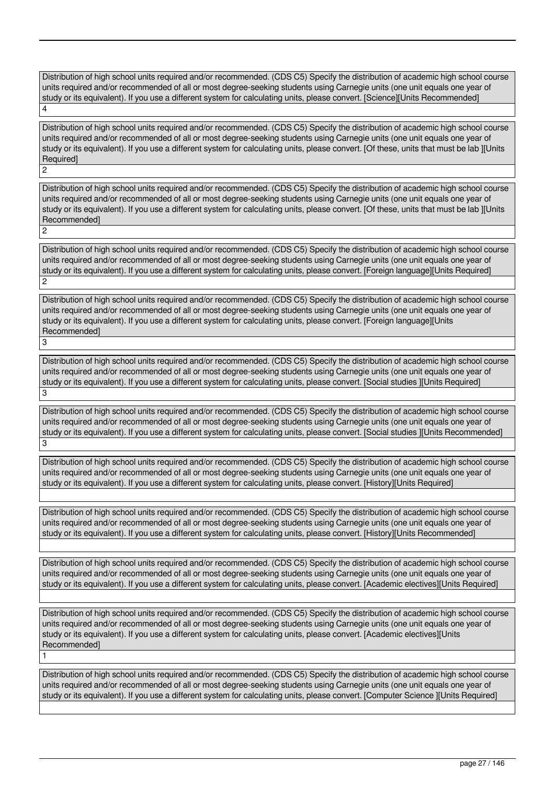Distribution of high school units required and/or recommended. (CDS C5) Specify the distribution of academic high school course units required and/or recommended of all or most degree-seeking students using Carnegie units (one unit equals one year of study or its equivalent). If you use a different system for calculating units, please convert. [Science][Units Recommended] 4

Distribution of high school units required and/or recommended. (CDS C5) Specify the distribution of academic high school course units required and/or recommended of all or most degree-seeking students using Carnegie units (one unit equals one year of study or its equivalent). If you use a different system for calculating units, please convert. [Of these, units that must be lab ][Units Required]

2

3

1

Distribution of high school units required and/or recommended. (CDS C5) Specify the distribution of academic high school course units required and/or recommended of all or most degree-seeking students using Carnegie units (one unit equals one year of study or its equivalent). If you use a different system for calculating units, please convert. [Of these, units that must be lab ][Units Recommended] 2

Distribution of high school units required and/or recommended. (CDS C5) Specify the distribution of academic high school course units required and/or recommended of all or most degree-seeking students using Carnegie units (one unit equals one year of study or its equivalent). If you use a different system for calculating units, please convert. [Foreign language][Units Required] 2

Distribution of high school units required and/or recommended. (CDS C5) Specify the distribution of academic high school course units required and/or recommended of all or most degree-seeking students using Carnegie units (one unit equals one year of study or its equivalent). If you use a different system for calculating units, please convert. [Foreign language][Units Recommended]

Distribution of high school units required and/or recommended. (CDS C5) Specify the distribution of academic high school course units required and/or recommended of all or most degree-seeking students using Carnegie units (one unit equals one year of study or its equivalent). If you use a different system for calculating units, please convert. [Social studies ][Units Required] 3

Distribution of high school units required and/or recommended. (CDS C5) Specify the distribution of academic high school course units required and/or recommended of all or most degree-seeking students using Carnegie units (one unit equals one year of study or its equivalent). If you use a different system for calculating units, please convert. [Social studies ][Units Recommended] 3

Distribution of high school units required and/or recommended. (CDS C5) Specify the distribution of academic high school course units required and/or recommended of all or most degree-seeking students using Carnegie units (one unit equals one year of study or its equivalent). If you use a different system for calculating units, please convert. [History][Units Required]

Distribution of high school units required and/or recommended. (CDS C5) Specify the distribution of academic high school course units required and/or recommended of all or most degree-seeking students using Carnegie units (one unit equals one year of study or its equivalent). If you use a different system for calculating units, please convert. [History][Units Recommended]

Distribution of high school units required and/or recommended. (CDS C5) Specify the distribution of academic high school course units required and/or recommended of all or most degree-seeking students using Carnegie units (one unit equals one year of study or its equivalent). If you use a different system for calculating units, please convert. [Academic electives][Units Required]

Distribution of high school units required and/or recommended. (CDS C5) Specify the distribution of academic high school course units required and/or recommended of all or most degree-seeking students using Carnegie units (one unit equals one year of study or its equivalent). If you use a different system for calculating units, please convert. [Academic electives][Units Recommended]

Distribution of high school units required and/or recommended. (CDS C5) Specify the distribution of academic high school course units required and/or recommended of all or most degree-seeking students using Carnegie units (one unit equals one year of study or its equivalent). If you use a different system for calculating units, please convert. [Computer Science ][Units Required]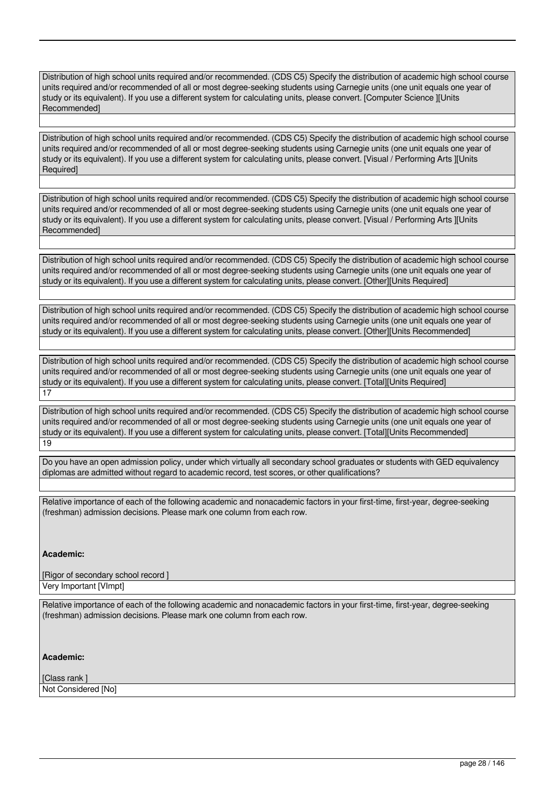Distribution of high school units required and/or recommended. (CDS C5) Specify the distribution of academic high school course units required and/or recommended of all or most degree-seeking students using Carnegie units (one unit equals one year of study or its equivalent). If you use a different system for calculating units, please convert. [Computer Science ][Units Recommended]

Distribution of high school units required and/or recommended. (CDS C5) Specify the distribution of academic high school course units required and/or recommended of all or most degree-seeking students using Carnegie units (one unit equals one year of study or its equivalent). If you use a different system for calculating units, please convert. [Visual / Performing Arts ][Units Required<sup>1</sup>

Distribution of high school units required and/or recommended. (CDS C5) Specify the distribution of academic high school course units required and/or recommended of all or most degree-seeking students using Carnegie units (one unit equals one year of study or its equivalent). If you use a different system for calculating units, please convert. [Visual / Performing Arts ][Units Recommended]

Distribution of high school units required and/or recommended. (CDS C5) Specify the distribution of academic high school course units required and/or recommended of all or most degree-seeking students using Carnegie units (one unit equals one year of study or its equivalent). If you use a different system for calculating units, please convert. [Other][Units Required]

Distribution of high school units required and/or recommended. (CDS C5) Specify the distribution of academic high school course units required and/or recommended of all or most degree-seeking students using Carnegie units (one unit equals one year of study or its equivalent). If you use a different system for calculating units, please convert. [Other][Units Recommended]

Distribution of high school units required and/or recommended. (CDS C5) Specify the distribution of academic high school course units required and/or recommended of all or most degree-seeking students using Carnegie units (one unit equals one year of study or its equivalent). If you use a different system for calculating units, please convert. [Total][Units Required] 17

Distribution of high school units required and/or recommended. (CDS C5) Specify the distribution of academic high school course units required and/or recommended of all or most degree-seeking students using Carnegie units (one unit equals one year of study or its equivalent). If you use a different system for calculating units, please convert. [Total][Units Recommended] 19

Do you have an open admission policy, under which virtually all secondary school graduates or students with GED equivalency diplomas are admitted without regard to academic record, test scores, or other qualifications?

Relative importance of each of the following academic and nonacademic factors in your first-time, first-year, degree-seeking (freshman) admission decisions. Please mark one column from each row.

# **Academic:**

[Rigor of secondary school record ] Very Important [VImpt]

Relative importance of each of the following academic and nonacademic factors in your first-time, first-year, degree-seeking (freshman) admission decisions. Please mark one column from each row.

**Academic:**

[Class rank ] Not Considered [No]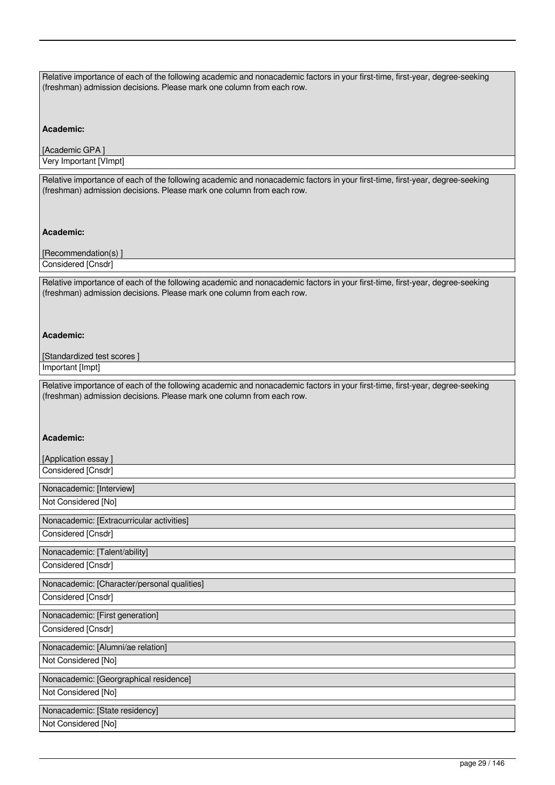| Relative importance of each of the following academic and nonacademic factors in your first-time, first-year, degree-seeking<br>(freshman) admission decisions. Please mark one column from each row. |
|-------------------------------------------------------------------------------------------------------------------------------------------------------------------------------------------------------|
| Academic:                                                                                                                                                                                             |
| [Academic GPA]                                                                                                                                                                                        |
| Very Important [VImpt]                                                                                                                                                                                |
| Relative importance of each of the following academic and nonacademic factors in your first-time, first-year, degree-seeking<br>(freshman) admission decisions. Please mark one column from each row. |
| Academic:                                                                                                                                                                                             |
| [Recommendation(s)]                                                                                                                                                                                   |
| Considered [Cnsdr]                                                                                                                                                                                    |
| Relative importance of each of the following academic and nonacademic factors in your first-time, first-year, degree-seeking<br>(freshman) admission decisions. Please mark one column from each row. |
| Academic:                                                                                                                                                                                             |
| [Standardized test scores]                                                                                                                                                                            |
| Important [Impt]                                                                                                                                                                                      |
| Relative importance of each of the following academic and nonacademic factors in your first-time, first-year, degree-seeking<br>(freshman) admission decisions. Please mark one column from each row. |
|                                                                                                                                                                                                       |
| Academic:                                                                                                                                                                                             |
| [Application essay]                                                                                                                                                                                   |
| Considered [Cnsdr]                                                                                                                                                                                    |
| Nonacademic: [Interview]                                                                                                                                                                              |
| Not Considered [No]                                                                                                                                                                                   |
|                                                                                                                                                                                                       |
| Nonacademic: [Extracurricular activities]<br>Considered [Cnsdr]                                                                                                                                       |
|                                                                                                                                                                                                       |
| Nonacademic: [Talent/ability]<br>Considered [Cnsdr]                                                                                                                                                   |
|                                                                                                                                                                                                       |
| Nonacademic: [Character/personal qualities]<br>Considered [Cnsdr]                                                                                                                                     |
| Nonacademic: [First generation]                                                                                                                                                                       |
| Considered [Cnsdr]                                                                                                                                                                                    |
| Nonacademic: [Alumni/ae relation]                                                                                                                                                                     |
| Not Considered [No]                                                                                                                                                                                   |
|                                                                                                                                                                                                       |
| Nonacademic: [Georgraphical residence]<br>Not Considered [No]                                                                                                                                         |
|                                                                                                                                                                                                       |
| Nonacademic: [State residency]<br>Not Considered [No]                                                                                                                                                 |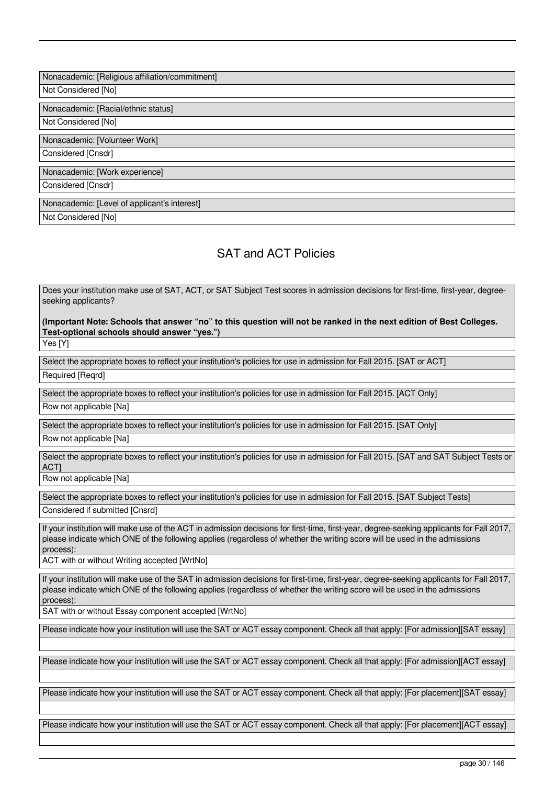Nonacademic: [Religious affiliation/commitment]

Not Considered [No]

Nonacademic: [Racial/ethnic status]

Not Considered [No]

Nonacademic: [Volunteer Work]

Considered [Cnsdr]

Nonacademic: [Work experience]

Considered [Cnsdr]

Nonacademic: [Level of applicant's interest]

Not Considered [No]

# SAT and ACT Policies

Does your institution make use of SAT, ACT, or SAT Subject Test scores in admission decisions for first-time, first-year, degreeseeking applicants?

**(Important Note: Schools that answer "no" to this question will not be ranked in the next edition of Best Colleges. Test-optional schools should answer "yes.")** Yes [Y]

Select the appropriate boxes to reflect your institution's policies for use in admission for Fall 2015. [SAT or ACT] Required [Reqrd]

Select the appropriate boxes to reflect your institution's policies for use in admission for Fall 2015. [ACT Only] Row not applicable [Na]

Select the appropriate boxes to reflect your institution's policies for use in admission for Fall 2015. [SAT Only] Row not applicable [Na]

Select the appropriate boxes to reflect your institution's policies for use in admission for Fall 2015. [SAT and SAT Subject Tests or ACT]

Row not applicable [Na]

Select the appropriate boxes to reflect your institution's policies for use in admission for Fall 2015. [SAT Subject Tests] Considered if submitted [Cnsrd]

If your institution will make use of the ACT in admission decisions for first-time, first-year, degree-seeking applicants for Fall 2017, please indicate which ONE of the following applies (regardless of whether the writing score will be used in the admissions process):

ACT with or without Writing accepted [WrtNo]

If your institution will make use of the SAT in admission decisions for first-time, first-year, degree-seeking applicants for Fall 2017, please indicate which ONE of the following applies (regardless of whether the writing score will be used in the admissions process):

SAT with or without Essay component accepted [WrtNo]

Please indicate how your institution will use the SAT or ACT essay component. Check all that apply: [For admission][SAT essay]

Please indicate how your institution will use the SAT or ACT essay component. Check all that apply: [For admission][ACT essay]

Please indicate how your institution will use the SAT or ACT essay component. Check all that apply: [For placement][SAT essay]

Please indicate how your institution will use the SAT or ACT essay component. Check all that apply: [For placement][ACT essay]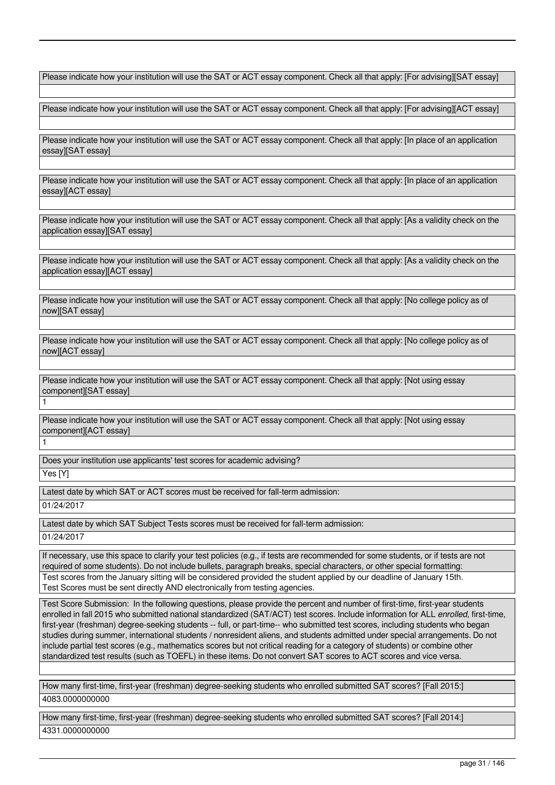Please indicate how your institution will use the SAT or ACT essay component. Check all that apply: [For advising][SAT essay]

Please indicate how your institution will use the SAT or ACT essay component. Check all that apply: [For advising][ACT essay]

Please indicate how your institution will use the SAT or ACT essay component. Check all that apply: [In place of an application essay][SAT essay]

Please indicate how your institution will use the SAT or ACT essay component. Check all that apply: [In place of an application essay][ACT essay]

Please indicate how your institution will use the SAT or ACT essay component. Check all that apply: [As a validity check on the application essay][SAT essay]

Please indicate how your institution will use the SAT or ACT essay component. Check all that apply: [As a validity check on the application essay][ACT essay]

Please indicate how your institution will use the SAT or ACT essay component. Check all that apply: [No college policy as of now][SAT essay]

Please indicate how your institution will use the SAT or ACT essay component. Check all that apply: [No college policy as of now][ACT essay]

Please indicate how your institution will use the SAT or ACT essay component. Check all that apply: [Not using essay component][SAT essay]

Please indicate how your institution will use the SAT or ACT essay component. Check all that apply: [Not using essay component][ACT essay]

Does your institution use applicants' test scores for academic advising?

Yes [Y]

1

1

Latest date by which SAT or ACT scores must be received for fall-term admission: 01/24/2017

Latest date by which SAT Subject Tests scores must be received for fall-term admission: 01/24/2017

If necessary, use this space to clarify your test policies (e.g., if tests are recommended for some students, or if tests are not required of some students). Do not include bullets, paragraph breaks, special characters, or other special formatting: Test scores from the January sitting will be considered provided the student applied by our deadline of January 15th. Test Scores must be sent directly AND electronically from testing agencies.

Test Score Submission: In the following questions, please provide the percent and number of first-time, first-year students enrolled in fall 2015 who submitted national standardized (SAT/ACT) test scores. Include information for ALL *enrolled*, first-time, first-year (freshman) degree-seeking students -- full, or part-time-- who submitted test scores, including students who began studies during summer, international students / nonresident aliens, and students admitted under special arrangements. Do not include partial test scores (e.g., mathematics scores but not critical reading for a category of students) or combine other standardized test results (such as TOEFL) in these items. Do not convert SAT scores to ACT scores and vice versa.

How many first-time, first-year (freshman) degree-seeking students who enrolled submitted SAT scores? [Fall 2015:] 4083.0000000000

How many first-time, first-year (freshman) degree-seeking students who enrolled submitted SAT scores? [Fall 2014:] 4331.0000000000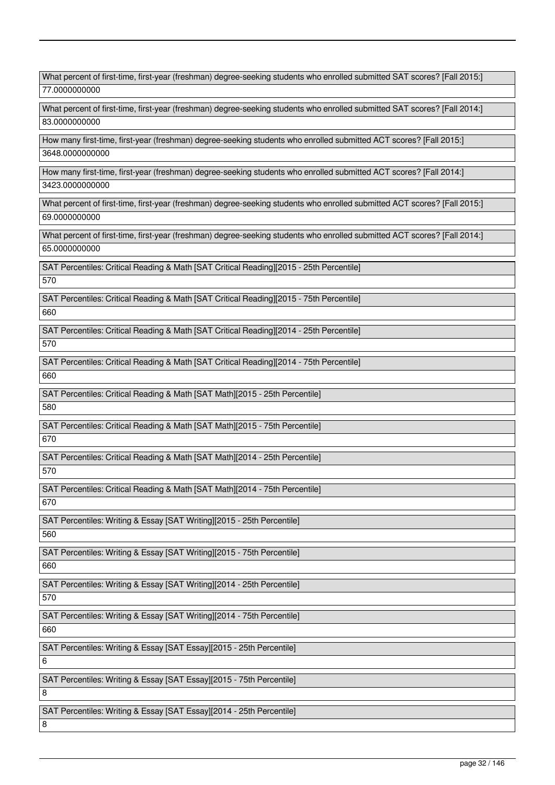What percent of first-time, first-year (freshman) degree-seeking students who enrolled submitted SAT scores? [Fall 2015:] 77.0000000000 What percent of first-time, first-year (freshman) degree-seeking students who enrolled submitted SAT scores? [Fall 2014:] 83.0000000000 How many first-time, first-year (freshman) degree-seeking students who enrolled submitted ACT scores? [Fall 2015:] 3648.0000000000 How many first-time, first-year (freshman) degree-seeking students who enrolled submitted ACT scores? [Fall 2014:] 3423.0000000000 What percent of first-time, first-year (freshman) degree-seeking students who enrolled submitted ACT scores? [Fall 2015:] 69.0000000000 What percent of first-time, first-year (freshman) degree-seeking students who enrolled submitted ACT scores? [Fall 2014:] 65.0000000000 SAT Percentiles: Critical Reading & Math [SAT Critical Reading][2015 - 25th Percentile] 570 SAT Percentiles: Critical Reading & Math [SAT Critical Reading][2015 - 75th Percentile] 660 SAT Percentiles: Critical Reading & Math [SAT Critical Reading][2014 - 25th Percentile] 570 SAT Percentiles: Critical Reading & Math [SAT Critical Reading][2014 - 75th Percentile] 660 SAT Percentiles: Critical Reading & Math [SAT Math][2015 - 25th Percentile] 580 SAT Percentiles: Critical Reading & Math [SAT Math][2015 - 75th Percentile] 670 SAT Percentiles: Critical Reading & Math [SAT Math][2014 - 25th Percentile] 570 SAT Percentiles: Critical Reading & Math [SAT Math][2014 - 75th Percentile] 670 SAT Percentiles: Writing & Essay [SAT Writing][2015 - 25th Percentile] 560 SAT Percentiles: Writing & Essay [SAT Writing][2015 - 75th Percentile] 660 SAT Percentiles: Writing & Essay [SAT Writing][2014 - 25th Percentile] 570 SAT Percentiles: Writing & Essay [SAT Writing][2014 - 75th Percentile] 660 SAT Percentiles: Writing & Essay [SAT Essay][2015 - 25th Percentile] 6 SAT Percentiles: Writing & Essay [SAT Essay][2015 - 75th Percentile] 8 SAT Percentiles: Writing & Essay [SAT Essay][2014 - 25th Percentile] 8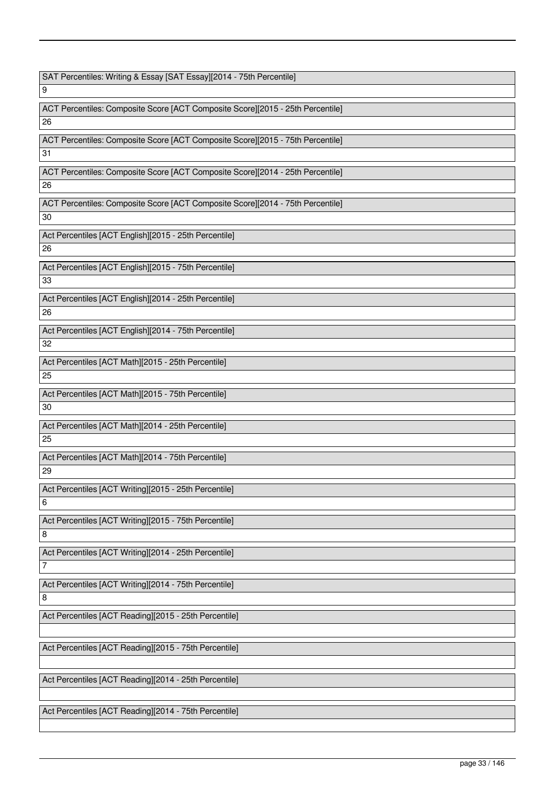SAT Percentiles: Writing & Essay [SAT Essay][2014 - 75th Percentile]

9

ACT Percentiles: Composite Score [ACT Composite Score][2015 - 25th Percentile] 26

ACT Percentiles: Composite Score [ACT Composite Score][2015 - 75th Percentile] 31

ACT Percentiles: Composite Score [ACT Composite Score][2014 - 25th Percentile]

26

ACT Percentiles: Composite Score [ACT Composite Score][2014 - 75th Percentile]

30

Act Percentiles [ACT English][2015 - 25th Percentile] 26

Act Percentiles [ACT English][2015 - 75th Percentile] 33

Act Percentiles [ACT English][2014 - 25th Percentile] 26

Act Percentiles [ACT English][2014 - 75th Percentile] 32

Act Percentiles [ACT Math][2015 - 25th Percentile] 25

Act Percentiles [ACT Math][2015 - 75th Percentile] 30

Act Percentiles [ACT Math][2014 - 25th Percentile] 25

Act Percentiles [ACT Math][2014 - 75th Percentile] 29

Act Percentiles [ACT Writing][2015 - 25th Percentile] 6

Act Percentiles [ACT Writing][2015 - 75th Percentile] 8

Act Percentiles [ACT Writing][2014 - 25th Percentile]

Act Percentiles [ACT Writing][2014 - 75th Percentile]

8

7

Act Percentiles [ACT Reading][2015 - 25th Percentile]

Act Percentiles [ACT Reading][2015 - 75th Percentile]

Act Percentiles [ACT Reading][2014 - 25th Percentile]

Act Percentiles [ACT Reading][2014 - 75th Percentile]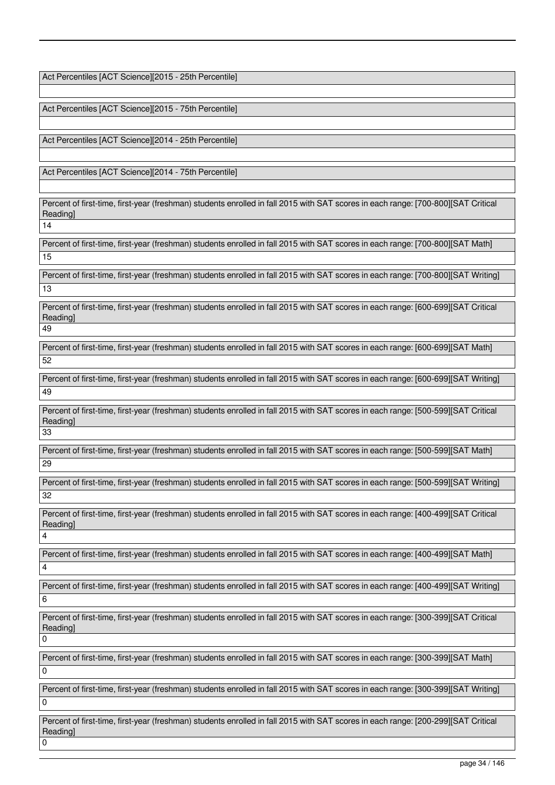Act Percentiles [ACT Science][2015 - 25th Percentile]

Act Percentiles [ACT Science][2015 - 75th Percentile]

Act Percentiles [ACT Science][2014 - 25th Percentile]

Act Percentiles [ACT Science][2014 - 75th Percentile]

Percent of first-time, first-year (freshman) students enrolled in fall 2015 with SAT scores in each range: [700-800][SAT Critical Reading]

14

Percent of first-time, first-year (freshman) students enrolled in fall 2015 with SAT scores in each range: [700-800][SAT Math] 15

Percent of first-time, first-year (freshman) students enrolled in fall 2015 with SAT scores in each range: [700-800][SAT Writing] 13

Percent of first-time, first-year (freshman) students enrolled in fall 2015 with SAT scores in each range: [600-699][SAT Critical Reading] 49

Percent of first-time, first-year (freshman) students enrolled in fall 2015 with SAT scores in each range: [600-699][SAT Math] 52

Percent of first-time, first-year (freshman) students enrolled in fall 2015 with SAT scores in each range: [600-699][SAT Writing] 49

Percent of first-time, first-year (freshman) students enrolled in fall 2015 with SAT scores in each range: [500-599][SAT Critical Reading]

33

Percent of first-time, first-year (freshman) students enrolled in fall 2015 with SAT scores in each range: [500-599][SAT Math] 29

Percent of first-time, first-year (freshman) students enrolled in fall 2015 with SAT scores in each range: [500-599][SAT Writing] 32

Percent of first-time, first-year (freshman) students enrolled in fall 2015 with SAT scores in each range: [400-499][SAT Critical Reading]  $\lambda$ 

Percent of first-time, first-year (freshman) students enrolled in fall 2015 with SAT scores in each range: [400-499][SAT Math] 4

Percent of first-time, first-year (freshman) students enrolled in fall 2015 with SAT scores in each range: [400-499][SAT Writing] 6

Percent of first-time, first-year (freshman) students enrolled in fall 2015 with SAT scores in each range: [300-399][SAT Critical Reading]  $\overline{0}$ 

Percent of first-time, first-year (freshman) students enrolled in fall 2015 with SAT scores in each range: [300-399][SAT Math]  $\Omega$ 

Percent of first-time, first-year (freshman) students enrolled in fall 2015 with SAT scores in each range: [300-399][SAT Writing] 0

Percent of first-time, first-year (freshman) students enrolled in fall 2015 with SAT scores in each range: [200-299][SAT Critical Reading]  $\overline{0}$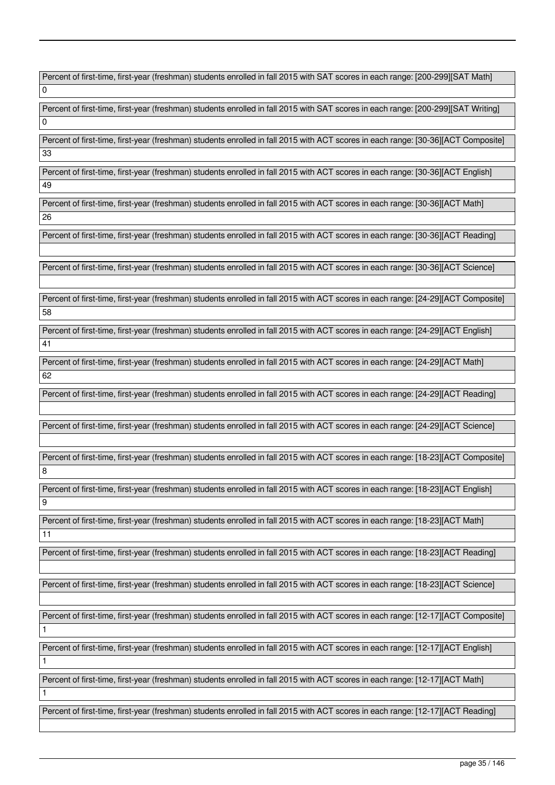Percent of first-time, first-year (freshman) students enrolled in fall 2015 with SAT scores in each range: [200-299][SAT Math] 0

Percent of first-time, first-year (freshman) students enrolled in fall 2015 with SAT scores in each range: [200-299][SAT Writing] 0

Percent of first-time, first-year (freshman) students enrolled in fall 2015 with ACT scores in each range: [30-36][ACT Composite] 33

Percent of first-time, first-year (freshman) students enrolled in fall 2015 with ACT scores in each range: [30-36][ACT English] 49

Percent of first-time, first-year (freshman) students enrolled in fall 2015 with ACT scores in each range: [30-36][ACT Math] 26

Percent of first-time, first-year (freshman) students enrolled in fall 2015 with ACT scores in each range: [30-36][ACT Reading]

Percent of first-time, first-year (freshman) students enrolled in fall 2015 with ACT scores in each range: [30-36][ACT Science]

Percent of first-time, first-year (freshman) students enrolled in fall 2015 with ACT scores in each range: [24-29][ACT Composite] 58

Percent of first-time, first-year (freshman) students enrolled in fall 2015 with ACT scores in each range: [24-29][ACT English] 41

Percent of first-time, first-year (freshman) students enrolled in fall 2015 with ACT scores in each range: [24-29][ACT Math] 62

Percent of first-time, first-year (freshman) students enrolled in fall 2015 with ACT scores in each range: [24-29][ACT Reading]

Percent of first-time, first-year (freshman) students enrolled in fall 2015 with ACT scores in each range: [24-29][ACT Science]

Percent of first-time, first-year (freshman) students enrolled in fall 2015 with ACT scores in each range: [18-23][ACT Composite] 8

Percent of first-time, first-year (freshman) students enrolled in fall 2015 with ACT scores in each range: [18-23][ACT English] 9

Percent of first-time, first-year (freshman) students enrolled in fall 2015 with ACT scores in each range: [18-23][ACT Math] 11

Percent of first-time, first-year (freshman) students enrolled in fall 2015 with ACT scores in each range: [18-23][ACT Reading]

Percent of first-time, first-year (freshman) students enrolled in fall 2015 with ACT scores in each range: [18-23][ACT Science]

Percent of first-time, first-year (freshman) students enrolled in fall 2015 with ACT scores in each range: [12-17][ACT Composite]

Percent of first-time, first-year (freshman) students enrolled in fall 2015 with ACT scores in each range: [12-17][ACT English]

1

1

1

Percent of first-time, first-year (freshman) students enrolled in fall 2015 with ACT scores in each range: [12-17][ACT Math]

Percent of first-time, first-year (freshman) students enrolled in fall 2015 with ACT scores in each range: [12-17][ACT Reading]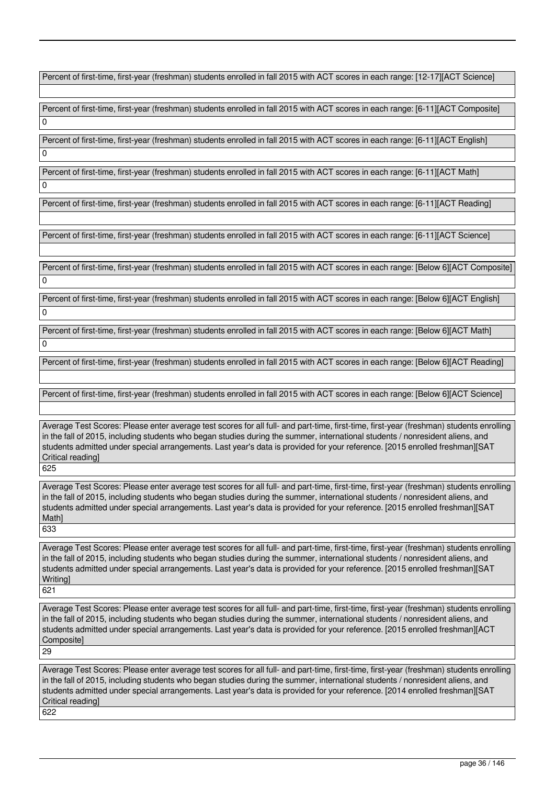Percent of first-time, first-year (freshman) students enrolled in fall 2015 with ACT scores in each range: [12-17][ACT Science]

Percent of first-time, first-year (freshman) students enrolled in fall 2015 with ACT scores in each range: [6-11][ACT Composite] 0

Percent of first-time, first-year (freshman) students enrolled in fall 2015 with ACT scores in each range: [6-11][ACT English]

Percent of first-time, first-year (freshman) students enrolled in fall 2015 with ACT scores in each range: [6-11][ACT Math] 0

Percent of first-time, first-year (freshman) students enrolled in fall 2015 with ACT scores in each range: [6-11][ACT Reading]

Percent of first-time, first-year (freshman) students enrolled in fall 2015 with ACT scores in each range: [6-11][ACT Science]

Percent of first-time, first-year (freshman) students enrolled in fall 2015 with ACT scores in each range: [Below 6][ACT Composite]  $\Omega$ 

Percent of first-time, first-year (freshman) students enrolled in fall 2015 with ACT scores in each range: [Below 6][ACT English]  $\overline{0}$ 

Percent of first-time, first-year (freshman) students enrolled in fall 2015 with ACT scores in each range: [Below 6][ACT Math]  $\overline{0}$ 

Percent of first-time, first-year (freshman) students enrolled in fall 2015 with ACT scores in each range: [Below 6][ACT Reading]

Percent of first-time, first-year (freshman) students enrolled in fall 2015 with ACT scores in each range: [Below 6][ACT Science]

Average Test Scores: Please enter average test scores for all full- and part-time, first-time, first-year (freshman) students enrolling in the fall of 2015, including students who began studies during the summer, international students / nonresident aliens, and students admitted under special arrangements. Last year's data is provided for your reference. [2015 enrolled freshman][SAT Critical reading]

625

 $\Omega$ 

Average Test Scores: Please enter average test scores for all full- and part-time, first-time, first-year (freshman) students enrolling in the fall of 2015, including students who began studies during the summer, international students / nonresident aliens, and students admitted under special arrangements. Last year's data is provided for your reference. [2015 enrolled freshman][SAT **Mathl** 633

Average Test Scores: Please enter average test scores for all full- and part-time, first-time, first-year (freshman) students enrolling in the fall of 2015, including students who began studies during the summer, international students / nonresident aliens, and students admitted under special arrangements. Last year's data is provided for your reference. [2015 enrolled freshman][SAT **Writingl** 

621

29

Average Test Scores: Please enter average test scores for all full- and part-time, first-time, first-year (freshman) students enrolling in the fall of 2015, including students who began studies during the summer, international students / nonresident aliens, and students admitted under special arrangements. Last year's data is provided for your reference. [2015 enrolled freshman][ACT Composite]

Average Test Scores: Please enter average test scores for all full- and part-time, first-time, first-year (freshman) students enrolling in the fall of 2015, including students who began studies during the summer, international students / nonresident aliens, and students admitted under special arrangements. Last year's data is provided for your reference. [2014 enrolled freshman][SAT Critical reading] 622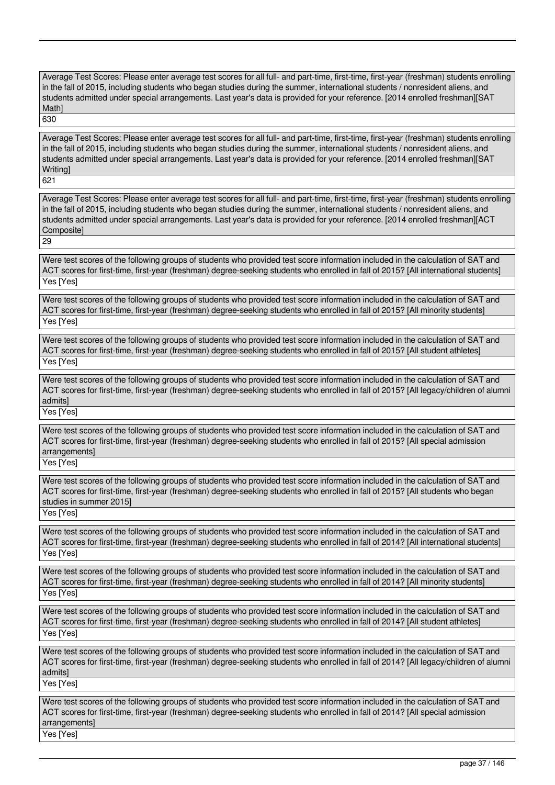Average Test Scores: Please enter average test scores for all full- and part-time, first-time, first-year (freshman) students enrolling in the fall of 2015, including students who began studies during the summer, international students / nonresident aliens, and students admitted under special arrangements. Last year's data is provided for your reference. [2014 enrolled freshman][SAT Math] 630

Average Test Scores: Please enter average test scores for all full- and part-time, first-time, first-year (freshman) students enrolling in the fall of 2015, including students who began studies during the summer, international students / nonresident aliens, and students admitted under special arrangements. Last year's data is provided for your reference. [2014 enrolled freshman][SAT **Writing** 

621

Average Test Scores: Please enter average test scores for all full- and part-time, first-time, first-year (freshman) students enrolling in the fall of 2015, including students who began studies during the summer, international students / nonresident aliens, and students admitted under special arrangements. Last year's data is provided for your reference. [2014 enrolled freshman][ACT Composite]

29

Were test scores of the following groups of students who provided test score information included in the calculation of SAT and ACT scores for first-time, first-year (freshman) degree-seeking students who enrolled in fall of 2015? [All international students] Yes [Yes]

Were test scores of the following groups of students who provided test score information included in the calculation of SAT and ACT scores for first-time, first-year (freshman) degree-seeking students who enrolled in fall of 2015? [All minority students] Yes [Yes]

Were test scores of the following groups of students who provided test score information included in the calculation of SAT and ACT scores for first-time, first-year (freshman) degree-seeking students who enrolled in fall of 2015? [All student athletes] Yes [Yes]

Were test scores of the following groups of students who provided test score information included in the calculation of SAT and ACT scores for first-time, first-year (freshman) degree-seeking students who enrolled in fall of 2015? [All legacy/children of alumni admits] Yes [Yes]

Were test scores of the following groups of students who provided test score information included in the calculation of SAT and ACT scores for first-time, first-year (freshman) degree-seeking students who enrolled in fall of 2015? [All special admission arrangements]

Yes [Yes]

Were test scores of the following groups of students who provided test score information included in the calculation of SAT and ACT scores for first-time, first-year (freshman) degree-seeking students who enrolled in fall of 2015? [All students who began studies in summer 2015]

Yes [Yes]

Were test scores of the following groups of students who provided test score information included in the calculation of SAT and ACT scores for first-time, first-year (freshman) degree-seeking students who enrolled in fall of 2014? [All international students] Yes [Yes]

Were test scores of the following groups of students who provided test score information included in the calculation of SAT and ACT scores for first-time, first-year (freshman) degree-seeking students who enrolled in fall of 2014? [All minority students] Yes [Yes]

Were test scores of the following groups of students who provided test score information included in the calculation of SAT and ACT scores for first-time, first-year (freshman) degree-seeking students who enrolled in fall of 2014? [All student athletes] Yes [Yes]

Were test scores of the following groups of students who provided test score information included in the calculation of SAT and ACT scores for first-time, first-year (freshman) degree-seeking students who enrolled in fall of 2014? [All legacy/children of alumni admits]

Yes [Yes]

Were test scores of the following groups of students who provided test score information included in the calculation of SAT and ACT scores for first-time, first-year (freshman) degree-seeking students who enrolled in fall of 2014? [All special admission arrangements] Yes [Yes]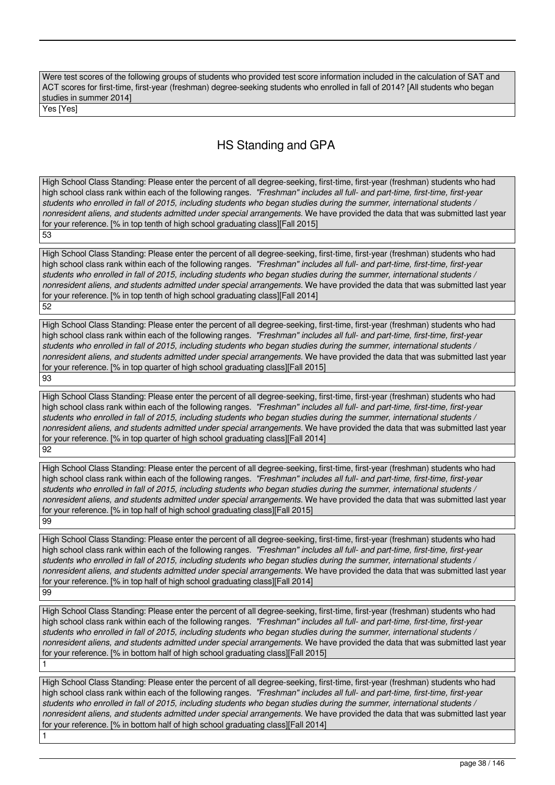Were test scores of the following groups of students who provided test score information included in the calculation of SAT and ACT scores for first-time, first-year (freshman) degree-seeking students who enrolled in fall of 2014? [All students who began studies in summer 2014]

Yes [Yes]

1

# HS Standing and GPA

High School Class Standing: Please enter the percent of all degree-seeking, first-time, first-year (freshman) students who had high school class rank within each of the following ranges. *"Freshman" includes all full- and part-time, first-time, first-year students who enrolled in fall of 2015, including students who began studies during the summer, international students / nonresident aliens, and students admitted under special arrangements.* We have provided the data that was submitted last year for your reference. [% in top tenth of high school graduating class][Fall 2015] 53

High School Class Standing: Please enter the percent of all degree-seeking, first-time, first-year (freshman) students who had high school class rank within each of the following ranges. *"Freshman" includes all full- and part-time, first-time, first-year students who enrolled in fall of 2015, including students who began studies during the summer, international students / nonresident aliens, and students admitted under special arrangements.* We have provided the data that was submitted last year for your reference. [% in top tenth of high school graduating class][Fall 2014] 52

High School Class Standing: Please enter the percent of all degree-seeking, first-time, first-year (freshman) students who had high school class rank within each of the following ranges. *"Freshman" includes all full- and part-time, first-time, first-year students who enrolled in fall of 2015, including students who began studies during the summer, international students / nonresident aliens, and students admitted under special arrangements.* We have provided the data that was submitted last year for your reference. [% in top quarter of high school graduating class][Fall 2015] 93

High School Class Standing: Please enter the percent of all degree-seeking, first-time, first-year (freshman) students who had high school class rank within each of the following ranges. *"Freshman" includes all full- and part-time, first-time, first-year students who enrolled in fall of 2015, including students who began studies during the summer, international students / nonresident aliens, and students admitted under special arrangements.* We have provided the data that was submitted last year for your reference. [% in top quarter of high school graduating class][Fall 2014] 92

High School Class Standing: Please enter the percent of all degree-seeking, first-time, first-year (freshman) students who had high school class rank within each of the following ranges. *"Freshman" includes all full- and part-time, first-time, first-year students who enrolled in fall of 2015, including students who began studies during the summer, international students / nonresident aliens, and students admitted under special arrangements.* We have provided the data that was submitted last year for your reference. [% in top half of high school graduating class][Fall 2015] 99

High School Class Standing: Please enter the percent of all degree-seeking, first-time, first-year (freshman) students who had high school class rank within each of the following ranges. *"Freshman" includes all full- and part-time, first-time, first-year students who enrolled in fall of 2015, including students who began studies during the summer, international students / nonresident aliens, and students admitted under special arrangements.* We have provided the data that was submitted last year for your reference. [% in top half of high school graduating class][Fall 2014] 99

High School Class Standing: Please enter the percent of all degree-seeking, first-time, first-year (freshman) students who had high school class rank within each of the following ranges. *"Freshman" includes all full- and part-time, first-time, first-year students who enrolled in fall of 2015, including students who began studies during the summer, international students / nonresident aliens, and students admitted under special arrangements.* We have provided the data that was submitted last year for your reference. [% in bottom half of high school graduating class][Fall 2015] 1

High School Class Standing: Please enter the percent of all degree-seeking, first-time, first-year (freshman) students who had high school class rank within each of the following ranges. *"Freshman" includes all full- and part-time, first-time, first-year students who enrolled in fall of 2015, including students who began studies during the summer, international students / nonresident aliens, and students admitted under special arrangements.* We have provided the data that was submitted last year for your reference. [% in bottom half of high school graduating class][Fall 2014]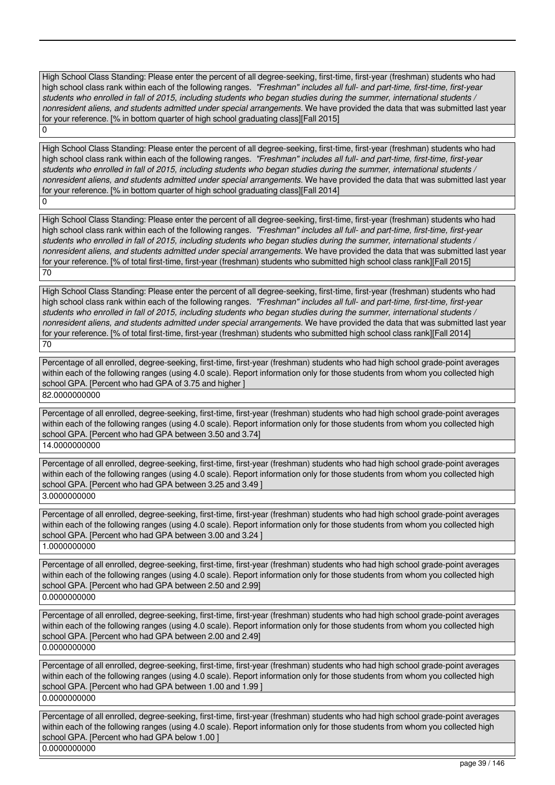High School Class Standing: Please enter the percent of all degree-seeking, first-time, first-year (freshman) students who had high school class rank within each of the following ranges. *"Freshman" includes all full- and part-time, first-time, first-year students who enrolled in fall of 2015, including students who began studies during the summer, international students / nonresident aliens, and students admitted under special arrangements.* We have provided the data that was submitted last year for your reference. [% in bottom quarter of high school graduating class][Fall 2015]

High School Class Standing: Please enter the percent of all degree-seeking, first-time, first-year (freshman) students who had high school class rank within each of the following ranges. *"Freshman" includes all full- and part-time, first-time, first-year students who enrolled in fall of 2015, including students who began studies during the summer, international students / nonresident aliens, and students admitted under special arrangements.* We have provided the data that was submitted last year for your reference. [% in bottom quarter of high school graduating class][Fall 2014]  $\Omega$ 

High School Class Standing: Please enter the percent of all degree-seeking, first-time, first-year (freshman) students who had high school class rank within each of the following ranges. *"Freshman" includes all full- and part-time, first-time, first-year students who enrolled in fall of 2015, including students who began studies during the summer, international students / nonresident aliens, and students admitted under special arrangements.* We have provided the data that was submitted last year for your reference. [% of total first-time, first-year (freshman) students who submitted high school class rank][Fall 2015] 70

High School Class Standing: Please enter the percent of all degree-seeking, first-time, first-year (freshman) students who had high school class rank within each of the following ranges. *"Freshman" includes all full- and part-time, first-time, first-year students who enrolled in fall of 2015, including students who began studies during the summer, international students / nonresident aliens, and students admitted under special arrangements.* We have provided the data that was submitted last year for your reference. [% of total first-time, first-year (freshman) students who submitted high school class rank][Fall 2014] 70

Percentage of all enrolled, degree-seeking, first-time, first-year (freshman) students who had high school grade-point averages within each of the following ranges (using 4.0 scale). Report information only for those students from whom you collected high school GPA. [Percent who had GPA of 3.75 and higher ]

82.0000000000

 $\overline{0}$ 

Percentage of all enrolled, degree-seeking, first-time, first-year (freshman) students who had high school grade-point averages within each of the following ranges (using 4.0 scale). Report information only for those students from whom you collected high school GPA. [Percent who had GPA between 3.50 and 3.74]

14.0000000000

Percentage of all enrolled, degree-seeking, first-time, first-year (freshman) students who had high school grade-point averages within each of the following ranges (using 4.0 scale). Report information only for those students from whom you collected high school GPA. [Percent who had GPA between 3.25 and 3.49 ] 3.0000000000

Percentage of all enrolled, degree-seeking, first-time, first-year (freshman) students who had high school grade-point averages within each of the following ranges (using 4.0 scale). Report information only for those students from whom you collected high school GPA. [Percent who had GPA between 3.00 and 3.24 ] 1.0000000000

Percentage of all enrolled, degree-seeking, first-time, first-year (freshman) students who had high school grade-point averages within each of the following ranges (using 4.0 scale). Report information only for those students from whom you collected high school GPA. [Percent who had GPA between 2.50 and 2.99] 0.0000000000

Percentage of all enrolled, degree-seeking, first-time, first-year (freshman) students who had high school grade-point averages within each of the following ranges (using 4.0 scale). Report information only for those students from whom you collected high school GPA. [Percent who had GPA between 2.00 and 2.49] 0.0000000000

Percentage of all enrolled, degree-seeking, first-time, first-year (freshman) students who had high school grade-point averages within each of the following ranges (using 4.0 scale). Report information only for those students from whom you collected high school GPA. [Percent who had GPA between 1.00 and 1.99 ] 0.0000000000

Percentage of all enrolled, degree-seeking, first-time, first-year (freshman) students who had high school grade-point averages within each of the following ranges (using 4.0 scale). Report information only for those students from whom you collected high school GPA. [Percent who had GPA below 1.00 ] 0.0000000000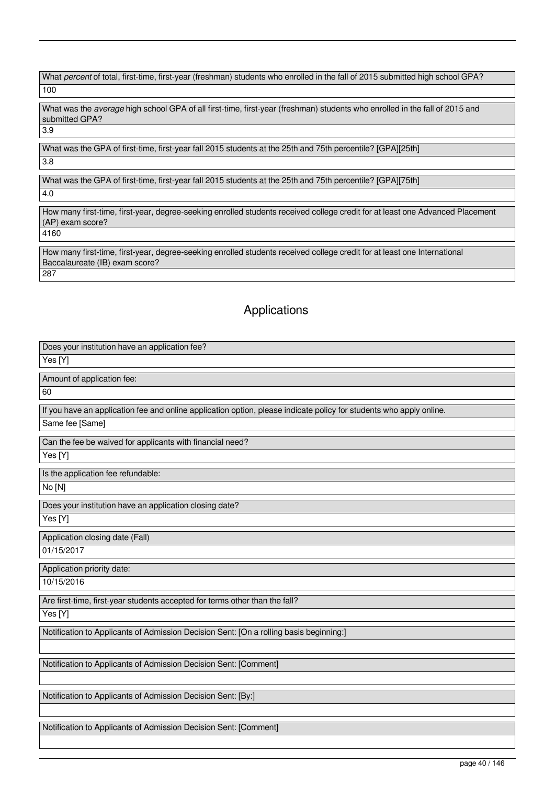What *percent* of total, first-time, first-year (freshman) students who enrolled in the fall of 2015 submitted high school GPA? 100

What was the *average* high school GPA of all first-time, first-year (freshman) students who enrolled in the fall of 2015 and submitted GPA? 3.9

What was the GPA of first-time, first-year fall 2015 students at the 25th and 75th percentile? [GPA][25th] 3.8

What was the GPA of first-time, first-year fall 2015 students at the 25th and 75th percentile? [GPA][75th] 4.0

How many first-time, first-year, degree-seeking enrolled students received college credit for at least one Advanced Placement (AP) exam score? 4160

How many first-time, first-year, degree-seeking enrolled students received college credit for at least one International Baccalaureate (IB) exam score? 287

# Applications

| Does your institution have an application fee?                                                                      |
|---------------------------------------------------------------------------------------------------------------------|
| Yes [Y]                                                                                                             |
| Amount of application fee:                                                                                          |
| 60                                                                                                                  |
| If you have an application fee and online application option, please indicate policy for students who apply online. |
| Same fee [Same]                                                                                                     |
| Can the fee be waived for applicants with financial need?                                                           |
| Yes [Y]                                                                                                             |
| Is the application fee refundable:                                                                                  |
| No [N]                                                                                                              |
| Does your institution have an application closing date?                                                             |
| Yes [Y]                                                                                                             |
| Application closing date (Fall)                                                                                     |
| 01/15/2017                                                                                                          |
| Application priority date:                                                                                          |
| 10/15/2016                                                                                                          |
| Are first-time, first-year students accepted for terms other than the fall?                                         |
| Yes [Y]                                                                                                             |
| Notification to Applicants of Admission Decision Sent: [On a rolling basis beginning:]                              |
|                                                                                                                     |
| Notification to Applicants of Admission Decision Sent: [Comment]                                                    |
|                                                                                                                     |
| Notification to Applicants of Admission Decision Sent: [By:]                                                        |
|                                                                                                                     |
| Notification to Applicants of Admission Decision Sent: [Comment]                                                    |
|                                                                                                                     |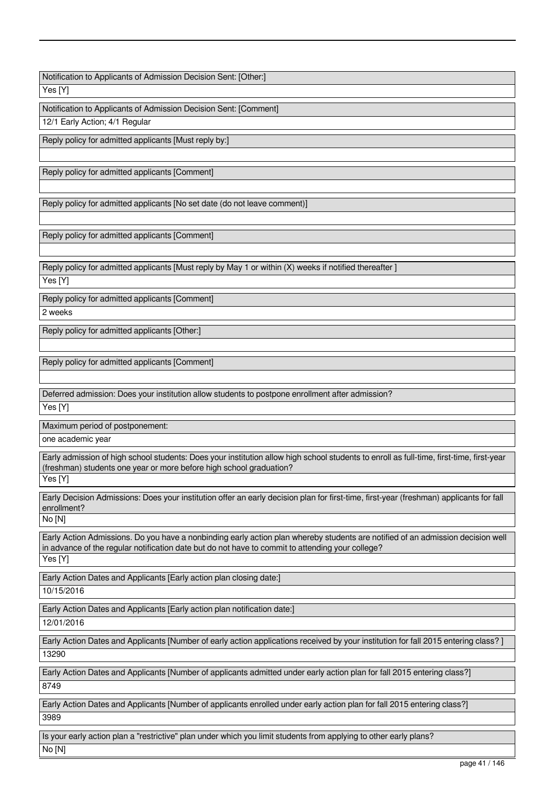Notification to Applicants of Admission Decision Sent: [Other:]

Yes [Y]

Notification to Applicants of Admission Decision Sent: [Comment] 12/1 Early Action: 4/1 Regular

Reply policy for admitted applicants [Must reply by:]

Reply policy for admitted applicants [Comment]

Reply policy for admitted applicants [No set date (do not leave comment)]

Reply policy for admitted applicants [Comment]

Reply policy for admitted applicants [Must reply by May 1 or within (X) weeks if notified thereafter ]

Yes [Y]

Reply policy for admitted applicants [Comment]

2 weeks

Reply policy for admitted applicants [Other:]

Reply policy for admitted applicants [Comment]

Deferred admission: Does your institution allow students to postpone enrollment after admission?

Yes [Y]

Maximum period of postponement:

one academic year

Early admission of high school students: Does your institution allow high school students to enroll as full-time, first-time, first-year (freshman) students one year or more before high school graduation?

Yes [Y]

Early Decision Admissions: Does your institution offer an early decision plan for first-time, first-year (freshman) applicants for fall enrollment?

No [N]

Early Action Admissions. Do you have a nonbinding early action plan whereby students are notified of an admission decision well in advance of the regular notification date but do not have to commit to attending your college? Yes [Y]

Early Action Dates and Applicants [Early action plan closing date:]

10/15/2016

Early Action Dates and Applicants [Early action plan notification date:]

12/01/2016

Early Action Dates and Applicants [Number of early action applications received by your institution for fall 2015 entering class? ] 13290

Early Action Dates and Applicants [Number of applicants admitted under early action plan for fall 2015 entering class?] 8749

Early Action Dates and Applicants [Number of applicants enrolled under early action plan for fall 2015 entering class?] 3989

Is your early action plan a "restrictive" plan under which you limit students from applying to other early plans? No [N]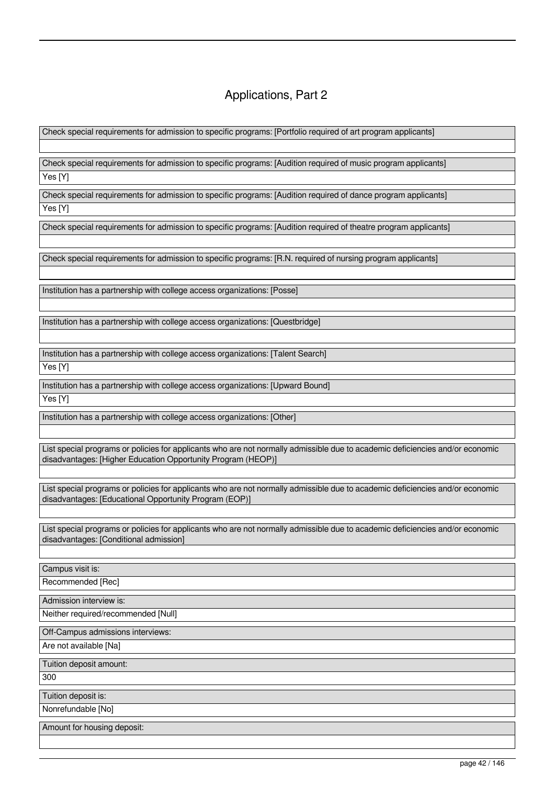# Applications, Part 2

Check special requirements for admission to specific programs: [Portfolio required of art program applicants]

Check special requirements for admission to specific programs: [Audition required of music program applicants] Yes [Y]

Check special requirements for admission to specific programs: [Audition required of dance program applicants] Yes [Y]

Check special requirements for admission to specific programs: [Audition required of theatre program applicants]

Check special requirements for admission to specific programs: [R.N. required of nursing program applicants]

Institution has a partnership with college access organizations: [Posse]

Institution has a partnership with college access organizations: [Questbridge]

Institution has a partnership with college access organizations: [Talent Search]

Yes [Y]

Institution has a partnership with college access organizations: [Upward Bound]

Yes [Y]

Institution has a partnership with college access organizations: [Other]

List special programs or policies for applicants who are not normally admissible due to academic deficiencies and/or economic disadvantages: [Higher Education Opportunity Program (HEOP)]

List special programs or policies for applicants who are not normally admissible due to academic deficiencies and/or economic disadvantages: [Educational Opportunity Program (EOP)]

List special programs or policies for applicants who are not normally admissible due to academic deficiencies and/or economic disadvantages: [Conditional admission]

Campus visit is:

Recommended [Rec]

Admission interview is:

Neither required/recommended [Null]

Off-Campus admissions interviews:

Are not available [Na]

Tuition deposit amount:

300

Tuition deposit is:

Nonrefundable [No]

Amount for housing deposit: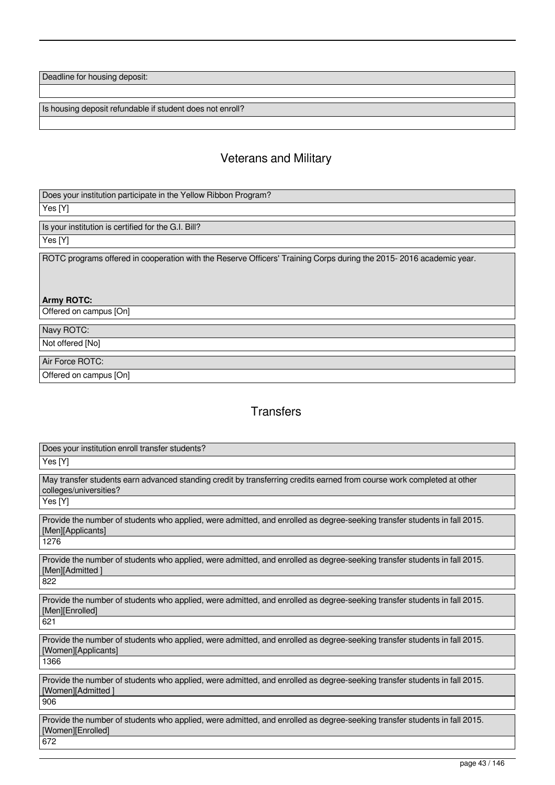Deadline for housing deposit:

Is housing deposit refundable if student does not enroll?

# Veterans and Military

Does your institution participate in the Yellow Ribbon Program?

Yes [Y]

Is your institution is certified for the G.I. Bill? Yes [Y]

ROTC programs offered in cooperation with the Reserve Officers' Training Corps during the 2015- 2016 academic year.

**Army ROTC:** 

Offered on campus [On]

Navy ROTC:

Not offered [No]

Air Force ROTC:

Offered on campus [On]

# **Transfers**

| Does your institution enroll transfer students?                                                                                                             |
|-------------------------------------------------------------------------------------------------------------------------------------------------------------|
| Yes [Y]                                                                                                                                                     |
| May transfer students earn advanced standing credit by transferring credits earned from course work completed at other<br>colleges/universities?<br>Yes [Y] |
| Provide the number of students who applied, were admitted, and enrolled as degree-seeking transfer students in fall 2015.<br>[Men][Applicants]<br>1276      |
| Provide the number of students who applied, were admitted, and enrolled as degree-seeking transfer students in fall 2015.<br>[Men][Admitted]<br>822         |
| Provide the number of students who applied, were admitted, and enrolled as degree-seeking transfer students in fall 2015.<br>[Men][Enrolled]<br>621         |
| Provide the number of students who applied, were admitted, and enrolled as degree-seeking transfer students in fall 2015.<br>[Women][Applicants]<br>1366    |
| Provide the number of students who applied, were admitted, and enrolled as degree-seeking transfer students in fall 2015.<br>[Women][Admitted]<br>906       |
| Provide the number of students who applied, were admitted, and enrolled as degree-seeking transfer students in fall 2015.<br>[Women][Enrolled]<br>672       |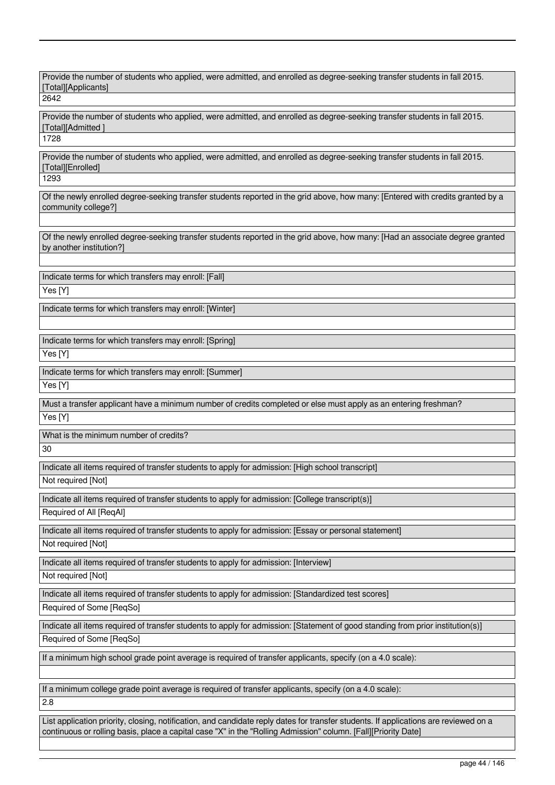Provide the number of students who applied, were admitted, and enrolled as degree-seeking transfer students in fall 2015. [Total][Applicants]

2642

Provide the number of students who applied, were admitted, and enrolled as degree-seeking transfer students in fall 2015. [Total][Admitted ]

1728

Provide the number of students who applied, were admitted, and enrolled as degree-seeking transfer students in fall 2015. [Total][Enrolled]

1293

Of the newly enrolled degree-seeking transfer students reported in the grid above, how many: [Entered with credits granted by a community college?]

Of the newly enrolled degree-seeking transfer students reported in the grid above, how many: [Had an associate degree granted by another institution?]

Indicate terms for which transfers may enroll: [Fall] Yes [Y]

Indicate terms for which transfers may enroll: [Winter]

Indicate terms for which transfers may enroll: [Spring]

Yes [Y]

Indicate terms for which transfers may enroll: [Summer]

Yes [Y]

Must a transfer applicant have a minimum number of credits completed or else must apply as an entering freshman?

Yes [Y]

What is the minimum number of credits?

30

Indicate all items required of transfer students to apply for admission: [High school transcript]

Not required [Not]

Indicate all items required of transfer students to apply for admission: [College transcript(s)]

Required of All [ReqAl]

Indicate all items required of transfer students to apply for admission: [Essay or personal statement]

Not required [Not]

Indicate all items required of transfer students to apply for admission: [Interview]

Not required [Not]

Indicate all items required of transfer students to apply for admission: [Standardized test scores]

Required of Some [ReqSo]

Indicate all items required of transfer students to apply for admission: [Statement of good standing from prior institution(s)] Required of Some [ReqSo]

If a minimum high school grade point average is required of transfer applicants, specify (on a 4.0 scale):

If a minimum college grade point average is required of transfer applicants, specify (on a 4.0 scale): 2.8

List application priority, closing, notification, and candidate reply dates for transfer students. If applications are reviewed on a continuous or rolling basis, place a capital case "X" in the "Rolling Admission" column. [Fall][Priority Date]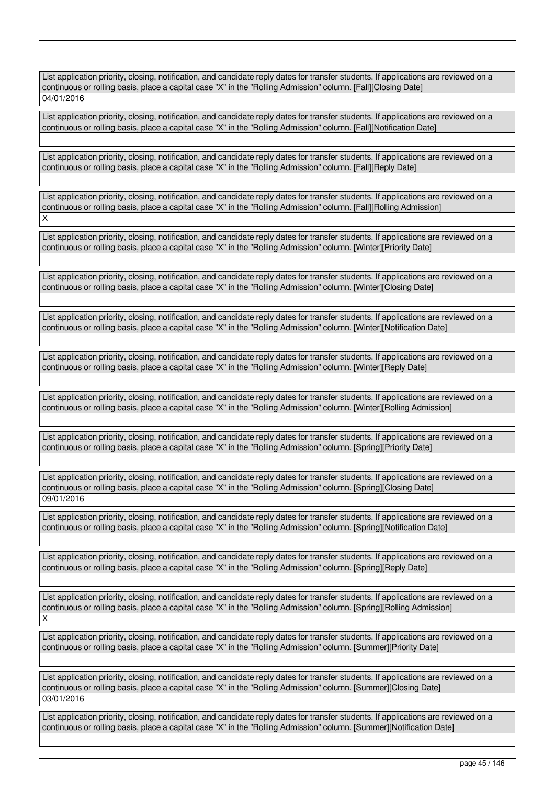List application priority, closing, notification, and candidate reply dates for transfer students. If applications are reviewed on a continuous or rolling basis, place a capital case "X" in the "Rolling Admission" column. [Fall][Closing Date] 04/01/2016

List application priority, closing, notification, and candidate reply dates for transfer students. If applications are reviewed on a continuous or rolling basis, place a capital case "X" in the "Rolling Admission" column. [Fall][Notification Date]

List application priority, closing, notification, and candidate reply dates for transfer students. If applications are reviewed on a continuous or rolling basis, place a capital case "X" in the "Rolling Admission" column. [Fall][Reply Date]

List application priority, closing, notification, and candidate reply dates for transfer students. If applications are reviewed on a continuous or rolling basis, place a capital case "X" in the "Rolling Admission" column. [Fall][Rolling Admission] X

List application priority, closing, notification, and candidate reply dates for transfer students. If applications are reviewed on a continuous or rolling basis, place a capital case "X" in the "Rolling Admission" column. [Winter][Priority Date]

List application priority, closing, notification, and candidate reply dates for transfer students. If applications are reviewed on a continuous or rolling basis, place a capital case "X" in the "Rolling Admission" column. [Winter][Closing Date]

List application priority, closing, notification, and candidate reply dates for transfer students. If applications are reviewed on a continuous or rolling basis, place a capital case "X" in the "Rolling Admission" column. [Winter][Notification Date]

List application priority, closing, notification, and candidate reply dates for transfer students. If applications are reviewed on a continuous or rolling basis, place a capital case "X" in the "Rolling Admission" column. [Winter][Reply Date]

List application priority, closing, notification, and candidate reply dates for transfer students. If applications are reviewed on a continuous or rolling basis, place a capital case "X" in the "Rolling Admission" column. [Winter][Rolling Admission]

List application priority, closing, notification, and candidate reply dates for transfer students. If applications are reviewed on a continuous or rolling basis, place a capital case "X" in the "Rolling Admission" column. [Spring][Priority Date]

List application priority, closing, notification, and candidate reply dates for transfer students. If applications are reviewed on a continuous or rolling basis, place a capital case "X" in the "Rolling Admission" column. [Spring][Closing Date] 09/01/2016

List application priority, closing, notification, and candidate reply dates for transfer students. If applications are reviewed on a continuous or rolling basis, place a capital case "X" in the "Rolling Admission" column. [Spring][Notification Date]

List application priority, closing, notification, and candidate reply dates for transfer students. If applications are reviewed on a continuous or rolling basis, place a capital case "X" in the "Rolling Admission" column. [Spring][Reply Date]

List application priority, closing, notification, and candidate reply dates for transfer students. If applications are reviewed on a continuous or rolling basis, place a capital case "X" in the "Rolling Admission" column. [Spring][Rolling Admission] X

List application priority, closing, notification, and candidate reply dates for transfer students. If applications are reviewed on a continuous or rolling basis, place a capital case "X" in the "Rolling Admission" column. [Summer][Priority Date]

List application priority, closing, notification, and candidate reply dates for transfer students. If applications are reviewed on a continuous or rolling basis, place a capital case "X" in the "Rolling Admission" column. [Summer][Closing Date] 03/01/2016

List application priority, closing, notification, and candidate reply dates for transfer students. If applications are reviewed on a continuous or rolling basis, place a capital case "X" in the "Rolling Admission" column. [Summer][Notification Date]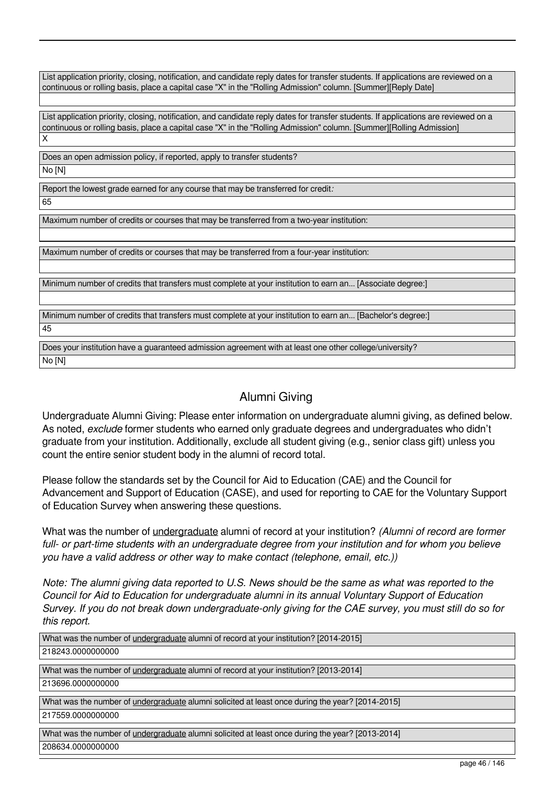List application priority, closing, notification, and candidate reply dates for transfer students. If applications are reviewed on a continuous or rolling basis, place a capital case "X" in the "Rolling Admission" column. [Summer][Reply Date]

List application priority, closing, notification, and candidate reply dates for transfer students. If applications are reviewed on a continuous or rolling basis, place a capital case "X" in the "Rolling Admission" column. [Summer][Rolling Admission] X

Does an open admission policy, if reported, apply to transfer students?

No [N]

Report the lowest grade earned for any course that may be transferred for credit*:*

65

Maximum number of credits or courses that may be transferred from a two-year institution:

Maximum number of credits or courses that may be transferred from a four-year institution:

Minimum number of credits that transfers must complete at your institution to earn an... [Associate degree:]

Minimum number of credits that transfers must complete at your institution to earn an... [Bachelor's degree:] 45

Does your institution have a guaranteed admission agreement with at least one other college/university? No [N]

# Alumni Giving

Undergraduate Alumni Giving: Please enter information on undergraduate alumni giving, as defined below. As noted, *exclude* former students who earned only graduate degrees and undergraduates who didn't graduate from your institution. Additionally, exclude all student giving (e.g., senior class gift) unless you count the entire senior student body in the alumni of record total.

Please follow the standards set by the Council for Aid to Education (CAE) and the Council for Advancement and Support of Education (CASE), and used for reporting to CAE for the Voluntary Support of Education Survey when answering these questions.

What was the number of undergraduate alumni of record at your institution? *(Alumni of record are former full- or part-time students with an undergraduate degree from your institution and for whom you believe you have a valid address or other way to make contact (telephone, email, etc.))*

*Note: The alumni giving data reported to U.S. News should be the same as what was reported to the Council for Aid to Education for undergraduate alumni in its annual Voluntary Support of Education Survey. If you do not break down undergraduate-only giving for the CAE survey, you must still do so for this report.*

What was the number of undergraduate alumni of record at your institution? [2014-2015] 218243.0000000000 What was the number of undergraduate alumni of record at your institution? [2013-2014] 213696.0000000000 What was the number of undergraduate alumni solicited at least once during the year? [2014-2015] 217559.0000000000 What was the number of *undergraduate* alumni solicited at least once during the year? [2013-2014] 208634.0000000000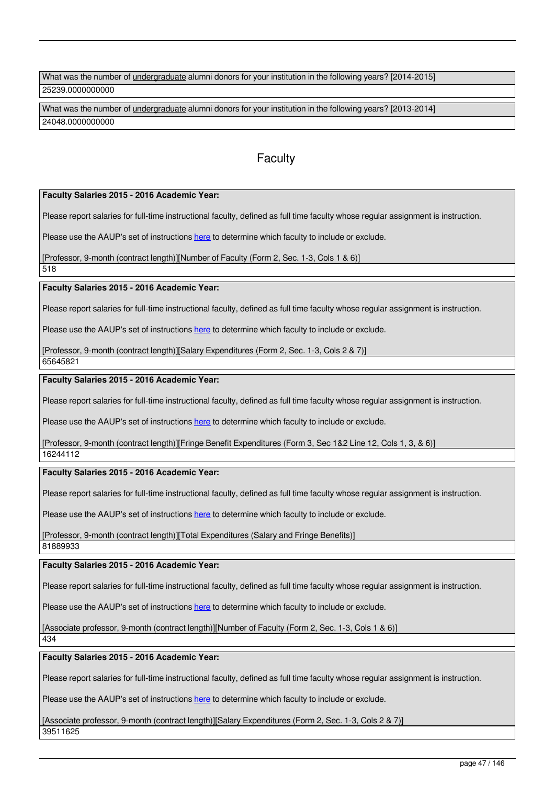What was the number of *undergraduate alumni donors for your institution in the following years*? [2014-2015] 25239.0000000000

What was the number of undergraduate alumni donors for your institution in the following years? [2013-2014] 24048.0000000000

# **Faculty**

**Faculty Salaries 2015 - 2016 Academic Year:** 

Please report salaries for full-time instructional faculty, defined as full time faculty whose regular assignment is instruction.

Please use the AAUP's set of instructions here to determine which faculty to include or exclude.

[Professor, 9-month (contract length)][Number of Faculty (Form 2, Sec. 1-3, Cols 1 & 6)]

518

**Faculty Salaries 2015 - 2016 Academic Year:** 

Please report salaries for full-time instructional faculty, defined as full time faculty whose regular assignment is instruction.

Please use the AAUP's set of instructions here to determine which faculty to include or exclude.

[Professor, 9-month (contract length)][Salary Expenditures (Form 2, Sec. 1-3, Cols 2 & 7)] 65645821

**Faculty Salaries 2015 - 2016 Academic Year:** 

Please report salaries for full-time instructional faculty, defined as full time faculty whose regular assignment is instruction.

Please use the AAUP's set of instructions here to determine which faculty to include or exclude.

[Professor, 9-month (contract length)][Fringe Benefit Expenditures (Form 3, Sec 1&2 Line 12, Cols 1, 3, & 6)]

16244112

### **Faculty Salaries 2015 - 2016 Academic Year:**

Please report salaries for full-time instructional faculty, defined as full time faculty whose regular assignment is instruction.

Please use the AAUP's set of instructions here to determine which faculty to include or exclude.

[Professor, 9-month (contract length)][Total Expenditures (Salary and Fringe Benefits)] 81889933

**Faculty Salaries 2015 - 2016 Academic Year:** 

Please report salaries for full-time instructional faculty, defined as full time faculty whose regular assignment is instruction.

Please use the AAUP's set of instructions here to determine which faculty to include or exclude.

[Associate professor, 9-month (contract length)][Number of Faculty (Form 2, Sec. 1-3, Cols 1 & 6)]

434

**Faculty Salaries 2015 - 2016 Academic Year:** 

Please report salaries for full-time instructional faculty, defined as full time faculty whose regular assignment is instruction.

Please use the AAUP's set of instructions here to determine which faculty to include or exclude.

[Associate professor, 9-month (contract length)][Salary Expenditures (Form 2, Sec. 1-3, Cols 2 & 7)] 39511625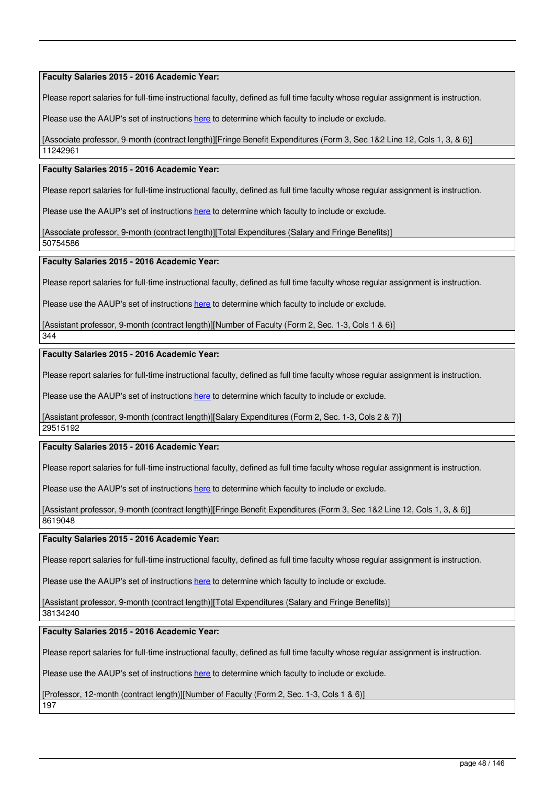**Faculty Salaries 2015 - 2016 Academic Year:** 

Please report salaries for full-time instructional faculty, defined as full time faculty whose regular assignment is instruction.

Please use the AAUP's set of instructions here to determine which faculty to include or exclude.

[Associate professor, 9-month (contract length)][Fringe Benefit Expenditures (Form 3, Sec 1&2 Line 12, Cols 1, 3, & 6)] 11242961

### **Faculty Salaries 2015 - 2016 Academic Year:**

Please report salaries for full-time instructional faculty, defined as full time faculty whose regular assignment is instruction.

Please use the AAUP's set of instructions here to determine which faculty to include or exclude.

[Associate professor, 9-month (contract length)][Total Expenditures (Salary and Fringe Benefits)]

50754586

### **Faculty Salaries 2015 - 2016 Academic Year:**

Please report salaries for full-time instructional faculty, defined as full time faculty whose regular assignment is instruction.

Please use the AAUP's set of instructions here to determine which faculty to include or exclude.

[Assistant professor, 9-month (contract length)][Number of Faculty (Form 2, Sec. 1-3, Cols 1 & 6)]

# **Faculty Salaries 2015 - 2016 Academic Year:**

Please report salaries for full-time instructional faculty, defined as full time faculty whose regular assignment is instruction.

Please use the AAUP's set of instructions here to determine which faculty to include or exclude.

[Assistant professor, 9-month (contract length)][Salary Expenditures (Form 2, Sec. 1-3, Cols 2 & 7)]

29515192

344

### **Faculty Salaries 2015 - 2016 Academic Year:**

Please report salaries for full-time instructional faculty, defined as full time faculty whose regular assignment is instruction.

Please use the AAUP's set of instructions here to determine which faculty to include or exclude.

[Assistant professor, 9-month (contract length)][Fringe Benefit Expenditures (Form 3, Sec 1&2 Line 12, Cols 1, 3, & 6)] 8619048

#### **Faculty Salaries 2015 - 2016 Academic Year:**

Please report salaries for full-time instructional faculty, defined as full time faculty whose regular assignment is instruction.

Please use the AAUP's set of instructions here to determine which faculty to include or exclude.

[Assistant professor, 9-month (contract length)][Total Expenditures (Salary and Fringe Benefits)]

38134240

## **Faculty Salaries 2015 - 2016 Academic Year:**

Please report salaries for full-time instructional faculty, defined as full time faculty whose regular assignment is instruction.

Please use the AAUP's set of instructions here to determine which faculty to include or exclude.

[Professor, 12-month (contract length)][Number of Faculty (Form 2, Sec. 1-3, Cols 1 & 6)]

197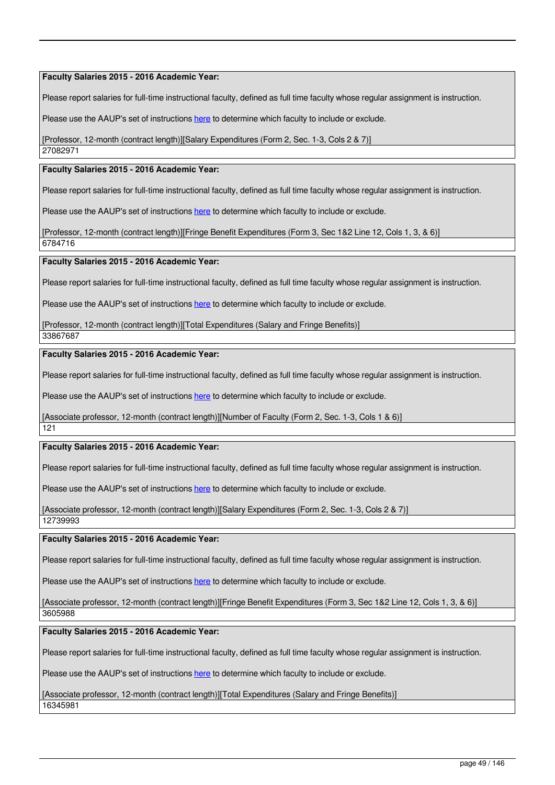#### **Faculty Salaries 2015 - 2016 Academic Year:**

Please report salaries for full-time instructional faculty, defined as full time faculty whose regular assignment is instruction.

Please use the AAUP's set of instructions here to determine which faculty to include or exclude.

[Professor, 12-month (contract length)][Salary Expenditures (Form 2, Sec. 1-3, Cols 2 & 7)]

27082971

### **Faculty Salaries 2015 - 2016 Academic Year:**

Please report salaries for full-time instructional faculty, defined as full time faculty whose regular assignment is instruction.

Please use the AAUP's set of instructions here to determine which faculty to include or exclude.

[Professor, 12-month (contract length)][Fringe Benefit Expenditures (Form 3, Sec 1&2 Line 12, Cols 1, 3, & 6)] 6784716

#### **Faculty Salaries 2015 - 2016 Academic Year:**

Please report salaries for full-time instructional faculty, defined as full time faculty whose regular assignment is instruction.

Please use the AAUP's set of instructions here to determine which faculty to include or exclude.

[Professor, 12-month (contract length)][Total Expenditures (Salary and Fringe Benefits)]

33867687

### **Faculty Salaries 2015 - 2016 Academic Year:**

Please report salaries for full-time instructional faculty, defined as full time faculty whose regular assignment is instruction.

Please use the AAUP's set of instructions here to determine which faculty to include or exclude.

[Associate professor, 12-month (contract length)][Number of Faculty (Form 2, Sec. 1-3, Cols 1 & 6)]

121

### **Faculty Salaries 2015 - 2016 Academic Year:**

Please report salaries for full-time instructional faculty, defined as full time faculty whose regular assignment is instruction.

Please use the AAUP's set of instructions here to determine which faculty to include or exclude.

[Associate professor, 12-month (contract length)][Salary Expenditures (Form 2, Sec. 1-3, Cols 2 & 7)]

12739993

#### **Faculty Salaries 2015 - 2016 Academic Year:**

Please report salaries for full-time instructional faculty, defined as full time faculty whose regular assignment is instruction.

Please use the AAUP's set of instructions here to determine which faculty to include or exclude.

[Associate professor, 12-month (contract length)][Fringe Benefit Expenditures (Form 3, Sec 1&2 Line 12, Cols 1, 3, & 6)] 3605988

**Faculty Salaries 2015 - 2016 Academic Year:** 

Please report salaries for full-time instructional faculty, defined as full time faculty whose regular assignment is instruction.

Please use the AAUP's set of instructions here to determine which faculty to include or exclude.

[Associate professor, 12-month (contract length)][Total Expenditures (Salary and Fringe Benefits)] 16345981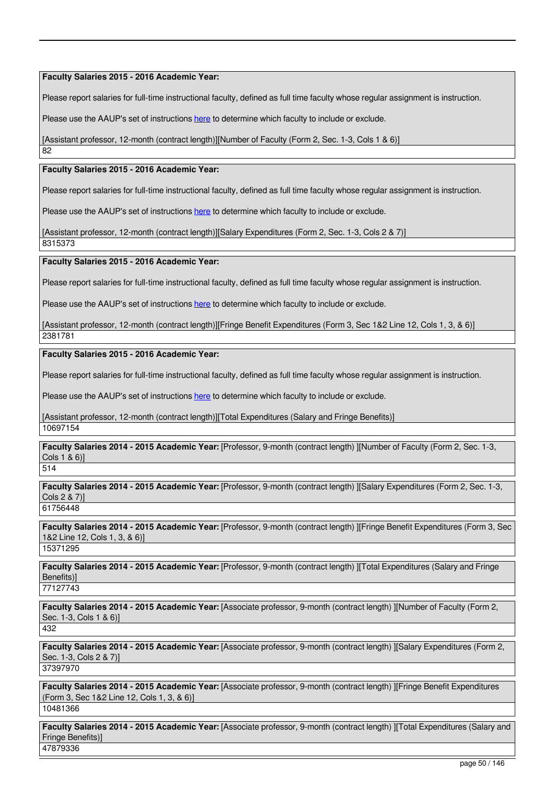**Faculty Salaries 2015 - 2016 Academic Year:** 

Please report salaries for full-time instructional faculty, defined as full time faculty whose regular assignment is instruction.

Please use the AAUP's set of instructions here to determine which faculty to include or exclude.

[Assistant professor, 12-month (contract length)][Number of Faculty (Form 2, Sec. 1-3, Cols 1 & 6)]

82

### **Faculty Salaries 2015 - 2016 Academic Year:**

Please report salaries for full-time instructional faculty, defined as full time faculty whose regular assignment is instruction.

Please use the AAUP's set of instructions here to determine which faculty to include or exclude.

[Assistant professor, 12-month (contract length)][Salary Expenditures (Form 2, Sec. 1-3, Cols 2 & 7)]

8315373

#### **Faculty Salaries 2015 - 2016 Academic Year:**

Please report salaries for full-time instructional faculty, defined as full time faculty whose regular assignment is instruction.

Please use the AAUP's set of instructions here to determine which faculty to include or exclude.

[Assistant professor, 12-month (contract length)][Fringe Benefit Expenditures (Form 3, Sec 1&2 Line 12, Cols 1, 3, & 6)]

2381781

### **Faculty Salaries 2015 - 2016 Academic Year:**

Please report salaries for full-time instructional faculty, defined as full time faculty whose regular assignment is instruction.

Please use the AAUP's set of instructions here to determine which faculty to include or exclude.

[Assistant professor, 12-month (contract length)][Total Expenditures (Salary and Fringe Benefits)] 10697154

**Faculty Salaries 2014 - 2015 Academic Year:** [Professor, 9-month (contract length) ][Number of Faculty (Form 2, Sec. 1-3, Cols 1 & 6)]

514

**Faculty Salaries 2014 - 2015 Academic Year:** [Professor, 9-month (contract length) ][Salary Expenditures (Form 2, Sec. 1-3, Cols 2 & 7)] 61756448

**Faculty Salaries 2014 - 2015 Academic Year:** [Professor, 9-month (contract length) ][Fringe Benefit Expenditures (Form 3, Sec 1&2 Line 12, Cols 1, 3, & 6)] 15371295

**Faculty Salaries 2014 - 2015 Academic Year:** [Professor, 9-month (contract length) ][Total Expenditures (Salary and Fringe Benefits)] 77127743

**Faculty Salaries 2014 - 2015 Academic Year:** [Associate professor, 9-month (contract length) ][Number of Faculty (Form 2, Sec. 1-3, Cols 1 & 6)<sup></sup>

432

**Faculty Salaries 2014 - 2015 Academic Year:** [Associate professor, 9-month (contract length) ][Salary Expenditures (Form 2, Sec. 1-3, Cols 2 & 7)] 37397970

**Faculty Salaries 2014 - 2015 Academic Year:** [Associate professor, 9-month (contract length) ][Fringe Benefit Expenditures (Form 3, Sec 1&2 Line 12, Cols 1, 3, & 6)] 10481366

**Faculty Salaries 2014 - 2015 Academic Year:** [Associate professor, 9-month (contract length) ][Total Expenditures (Salary and Fringe Benefits)] 47879336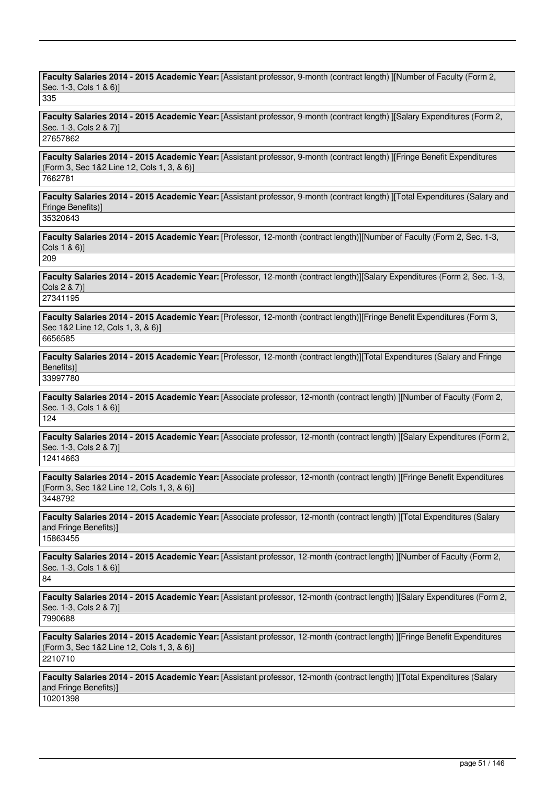**Faculty Salaries 2014 - 2015 Academic Year:** [Assistant professor, 9-month (contract length) ][Number of Faculty (Form 2, Sec. 1-3, Cols 1 & 6)]

335

**Faculty Salaries 2014 - 2015 Academic Year:** [Assistant professor, 9-month (contract length) ][Salary Expenditures (Form 2, Sec. 1-3, Cols 2 & 7)]

27657862

**Faculty Salaries 2014 - 2015 Academic Year:** [Assistant professor, 9-month (contract length) ][Fringe Benefit Expenditures (Form 3, Sec 1&2 Line 12, Cols 1, 3, & 6)] 7662781

**Faculty Salaries 2014 - 2015 Academic Year:** [Assistant professor, 9-month (contract length) ][Total Expenditures (Salary and Fringe Benefits)]

35320643

**Faculty Salaries 2014 - 2015 Academic Year:** [Professor, 12-month (contract length)][Number of Faculty (Form 2, Sec. 1-3, Cols 1 & 6)]

209

**Faculty Salaries 2014 - 2015 Academic Year:** [Professor, 12-month (contract length)][Salary Expenditures (Form 2, Sec. 1-3, Cols 2 & 7)]

27341195

**Faculty Salaries 2014 - 2015 Academic Year:** [Professor, 12-month (contract length)][Fringe Benefit Expenditures (Form 3, Sec 1&2 Line 12, Cols 1, 3, & 6)] 6656585

**Faculty Salaries 2014 - 2015 Academic Year:** [Professor, 12-month (contract length)][Total Expenditures (Salary and Fringe Benefits)] 33997780

**Faculty Salaries 2014 - 2015 Academic Year:** [Associate professor, 12-month (contract length) ][Number of Faculty (Form 2, Sec. 1-3, Cols 1 & 6)] 124

**Faculty Salaries 2014 - 2015 Academic Year:** [Associate professor, 12-month (contract length) ][Salary Expenditures (Form 2, Sec. 1-3, Cols 2 & 7)]

12414663

**Faculty Salaries 2014 - 2015 Academic Year:** [Associate professor, 12-month (contract length) ][Fringe Benefit Expenditures (Form 3, Sec 1&2 Line 12, Cols 1, 3, & 6)]

3448792

**Faculty Salaries 2014 - 2015 Academic Year:** [Associate professor, 12-month (contract length) ][Total Expenditures (Salary and Fringe Benefits)] 15863455

**Faculty Salaries 2014 - 2015 Academic Year:** [Assistant professor, 12-month (contract length) ][Number of Faculty (Form 2, Sec. 1-3, Cols 1 & 6)]

84

**Faculty Salaries 2014 - 2015 Academic Year:** [Assistant professor, 12-month (contract length) ][Salary Expenditures (Form 2, Sec. 1-3, Cols 2 & 7)]

7990688

**Faculty Salaries 2014 - 2015 Academic Year:** [Assistant professor, 12-month (contract length) ][Fringe Benefit Expenditures (Form 3, Sec 1&2 Line 12, Cols 1, 3, & 6)] 2210710

**Faculty Salaries 2014 - 2015 Academic Year:** [Assistant professor, 12-month (contract length) ][Total Expenditures (Salary and Fringe Benefits)] 10201398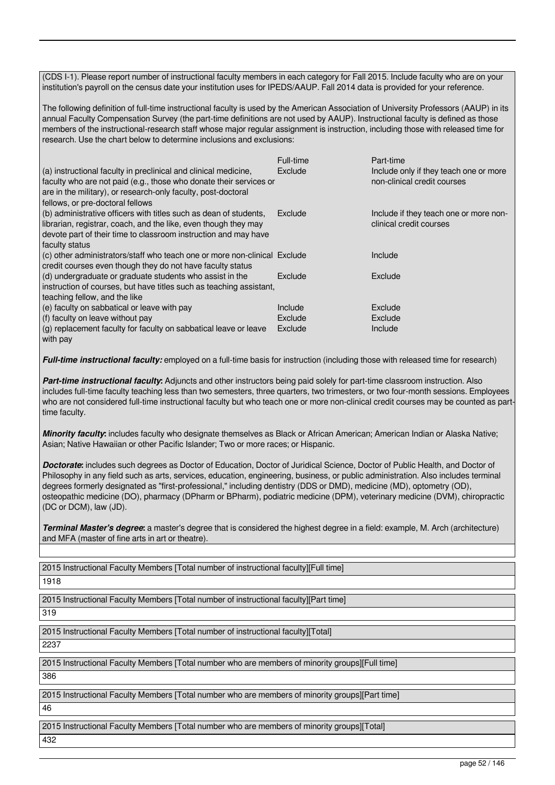(CDS I-1). Please report number of instructional faculty members in each category for Fall 2015. Include faculty who are on your institution's payroll on the census date your institution uses for IPEDS/AAUP. Fall 2014 data is provided for your reference.

The following definition of full-time instructional faculty is used by the American Association of University Professors (AAUP) in its annual Faculty Compensation Survey (the part-time definitions are not used by AAUP). Instructional faculty is defined as those members of the instructional-research staff whose major regular assignment is instruction, including those with released time for research. Use the chart below to determine inclusions and exclusions:

| (a) instructional faculty in preclinical and clinical medicine,<br>faculty who are not paid (e.g., those who donate their services or<br>are in the military), or research-only faculty, post-doctoral<br>fellows, or pre-doctoral fellows | Full-time<br>Exclude | Part-time<br>Include only if they teach one or more<br>non-clinical credit courses |
|--------------------------------------------------------------------------------------------------------------------------------------------------------------------------------------------------------------------------------------------|----------------------|------------------------------------------------------------------------------------|
| (b) administrative officers with titles such as dean of students,<br>librarian, registrar, coach, and the like, even though they may<br>devote part of their time to classroom instruction and may have<br>faculty status                  | Exclude              | Include if they teach one or more non-<br>clinical credit courses                  |
| (c) other administrators/staff who teach one or more non-clinical Exclude<br>credit courses even though they do not have faculty status                                                                                                    |                      | Include                                                                            |
| (d) undergraduate or graduate students who assist in the<br>instruction of courses, but have titles such as teaching assistant,<br>teaching fellow, and the like                                                                           | Exclude              | <b>Exclude</b>                                                                     |
| (e) faculty on sabbatical or leave with pay                                                                                                                                                                                                | Include              | Exclude                                                                            |
| (f) faculty on leave without pay                                                                                                                                                                                                           | Exclude              | Exclude                                                                            |
| (g) replacement faculty for faculty on sabbatical leave or leave<br>with pay                                                                                                                                                               | Exclude              | Include                                                                            |

*Full-time instructional faculty:* employed on a full-time basis for instruction (including those with released time for research)

*Part-time instructional faculty***:** Adjuncts and other instructors being paid solely for part-time classroom instruction. Also includes full-time faculty teaching less than two semesters, three quarters, two trimesters, or two four-month sessions. Employees who are not considered full-time instructional faculty but who teach one or more non-clinical credit courses may be counted as parttime faculty.

*Minority faculty***:** includes faculty who designate themselves as Black or African American; American Indian or Alaska Native; Asian; Native Hawaiian or other Pacific Islander; Two or more races; or Hispanic.

*Doctorate***:** includes such degrees as Doctor of Education, Doctor of Juridical Science, Doctor of Public Health, and Doctor of Philosophy in any field such as arts, services, education, engineering, business, or public administration. Also includes terminal degrees formerly designated as "first-professional," including dentistry (DDS or DMD), medicine (MD), optometry (OD), osteopathic medicine (DO), pharmacy (DPharm or BPharm), podiatric medicine (DPM), veterinary medicine (DVM), chiropractic (DC or DCM), law (JD).

**Terminal Master's degree**: a master's degree that is considered the highest degree in a field: example, M. Arch (architecture) and MFA (master of fine arts in art or theatre).

2015 Instructional Faculty Members [Total number of instructional faculty][Full time]

1918

2015 Instructional Faculty Members [Total number of instructional faculty][Part time]

319

2015 Instructional Faculty Members [Total number of instructional faculty][Total]

2237

2015 Instructional Faculty Members [Total number who are members of minority groups][Full time]

386

2015 Instructional Faculty Members [Total number who are members of minority groups][Part time] 46

2015 Instructional Faculty Members [Total number who are members of minority groups][Total] 432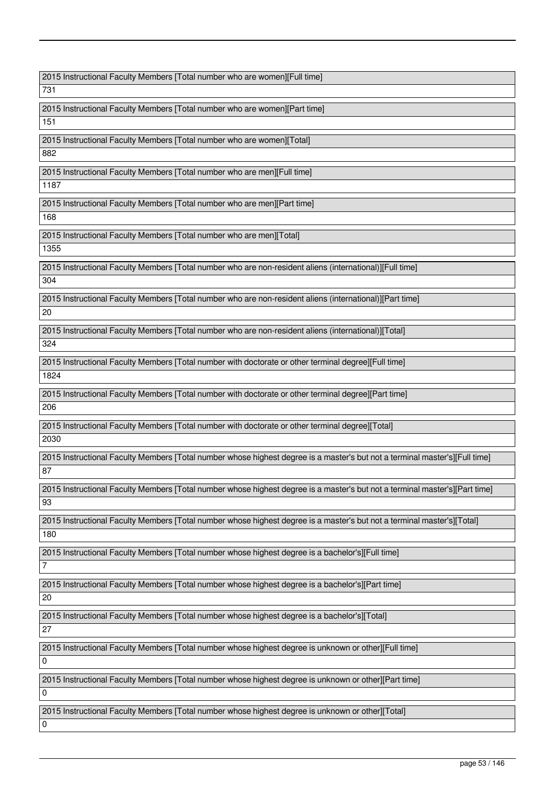2015 Instructional Faculty Members [Total number who are women][Full time]

731

2015 Instructional Faculty Members [Total number who are women][Part time] 151

2015 Instructional Faculty Members [Total number who are women][Total] 882

2015 Instructional Faculty Members [Total number who are men][Full time]

1187

2015 Instructional Faculty Members [Total number who are men][Part time]

168

2015 Instructional Faculty Members [Total number who are men][Total]

1355

2015 Instructional Faculty Members [Total number who are non-resident aliens (international)][Full time] 304

2015 Instructional Faculty Members [Total number who are non-resident aliens (international)][Part time] 20

2015 Instructional Faculty Members [Total number who are non-resident aliens (international)][Total]

324

2015 Instructional Faculty Members [Total number with doctorate or other terminal degree][Full time] 1824

2015 Instructional Faculty Members [Total number with doctorate or other terminal degree][Part time] 206

2015 Instructional Faculty Members [Total number with doctorate or other terminal degree][Total] 2030

2015 Instructional Faculty Members [Total number whose highest degree is a master's but not a terminal master's][Full time] 87

2015 Instructional Faculty Members [Total number whose highest degree is a master's but not a terminal master's][Part time] 93

2015 Instructional Faculty Members [Total number whose highest degree is a master's but not a terminal master's][Total] 180

2015 Instructional Faculty Members [Total number whose highest degree is a bachelor's][Full time]

2015 Instructional Faculty Members [Total number whose highest degree is a bachelor's][Part time]

20

7

2015 Instructional Faculty Members [Total number whose highest degree is a bachelor's][Total]

27

2015 Instructional Faculty Members [Total number whose highest degree is unknown or other][Full time]

 $\Omega$ 

2015 Instructional Faculty Members [Total number whose highest degree is unknown or other][Part time]

 $\Omega$ 

0

2015 Instructional Faculty Members [Total number whose highest degree is unknown or other][Total]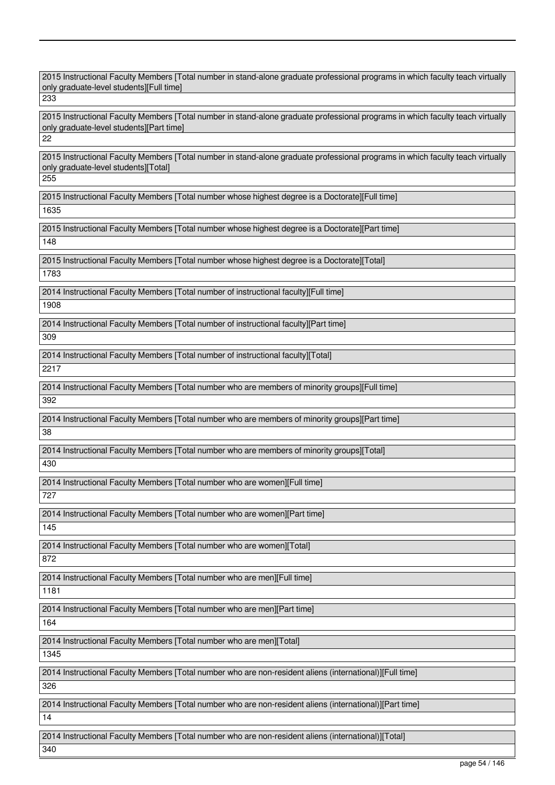2015 Instructional Faculty Members [Total number in stand-alone graduate professional programs in which faculty teach virtually only graduate-level students][Full time] 233 2015 Instructional Faculty Members [Total number in stand-alone graduate professional programs in which faculty teach virtually only graduate-level students][Part time] 22 2015 Instructional Faculty Members [Total number in stand-alone graduate professional programs in which faculty teach virtually only graduate-level students][Total] 255 2015 Instructional Faculty Members [Total number whose highest degree is a Doctorate][Full time] 1635 2015 Instructional Faculty Members [Total number whose highest degree is a Doctorate][Part time] 148 2015 Instructional Faculty Members [Total number whose highest degree is a Doctorate][Total] 1783 2014 Instructional Faculty Members [Total number of instructional faculty][Full time] 1908 2014 Instructional Faculty Members [Total number of instructional faculty][Part time] 309 2014 Instructional Faculty Members [Total number of instructional faculty][Total] 2217 2014 Instructional Faculty Members [Total number who are members of minority groups][Full time] 392 2014 Instructional Faculty Members [Total number who are members of minority groups][Part time]  $\overline{38}$ 2014 Instructional Faculty Members [Total number who are members of minority groups][Total] 430 2014 Instructional Faculty Members [Total number who are women][Full time] 727 2014 Instructional Faculty Members [Total number who are women][Part time] 145 2014 Instructional Faculty Members [Total number who are women][Total] 872 2014 Instructional Faculty Members [Total number who are men][Full time] 1181 2014 Instructional Faculty Members [Total number who are men][Part time] 164 2014 Instructional Faculty Members [Total number who are men][Total] 1345 2014 Instructional Faculty Members [Total number who are non-resident aliens (international)][Full time] 326 2014 Instructional Faculty Members [Total number who are non-resident aliens (international)][Part time] 14 2014 Instructional Faculty Members [Total number who are non-resident aliens (international)][Total] 340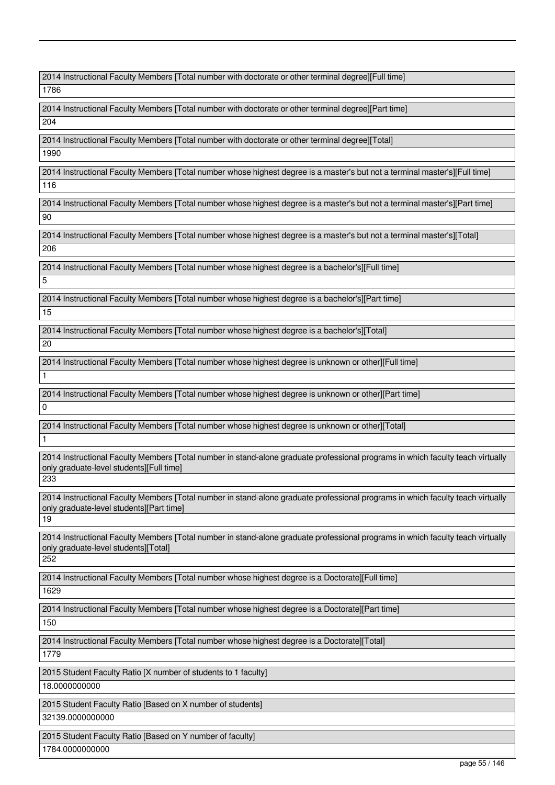2014 Instructional Faculty Members [Total number with doctorate or other terminal degree][Full time]

1786

2014 Instructional Faculty Members [Total number with doctorate or other terminal degree][Part time] 204

2014 Instructional Faculty Members [Total number with doctorate or other terminal degree][Total]

1990

2014 Instructional Faculty Members [Total number whose highest degree is a master's but not a terminal master's][Full time] 116

2014 Instructional Faculty Members [Total number whose highest degree is a master's but not a terminal master's][Part time] 90

2014 Instructional Faculty Members [Total number whose highest degree is a master's but not a terminal master's][Total] 206

2014 Instructional Faculty Members [Total number whose highest degree is a bachelor's][Full time]

5

2014 Instructional Faculty Members [Total number whose highest degree is a bachelor's][Part time]

15

2014 Instructional Faculty Members [Total number whose highest degree is a bachelor's][Total]

20

2014 Instructional Faculty Members [Total number whose highest degree is unknown or other][Full time]

2014 Instructional Faculty Members [Total number whose highest degree is unknown or other][Part time]

0

1

1

2014 Instructional Faculty Members [Total number whose highest degree is unknown or other][Total]

2014 Instructional Faculty Members [Total number in stand-alone graduate professional programs in which faculty teach virtually only graduate-level students][Full time]

233

2014 Instructional Faculty Members [Total number in stand-alone graduate professional programs in which faculty teach virtually only graduate-level students][Part time]

19

2014 Instructional Faculty Members [Total number in stand-alone graduate professional programs in which faculty teach virtually only graduate-level students][Total]

252

2014 Instructional Faculty Members [Total number whose highest degree is a Doctorate][Full time]

1629

2014 Instructional Faculty Members [Total number whose highest degree is a Doctorate][Part time]

150

2014 Instructional Faculty Members [Total number whose highest degree is a Doctorate][Total]

1779

2015 Student Faculty Ratio [X number of students to 1 faculty] 18.0000000000

2015 Student Faculty Ratio [Based on X number of students] 32139.0000000000

2015 Student Faculty Ratio [Based on Y number of faculty] 1784.0000000000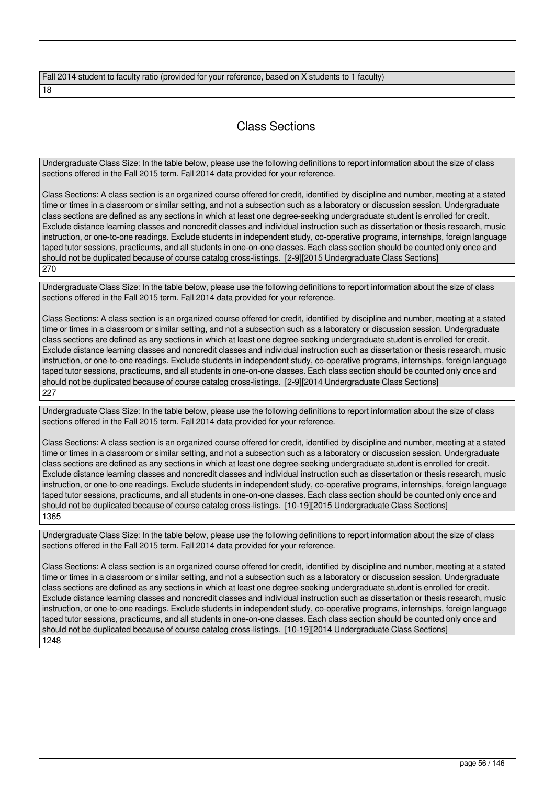| Fall 2014 student to faculty ratio (provided for your reference, based on X students to 1 faculty) |  |
|----------------------------------------------------------------------------------------------------|--|
| 18                                                                                                 |  |

# Class Sections

Undergraduate Class Size: In the table below, please use the following definitions to report information about the size of class sections offered in the Fall 2015 term. Fall 2014 data provided for your reference.

Class Sections: A class section is an organized course offered for credit, identified by discipline and number, meeting at a stated time or times in a classroom or similar setting, and not a subsection such as a laboratory or discussion session. Undergraduate class sections are defined as any sections in which at least one degree-seeking undergraduate student is enrolled for credit. Exclude distance learning classes and noncredit classes and individual instruction such as dissertation or thesis research, music instruction, or one-to-one readings. Exclude students in independent study, co-operative programs, internships, foreign language taped tutor sessions, practicums, and all students in one-on-one classes. Each class section should be counted only once and should not be duplicated because of course catalog cross-listings. [2-9][2015 Undergraduate Class Sections] 270

Undergraduate Class Size: In the table below, please use the following definitions to report information about the size of class sections offered in the Fall 2015 term. Fall 2014 data provided for your reference.

Class Sections: A class section is an organized course offered for credit, identified by discipline and number, meeting at a stated time or times in a classroom or similar setting, and not a subsection such as a laboratory or discussion session. Undergraduate class sections are defined as any sections in which at least one degree-seeking undergraduate student is enrolled for credit. Exclude distance learning classes and noncredit classes and individual instruction such as dissertation or thesis research, music instruction, or one-to-one readings. Exclude students in independent study, co-operative programs, internships, foreign language taped tutor sessions, practicums, and all students in one-on-one classes. Each class section should be counted only once and should not be duplicated because of course catalog cross-listings. [2-9][2014 Undergraduate Class Sections] 227

Undergraduate Class Size: In the table below, please use the following definitions to report information about the size of class sections offered in the Fall 2015 term. Fall 2014 data provided for your reference.

Class Sections: A class section is an organized course offered for credit, identified by discipline and number, meeting at a stated time or times in a classroom or similar setting, and not a subsection such as a laboratory or discussion session. Undergraduate class sections are defined as any sections in which at least one degree-seeking undergraduate student is enrolled for credit. Exclude distance learning classes and noncredit classes and individual instruction such as dissertation or thesis research, music instruction, or one-to-one readings. Exclude students in independent study, co-operative programs, internships, foreign language taped tutor sessions, practicums, and all students in one-on-one classes. Each class section should be counted only once and should not be duplicated because of course catalog cross-listings. [10-19][2015 Undergraduate Class Sections] 1365

Undergraduate Class Size: In the table below, please use the following definitions to report information about the size of class sections offered in the Fall 2015 term. Fall 2014 data provided for your reference.

Class Sections: A class section is an organized course offered for credit, identified by discipline and number, meeting at a stated time or times in a classroom or similar setting, and not a subsection such as a laboratory or discussion session. Undergraduate class sections are defined as any sections in which at least one degree-seeking undergraduate student is enrolled for credit. Exclude distance learning classes and noncredit classes and individual instruction such as dissertation or thesis research, music instruction, or one-to-one readings. Exclude students in independent study, co-operative programs, internships, foreign language taped tutor sessions, practicums, and all students in one-on-one classes. Each class section should be counted only once and should not be duplicated because of course catalog cross-listings. [10-19][2014 Undergraduate Class Sections] 1248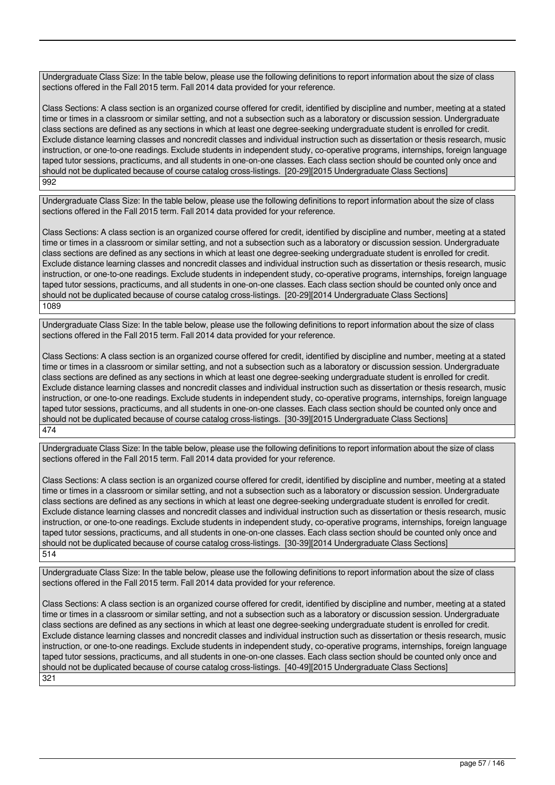Undergraduate Class Size: In the table below, please use the following definitions to report information about the size of class sections offered in the Fall 2015 term. Fall 2014 data provided for your reference.

Class Sections: A class section is an organized course offered for credit, identified by discipline and number, meeting at a stated time or times in a classroom or similar setting, and not a subsection such as a laboratory or discussion session. Undergraduate class sections are defined as any sections in which at least one degree-seeking undergraduate student is enrolled for credit. Exclude distance learning classes and noncredit classes and individual instruction such as dissertation or thesis research, music instruction, or one-to-one readings. Exclude students in independent study, co-operative programs, internships, foreign language taped tutor sessions, practicums, and all students in one-on-one classes. Each class section should be counted only once and should not be duplicated because of course catalog cross-listings. [20-29][2015 Undergraduate Class Sections] 992

Undergraduate Class Size: In the table below, please use the following definitions to report information about the size of class sections offered in the Fall 2015 term. Fall 2014 data provided for your reference.

Class Sections: A class section is an organized course offered for credit, identified by discipline and number, meeting at a stated time or times in a classroom or similar setting, and not a subsection such as a laboratory or discussion session. Undergraduate class sections are defined as any sections in which at least one degree-seeking undergraduate student is enrolled for credit. Exclude distance learning classes and noncredit classes and individual instruction such as dissertation or thesis research, music instruction, or one-to-one readings. Exclude students in independent study, co-operative programs, internships, foreign language taped tutor sessions, practicums, and all students in one-on-one classes. Each class section should be counted only once and should not be duplicated because of course catalog cross-listings. [20-29][2014 Undergraduate Class Sections] 1089

Undergraduate Class Size: In the table below, please use the following definitions to report information about the size of class sections offered in the Fall 2015 term. Fall 2014 data provided for your reference.

Class Sections: A class section is an organized course offered for credit, identified by discipline and number, meeting at a stated time or times in a classroom or similar setting, and not a subsection such as a laboratory or discussion session. Undergraduate class sections are defined as any sections in which at least one degree-seeking undergraduate student is enrolled for credit. Exclude distance learning classes and noncredit classes and individual instruction such as dissertation or thesis research, music instruction, or one-to-one readings. Exclude students in independent study, co-operative programs, internships, foreign language taped tutor sessions, practicums, and all students in one-on-one classes. Each class section should be counted only once and should not be duplicated because of course catalog cross-listings. [30-39][2015 Undergraduate Class Sections] 474

Undergraduate Class Size: In the table below, please use the following definitions to report information about the size of class sections offered in the Fall 2015 term. Fall 2014 data provided for your reference.

Class Sections: A class section is an organized course offered for credit, identified by discipline and number, meeting at a stated time or times in a classroom or similar setting, and not a subsection such as a laboratory or discussion session. Undergraduate class sections are defined as any sections in which at least one degree-seeking undergraduate student is enrolled for credit. Exclude distance learning classes and noncredit classes and individual instruction such as dissertation or thesis research, music instruction, or one-to-one readings. Exclude students in independent study, co-operative programs, internships, foreign language taped tutor sessions, practicums, and all students in one-on-one classes. Each class section should be counted only once and should not be duplicated because of course catalog cross-listings. [30-39][2014 Undergraduate Class Sections] 514

Undergraduate Class Size: In the table below, please use the following definitions to report information about the size of class sections offered in the Fall 2015 term. Fall 2014 data provided for your reference.

Class Sections: A class section is an organized course offered for credit, identified by discipline and number, meeting at a stated time or times in a classroom or similar setting, and not a subsection such as a laboratory or discussion session. Undergraduate class sections are defined as any sections in which at least one degree-seeking undergraduate student is enrolled for credit. Exclude distance learning classes and noncredit classes and individual instruction such as dissertation or thesis research, music instruction, or one-to-one readings. Exclude students in independent study, co-operative programs, internships, foreign language taped tutor sessions, practicums, and all students in one-on-one classes. Each class section should be counted only once and should not be duplicated because of course catalog cross-listings. [40-49][2015 Undergraduate Class Sections] 321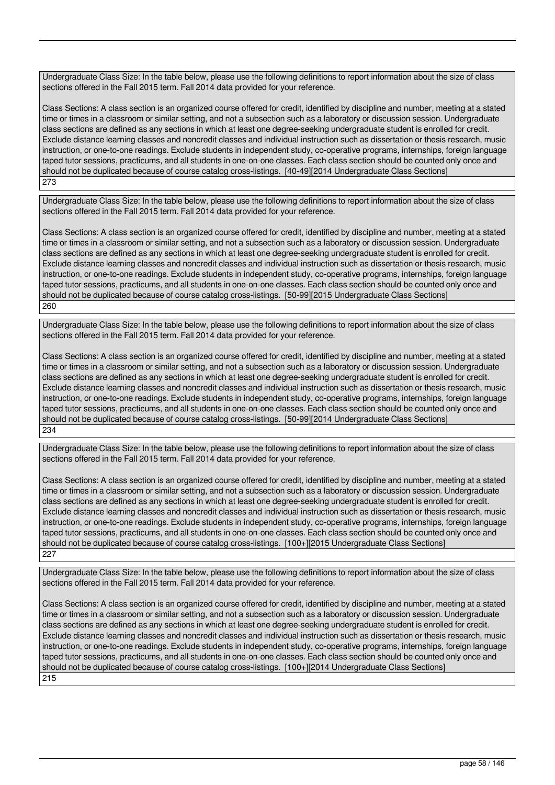Undergraduate Class Size: In the table below, please use the following definitions to report information about the size of class sections offered in the Fall 2015 term. Fall 2014 data provided for your reference.

Class Sections: A class section is an organized course offered for credit, identified by discipline and number, meeting at a stated time or times in a classroom or similar setting, and not a subsection such as a laboratory or discussion session. Undergraduate class sections are defined as any sections in which at least one degree-seeking undergraduate student is enrolled for credit. Exclude distance learning classes and noncredit classes and individual instruction such as dissertation or thesis research, music instruction, or one-to-one readings. Exclude students in independent study, co-operative programs, internships, foreign language taped tutor sessions, practicums, and all students in one-on-one classes. Each class section should be counted only once and should not be duplicated because of course catalog cross-listings. [40-49][2014 Undergraduate Class Sections] 273

Undergraduate Class Size: In the table below, please use the following definitions to report information about the size of class sections offered in the Fall 2015 term. Fall 2014 data provided for your reference.

Class Sections: A class section is an organized course offered for credit, identified by discipline and number, meeting at a stated time or times in a classroom or similar setting, and not a subsection such as a laboratory or discussion session. Undergraduate class sections are defined as any sections in which at least one degree-seeking undergraduate student is enrolled for credit. Exclude distance learning classes and noncredit classes and individual instruction such as dissertation or thesis research, music instruction, or one-to-one readings. Exclude students in independent study, co-operative programs, internships, foreign language taped tutor sessions, practicums, and all students in one-on-one classes. Each class section should be counted only once and should not be duplicated because of course catalog cross-listings. [50-99][2015 Undergraduate Class Sections] 260

Undergraduate Class Size: In the table below, please use the following definitions to report information about the size of class sections offered in the Fall 2015 term. Fall 2014 data provided for your reference.

Class Sections: A class section is an organized course offered for credit, identified by discipline and number, meeting at a stated time or times in a classroom or similar setting, and not a subsection such as a laboratory or discussion session. Undergraduate class sections are defined as any sections in which at least one degree-seeking undergraduate student is enrolled for credit. Exclude distance learning classes and noncredit classes and individual instruction such as dissertation or thesis research, music instruction, or one-to-one readings. Exclude students in independent study, co-operative programs, internships, foreign language taped tutor sessions, practicums, and all students in one-on-one classes. Each class section should be counted only once and should not be duplicated because of course catalog cross-listings. [50-99][2014 Undergraduate Class Sections] 234

Undergraduate Class Size: In the table below, please use the following definitions to report information about the size of class sections offered in the Fall 2015 term. Fall 2014 data provided for your reference.

Class Sections: A class section is an organized course offered for credit, identified by discipline and number, meeting at a stated time or times in a classroom or similar setting, and not a subsection such as a laboratory or discussion session. Undergraduate class sections are defined as any sections in which at least one degree-seeking undergraduate student is enrolled for credit. Exclude distance learning classes and noncredit classes and individual instruction such as dissertation or thesis research, music instruction, or one-to-one readings. Exclude students in independent study, co-operative programs, internships, foreign language taped tutor sessions, practicums, and all students in one-on-one classes. Each class section should be counted only once and should not be duplicated because of course catalog cross-listings. [100+][2015 Undergraduate Class Sections] 227

Undergraduate Class Size: In the table below, please use the following definitions to report information about the size of class sections offered in the Fall 2015 term. Fall 2014 data provided for your reference.

Class Sections: A class section is an organized course offered for credit, identified by discipline and number, meeting at a stated time or times in a classroom or similar setting, and not a subsection such as a laboratory or discussion session. Undergraduate class sections are defined as any sections in which at least one degree-seeking undergraduate student is enrolled for credit. Exclude distance learning classes and noncredit classes and individual instruction such as dissertation or thesis research, music instruction, or one-to-one readings. Exclude students in independent study, co-operative programs, internships, foreign language taped tutor sessions, practicums, and all students in one-on-one classes. Each class section should be counted only once and should not be duplicated because of course catalog cross-listings. [100+][2014 Undergraduate Class Sections] 215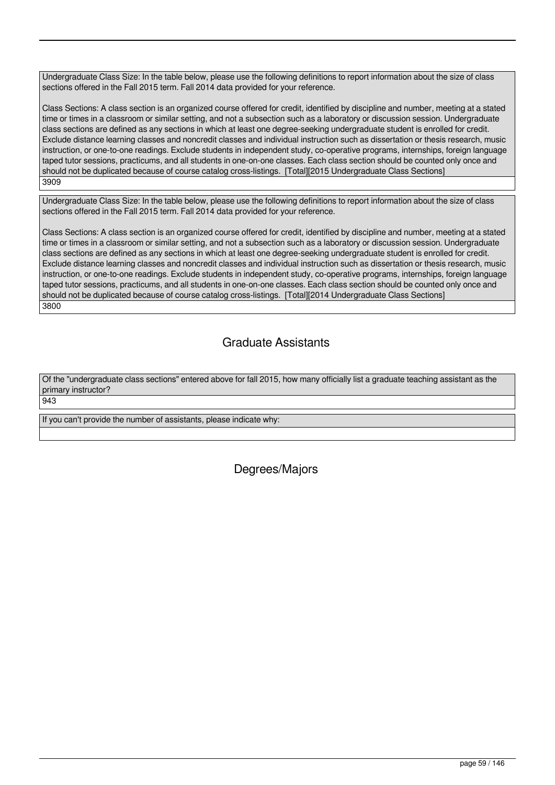Undergraduate Class Size: In the table below, please use the following definitions to report information about the size of class sections offered in the Fall 2015 term. Fall 2014 data provided for your reference.

Class Sections: A class section is an organized course offered for credit, identified by discipline and number, meeting at a stated time or times in a classroom or similar setting, and not a subsection such as a laboratory or discussion session. Undergraduate class sections are defined as any sections in which at least one degree-seeking undergraduate student is enrolled for credit. Exclude distance learning classes and noncredit classes and individual instruction such as dissertation or thesis research, music instruction, or one-to-one readings. Exclude students in independent study, co-operative programs, internships, foreign language taped tutor sessions, practicums, and all students in one-on-one classes. Each class section should be counted only once and should not be duplicated because of course catalog cross-listings. [Total][2015 Undergraduate Class Sections] 3909

Undergraduate Class Size: In the table below, please use the following definitions to report information about the size of class sections offered in the Fall 2015 term. Fall 2014 data provided for your reference.

Class Sections: A class section is an organized course offered for credit, identified by discipline and number, meeting at a stated time or times in a classroom or similar setting, and not a subsection such as a laboratory or discussion session. Undergraduate class sections are defined as any sections in which at least one degree-seeking undergraduate student is enrolled for credit. Exclude distance learning classes and noncredit classes and individual instruction such as dissertation or thesis research, music instruction, or one-to-one readings. Exclude students in independent study, co-operative programs, internships, foreign language taped tutor sessions, practicums, and all students in one-on-one classes. Each class section should be counted only once and should not be duplicated because of course catalog cross-listings. [Total][2014 Undergraduate Class Sections] 3800

# Graduate Assistants

Of the "undergraduate class sections" entered above for fall 2015, how many officially list a graduate teaching assistant as the primary instructor?

943

If you can't provide the number of assistants, please indicate why:

Degrees/Majors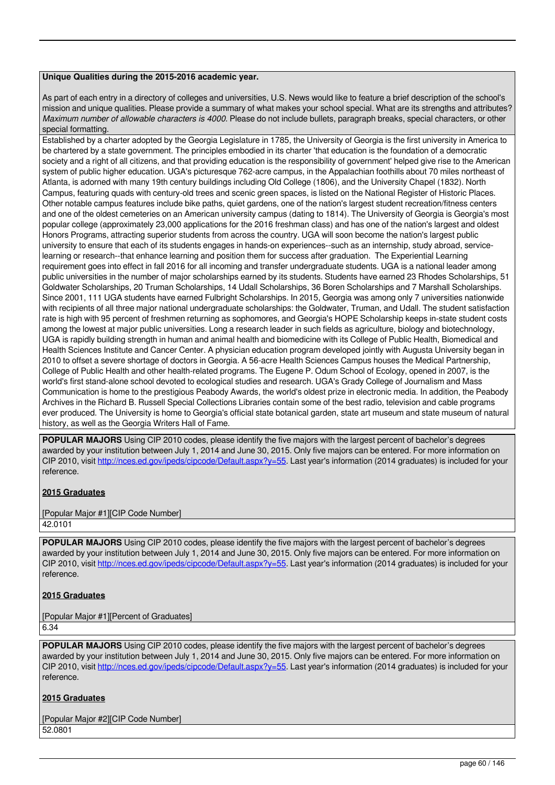### **Unique Qualities during the 2015-2016 academic year.**

As part of each entry in a directory of colleges and universities, U.S. News would like to feature a brief description of the school's mission and unique qualities. Please provide a summary of what makes your school special. What are its strengths and attributes? *Maximum number of allowable characters is 4000.* Please do not include bullets, paragraph breaks, special characters, or other special formatting.

Established by a charter adopted by the Georgia Legislature in 1785, the University of Georgia is the first university in America to be chartered by a state government. The principles embodied in its charter 'that education is the foundation of a democratic society and a right of all citizens, and that providing education is the responsibility of government' helped give rise to the American system of public higher education. UGA's picturesque 762-acre campus, in the Appalachian foothills about 70 miles northeast of Atlanta, is adorned with many 19th century buildings including Old College (1806), and the University Chapel (1832). North Campus, featuring quads with century-old trees and scenic green spaces, is listed on the National Register of Historic Places. Other notable campus features include bike paths, quiet gardens, one of the nation's largest student recreation/fitness centers and one of the oldest cemeteries on an American university campus (dating to 1814). The University of Georgia is Georgia's most popular college (approximately 23,000 applications for the 2016 freshman class) and has one of the nation's largest and oldest Honors Programs, attracting superior students from across the country. UGA will soon become the nation's largest public university to ensure that each of its students engages in hands-on experiences--such as an internship, study abroad, servicelearning or research--that enhance learning and position them for success after graduation. The Experiential Learning requirement goes into effect in fall 2016 for all incoming and transfer undergraduate students. UGA is a national leader among public universities in the number of major scholarships earned by its students. Students have earned 23 Rhodes Scholarships, 51 Goldwater Scholarships, 20 Truman Scholarships, 14 Udall Scholarships, 36 Boren Scholarships and 7 Marshall Scholarships. Since 2001, 111 UGA students have earned Fulbright Scholarships. In 2015, Georgia was among only 7 universities nationwide with recipients of all three major national undergraduate scholarships: the Goldwater, Truman, and Udall. The student satisfaction rate is high with 95 percent of freshmen returning as sophomores, and Georgia's HOPE Scholarship keeps in-state student costs among the lowest at major public universities. Long a research leader in such fields as agriculture, biology and biotechnology, UGA is rapidly building strength in human and animal health and biomedicine with its College of Public Health, Biomedical and Health Sciences Institute and Cancer Center. A physician education program developed jointly with Augusta University began in 2010 to offset a severe shortage of doctors in Georgia. A 56-acre Health Sciences Campus houses the Medical Partnership, College of Public Health and other health-related programs. The Eugene P. Odum School of Ecology, opened in 2007, is the world's first stand-alone school devoted to ecological studies and research. UGA's Grady College of Journalism and Mass Communication is home to the prestigious Peabody Awards, the world's oldest prize in electronic media. In addition, the Peabody Archives in the Richard B. Russell Special Collections Libraries contain some of the best radio, television and cable programs ever produced. The University is home to Georgia's official state botanical garden, state art museum and state museum of natural history, as well as the Georgia Writers Hall of Fame.

**POPULAR MAJORS** Using CIP 2010 codes, please identify the five majors with the largest percent of bachelor's degrees awarded by your institution between July 1, 2014 and June 30, 2015. Only five majors can be entered. For more information on CIP 2010, visit http://nces.ed.gov/ipeds/cipcode/Default.aspx?y=55. Last year's information (2014 graduates) is included for your reference.

### **2015 Graduates**

[Popular Major #1][CIP Code Number] 42.0101

**POPULAR MAJORS** Using CIP 2010 codes, please identify the five majors with the largest percent of bachelor's degrees awarded by your institution between July 1, 2014 and June 30, 2015. Only five majors can be entered. For more information on CIP 2010, visit http://nces.ed.gov/ipeds/cipcode/Default.aspx?y=55. Last year's information (2014 graduates) is included for your reference.

### **2015 Graduates**

[Popular Major #1][Percent of Graduates] 6.34

**POPULAR MAJORS** Using CIP 2010 codes, please identify the five majors with the largest percent of bachelor's degrees awarded by your institution between July 1, 2014 and June 30, 2015. Only five majors can be entered. For more information on CIP 2010, visit http://nces.ed.gov/ipeds/cipcode/Default.aspx?y=55. Last year's information (2014 graduates) is included for your reference.

### **2015 Graduates**

[Popular Major #2][CIP Code Number] 52.0801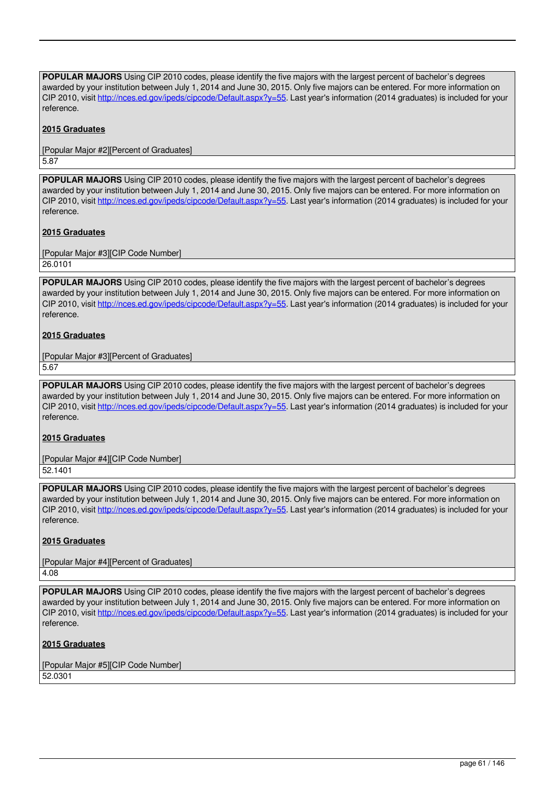**POPULAR MAJORS** Using CIP 2010 codes, please identify the five majors with the largest percent of bachelor's degrees awarded by your institution between July 1, 2014 and June 30, 2015. Only five majors can be entered. For more information on CIP 2010, visit http://nces.ed.gov/ipeds/cipcode/Default.aspx?y=55. Last year's information (2014 graduates) is included for your reference.

### **2015 Graduates**

[Popular Major #2][Percent of Graduates] 5.87

**POPULAR MAJORS** Using CIP 2010 codes, please identify the five majors with the largest percent of bachelor's degrees awarded by your institution between July 1, 2014 and June 30, 2015. Only five majors can be entered. For more information on CIP 2010, visit http://nces.ed.gov/ipeds/cipcode/Default.aspx?y=55. Last year's information (2014 graduates) is included for your reference.

### **2015 Graduates**

[Popular Major #3][CIP Code Number] 26.0101

**POPULAR MAJORS** Using CIP 2010 codes, please identify the five majors with the largest percent of bachelor's degrees awarded by your institution between July 1, 2014 and June 30, 2015. Only five majors can be entered. For more information on CIP 2010, visit http://nces.ed.gov/ipeds/cipcode/Default.aspx?y=55. Last year's information (2014 graduates) is included for your reference.

### **2015 Graduates**

[Popular Major #3][Percent of Graduates]

5.67

**POPULAR MAJORS** Using CIP 2010 codes, please identify the five majors with the largest percent of bachelor's degrees awarded by your institution between July 1, 2014 and June 30, 2015. Only five majors can be entered. For more information on CIP 2010, visit http://nces.ed.gov/ipeds/cipcode/Default.aspx?y=55. Last year's information (2014 graduates) is included for your reference.

### **2015 Graduates**

[Popular Major #4][CIP Code Number]

52.1401

**POPULAR MAJORS** Using CIP 2010 codes, please identify the five majors with the largest percent of bachelor's degrees awarded by your institution between July 1, 2014 and June 30, 2015. Only five majors can be entered. For more information on CIP 2010, visit http://nces.ed.gov/ipeds/cipcode/Default.aspx?y=55. Last year's information (2014 graduates) is included for your reference.

### **2015 Graduates**

[Popular Major #4][Percent of Graduates] 4.08

**POPULAR MAJORS** Using CIP 2010 codes, please identify the five majors with the largest percent of bachelor's degrees awarded by your institution between July 1, 2014 and June 30, 2015. Only five majors can be entered. For more information on CIP 2010, visit http://nces.ed.gov/ipeds/cipcode/Default.aspx?y=55. Last year's information (2014 graduates) is included for your reference.

### **2015 Graduates**

[Popular Major #5][CIP Code Number] 52.0301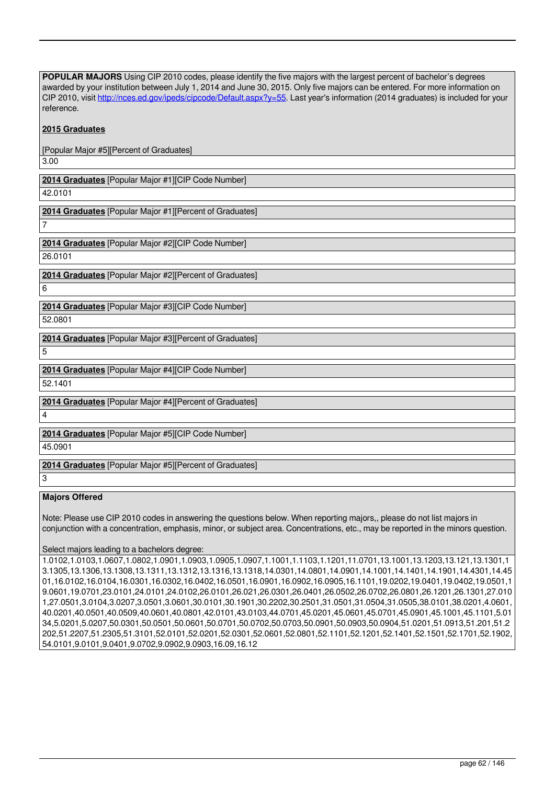**POPULAR MAJORS** Using CIP 2010 codes, please identify the five majors with the largest percent of bachelor's degrees awarded by your institution between July 1, 2014 and June 30, 2015. Only five majors can be entered. For more information on CIP 2010, visit http://nces.ed.gov/ipeds/cipcode/Default.aspx?y=55. Last year's information (2014 graduates) is included for your reference.

### **2015 Graduates**

[Popular Major #5][Percent of Graduates] 3.00

**2014 Graduates** [Popular Major #1][CIP Code Number] 42.0101

**2014 Graduates** [Popular Major #1][Percent of Graduates]

7

**2014 Graduates** [Popular Major #2][CIP Code Number] 26.0101

**2014 Graduates** [Popular Major #2][Percent of Graduates] 6

**2014 Graduates** [Popular Major #3][CIP Code Number]

52.0801

**2014 Graduates** [Popular Major #3][Percent of Graduates]

5

**2014 Graduates** [Popular Major #4][CIP Code Number]

52.1401

**2014 Graduates** [Popular Major #4][Percent of Graduates]

4

**2014 Graduates** [Popular Major #5][CIP Code Number]

45.0901

**2014 Graduates** [Popular Major #5][Percent of Graduates]

3

### **Majors Offered**

Note: Please use CIP 2010 codes in answering the questions below. When reporting majors,, please do not list majors in conjunction with a concentration, emphasis, minor, or subject area. Concentrations, etc., may be reported in the minors question.

### Select majors leading to a bachelors degree:

1.0102,1.0103,1.0607,1.0802,1.0901,1.0903,1.0905,1.0907,1.1001,1.1103,1.1201,11.0701,13.1001,13.1203,13.121,13.1301,1 3.1305,13.1306,13.1308,13.1311,13.1312,13.1316,13.1318,14.0301,14.0801,14.0901,14.1001,14.1401,14.1901,14.4301,14.45 01,16.0102,16.0104,16.0301,16.0302,16.0402,16.0501,16.0901,16.0902,16.0905,16.1101,19.0202,19.0401,19.0402,19.0501,1 9.0601,19.0701,23.0101,24.0101,24.0102,26.0101,26.021,26.0301,26.0401,26.0502,26.0702,26.0801,26.1201,26.1301,27.010 1,27.0501,3.0104,3.0207,3.0501,3.0601,30.0101,30.1901,30.2202,30.2501,31.0501,31.0504,31.0505,38.0101,38.0201,4.0601, 40.0201,40.0501,40.0509,40.0601,40.0801,42.0101,43.0103,44.0701,45.0201,45.0601,45.0701,45.0901,45.1001,45.1101,5.01 34,5.0201,5.0207,50.0301,50.0501,50.0601,50.0701,50.0702,50.0703,50.0901,50.0903,50.0904,51.0201,51.0913,51.201,51.2 202,51.2207,51.2305,51.3101,52.0101,52.0201,52.0301,52.0601,52.0801,52.1101,52.1201,52.1401,52.1501,52.1701,52.1902, 54.0101,9.0101,9.0401,9.0702,9.0902,9.0903,16.09,16.12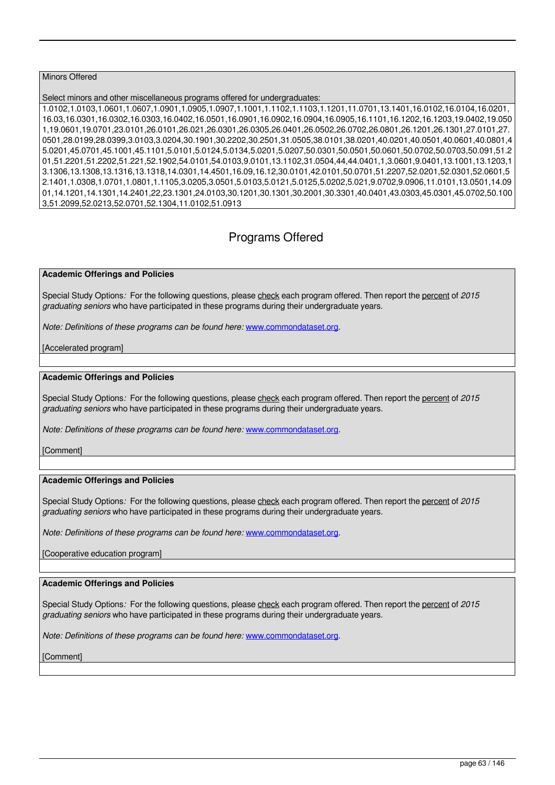### Minors Offered

### Select minors and other miscellaneous programs offered for undergraduates:

1.0102,1.0103,1.0601,1.0607,1.0901,1.0905,1.0907,1.1001,1.1102,1.1103,1.1201,11.0701,13.1401,16.0102,16.0104,16.0201, 16.03,16.0301,16.0302,16.0303,16.0402,16.0501,16.0901,16.0902,16.0904,16.0905,16.1101,16.1202,16.1203,19.0402,19.050 1,19.0601,19.0701,23.0101,26.0101,26.021,26.0301,26.0305,26.0401,26.0502,26.0702,26.0801,26.1201,26.1301,27.0101,27. 0501,28.0199,28.0399,3.0103,3.0204,30.1901,30.2202,30.2501,31.0505,38.0101,38.0201,40.0201,40.0501,40.0601,40.0801,4 5.0201,45.0701,45.1001,45.1101,5.0101,5.0124,5.0134,5.0201,5.0207,50.0301,50.0501,50.0601,50.0702,50.0703,50.091,51.2 01,51.2201,51.2202,51.221,52.1902,54.0101,54.0103,9.0101,13.1102,31.0504,44,44.0401,1,3.0601,9.0401,13.1001,13.1203,1 3.1306,13.1308,13.1316,13.1318,14.0301,14.4501,16.09,16.12,30.0101,42.0101,50.0701,51.2207,52.0201,52.0301,52.0601,5 2.1401,1.0308,1.0701,1.0801,1.1105,3.0205,3.0501,5.0103,5.0121,5.0125,5.0202,5.021,9.0702,9.0906,11.0101,13.0501,14.09 01,14.1201,14.1301,14.2401,22,23.1301,24.0103,30.1201,30.1301,30.2001,30.3301,40.0401,43.0303,45.0301,45.0702,50.100 3,51.2099,52.0213,52.0701,52.1304,11.0102,51.0913

# Programs Offered

#### **Academic Offerings and Policies**

Special Study Options*:* For the following questions, please check each program offered. Then report the percent of *2015 graduating seniors* who have participated in these programs during their undergraduate years.

*Note: Definitions of these programs can be found here:* www.commondataset.org.

#### [Accelerated program]

#### **Academic Offerings and Policies**

Special Study Options*:* For the following questions, please check each program offered. Then report the percent of *2015 graduating seniors* who have participated in these programs during their undergraduate years.

*Note: Definitions of these programs can be found here:* www.commondataset.org.

[Comment]

### **Academic Offerings and Policies**

Special Study Options*:* For the following questions, please check each program offered. Then report the percent of *2015 graduating seniors* who have participated in these programs during their undergraduate years.

*Note: Definitions of these programs can be found here:* www.commondataset.org.

[Cooperative education program]

### **Academic Offerings and Policies**

Special Study Options*:* For the following questions, please check each program offered. Then report the percent of *2015 graduating seniors* who have participated in these programs during their undergraduate years.

*Note: Definitions of these programs can be found here: www.commondataset.org.*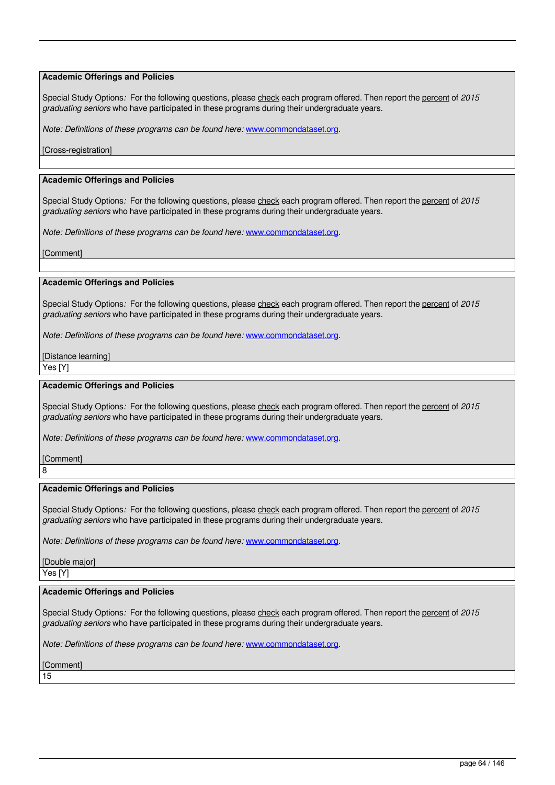Special Study Options: For the following questions, please check each program offered. Then report the percent of 2015 *graduating seniors* who have participated in these programs during their undergraduate years.

*Note: Definitions of these programs can be found here:* www.commondataset.org.

#### [Cross-registration]

#### **Academic Offerings and Policies**

Special Study Options*:* For the following questions, please check each program offered. Then report the percent of *2015 graduating seniors* who have participated in these programs during their undergraduate years.

*Note: Definitions of these programs can be found here:* www.commondataset.org.

[Comment]

#### **Academic Offerings and Policies**

Special Study Options: For the following questions, please check each program offered. Then report the percent of 2015 *graduating seniors* who have participated in these programs during their undergraduate years.

*Note: Definitions of these programs can be found here:* www.commondataset.org.

[Distance learning]

Yes [Y]

### **Academic Offerings and Policies**

Special Study Options*:* For the following questions, please check each program offered. Then report the percent of *2015 graduating seniors* who have participated in these programs during their undergraduate years.

*Note: Definitions of these programs can be found here:* www.commondataset.org.

[Comment] 8

#### **Academic Offerings and Policies**

Special Study Options*:* For the following questions, please check each program offered. Then report the percent of *2015 graduating seniors* who have participated in these programs during their undergraduate years.

*Note: Definitions of these programs can be found here:* www.commondataset.org.

[Double major]

# Yes [Y]

### **Academic Offerings and Policies**

Special Study Options*:* For the following questions, please check each program offered. Then report the percent of *2015 graduating seniors* who have participated in these programs during their undergraduate years.

*Note: Definitions of these programs can be found here:* www.commondataset.org.

[Comment]

15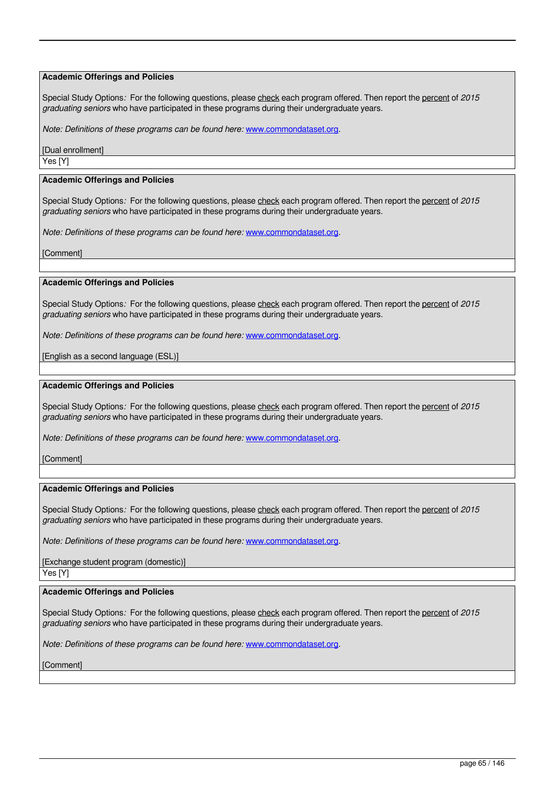Special Study Options*:* For the following questions, please check each program offered. Then report the percent of *2015 graduating seniors* who have participated in these programs during their undergraduate years.

*Note: Definitions of these programs can be found here:* www.commondataset.org.

[Dual enrollment] Yes [Y]

### **Academic Offerings and Policies**

Special Study Options*:* For the following questions, please check each program offered. Then report the percent of *2015 graduating seniors* who have participated in these programs during their undergraduate years.

*Note: Definitions of these programs can be found here:* www.commondataset.org.

[Comment]

#### **Academic Offerings and Policies**

Special Study Options: For the following questions, please check each program offered. Then report the percent of 2015 *graduating seniors* who have participated in these programs during their undergraduate years.

*Note: Definitions of these programs can be found here:* www.commondataset.org.

[English as a second language (ESL)]

#### **Academic Offerings and Policies**

Special Study Options*:* For the following questions, please check each program offered. Then report the percent of *2015 graduating seniors* who have participated in these programs during their undergraduate years.

*Note: Definitions of these programs can be found here:* www.commondataset.org.

**[Comment]** 

#### **Academic Offerings and Policies**

Special Study Options*:* For the following questions, please check each program offered. Then report the percent of *2015 graduating seniors* who have participated in these programs during their undergraduate years.

*Note: Definitions of these programs can be found here: www.commondataset.org.* 

[Exchange student program (domestic)] Yes [Y]

#### **Academic Offerings and Policies**

Special Study Options*:* For the following questions, please check each program offered. Then report the percent of *2015 graduating seniors* who have participated in these programs during their undergraduate years.

*Note: Definitions of these programs can be found here:* www.commondataset.org.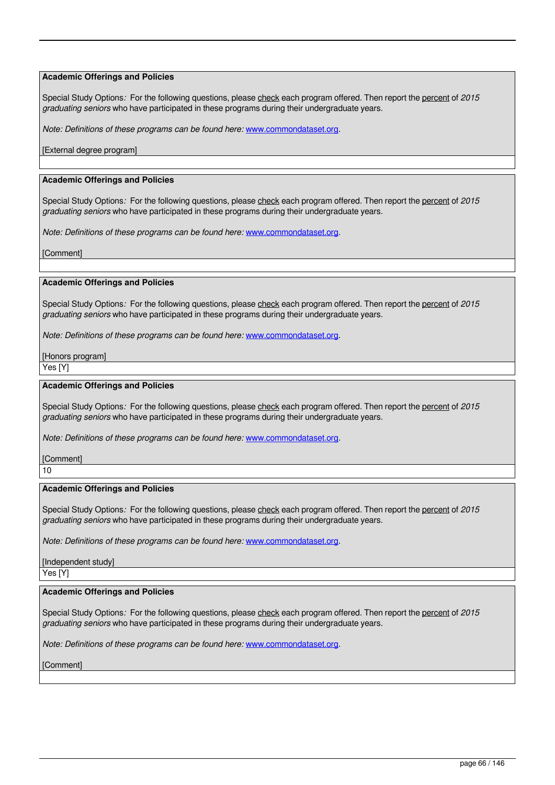Special Study Options: For the following questions, please check each program offered. Then report the percent of 2015 *graduating seniors* who have participated in these programs during their undergraduate years.

*Note: Definitions of these programs can be found here:* www.commondataset.org.

[External degree program]

### **Academic Offerings and Policies**

Special Study Options*:* For the following questions, please check each program offered. Then report the percent of *2015 graduating seniors* who have participated in these programs during their undergraduate years.

*Note: Definitions of these programs can be found here:* www.commondataset.org.

[Comment]

#### **Academic Offerings and Policies**

Special Study Options: For the following questions, please check each program offered. Then report the percent of 2015 *graduating seniors* who have participated in these programs during their undergraduate years.

*Note: Definitions of these programs can be found here:* www.commondataset.org.

[Honors program]

Yes [Y]

### **Academic Offerings and Policies**

Special Study Options*:* For the following questions, please check each program offered. Then report the percent of *2015 graduating seniors* who have participated in these programs during their undergraduate years.

*Note: Definitions of these programs can be found here:* www.commondataset.org.

[Comment] 10

#### **Academic Offerings and Policies**

Special Study Options*:* For the following questions, please check each program offered. Then report the percent of *2015 graduating seniors* who have participated in these programs during their undergraduate years.

*Note: Definitions of these programs can be found here:* www.commondataset.org.

[Independent study] Yes [Y]

# **Academic Offerings and Policies**

Special Study Options*:* For the following questions, please check each program offered. Then report the percent of *2015 graduating seniors* who have participated in these programs during their undergraduate years.

*Note: Definitions of these programs can be found here:* www.commondataset.org.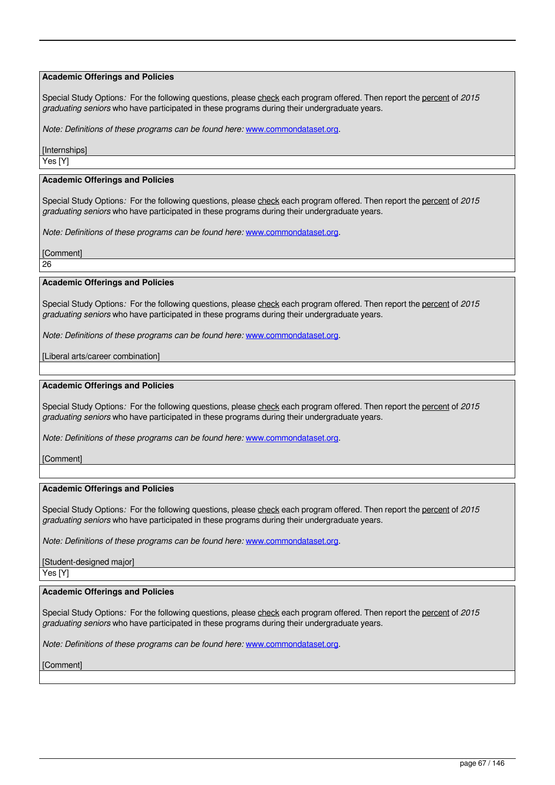Special Study Options*:* For the following questions, please check each program offered. Then report the percent of *2015 graduating seniors* who have participated in these programs during their undergraduate years.

*Note: Definitions of these programs can be found here:* www.commondataset.org.

[Internships] Yes [Y]

#### **Academic Offerings and Policies**

Special Study Options*:* For the following questions, please check each program offered. Then report the percent of *2015 graduating seniors* who have participated in these programs during their undergraduate years.

*Note: Definitions of these programs can be found here:* www.commondataset.org.

[Comment]

26

#### **Academic Offerings and Policies**

Special Study Options: For the following questions, please check each program offered. Then report the percent of 2015 *graduating seniors* who have participated in these programs during their undergraduate years.

*Note: Definitions of these programs can be found here:* www.commondataset.org.

[Liberal arts/career combination]

#### **Academic Offerings and Policies**

Special Study Options*:* For the following questions, please check each program offered. Then report the percent of *2015 graduating seniors* who have participated in these programs during their undergraduate years.

*Note: Definitions of these programs can be found here:* www.commondataset.org.

**[Comment]** 

#### **Academic Offerings and Policies**

Special Study Options*:* For the following questions, please check each program offered. Then report the percent of *2015 graduating seniors* who have participated in these programs during their undergraduate years.

*Note: Definitions of these programs can be found here:* www.commondataset.org.

[Student-designed major] Yes [Y]

### **Academic Offerings and Policies**

Special Study Options*:* For the following questions, please check each program offered. Then report the percent of *2015 graduating seniors* who have participated in these programs during their undergraduate years.

*Note: Definitions of these programs can be found here:* www.commondataset.org.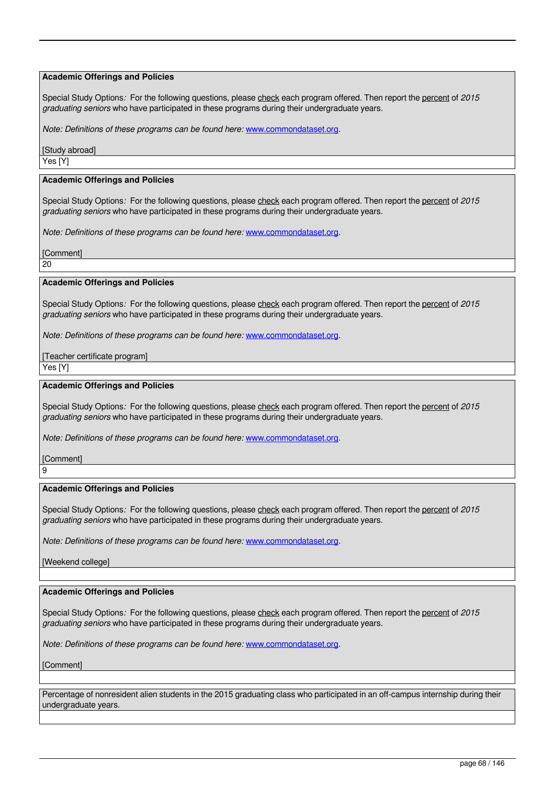Special Study Options: For the following questions, please check each program offered. Then report the percent of 2015 *graduating seniors* who have participated in these programs during their undergraduate years.

*Note: Definitions of these programs can be found here:* www.commondataset.org.

[Study abroad] Yes [Y]

#### **Academic Offerings and Policies**

Special Study Options*:* For the following questions, please check each program offered. Then report the percent of *2015 graduating seniors* who have participated in these programs during their undergraduate years.

*Note: Definitions of these programs can be found here:* www.commondataset.org.

[Comment]

20

#### **Academic Offerings and Policies**

Special Study Options*:* For the following questions, please check each program offered. Then report the percent of *2015 graduating seniors* who have participated in these programs during their undergraduate years.

*Note: Definitions of these programs can be found here:* www.commondataset.org.

[Teacher certificate program]

Yes [Y]

#### **Academic Offerings and Policies**

Special Study Options: For the following questions, please check each program offered. Then report the percent of 2015 *graduating seniors* who have participated in these programs during their undergraduate years.

*Note: Definitions of these programs can be found here: www.commondataset.org.* 

[Comment] 9

#### **Academic Offerings and Policies**

Special Study Options*:* For the following questions, please check each program offered. Then report the percent of *2015 graduating seniors* who have participated in these programs during their undergraduate years.

*Note: Definitions of these programs can be found here: www.commondataset.org.* 

[Weekend college]

#### **Academic Offerings and Policies**

Special Study Options*:* For the following questions, please check each program offered. Then report the percent of *2015 graduating seniors* who have participated in these programs during their undergraduate years.

*Note: Definitions of these programs can be found here:* www.commondataset.org.

**[Comment]** 

Percentage of nonresident alien students in the 2015 graduating class who participated in an off-campus internship during their undergraduate years.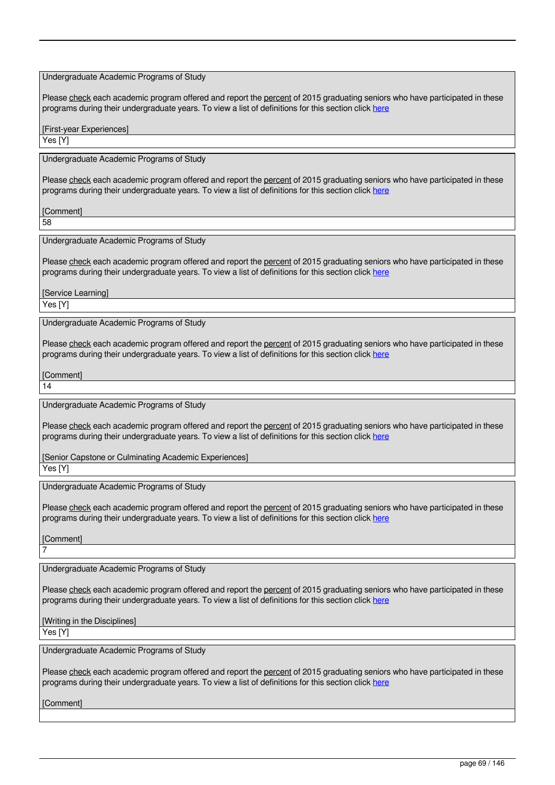### Undergraduate Academic Programs of Study

Please check each academic program offered and report the percent of 2015 graduating seniors who have participated in these programs during their undergraduate years. To view a list of definitions for this section click here

[First-year Experiences]

Yes [Y]

Undergraduate Academic Programs of Study

Please check each academic program offered and report the percent of 2015 graduating seniors who have participated in these programs during their undergraduate years. To view a list of definitions for this section click here

**[Comment]** 

58

Undergraduate Academic Programs of Study

Please check each academic program offered and report the percent of 2015 graduating seniors who have participated in these programs during their undergraduate years. To view a list of definitions for this section click here

**[Service Learning]** 

Yes [Y]

Undergraduate Academic Programs of Study

Please check each academic program offered and report the percent of 2015 graduating seniors who have participated in these programs during their undergraduate years. To view a list of definitions for this section click here

[Comment]

14

Undergraduate Academic Programs of Study

Please check each academic program offered and report the percent of 2015 graduating seniors who have participated in these programs during their undergraduate years. To view a list of definitions for this section click here

[Senior Capstone or Culminating Academic Experiences]

Yes [Y]

Undergraduate Academic Programs of Study

Please check each academic program offered and report the percent of 2015 graduating seniors who have participated in these programs during their undergraduate years. To view a list of definitions for this section click here

[Comment]

7

Undergraduate Academic Programs of Study

Please check each academic program offered and report the percent of 2015 graduating seniors who have participated in these programs during their undergraduate years. To view a list of definitions for this section click here

[Writing in the Disciplines]

Yes [Y]

Undergraduate Academic Programs of Study

Please check each academic program offered and report the percent of 2015 graduating seniors who have participated in these programs during their undergraduate years. To view a list of definitions for this section click here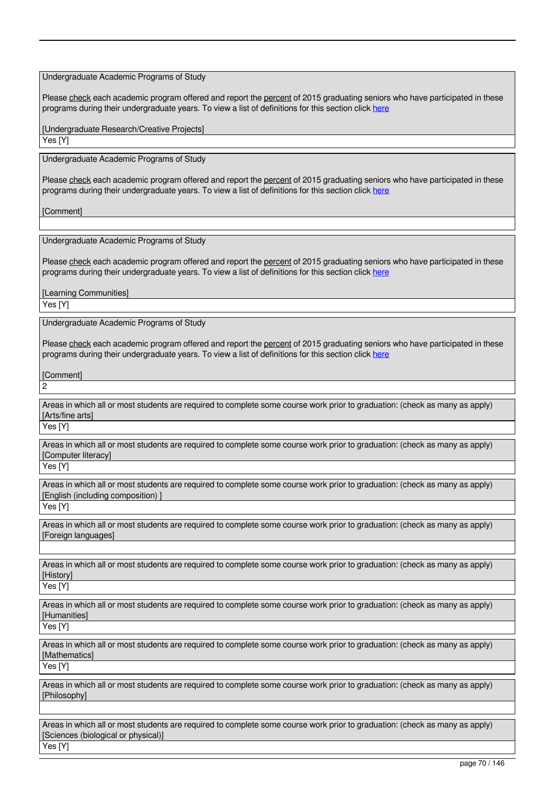Undergraduate Academic Programs of Study

Please check each academic program offered and report the percent of 2015 graduating seniors who have participated in these programs during their undergraduate years. To view a list of definitions for this section click here

[Undergraduate Research/Creative Projects]

Yes [Y]

Undergraduate Academic Programs of Study

Please check each academic program offered and report the percent of 2015 graduating seniors who have participated in these programs during their undergraduate years. To view a list of definitions for this section click here

**[Comment]** 

Undergraduate Academic Programs of Study

Please check each academic program offered and report the percent of 2015 graduating seniors who have participated in these programs during their undergraduate years. To view a list of definitions for this section click here

[Learning Communities]

 $\overline{\mathsf{Y}}$ es [Y]

Undergraduate Academic Programs of Study

Please check each academic program offered and report the percent of 2015 graduating seniors who have participated in these programs during their undergraduate years. To view a list of definitions for this section click here

[Comment] 2

Areas in which all or most students are required to complete some course work prior to graduation: (check as many as apply) [Arts/fine arts]

Yes [Y]

Areas in which all or most students are required to complete some course work prior to graduation: (check as many as apply) [Computer literacy]

Yes [Y]

Areas in which all or most students are required to complete some course work prior to graduation: (check as many as apply) [English (including composition) ]

Yes [Y]

Areas in which all or most students are required to complete some course work prior to graduation: (check as many as apply) [Foreign languages]

Areas in which all or most students are required to complete some course work prior to graduation: (check as many as apply) [History]

Yes [Y]

Areas in which all or most students are required to complete some course work prior to graduation: (check as many as apply) [Humanities]

Yes [Y]

Areas in which all or most students are required to complete some course work prior to graduation: (check as many as apply) [Mathematics]

Yes [Y]

Areas in which all or most students are required to complete some course work prior to graduation: (check as many as apply) [Philosophy]

Areas in which all or most students are required to complete some course work prior to graduation: (check as many as apply) [Sciences (biological or physical)]

Yes [Y]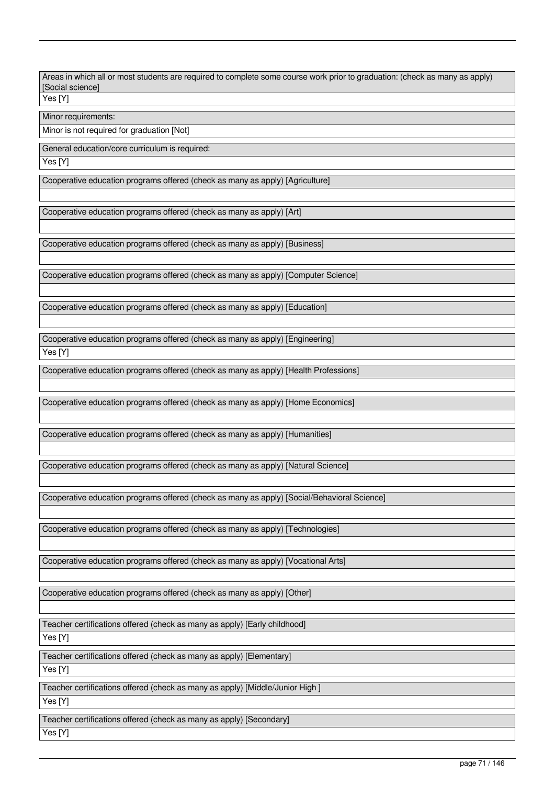Areas in which all or most students are required to complete some course work prior to graduation: (check as many as apply) [Social science]

Yes [Y]

Minor requirements:

Minor is not required for graduation [Not]

General education/core curriculum is required:

Yes [Y]

Cooperative education programs offered (check as many as apply) [Agriculture]

Cooperative education programs offered (check as many as apply) [Art]

Cooperative education programs offered (check as many as apply) [Business]

Cooperative education programs offered (check as many as apply) [Computer Science]

Cooperative education programs offered (check as many as apply) [Education]

Cooperative education programs offered (check as many as apply) [Engineering]

Yes [Y]

Cooperative education programs offered (check as many as apply) [Health Professions]

Cooperative education programs offered (check as many as apply) [Home Economics]

Cooperative education programs offered (check as many as apply) [Humanities]

Cooperative education programs offered (check as many as apply) [Natural Science]

Cooperative education programs offered (check as many as apply) [Social/Behavioral Science]

Cooperative education programs offered (check as many as apply) [Technologies]

Cooperative education programs offered (check as many as apply) [Vocational Arts]

Cooperative education programs offered (check as many as apply) [Other]

Teacher certifications offered (check as many as apply) [Early childhood] Yes [Y]

Teacher certifications offered (check as many as apply) [Elementary] Yes [Y]

Teacher certifications offered (check as many as apply) [Middle/Junior High ] Yes [Y]

Teacher certifications offered (check as many as apply) [Secondary] Yes [Y]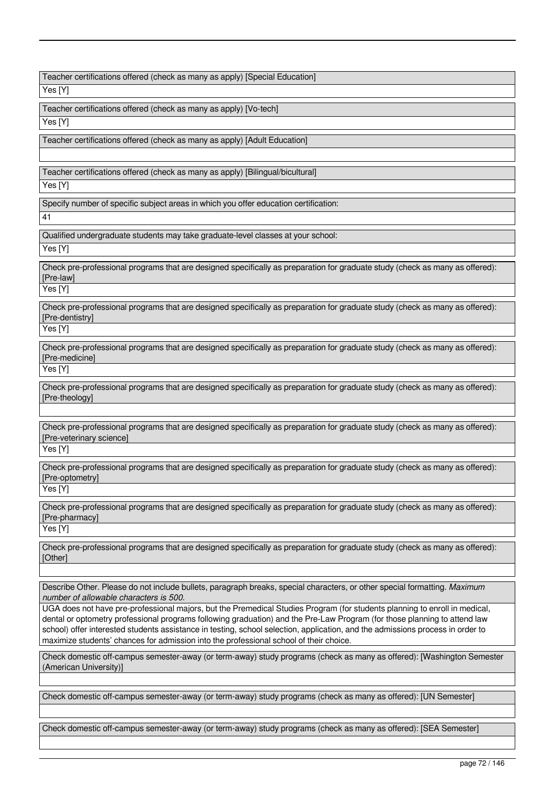Teacher certifications offered (check as many as apply) [Special Education]

Yes [Y]

Teacher certifications offered (check as many as apply) [Vo-tech]

Yes [Y]

Teacher certifications offered (check as many as apply) [Adult Education]

Teacher certifications offered (check as many as apply) [Bilingual/bicultural]

Yes [Y]

Specify number of specific subject areas in which you offer education certification:

41

Qualified undergraduate students may take graduate-level classes at your school:

Yes [Y]

Check pre-professional programs that are designed specifically as preparation for graduate study (check as many as offered): [Pre-law]

Yes [Y]

Check pre-professional programs that are designed specifically as preparation for graduate study (check as many as offered): [Pre-dentistry]

Yes [Y]

Check pre-professional programs that are designed specifically as preparation for graduate study (check as many as offered): [Pre-medicine]

Yes [Y]

Check pre-professional programs that are designed specifically as preparation for graduate study (check as many as offered): [Pre-theology]

Check pre-professional programs that are designed specifically as preparation for graduate study (check as many as offered): [Pre-veterinary science]

Yes [Y]

Check pre-professional programs that are designed specifically as preparation for graduate study (check as many as offered): [Pre-optometry]

Yes [Y]

Check pre-professional programs that are designed specifically as preparation for graduate study (check as many as offered): [Pre-pharmacy]

Yes [Y]

Check pre-professional programs that are designed specifically as preparation for graduate study (check as many as offered): [Other]

Describe Other. Please do not include bullets, paragraph breaks, special characters, or other special formatting. *Maximum number of allowable characters is 500.*

UGA does not have pre-professional majors, but the Premedical Studies Program (for students planning to enroll in medical, dental or optometry professional programs following graduation) and the Pre-Law Program (for those planning to attend law school) offer interested students assistance in testing, school selection, application, and the admissions process in order to maximize students' chances for admission into the professional school of their choice.

Check domestic off-campus semester-away (or term-away) study programs (check as many as offered): [Washington Semester (American University)]

Check domestic off-campus semester-away (or term-away) study programs (check as many as offered): [UN Semester]

Check domestic off-campus semester-away (or term-away) study programs (check as many as offered): [SEA Semester]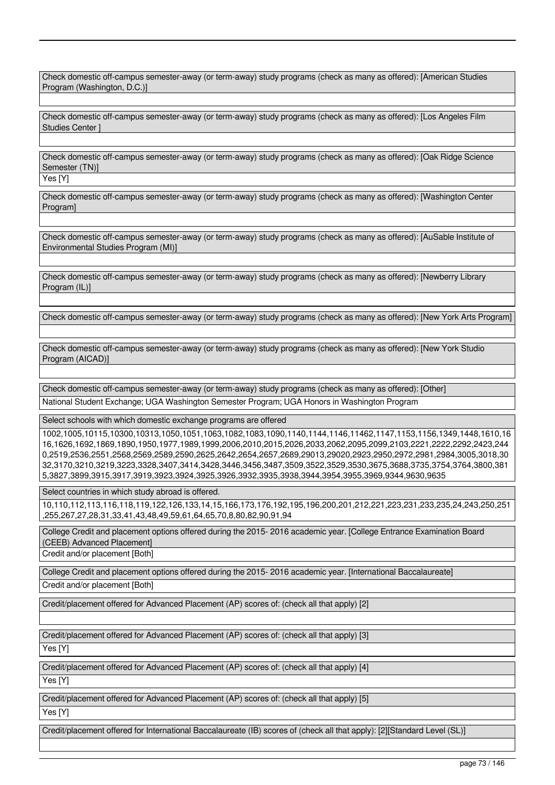Check domestic off-campus semester-away (or term-away) study programs (check as many as offered): [American Studies Program (Washington, D.C.)]

Check domestic off-campus semester-away (or term-away) study programs (check as many as offered): [Los Angeles Film Studies Center ]

Check domestic off-campus semester-away (or term-away) study programs (check as many as offered): [Oak Ridge Science Semester (TN)]

Yes [Y]

Check domestic off-campus semester-away (or term-away) study programs (check as many as offered): [Washington Center Program]

Check domestic off-campus semester-away (or term-away) study programs (check as many as offered): [AuSable Institute of Environmental Studies Program (MI)]

Check domestic off-campus semester-away (or term-away) study programs (check as many as offered): [Newberry Library Program (IL)]

Check domestic off-campus semester-away (or term-away) study programs (check as many as offered): [New York Arts Program]

Check domestic off-campus semester-away (or term-away) study programs (check as many as offered): [New York Studio Program (AICAD)]

Check domestic off-campus semester-away (or term-away) study programs (check as many as offered): [Other] National Student Exchange; UGA Washington Semester Program; UGA Honors in Washington Program

Select schools with which domestic exchange programs are offered

1002,1005,10115,10300,10313,1050,1051,1063,1082,1083,1090,1140,1144,1146,11462,1147,1153,1156,1349,1448,1610,16 16,1626,1692,1869,1890,1950,1977,1989,1999,2006,2010,2015,2026,2033,2062,2095,2099,2103,2221,2222,2292,2423,244 0,2519,2536,2551,2568,2569,2589,2590,2625,2642,2654,2657,2689,29013,29020,2923,2950,2972,2981,2984,3005,3018,30 32,3170,3210,3219,3223,3328,3407,3414,3428,3446,3456,3487,3509,3522,3529,3530,3675,3688,3735,3754,3764,3800,381 5,3827,3899,3915,3917,3919,3923,3924,3925,3926,3932,3935,3938,3944,3954,3955,3969,9344,9630,9635

Select countries in which study abroad is offered.

10,110,112,113,116,118,119,122,126,133,14,15,166,173,176,192,195,196,200,201,212,221,223,231,233,235,24,243,250,251 ,255,267,27,28,31,33,41,43,48,49,59,61,64,65,70,8,80,82,90,91,94

College Credit and placement options offered during the 2015- 2016 academic year. [College Entrance Examination Board (CEEB) Advanced Placement]

Credit and/or placement [Both]

College Credit and placement options offered during the 2015- 2016 academic year. [International Baccalaureate]

Credit and/or placement [Both]

Credit/placement offered for Advanced Placement (AP) scores of: (check all that apply) [2]

Credit/placement offered for Advanced Placement (AP) scores of: (check all that apply) [3]

Yes [Y]

Credit/placement offered for Advanced Placement (AP) scores of: (check all that apply) [4]

Yes IY

Credit/placement offered for Advanced Placement (AP) scores of: (check all that apply) [5]

Yes [Y]

Credit/placement offered for International Baccalaureate (IB) scores of (check all that apply): [2][Standard Level (SL)]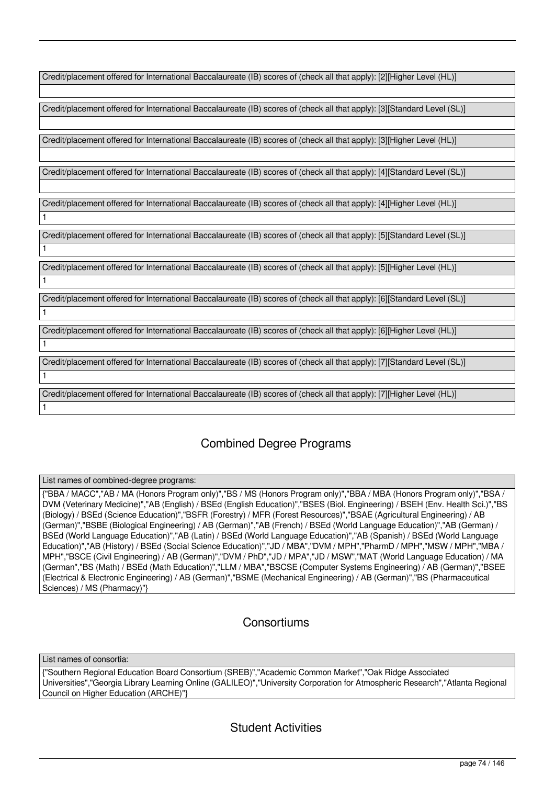| Credit/placement offered for International Baccalaureate (IB) scores of (check all that apply): [2][Higher Level (HL)]   |
|--------------------------------------------------------------------------------------------------------------------------|
|                                                                                                                          |
| Credit/placement offered for International Baccalaureate (IB) scores of (check all that apply): [3][Standard Level (SL)] |
|                                                                                                                          |
| Credit/placement offered for International Baccalaureate (IB) scores of (check all that apply): [3][Higher Level (HL)]   |
|                                                                                                                          |
| Credit/placement offered for International Baccalaureate (IB) scores of (check all that apply): [4][Standard Level (SL)] |
|                                                                                                                          |
| Credit/placement offered for International Baccalaureate (IB) scores of (check all that apply): [4][Higher Level (HL)]   |
| $\mathbf{1}$                                                                                                             |
| Credit/placement offered for International Baccalaureate (IB) scores of (check all that apply): [5][Standard Level (SL)] |
| $\mathbf{1}$                                                                                                             |
| Credit/placement offered for International Baccalaureate (IB) scores of (check all that apply): [5][Higher Level (HL)]   |
| $\mathbf{1}$                                                                                                             |
| Credit/placement offered for International Baccalaureate (IB) scores of (check all that apply): [6][Standard Level (SL)] |
| $\mathbf{1}$                                                                                                             |
| Credit/placement offered for International Baccalaureate (IB) scores of (check all that apply): [6][Higher Level (HL)]   |
| $\mathbf{1}$                                                                                                             |
| Credit/placement offered for International Baccalaureate (IB) scores of (check all that apply): [7][Standard Level (SL)] |
| $\mathbf{1}$                                                                                                             |
| Credit/placement offered for International Baccalaureate (IB) scores of (check all that apply): [7][Higher Level (HL)]   |
| $\mathbf{1}$                                                                                                             |
|                                                                                                                          |

# Combined Degree Programs

List names of combined-degree programs:

{"BBA / MACC","AB / MA (Honors Program only)","BS / MS (Honors Program only)","BBA / MBA (Honors Program only)","BSA / DVM (Veterinary Medicine)","AB (English) / BSEd (English Education)","BSES (Biol. Engineering) / BSEH (Env. Health Sci.)","BS (Biology) / BSEd (Science Education)","BSFR (Forestry) / MFR (Forest Resources)","BSAE (Agricultural Engineering) / AB (German)","BSBE (Biological Engineering) / AB (German)","AB (French) / BSEd (World Language Education)","AB (German) / BSEd (World Language Education)","AB (Latin) / BSEd (World Language Education)","AB (Spanish) / BSEd (World Language Education)","AB (History) / BSEd (Social Science Education)","JD / MBA","DVM / MPH","PharmD / MPH","MSW / MPH","MBA / MPH","BSCE (Civil Engineering) / AB (German)","DVM / PhD","JD / MPA","JD / MSW","MAT (World Language Education) / MA (German","BS (Math) / BSEd (Math Education)","LLM / MBA","BSCSE (Computer Systems Engineering) / AB (German)","BSEE (Electrical & Electronic Engineering) / AB (German)","BSME (Mechanical Engineering) / AB (German)","BS (Pharmaceutical Sciences) / MS (Pharmacy)"}

# **Consortiums**

List names of consortia:

{"Southern Regional Education Board Consortium (SREB)","Academic Common Market","Oak Ridge Associated Universities","Georgia Library Learning Online (GALILEO)","University Corporation for Atmospheric Research","Atlanta Regional Council on Higher Education (ARCHE)"}

# Student Activities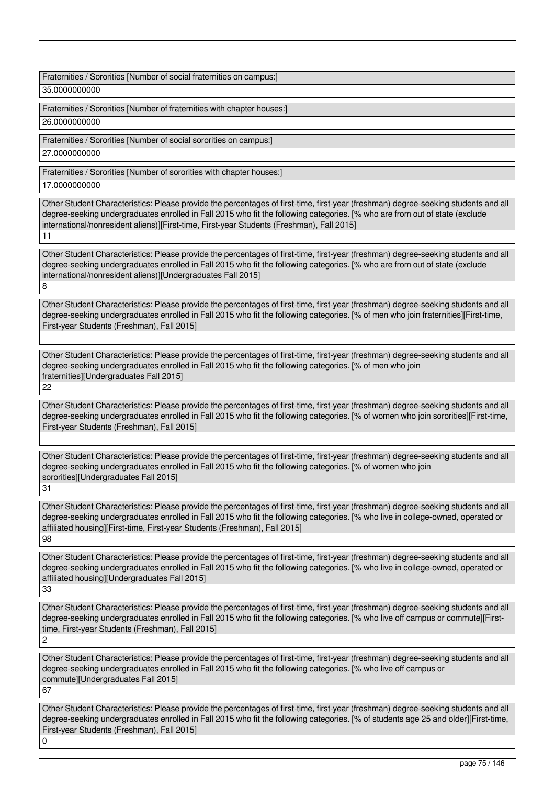Fraternities / Sororities [Number of social fraternities on campus:]

35.0000000000

Fraternities / Sororities [Number of fraternities with chapter houses:]

26.00000000000

Fraternities / Sororities [Number of social sororities on campus:]

27.0000000000

Fraternities / Sororities [Number of sororities with chapter houses:]

17.0000000000

Other Student Characteristics: Please provide the percentages of first-time, first-year (freshman) degree-seeking students and all degree-seeking undergraduates enrolled in Fall 2015 who fit the following categories. [% who are from out of state (exclude international/nonresident aliens)][First-time, First-year Students (Freshman), Fall 2015] 11

Other Student Characteristics: Please provide the percentages of first-time, first-year (freshman) degree-seeking students and all degree-seeking undergraduates enrolled in Fall 2015 who fit the following categories. [% who are from out of state (exclude international/nonresident aliens)][Undergraduates Fall 2015] 8

Other Student Characteristics: Please provide the percentages of first-time, first-year (freshman) degree-seeking students and all degree-seeking undergraduates enrolled in Fall 2015 who fit the following categories. [% of men who join fraternities][First-time, First-year Students (Freshman), Fall 2015]

Other Student Characteristics: Please provide the percentages of first-time, first-year (freshman) degree-seeking students and all degree-seeking undergraduates enrolled in Fall 2015 who fit the following categories. [% of men who join fraternities][Undergraduates Fall 2015] 22

Other Student Characteristics: Please provide the percentages of first-time, first-year (freshman) degree-seeking students and all degree-seeking undergraduates enrolled in Fall 2015 who fit the following categories. [% of women who join sororities][First-time, First-year Students (Freshman), Fall 2015]

Other Student Characteristics: Please provide the percentages of first-time, first-year (freshman) degree-seeking students and all degree-seeking undergraduates enrolled in Fall 2015 who fit the following categories. [% of women who join sororities][Undergraduates Fall 2015]

31

Other Student Characteristics: Please provide the percentages of first-time, first-year (freshman) degree-seeking students and all degree-seeking undergraduates enrolled in Fall 2015 who fit the following categories. [% who live in college-owned, operated or affiliated housing][First-time, First-year Students (Freshman), Fall 2015] 98

Other Student Characteristics: Please provide the percentages of first-time, first-year (freshman) degree-seeking students and all degree-seeking undergraduates enrolled in Fall 2015 who fit the following categories. [% who live in college-owned, operated or affiliated housing][Undergraduates Fall 2015]

33

Other Student Characteristics: Please provide the percentages of first-time, first-year (freshman) degree-seeking students and all degree-seeking undergraduates enrolled in Fall 2015 who fit the following categories. [% who live off campus or commute][Firsttime, First-year Students (Freshman), Fall 2015]  $\overline{2}$ 

Other Student Characteristics: Please provide the percentages of first-time, first-year (freshman) degree-seeking students and all degree-seeking undergraduates enrolled in Fall 2015 who fit the following categories. [% who live off campus or commute][Undergraduates Fall 2015] 67

Other Student Characteristics: Please provide the percentages of first-time, first-year (freshman) degree-seeking students and all degree-seeking undergraduates enrolled in Fall 2015 who fit the following categories. [% of students age 25 and older][First-time, First-year Students (Freshman), Fall 2015] 0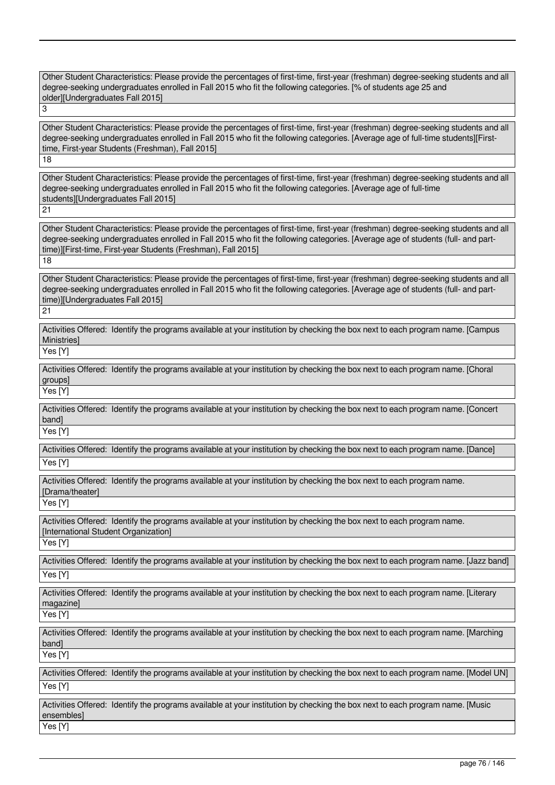Other Student Characteristics: Please provide the percentages of first-time, first-year (freshman) degree-seeking students and all degree-seeking undergraduates enrolled in Fall 2015 who fit the following categories. [% of students age 25 and older][Undergraduates Fall 2015] 3

Other Student Characteristics: Please provide the percentages of first-time, first-year (freshman) degree-seeking students and all degree-seeking undergraduates enrolled in Fall 2015 who fit the following categories. [Average age of full-time students][Firsttime, First-year Students (Freshman), Fall 2015]

18

Other Student Characteristics: Please provide the percentages of first-time, first-year (freshman) degree-seeking students and all degree-seeking undergraduates enrolled in Fall 2015 who fit the following categories. [Average age of full-time students][Undergraduates Fall 2015]

 $\overline{21}$ 

Other Student Characteristics: Please provide the percentages of first-time, first-year (freshman) degree-seeking students and all degree-seeking undergraduates enrolled in Fall 2015 who fit the following categories. [Average age of students (full- and parttime)][First-time, First-year Students (Freshman), Fall 2015] 18

Other Student Characteristics: Please provide the percentages of first-time, first-year (freshman) degree-seeking students and all degree-seeking undergraduates enrolled in Fall 2015 who fit the following categories. [Average age of students (full- and parttime)][Undergraduates Fall 2015]

21

Activities Offered: Identify the programs available at your institution by checking the box next to each program name. [Campus **Ministries1** 

Yes [Y]

Activities Offered: Identify the programs available at your institution by checking the box next to each program name. [Choral groups]

Yes [Y]

Activities Offered: Identify the programs available at your institution by checking the box next to each program name. [Concert band]

Yes [Y]

Activities Offered: Identify the programs available at your institution by checking the box next to each program name. [Dance] Yes [Y]

Activities Offered: Identify the programs available at your institution by checking the box next to each program name. [Drama/theater]

Yes [Y]

Activities Offered: Identify the programs available at your institution by checking the box next to each program name. [International Student Organization]

Yes [Y]

Activities Offered: Identify the programs available at your institution by checking the box next to each program name. [Jazz band] Yes [Y]

Activities Offered: Identify the programs available at your institution by checking the box next to each program name. [Literary magazine]

Yes [Y]

Activities Offered: Identify the programs available at your institution by checking the box next to each program name. [Marching band]

Yes [Y]

Activities Offered: Identify the programs available at your institution by checking the box next to each program name. [Model UN] Yes [Y]

Activities Offered: Identify the programs available at your institution by checking the box next to each program name. [Music ensembles] Yes [Y]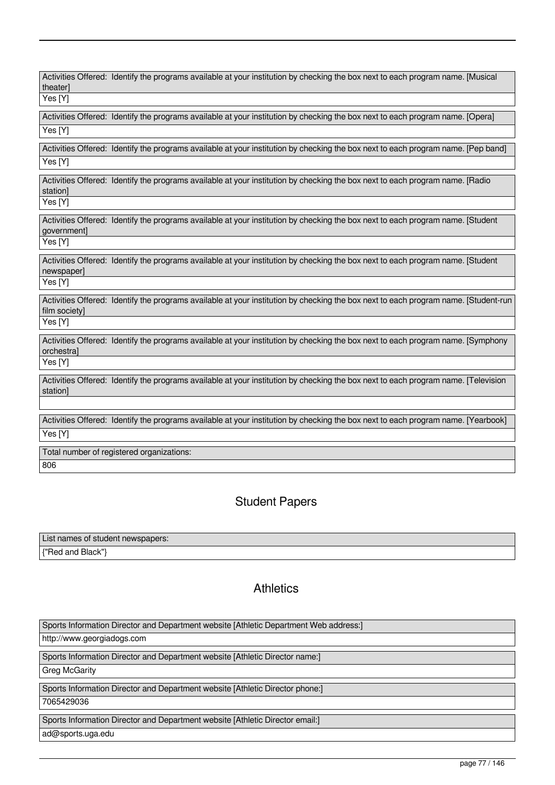| Activities Offered: Identify the programs available at your institution by checking the box next to each program name. [Musical<br>theaterl          |
|------------------------------------------------------------------------------------------------------------------------------------------------------|
| Yes [Y]                                                                                                                                              |
| Activities Offered: Identify the programs available at your institution by checking the box next to each program name. [Opera]                       |
| Yes [Y]                                                                                                                                              |
| Activities Offered: Identify the programs available at your institution by checking the box next to each program name. [Pep band]<br>Yes [Y]         |
|                                                                                                                                                      |
| Activities Offered: Identify the programs available at your institution by checking the box next to each program name. [Radio<br>station]            |
| Yes [Y]                                                                                                                                              |
| Activities Offered: Identify the programs available at your institution by checking the box next to each program name. [Student<br>government]       |
| Yes [Y]                                                                                                                                              |
| Activities Offered: Identify the programs available at your institution by checking the box next to each program name. [Student<br>newspaper]        |
| Yes [Y]                                                                                                                                              |
| Activities Offered: Identify the programs available at your institution by checking the box next to each program name. [Student-run<br>film society] |
| Yes [Y]                                                                                                                                              |
| Activities Offered: Identify the programs available at your institution by checking the box next to each program name. [Symphony<br>orchestra]       |
| Yes [Y]                                                                                                                                              |
| Activities Offered: Identify the programs available at your institution by checking the box next to each program name. [Television<br>station]       |
|                                                                                                                                                      |
| Activities Offered: Identify the programs available at your institution by checking the box next to each program name. [Yearbook]                    |
| Yes [Y]                                                                                                                                              |
| Total number of registered organizations:                                                                                                            |
| 806                                                                                                                                                  |

# Student Papers

| List names of student newspapers: |  |
|-----------------------------------|--|
| {"Red and Black"}                 |  |

# **Athletics**

| Sports Information Director and Department website [Athletic Department Web address:] |
|---------------------------------------------------------------------------------------|
| http://www.georgiadogs.com                                                            |
|                                                                                       |
| Sports Information Director and Department website [Athletic Director name:]          |
| Greg McGarity                                                                         |
|                                                                                       |
| Sports Information Director and Department website [Athletic Director phone:]         |
| 7065429036                                                                            |
|                                                                                       |
| Sports Information Director and Department website [Athletic Director email:]         |
| ad@sports.uga.edu                                                                     |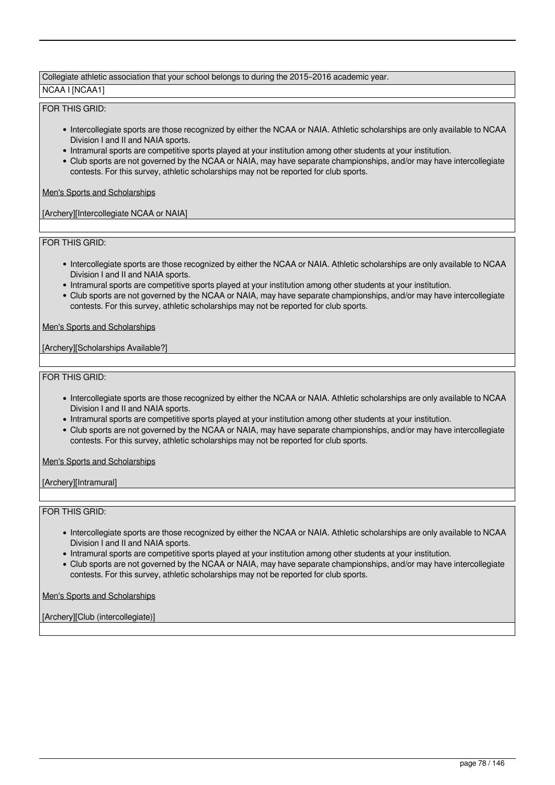#### Collegiate athletic association that your school belongs to during the 2015–2016 academic year.

NCAA I [NCAA1]

# FOR THIS GRID:

- Intercollegiate sports are those recognized by either the NCAA or NAIA. Athletic scholarships are only available to NCAA Division I and II and NAIA sports.
- Intramural sports are competitive sports played at your institution among other students at your institution.
- Club sports are not governed by the NCAA or NAIA, may have separate championships, and/or may have intercollegiate contests. For this survey, athletic scholarships may not be reported for club sports.

Men's Sports and Scholarships

[Archery][Intercollegiate NCAA or NAIA]

FOR THIS GRID:

- Intercollegiate sports are those recognized by either the NCAA or NAIA. Athletic scholarships are only available to NCAA Division I and II and NAIA sports.
- Intramural sports are competitive sports played at your institution among other students at your institution.
- Club sports are not governed by the NCAA or NAIA, may have separate championships, and/or may have intercollegiate contests. For this survey, athletic scholarships may not be reported for club sports.

Men's Sports and Scholarships

[Archery][Scholarships Available?]

FOR THIS GRID:

- Intercollegiate sports are those recognized by either the NCAA or NAIA. Athletic scholarships are only available to NCAA Division I and II and NAIA sports.
- Intramural sports are competitive sports played at your institution among other students at your institution.
- Club sports are not governed by the NCAA or NAIA, may have separate championships, and/or may have intercollegiate contests. For this survey, athletic scholarships may not be reported for club sports.

Men's Sports and Scholarships

[Archery][Intramural]

#### FOR THIS GRID:

- Intercollegiate sports are those recognized by either the NCAA or NAIA. Athletic scholarships are only available to NCAA Division I and II and NAIA sports.
- Intramural sports are competitive sports played at your institution among other students at your institution.
- Club sports are not governed by the NCAA or NAIA, may have separate championships, and/or may have intercollegiate contests. For this survey, athletic scholarships may not be reported for club sports.

Men's Sports and Scholarships

[Archery][Club (intercollegiate)]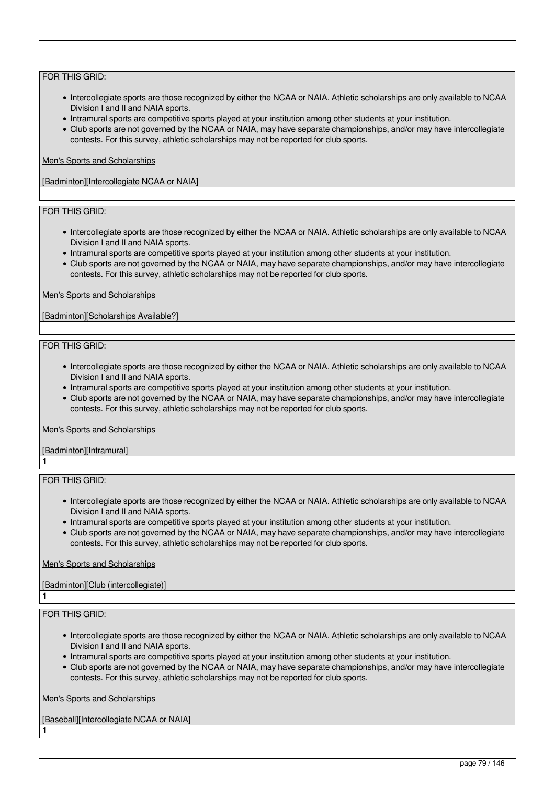- Intercollegiate sports are those recognized by either the NCAA or NAIA. Athletic scholarships are only available to NCAA Division I and II and NAIA sports.
- Intramural sports are competitive sports played at your institution among other students at your institution.
- Club sports are not governed by the NCAA or NAIA, may have separate championships, and/or may have intercollegiate contests. For this survey, athletic scholarships may not be reported for club sports.

### Men's Sports and Scholarships

[Badminton][Intercollegiate NCAA or NAIA]

# FOR THIS GRID:

- Intercollegiate sports are those recognized by either the NCAA or NAIA. Athletic scholarships are only available to NCAA Division I and II and NAIA sports.
- Intramural sports are competitive sports played at your institution among other students at your institution.
- Club sports are not governed by the NCAA or NAIA, may have separate championships, and/or may have intercollegiate contests. For this survey, athletic scholarships may not be reported for club sports.

#### Men's Sports and Scholarships

[Badminton][Scholarships Available?]

#### FOR THIS GRID:

- Intercollegiate sports are those recognized by either the NCAA or NAIA. Athletic scholarships are only available to NCAA Division I and II and NAIA sports.
- Intramural sports are competitive sports played at your institution among other students at your institution.
- Club sports are not governed by the NCAA or NAIA, may have separate championships, and/or may have intercollegiate contests. For this survey, athletic scholarships may not be reported for club sports.

#### Men's Sports and Scholarships

[Badminton][Intramural] 1

### FOR THIS GRID:

- Intercollegiate sports are those recognized by either the NCAA or NAIA. Athletic scholarships are only available to NCAA Division I and II and NAIA sports.
- Intramural sports are competitive sports played at your institution among other students at your institution.
- Club sports are not governed by the NCAA or NAIA, may have separate championships, and/or may have intercollegiate contests. For this survey, athletic scholarships may not be reported for club sports.

# Men's Sports and Scholarships

# [Badminton][Club (intercollegiate)]

# FOR THIS GRID:

1

1

- Intercollegiate sports are those recognized by either the NCAA or NAIA. Athletic scholarships are only available to NCAA Division I and II and NAIA sports.
- Intramural sports are competitive sports played at your institution among other students at your institution.
- Club sports are not governed by the NCAA or NAIA, may have separate championships, and/or may have intercollegiate contests. For this survey, athletic scholarships may not be reported for club sports.

# Men's Sports and Scholarships

[Baseball][Intercollegiate NCAA or NAIA]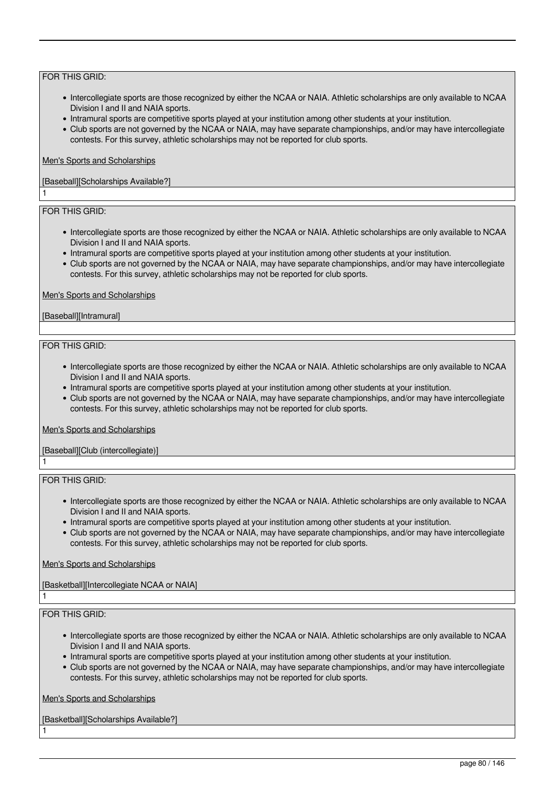- Intercollegiate sports are those recognized by either the NCAA or NAIA. Athletic scholarships are only available to NCAA Division I and II and NAIA sports.
- Intramural sports are competitive sports played at your institution among other students at your institution.
- Club sports are not governed by the NCAA or NAIA, may have separate championships, and/or may have intercollegiate contests. For this survey, athletic scholarships may not be reported for club sports.

#### Men's Sports and Scholarships

### [Baseball][Scholarships Available?]

# FOR THIS GRID:

1

- Intercollegiate sports are those recognized by either the NCAA or NAIA. Athletic scholarships are only available to NCAA Division I and II and NAIA sports.
- Intramural sports are competitive sports played at your institution among other students at your institution.
- Club sports are not governed by the NCAA or NAIA, may have separate championships, and/or may have intercollegiate contests. For this survey, athletic scholarships may not be reported for club sports.

#### Men's Sports and Scholarships

[Baseball][Intramural]

#### FOR THIS GRID:

- Intercollegiate sports are those recognized by either the NCAA or NAIA. Athletic scholarships are only available to NCAA Division I and II and NAIA sports.
- Intramural sports are competitive sports played at your institution among other students at your institution.
- Club sports are not governed by the NCAA or NAIA, may have separate championships, and/or may have intercollegiate contests. For this survey, athletic scholarships may not be reported for club sports.

#### Men's Sports and Scholarships

# [Baseball][Club (intercollegiate)]

FOR THIS GRID:

1

1

1

- Intercollegiate sports are those recognized by either the NCAA or NAIA. Athletic scholarships are only available to NCAA Division I and II and NAIA sports.
- Intramural sports are competitive sports played at your institution among other students at your institution.
- Club sports are not governed by the NCAA or NAIA, may have separate championships, and/or may have intercollegiate contests. For this survey, athletic scholarships may not be reported for club sports.

# Men's Sports and Scholarships

[Basketball][Intercollegiate NCAA or NAIA]

# FOR THIS GRID:

- Intercollegiate sports are those recognized by either the NCAA or NAIA. Athletic scholarships are only available to NCAA Division I and II and NAIA sports.
- Intramural sports are competitive sports played at your institution among other students at your institution.
- Club sports are not governed by the NCAA or NAIA, may have separate championships, and/or may have intercollegiate contests. For this survey, athletic scholarships may not be reported for club sports.

Men's Sports and Scholarships

[Basketball][Scholarships Available?]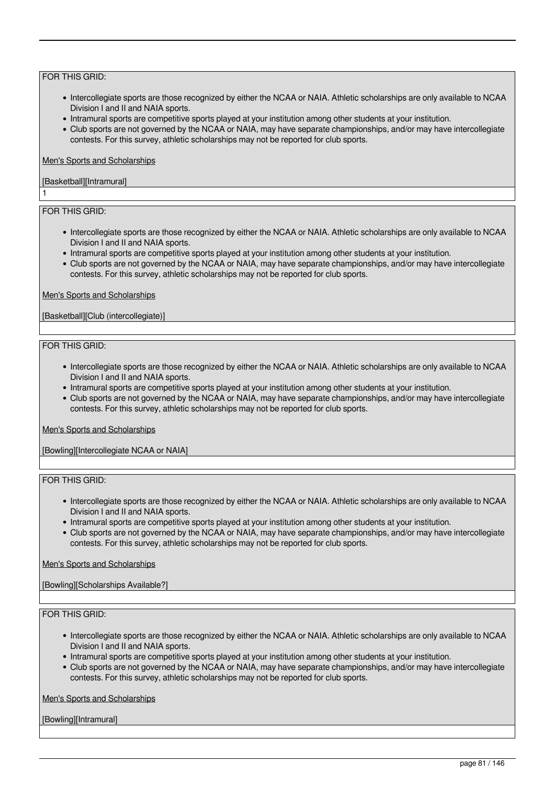- Intercollegiate sports are those recognized by either the NCAA or NAIA. Athletic scholarships are only available to NCAA Division I and II and NAIA sports.
- Intramural sports are competitive sports played at your institution among other students at your institution.
- Club sports are not governed by the NCAA or NAIA, may have separate championships, and/or may have intercollegiate contests. For this survey, athletic scholarships may not be reported for club sports.

# Men's Sports and Scholarships

# [Basketball][Intramural]

# FOR THIS GRID:

1

- Intercollegiate sports are those recognized by either the NCAA or NAIA. Athletic scholarships are only available to NCAA Division I and II and NAIA sports.
- Intramural sports are competitive sports played at your institution among other students at your institution.
- Club sports are not governed by the NCAA or NAIA, may have separate championships, and/or may have intercollegiate contests. For this survey, athletic scholarships may not be reported for club sports.

#### Men's Sports and Scholarships

### [Basketball][Club (intercollegiate)]

#### FOR THIS GRID:

- Intercollegiate sports are those recognized by either the NCAA or NAIA. Athletic scholarships are only available to NCAA Division I and II and NAIA sports.
- Intramural sports are competitive sports played at your institution among other students at your institution.
- Club sports are not governed by the NCAA or NAIA, may have separate championships, and/or may have intercollegiate contests. For this survey, athletic scholarships may not be reported for club sports.

#### Men's Sports and Scholarships

[Bowling][Intercollegiate NCAA or NAIA]

# FOR THIS GRID:

- Intercollegiate sports are those recognized by either the NCAA or NAIA. Athletic scholarships are only available to NCAA Division I and II and NAIA sports.
- Intramural sports are competitive sports played at your institution among other students at your institution.
- Club sports are not governed by the NCAA or NAIA, may have separate championships, and/or may have intercollegiate contests. For this survey, athletic scholarships may not be reported for club sports.

# Men's Sports and Scholarships

# [Bowling][Scholarships Available?]

# FOR THIS GRID:

- Intercollegiate sports are those recognized by either the NCAA or NAIA. Athletic scholarships are only available to NCAA Division I and II and NAIA sports.
- Intramural sports are competitive sports played at your institution among other students at your institution.
- Club sports are not governed by the NCAA or NAIA, may have separate championships, and/or may have intercollegiate contests. For this survey, athletic scholarships may not be reported for club sports.

Men's Sports and Scholarships

[Bowling][Intramural]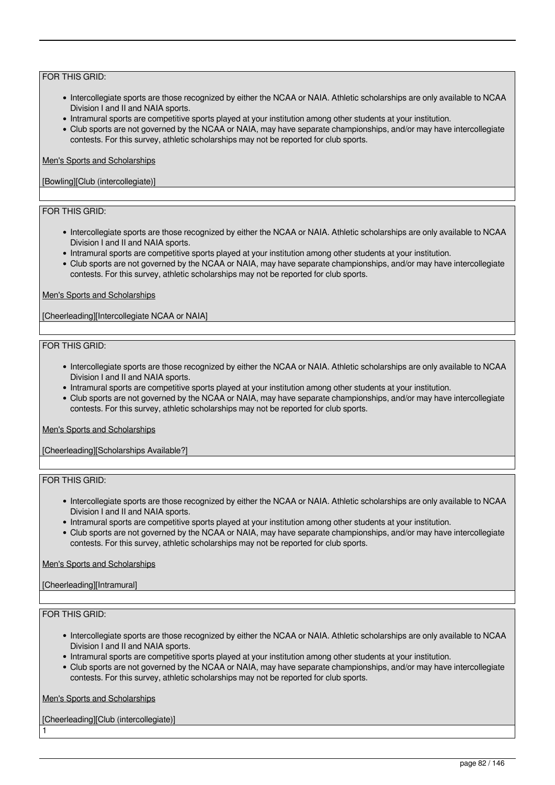- Intercollegiate sports are those recognized by either the NCAA or NAIA. Athletic scholarships are only available to NCAA Division I and II and NAIA sports.
- Intramural sports are competitive sports played at your institution among other students at your institution.
- Club sports are not governed by the NCAA or NAIA, may have separate championships, and/or may have intercollegiate contests. For this survey, athletic scholarships may not be reported for club sports.

#### Men's Sports and Scholarships

### [Bowling][Club (intercollegiate)]

# FOR THIS GRID:

- Intercollegiate sports are those recognized by either the NCAA or NAIA. Athletic scholarships are only available to NCAA Division I and II and NAIA sports.
- Intramural sports are competitive sports played at your institution among other students at your institution.
- Club sports are not governed by the NCAA or NAIA, may have separate championships, and/or may have intercollegiate contests. For this survey, athletic scholarships may not be reported for club sports.

#### Men's Sports and Scholarships

[Cheerleading][Intercollegiate NCAA or NAIA]

#### FOR THIS GRID:

- Intercollegiate sports are those recognized by either the NCAA or NAIA. Athletic scholarships are only available to NCAA Division I and II and NAIA sports.
- Intramural sports are competitive sports played at your institution among other students at your institution.
- Club sports are not governed by the NCAA or NAIA, may have separate championships, and/or may have intercollegiate contests. For this survey, athletic scholarships may not be reported for club sports.

#### Men's Sports and Scholarships

[Cheerleading][Scholarships Available?]

# FOR THIS GRID:

- Intercollegiate sports are those recognized by either the NCAA or NAIA. Athletic scholarships are only available to NCAA Division I and II and NAIA sports.
- Intramural sports are competitive sports played at your institution among other students at your institution.
- Club sports are not governed by the NCAA or NAIA, may have separate championships, and/or may have intercollegiate contests. For this survey, athletic scholarships may not be reported for club sports.

# Men's Sports and Scholarships

# [Cheerleading][Intramural]

# FOR THIS GRID:

1

- Intercollegiate sports are those recognized by either the NCAA or NAIA. Athletic scholarships are only available to NCAA Division I and II and NAIA sports.
- Intramural sports are competitive sports played at your institution among other students at your institution.
- Club sports are not governed by the NCAA or NAIA, may have separate championships, and/or may have intercollegiate contests. For this survey, athletic scholarships may not be reported for club sports.

Men's Sports and Scholarships

[Cheerleading][Club (intercollegiate)]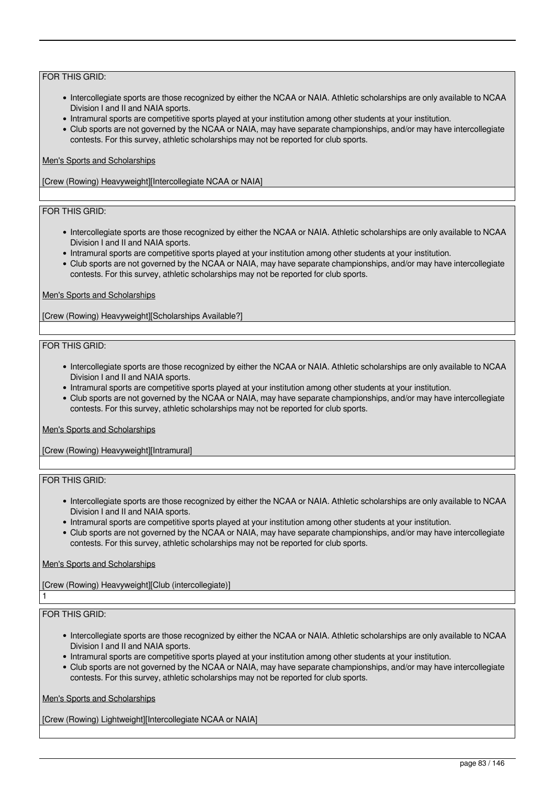- Intercollegiate sports are those recognized by either the NCAA or NAIA. Athletic scholarships are only available to NCAA Division I and II and NAIA sports.
- Intramural sports are competitive sports played at your institution among other students at your institution.
- Club sports are not governed by the NCAA or NAIA, may have separate championships, and/or may have intercollegiate contests. For this survey, athletic scholarships may not be reported for club sports.

### Men's Sports and Scholarships

[Crew (Rowing) Heavyweight][Intercollegiate NCAA or NAIA]

# FOR THIS GRID:

- Intercollegiate sports are those recognized by either the NCAA or NAIA. Athletic scholarships are only available to NCAA Division I and II and NAIA sports.
- Intramural sports are competitive sports played at your institution among other students at your institution.
- Club sports are not governed by the NCAA or NAIA, may have separate championships, and/or may have intercollegiate contests. For this survey, athletic scholarships may not be reported for club sports.

#### Men's Sports and Scholarships

[Crew (Rowing) Heavyweight][Scholarships Available?]

#### FOR THIS GRID:

- Intercollegiate sports are those recognized by either the NCAA or NAIA. Athletic scholarships are only available to NCAA Division I and II and NAIA sports.
- Intramural sports are competitive sports played at your institution among other students at your institution.
- Club sports are not governed by the NCAA or NAIA, may have separate championships, and/or may have intercollegiate contests. For this survey, athletic scholarships may not be reported for club sports.

#### Men's Sports and Scholarships

[Crew (Rowing) Heavyweight][Intramural]

# FOR THIS GRID:

- Intercollegiate sports are those recognized by either the NCAA or NAIA. Athletic scholarships are only available to NCAA Division I and II and NAIA sports.
- Intramural sports are competitive sports played at your institution among other students at your institution.
- Club sports are not governed by the NCAA or NAIA, may have separate championships, and/or may have intercollegiate contests. For this survey, athletic scholarships may not be reported for club sports.

#### Men's Sports and Scholarships

[Crew (Rowing) Heavyweight][Club (intercollegiate)]

# FOR THIS GRID:

1

- Intercollegiate sports are those recognized by either the NCAA or NAIA. Athletic scholarships are only available to NCAA Division I and II and NAIA sports.
- Intramural sports are competitive sports played at your institution among other students at your institution.
- Club sports are not governed by the NCAA or NAIA, may have separate championships, and/or may have intercollegiate contests. For this survey, athletic scholarships may not be reported for club sports.

Men's Sports and Scholarships

[Crew (Rowing) Lightweight][Intercollegiate NCAA or NAIA]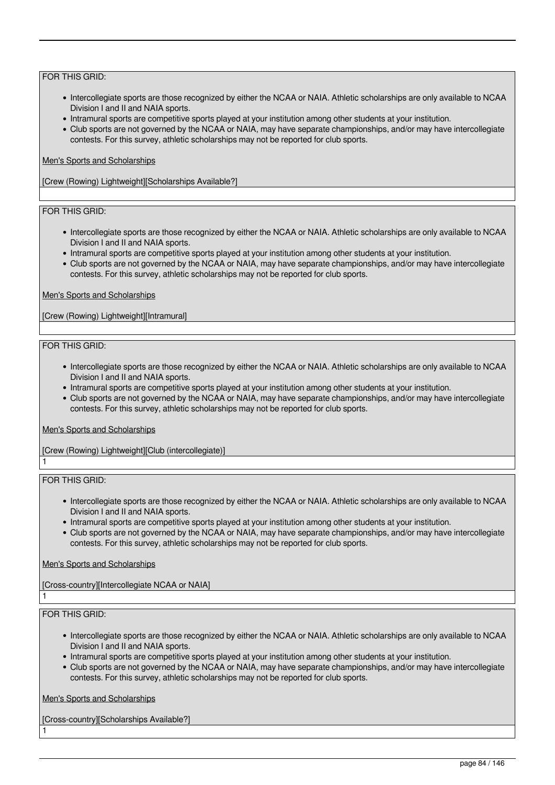- Intercollegiate sports are those recognized by either the NCAA or NAIA. Athletic scholarships are only available to NCAA Division I and II and NAIA sports.
- Intramural sports are competitive sports played at your institution among other students at your institution.
- Club sports are not governed by the NCAA or NAIA, may have separate championships, and/or may have intercollegiate contests. For this survey, athletic scholarships may not be reported for club sports.

### Men's Sports and Scholarships

[Crew (Rowing) Lightweight][Scholarships Available?]

# FOR THIS GRID:

- Intercollegiate sports are those recognized by either the NCAA or NAIA. Athletic scholarships are only available to NCAA Division I and II and NAIA sports.
- Intramural sports are competitive sports played at your institution among other students at your institution.
- Club sports are not governed by the NCAA or NAIA, may have separate championships, and/or may have intercollegiate contests. For this survey, athletic scholarships may not be reported for club sports.

#### Men's Sports and Scholarships

[Crew (Rowing) Lightweight][Intramural]

#### FOR THIS GRID:

- Intercollegiate sports are those recognized by either the NCAA or NAIA. Athletic scholarships are only available to NCAA Division I and II and NAIA sports.
- Intramural sports are competitive sports played at your institution among other students at your institution.
- Club sports are not governed by the NCAA or NAIA, may have separate championships, and/or may have intercollegiate contests. For this survey, athletic scholarships may not be reported for club sports.

# Men's Sports and Scholarships

[Crew (Rowing) Lightweight][Club (intercollegiate)]

# FOR THIS GRID:

1

1

1

- Intercollegiate sports are those recognized by either the NCAA or NAIA. Athletic scholarships are only available to NCAA Division I and II and NAIA sports.
- Intramural sports are competitive sports played at your institution among other students at your institution.
- Club sports are not governed by the NCAA or NAIA, may have separate championships, and/or may have intercollegiate contests. For this survey, athletic scholarships may not be reported for club sports.

# Men's Sports and Scholarships

[Cross-country][Intercollegiate NCAA or NAIA]

# FOR THIS GRID:

- Intercollegiate sports are those recognized by either the NCAA or NAIA. Athletic scholarships are only available to NCAA Division I and II and NAIA sports.
- Intramural sports are competitive sports played at your institution among other students at your institution.
- Club sports are not governed by the NCAA or NAIA, may have separate championships, and/or may have intercollegiate contests. For this survey, athletic scholarships may not be reported for club sports.

Men's Sports and Scholarships

[Cross-country][Scholarships Available?]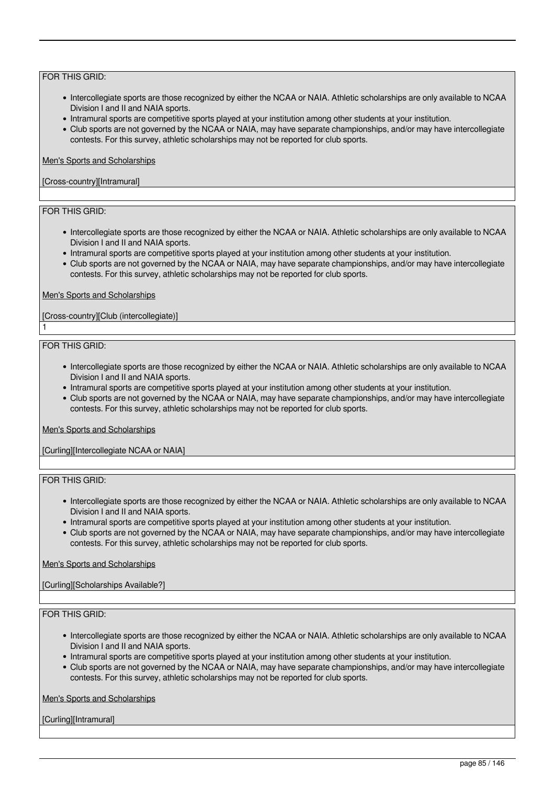- Intercollegiate sports are those recognized by either the NCAA or NAIA. Athletic scholarships are only available to NCAA Division I and II and NAIA sports.
- Intramural sports are competitive sports played at your institution among other students at your institution.
- Club sports are not governed by the NCAA or NAIA, may have separate championships, and/or may have intercollegiate contests. For this survey, athletic scholarships may not be reported for club sports.

### Men's Sports and Scholarships

# [Cross-country][Intramural]

# FOR THIS GRID:

- Intercollegiate sports are those recognized by either the NCAA or NAIA. Athletic scholarships are only available to NCAA Division I and II and NAIA sports.
- Intramural sports are competitive sports played at your institution among other students at your institution.
- Club sports are not governed by the NCAA or NAIA, may have separate championships, and/or may have intercollegiate contests. For this survey, athletic scholarships may not be reported for club sports.

#### Men's Sports and Scholarships

[Cross-country][Club (intercollegiate)]

#### FOR THIS GRID:

1

- Intercollegiate sports are those recognized by either the NCAA or NAIA. Athletic scholarships are only available to NCAA Division I and II and NAIA sports.
- Intramural sports are competitive sports played at your institution among other students at your institution.
- Club sports are not governed by the NCAA or NAIA, may have separate championships, and/or may have intercollegiate contests. For this survey, athletic scholarships may not be reported for club sports.

#### Men's Sports and Scholarships

[Curling][Intercollegiate NCAA or NAIA]

# FOR THIS GRID:

- Intercollegiate sports are those recognized by either the NCAA or NAIA. Athletic scholarships are only available to NCAA Division I and II and NAIA sports.
- Intramural sports are competitive sports played at your institution among other students at your institution.
- Club sports are not governed by the NCAA or NAIA, may have separate championships, and/or may have intercollegiate contests. For this survey, athletic scholarships may not be reported for club sports.

# Men's Sports and Scholarships

[Curling][Scholarships Available?]

# FOR THIS GRID:

- Intercollegiate sports are those recognized by either the NCAA or NAIA. Athletic scholarships are only available to NCAA Division I and II and NAIA sports.
- Intramural sports are competitive sports played at your institution among other students at your institution.
- Club sports are not governed by the NCAA or NAIA, may have separate championships, and/or may have intercollegiate contests. For this survey, athletic scholarships may not be reported for club sports.

Men's Sports and Scholarships

[Curling][Intramural]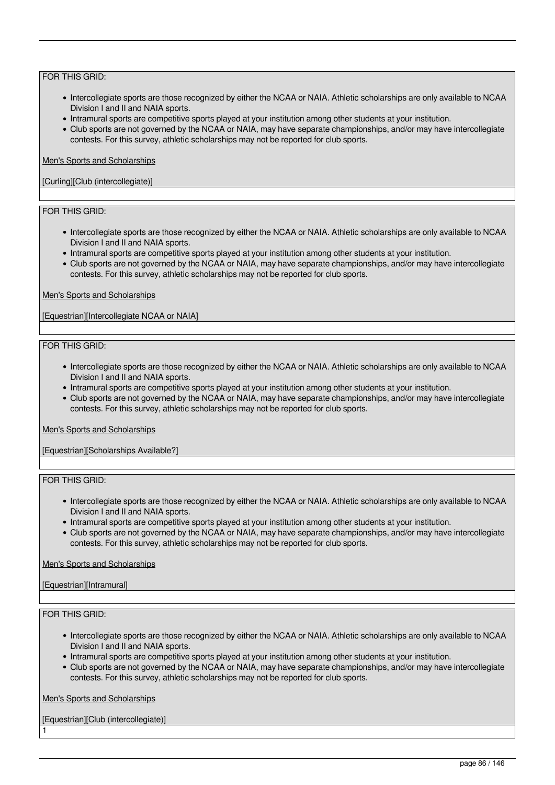- Intercollegiate sports are those recognized by either the NCAA or NAIA. Athletic scholarships are only available to NCAA Division I and II and NAIA sports.
- Intramural sports are competitive sports played at your institution among other students at your institution.
- Club sports are not governed by the NCAA or NAIA, may have separate championships, and/or may have intercollegiate contests. For this survey, athletic scholarships may not be reported for club sports.

#### Men's Sports and Scholarships

### [Curling][Club (intercollegiate)]

# FOR THIS GRID:

- Intercollegiate sports are those recognized by either the NCAA or NAIA. Athletic scholarships are only available to NCAA Division I and II and NAIA sports.
- Intramural sports are competitive sports played at your institution among other students at your institution.
- Club sports are not governed by the NCAA or NAIA, may have separate championships, and/or may have intercollegiate contests. For this survey, athletic scholarships may not be reported for club sports.

#### Men's Sports and Scholarships

[Equestrian][Intercollegiate NCAA or NAIA]

#### FOR THIS GRID:

- Intercollegiate sports are those recognized by either the NCAA or NAIA. Athletic scholarships are only available to NCAA Division I and II and NAIA sports.
- Intramural sports are competitive sports played at your institution among other students at your institution.
- Club sports are not governed by the NCAA or NAIA, may have separate championships, and/or may have intercollegiate contests. For this survey, athletic scholarships may not be reported for club sports.

#### Men's Sports and Scholarships

[Equestrian][Scholarships Available?]

# FOR THIS GRID:

- Intercollegiate sports are those recognized by either the NCAA or NAIA. Athletic scholarships are only available to NCAA Division I and II and NAIA sports.
- Intramural sports are competitive sports played at your institution among other students at your institution.
- Club sports are not governed by the NCAA or NAIA, may have separate championships, and/or may have intercollegiate contests. For this survey, athletic scholarships may not be reported for club sports.

#### Men's Sports and Scholarships

# [Equestrian][Intramural]

# FOR THIS GRID:

1

- Intercollegiate sports are those recognized by either the NCAA or NAIA. Athletic scholarships are only available to NCAA Division I and II and NAIA sports.
- Intramural sports are competitive sports played at your institution among other students at your institution.
- Club sports are not governed by the NCAA or NAIA, may have separate championships, and/or may have intercollegiate contests. For this survey, athletic scholarships may not be reported for club sports.

Men's Sports and Scholarships

[Equestrian][Club (intercollegiate)]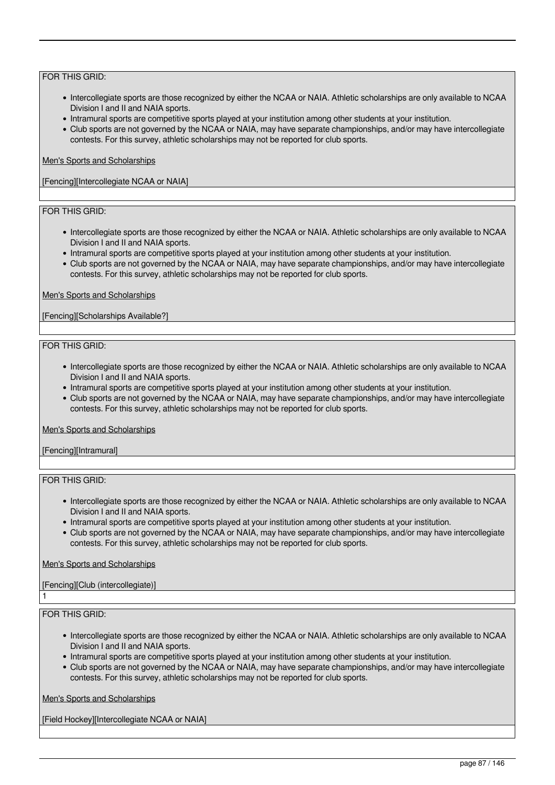- Intercollegiate sports are those recognized by either the NCAA or NAIA. Athletic scholarships are only available to NCAA Division I and II and NAIA sports.
- Intramural sports are competitive sports played at your institution among other students at your institution.
- Club sports are not governed by the NCAA or NAIA, may have separate championships, and/or may have intercollegiate contests. For this survey, athletic scholarships may not be reported for club sports.

### Men's Sports and Scholarships

[Fencing][Intercollegiate NCAA or NAIA]

# FOR THIS GRID:

- Intercollegiate sports are those recognized by either the NCAA or NAIA. Athletic scholarships are only available to NCAA Division I and II and NAIA sports.
- Intramural sports are competitive sports played at your institution among other students at your institution.
- Club sports are not governed by the NCAA or NAIA, may have separate championships, and/or may have intercollegiate contests. For this survey, athletic scholarships may not be reported for club sports.

#### Men's Sports and Scholarships

[Fencing][Scholarships Available?]

#### FOR THIS GRID:

- Intercollegiate sports are those recognized by either the NCAA or NAIA. Athletic scholarships are only available to NCAA Division I and II and NAIA sports.
- Intramural sports are competitive sports played at your institution among other students at your institution.
- Club sports are not governed by the NCAA or NAIA, may have separate championships, and/or may have intercollegiate contests. For this survey, athletic scholarships may not be reported for club sports.

#### Men's Sports and Scholarships

[Fencing][Intramural]

# FOR THIS GRID:

- Intercollegiate sports are those recognized by either the NCAA or NAIA. Athletic scholarships are only available to NCAA Division I and II and NAIA sports.
- Intramural sports are competitive sports played at your institution among other students at your institution.
- Club sports are not governed by the NCAA or NAIA, may have separate championships, and/or may have intercollegiate contests. For this survey, athletic scholarships may not be reported for club sports.

# Men's Sports and Scholarships

# [Fencing][Club (intercollegiate)]

# FOR THIS GRID:

1

- Intercollegiate sports are those recognized by either the NCAA or NAIA. Athletic scholarships are only available to NCAA Division I and II and NAIA sports.
- Intramural sports are competitive sports played at your institution among other students at your institution.
- Club sports are not governed by the NCAA or NAIA, may have separate championships, and/or may have intercollegiate contests. For this survey, athletic scholarships may not be reported for club sports.

# Men's Sports and Scholarships

[Field Hockey][Intercollegiate NCAA or NAIA]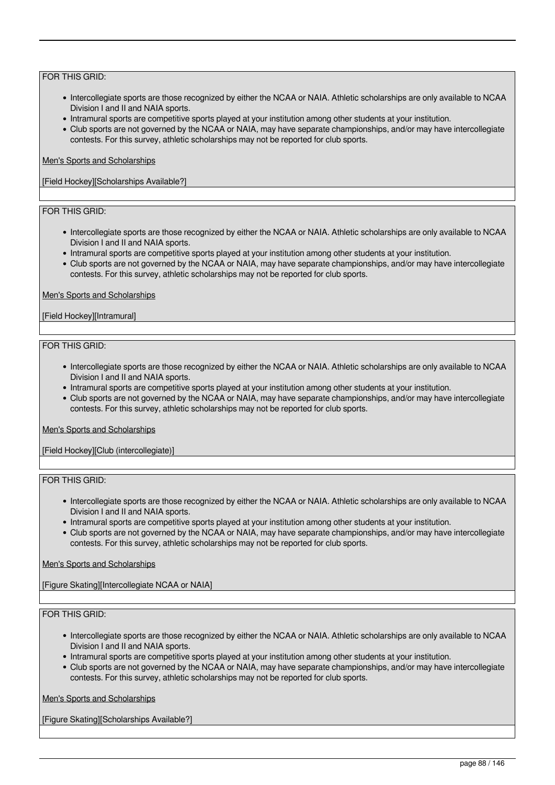- Intercollegiate sports are those recognized by either the NCAA or NAIA. Athletic scholarships are only available to NCAA Division I and II and NAIA sports.
- Intramural sports are competitive sports played at your institution among other students at your institution.
- Club sports are not governed by the NCAA or NAIA, may have separate championships, and/or may have intercollegiate contests. For this survey, athletic scholarships may not be reported for club sports.

### Men's Sports and Scholarships

[Field Hockey][Scholarships Available?]

# FOR THIS GRID:

- Intercollegiate sports are those recognized by either the NCAA or NAIA. Athletic scholarships are only available to NCAA Division I and II and NAIA sports.
- Intramural sports are competitive sports played at your institution among other students at your institution.
- Club sports are not governed by the NCAA or NAIA, may have separate championships, and/or may have intercollegiate contests. For this survey, athletic scholarships may not be reported for club sports.

#### Men's Sports and Scholarships

#### [Field Hockey][Intramural]

#### FOR THIS GRID:

- Intercollegiate sports are those recognized by either the NCAA or NAIA. Athletic scholarships are only available to NCAA Division I and II and NAIA sports.
- Intramural sports are competitive sports played at your institution among other students at your institution.
- Club sports are not governed by the NCAA or NAIA, may have separate championships, and/or may have intercollegiate contests. For this survey, athletic scholarships may not be reported for club sports.

#### Men's Sports and Scholarships

[Field Hockey][Club (intercollegiate)]

# FOR THIS GRID:

- Intercollegiate sports are those recognized by either the NCAA or NAIA. Athletic scholarships are only available to NCAA Division I and II and NAIA sports.
- Intramural sports are competitive sports played at your institution among other students at your institution.
- Club sports are not governed by the NCAA or NAIA, may have separate championships, and/or may have intercollegiate contests. For this survey, athletic scholarships may not be reported for club sports.

# Men's Sports and Scholarships

[Figure Skating][Intercollegiate NCAA or NAIA]

# FOR THIS GRID:

- Intercollegiate sports are those recognized by either the NCAA or NAIA. Athletic scholarships are only available to NCAA Division I and II and NAIA sports.
- Intramural sports are competitive sports played at your institution among other students at your institution.
- Club sports are not governed by the NCAA or NAIA, may have separate championships, and/or may have intercollegiate contests. For this survey, athletic scholarships may not be reported for club sports.

Men's Sports and Scholarships

[Figure Skating][Scholarships Available?]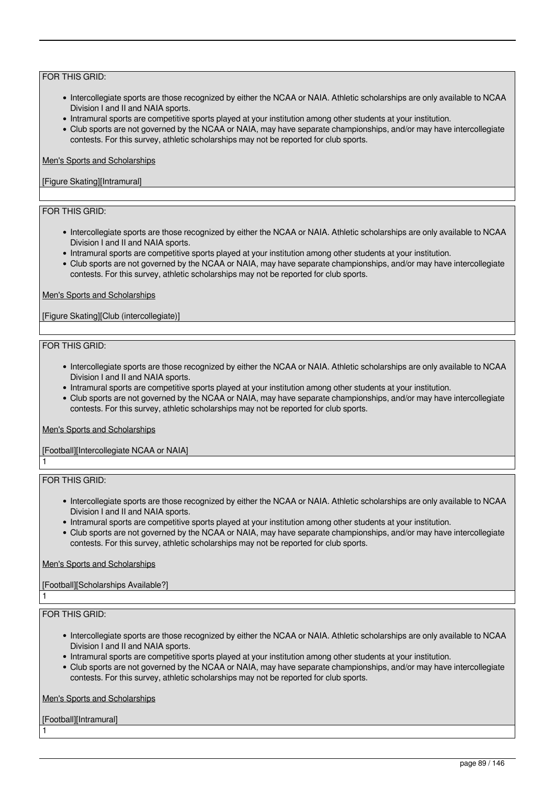- Intercollegiate sports are those recognized by either the NCAA or NAIA. Athletic scholarships are only available to NCAA Division I and II and NAIA sports.
- Intramural sports are competitive sports played at your institution among other students at your institution.
- Club sports are not governed by the NCAA or NAIA, may have separate championships, and/or may have intercollegiate contests. For this survey, athletic scholarships may not be reported for club sports.

#### Men's Sports and Scholarships

# [Figure Skating][Intramural]

# FOR THIS GRID:

- Intercollegiate sports are those recognized by either the NCAA or NAIA. Athletic scholarships are only available to NCAA Division I and II and NAIA sports.
- Intramural sports are competitive sports played at your institution among other students at your institution.
- Club sports are not governed by the NCAA or NAIA, may have separate championships, and/or may have intercollegiate contests. For this survey, athletic scholarships may not be reported for club sports.

#### Men's Sports and Scholarships

[Figure Skating][Club (intercollegiate)]

#### FOR THIS GRID:

- Intercollegiate sports are those recognized by either the NCAA or NAIA. Athletic scholarships are only available to NCAA Division I and II and NAIA sports.
- Intramural sports are competitive sports played at your institution among other students at your institution.
- Club sports are not governed by the NCAA or NAIA, may have separate championships, and/or may have intercollegiate contests. For this survey, athletic scholarships may not be reported for club sports.

#### Men's Sports and Scholarships

# [Football][Intercollegiate NCAA or NAIA]

FOR THIS GRID:

1

1

1

- Intercollegiate sports are those recognized by either the NCAA or NAIA. Athletic scholarships are only available to NCAA Division I and II and NAIA sports.
- Intramural sports are competitive sports played at your institution among other students at your institution.
- Club sports are not governed by the NCAA or NAIA, may have separate championships, and/or may have intercollegiate contests. For this survey, athletic scholarships may not be reported for club sports.

#### Men's Sports and Scholarships

# [Football][Scholarships Available?]

# FOR THIS GRID:

- Intercollegiate sports are those recognized by either the NCAA or NAIA. Athletic scholarships are only available to NCAA Division I and II and NAIA sports.
- Intramural sports are competitive sports played at your institution among other students at your institution.
- Club sports are not governed by the NCAA or NAIA, may have separate championships, and/or may have intercollegiate contests. For this survey, athletic scholarships may not be reported for club sports.

Men's Sports and Scholarships

[Football][Intramural]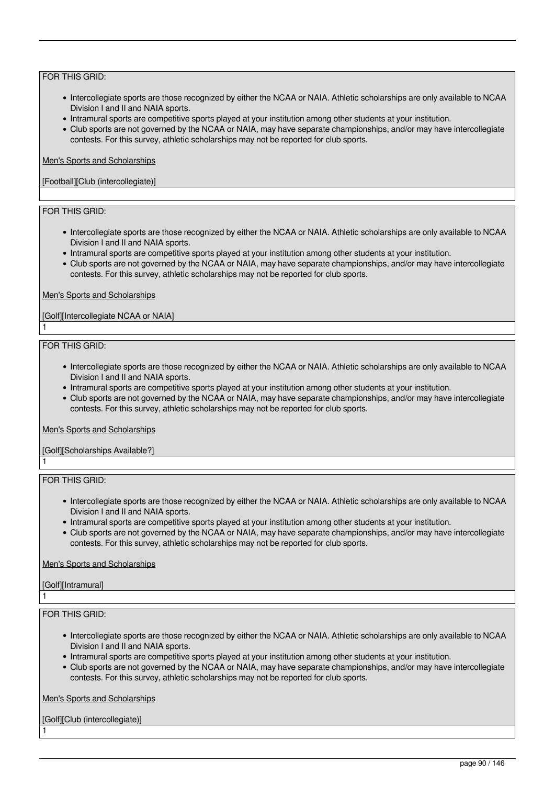- Intercollegiate sports are those recognized by either the NCAA or NAIA. Athletic scholarships are only available to NCAA Division I and II and NAIA sports.
- Intramural sports are competitive sports played at your institution among other students at your institution.
- Club sports are not governed by the NCAA or NAIA, may have separate championships, and/or may have intercollegiate contests. For this survey, athletic scholarships may not be reported for club sports.

#### Men's Sports and Scholarships

### [Football][Club (intercollegiate)]

# FOR THIS GRID:

- Intercollegiate sports are those recognized by either the NCAA or NAIA. Athletic scholarships are only available to NCAA Division I and II and NAIA sports.
- Intramural sports are competitive sports played at your institution among other students at your institution.
- Club sports are not governed by the NCAA or NAIA, may have separate championships, and/or may have intercollegiate contests. For this survey, athletic scholarships may not be reported for club sports.

#### Men's Sports and Scholarships

#### [Golf][Intercollegiate NCAA or NAIA]

#### FOR THIS GRID:

1

1

- Intercollegiate sports are those recognized by either the NCAA or NAIA. Athletic scholarships are only available to NCAA Division I and II and NAIA sports.
- Intramural sports are competitive sports played at your institution among other students at your institution.
- Club sports are not governed by the NCAA or NAIA, may have separate championships, and/or may have intercollegiate contests. For this survey, athletic scholarships may not be reported for club sports.

#### Men's Sports and Scholarships

# [Golf][Scholarships Available?]

# FOR THIS GRID:

- Intercollegiate sports are those recognized by either the NCAA or NAIA. Athletic scholarships are only available to NCAA Division I and II and NAIA sports.
- Intramural sports are competitive sports played at your institution among other students at your institution.
- Club sports are not governed by the NCAA or NAIA, may have separate championships, and/or may have intercollegiate contests. For this survey, athletic scholarships may not be reported for club sports.

# Men's Sports and Scholarships

# [Golf][Intramural]

1

1

# FOR THIS GRID:

- Intercollegiate sports are those recognized by either the NCAA or NAIA. Athletic scholarships are only available to NCAA Division I and II and NAIA sports.
- Intramural sports are competitive sports played at your institution among other students at your institution.
- Club sports are not governed by the NCAA or NAIA, may have separate championships, and/or may have intercollegiate contests. For this survey, athletic scholarships may not be reported for club sports.

Men's Sports and Scholarships

[Golf][Club (intercollegiate)]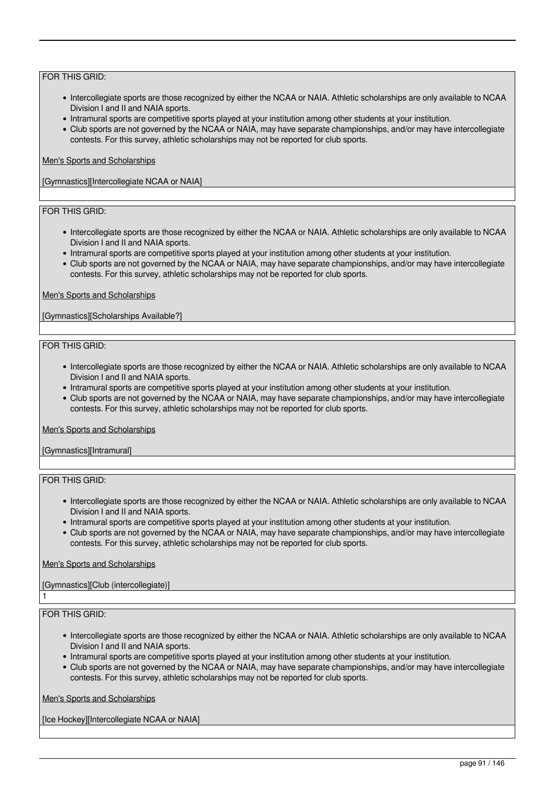- Intercollegiate sports are those recognized by either the NCAA or NAIA. Athletic scholarships are only available to NCAA Division I and II and NAIA sports.
- Intramural sports are competitive sports played at your institution among other students at your institution.
- Club sports are not governed by the NCAA or NAIA, may have separate championships, and/or may have intercollegiate contests. For this survey, athletic scholarships may not be reported for club sports.

# Men's Sports and Scholarships

[Gymnastics][Intercollegiate NCAA or NAIA]

# FOR THIS GRID:

- Intercollegiate sports are those recognized by either the NCAA or NAIA. Athletic scholarships are only available to NCAA Division I and II and NAIA sports.
- Intramural sports are competitive sports played at your institution among other students at your institution.
- Club sports are not governed by the NCAA or NAIA, may have separate championships, and/or may have intercollegiate contests. For this survey, athletic scholarships may not be reported for club sports.

#### Men's Sports and Scholarships

[Gymnastics][Scholarships Available?]

#### FOR THIS GRID:

- Intercollegiate sports are those recognized by either the NCAA or NAIA. Athletic scholarships are only available to NCAA Division I and II and NAIA sports.
- Intramural sports are competitive sports played at your institution among other students at your institution.
- Club sports are not governed by the NCAA or NAIA, may have separate championships, and/or may have intercollegiate contests. For this survey, athletic scholarships may not be reported for club sports.

#### Men's Sports and Scholarships

[Gymnastics][Intramural]

# FOR THIS GRID:

- Intercollegiate sports are those recognized by either the NCAA or NAIA. Athletic scholarships are only available to NCAA Division I and II and NAIA sports.
- Intramural sports are competitive sports played at your institution among other students at your institution.
- Club sports are not governed by the NCAA or NAIA, may have separate championships, and/or may have intercollegiate contests. For this survey, athletic scholarships may not be reported for club sports.

# Men's Sports and Scholarships

# [Gymnastics][Club (intercollegiate)]

# FOR THIS GRID:

1

- Intercollegiate sports are those recognized by either the NCAA or NAIA. Athletic scholarships are only available to NCAA Division I and II and NAIA sports.
- Intramural sports are competitive sports played at your institution among other students at your institution.
- Club sports are not governed by the NCAA or NAIA, may have separate championships, and/or may have intercollegiate contests. For this survey, athletic scholarships may not be reported for club sports.

# Men's Sports and Scholarships

[Ice Hockey][Intercollegiate NCAA or NAIA]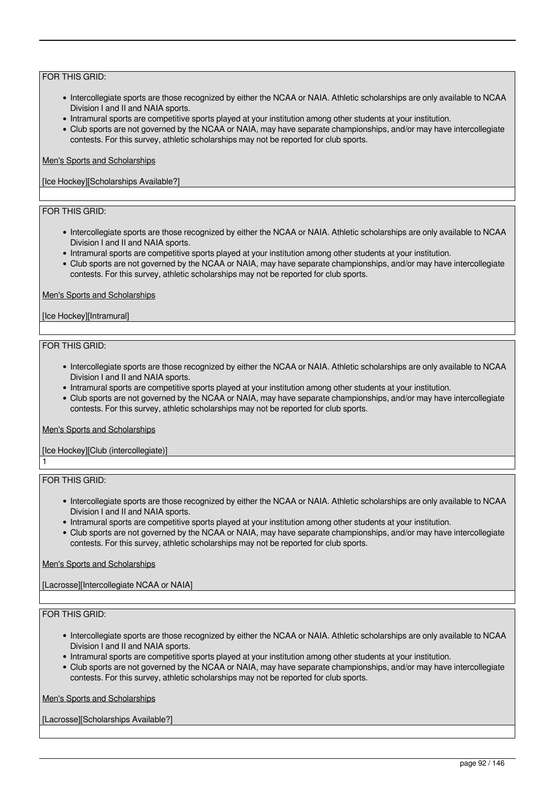- Intercollegiate sports are those recognized by either the NCAA or NAIA. Athletic scholarships are only available to NCAA Division I and II and NAIA sports.
- Intramural sports are competitive sports played at your institution among other students at your institution.
- Club sports are not governed by the NCAA or NAIA, may have separate championships, and/or may have intercollegiate contests. For this survey, athletic scholarships may not be reported for club sports.

### Men's Sports and Scholarships

[Ice Hockey][Scholarships Available?]

# FOR THIS GRID:

- Intercollegiate sports are those recognized by either the NCAA or NAIA. Athletic scholarships are only available to NCAA Division I and II and NAIA sports.
- Intramural sports are competitive sports played at your institution among other students at your institution.
- Club sports are not governed by the NCAA or NAIA, may have separate championships, and/or may have intercollegiate contests. For this survey, athletic scholarships may not be reported for club sports.

### Men's Sports and Scholarships

#### [Ice Hockey][Intramural]

#### FOR THIS GRID:

- Intercollegiate sports are those recognized by either the NCAA or NAIA. Athletic scholarships are only available to NCAA Division I and II and NAIA sports.
- Intramural sports are competitive sports played at your institution among other students at your institution.
- Club sports are not governed by the NCAA or NAIA, may have separate championships, and/or may have intercollegiate contests. For this survey, athletic scholarships may not be reported for club sports.

#### Men's Sports and Scholarships

# [Ice Hockey][Club (intercollegiate)]

# FOR THIS GRID:

1

- Intercollegiate sports are those recognized by either the NCAA or NAIA. Athletic scholarships are only available to NCAA Division I and II and NAIA sports.
- Intramural sports are competitive sports played at your institution among other students at your institution.
- Club sports are not governed by the NCAA or NAIA, may have separate championships, and/or may have intercollegiate contests. For this survey, athletic scholarships may not be reported for club sports.

# Men's Sports and Scholarships

[Lacrosse][Intercollegiate NCAA or NAIA]

# FOR THIS GRID:

- Intercollegiate sports are those recognized by either the NCAA or NAIA. Athletic scholarships are only available to NCAA Division I and II and NAIA sports.
- Intramural sports are competitive sports played at your institution among other students at your institution.
- Club sports are not governed by the NCAA or NAIA, may have separate championships, and/or may have intercollegiate contests. For this survey, athletic scholarships may not be reported for club sports.

# Men's Sports and Scholarships

[Lacrosse][Scholarships Available?]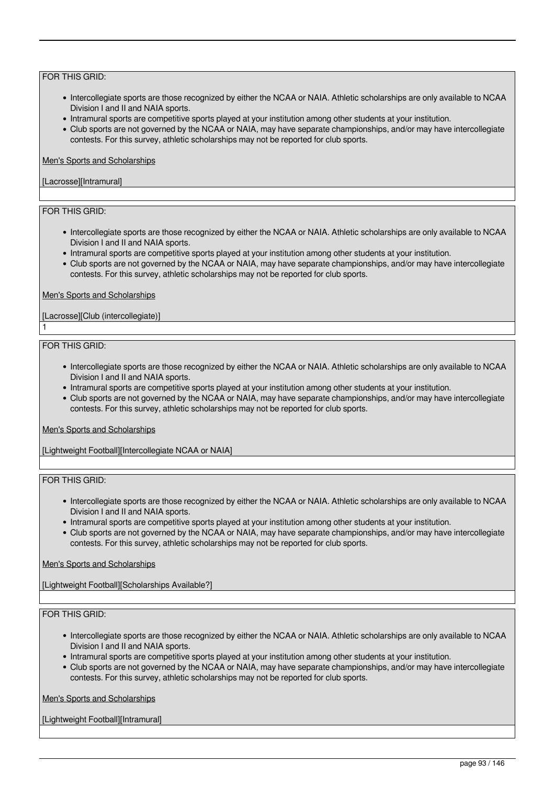- Intercollegiate sports are those recognized by either the NCAA or NAIA. Athletic scholarships are only available to NCAA Division I and II and NAIA sports.
- Intramural sports are competitive sports played at your institution among other students at your institution.
- Club sports are not governed by the NCAA or NAIA, may have separate championships, and/or may have intercollegiate contests. For this survey, athletic scholarships may not be reported for club sports.

# Men's Sports and Scholarships

### [Lacrosse][Intramural]

# FOR THIS GRID:

- Intercollegiate sports are those recognized by either the NCAA or NAIA. Athletic scholarships are only available to NCAA Division I and II and NAIA sports.
- Intramural sports are competitive sports played at your institution among other students at your institution.
- Club sports are not governed by the NCAA or NAIA, may have separate championships, and/or may have intercollegiate contests. For this survey, athletic scholarships may not be reported for club sports.

#### Men's Sports and Scholarships

# [Lacrosse][Club (intercollegiate)]

#### FOR THIS GRID:

1

- Intercollegiate sports are those recognized by either the NCAA or NAIA. Athletic scholarships are only available to NCAA Division I and II and NAIA sports.
- Intramural sports are competitive sports played at your institution among other students at your institution.
- Club sports are not governed by the NCAA or NAIA, may have separate championships, and/or may have intercollegiate contests. For this survey, athletic scholarships may not be reported for club sports.

#### Men's Sports and Scholarships

[Lightweight Football][Intercollegiate NCAA or NAIA]

### FOR THIS GRID:

- Intercollegiate sports are those recognized by either the NCAA or NAIA. Athletic scholarships are only available to NCAA Division I and II and NAIA sports.
- Intramural sports are competitive sports played at your institution among other students at your institution.
- Club sports are not governed by the NCAA or NAIA, may have separate championships, and/or may have intercollegiate contests. For this survey, athletic scholarships may not be reported for club sports.

# Men's Sports and Scholarships

[Lightweight Football][Scholarships Available?]

# FOR THIS GRID:

- Intercollegiate sports are those recognized by either the NCAA or NAIA. Athletic scholarships are only available to NCAA Division I and II and NAIA sports.
- Intramural sports are competitive sports played at your institution among other students at your institution.
- Club sports are not governed by the NCAA or NAIA, may have separate championships, and/or may have intercollegiate contests. For this survey, athletic scholarships may not be reported for club sports.

Men's Sports and Scholarships

[Lightweight Football][Intramural]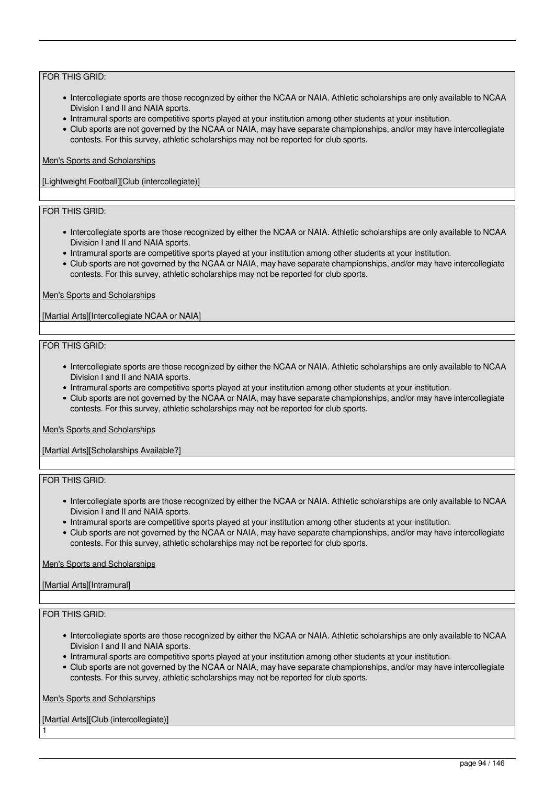- Intercollegiate sports are those recognized by either the NCAA or NAIA. Athletic scholarships are only available to NCAA Division I and II and NAIA sports.
- Intramural sports are competitive sports played at your institution among other students at your institution.
- Club sports are not governed by the NCAA or NAIA, may have separate championships, and/or may have intercollegiate contests. For this survey, athletic scholarships may not be reported for club sports.

### Men's Sports and Scholarships

[Lightweight Football][Club (intercollegiate)]

# FOR THIS GRID:

- Intercollegiate sports are those recognized by either the NCAA or NAIA. Athletic scholarships are only available to NCAA Division I and II and NAIA sports.
- Intramural sports are competitive sports played at your institution among other students at your institution.
- Club sports are not governed by the NCAA or NAIA, may have separate championships, and/or may have intercollegiate contests. For this survey, athletic scholarships may not be reported for club sports.

#### Men's Sports and Scholarships

[Martial Arts][Intercollegiate NCAA or NAIA]

#### FOR THIS GRID:

- Intercollegiate sports are those recognized by either the NCAA or NAIA. Athletic scholarships are only available to NCAA Division I and II and NAIA sports.
- Intramural sports are competitive sports played at your institution among other students at your institution.
- Club sports are not governed by the NCAA or NAIA, may have separate championships, and/or may have intercollegiate contests. For this survey, athletic scholarships may not be reported for club sports.

#### Men's Sports and Scholarships

[Martial Arts][Scholarships Available?]

# FOR THIS GRID:

- Intercollegiate sports are those recognized by either the NCAA or NAIA. Athletic scholarships are only available to NCAA Division I and II and NAIA sports.
- Intramural sports are competitive sports played at your institution among other students at your institution.
- Club sports are not governed by the NCAA or NAIA, may have separate championships, and/or may have intercollegiate contests. For this survey, athletic scholarships may not be reported for club sports.

#### Men's Sports and Scholarships

# [Martial Arts][Intramural]

# FOR THIS GRID:

1

- Intercollegiate sports are those recognized by either the NCAA or NAIA. Athletic scholarships are only available to NCAA Division I and II and NAIA sports.
- Intramural sports are competitive sports played at your institution among other students at your institution.
- Club sports are not governed by the NCAA or NAIA, may have separate championships, and/or may have intercollegiate contests. For this survey, athletic scholarships may not be reported for club sports.

Men's Sports and Scholarships

[Martial Arts][Club (intercollegiate)]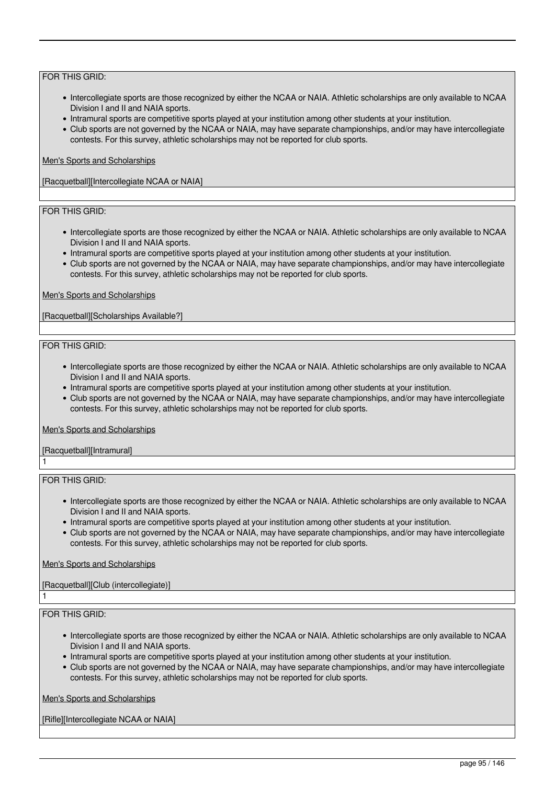- Intercollegiate sports are those recognized by either the NCAA or NAIA. Athletic scholarships are only available to NCAA Division I and II and NAIA sports.
- Intramural sports are competitive sports played at your institution among other students at your institution.
- Club sports are not governed by the NCAA or NAIA, may have separate championships, and/or may have intercollegiate contests. For this survey, athletic scholarships may not be reported for club sports.

### Men's Sports and Scholarships

[Racquetball][Intercollegiate NCAA or NAIA]

# FOR THIS GRID:

- Intercollegiate sports are those recognized by either the NCAA or NAIA. Athletic scholarships are only available to NCAA Division I and II and NAIA sports.
- Intramural sports are competitive sports played at your institution among other students at your institution.
- Club sports are not governed by the NCAA or NAIA, may have separate championships, and/or may have intercollegiate contests. For this survey, athletic scholarships may not be reported for club sports.

#### Men's Sports and Scholarships

[Racquetball][Scholarships Available?]

#### FOR THIS GRID:

- Intercollegiate sports are those recognized by either the NCAA or NAIA. Athletic scholarships are only available to NCAA Division I and II and NAIA sports.
- Intramural sports are competitive sports played at your institution among other students at your institution.
- Club sports are not governed by the NCAA or NAIA, may have separate championships, and/or may have intercollegiate contests. For this survey, athletic scholarships may not be reported for club sports.

#### Men's Sports and Scholarships

[Racquetball][Intramural] 1

# FOR THIS GRID:

- Intercollegiate sports are those recognized by either the NCAA or NAIA. Athletic scholarships are only available to NCAA Division I and II and NAIA sports.
- Intramural sports are competitive sports played at your institution among other students at your institution.
- Club sports are not governed by the NCAA or NAIA, may have separate championships, and/or may have intercollegiate contests. For this survey, athletic scholarships may not be reported for club sports.

# Men's Sports and Scholarships

# [Racquetball][Club (intercollegiate)]

FOR THIS GRID:

1

- Intercollegiate sports are those recognized by either the NCAA or NAIA. Athletic scholarships are only available to NCAA Division I and II and NAIA sports.
- Intramural sports are competitive sports played at your institution among other students at your institution.
- Club sports are not governed by the NCAA or NAIA, may have separate championships, and/or may have intercollegiate contests. For this survey, athletic scholarships may not be reported for club sports.

Men's Sports and Scholarships

[Rifle][Intercollegiate NCAA or NAIA]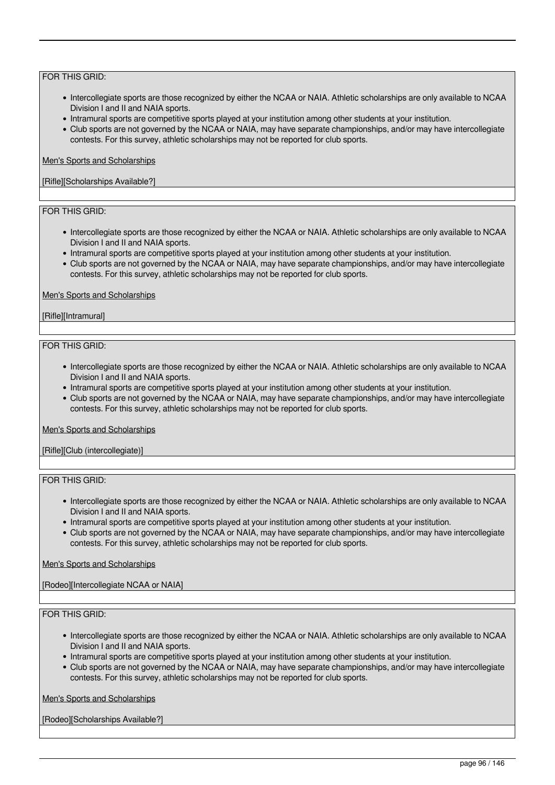- Intercollegiate sports are those recognized by either the NCAA or NAIA. Athletic scholarships are only available to NCAA Division I and II and NAIA sports.
- Intramural sports are competitive sports played at your institution among other students at your institution.
- Club sports are not governed by the NCAA or NAIA, may have separate championships, and/or may have intercollegiate contests. For this survey, athletic scholarships may not be reported for club sports.

#### Men's Sports and Scholarships

### [Rifle][Scholarships Available?]

# FOR THIS GRID:

- Intercollegiate sports are those recognized by either the NCAA or NAIA. Athletic scholarships are only available to NCAA Division I and II and NAIA sports.
- Intramural sports are competitive sports played at your institution among other students at your institution.
- Club sports are not governed by the NCAA or NAIA, may have separate championships, and/or may have intercollegiate contests. For this survey, athletic scholarships may not be reported for club sports.

#### Men's Sports and Scholarships

#### [Rifle][Intramural]

#### FOR THIS GRID:

- Intercollegiate sports are those recognized by either the NCAA or NAIA. Athletic scholarships are only available to NCAA Division I and II and NAIA sports.
- Intramural sports are competitive sports played at your institution among other students at your institution.
- Club sports are not governed by the NCAA or NAIA, may have separate championships, and/or may have intercollegiate contests. For this survey, athletic scholarships may not be reported for club sports.

#### Men's Sports and Scholarships

[Rifle][Club (intercollegiate)]

# FOR THIS GRID:

- Intercollegiate sports are those recognized by either the NCAA or NAIA. Athletic scholarships are only available to NCAA Division I and II and NAIA sports.
- Intramural sports are competitive sports played at your institution among other students at your institution.
- Club sports are not governed by the NCAA or NAIA, may have separate championships, and/or may have intercollegiate contests. For this survey, athletic scholarships may not be reported for club sports.

# Men's Sports and Scholarships

[Rodeo][Intercollegiate NCAA or NAIA]

# FOR THIS GRID:

- Intercollegiate sports are those recognized by either the NCAA or NAIA. Athletic scholarships are only available to NCAA Division I and II and NAIA sports.
- Intramural sports are competitive sports played at your institution among other students at your institution.
- Club sports are not governed by the NCAA or NAIA, may have separate championships, and/or may have intercollegiate contests. For this survey, athletic scholarships may not be reported for club sports.

Men's Sports and Scholarships

[Rodeo][Scholarships Available?]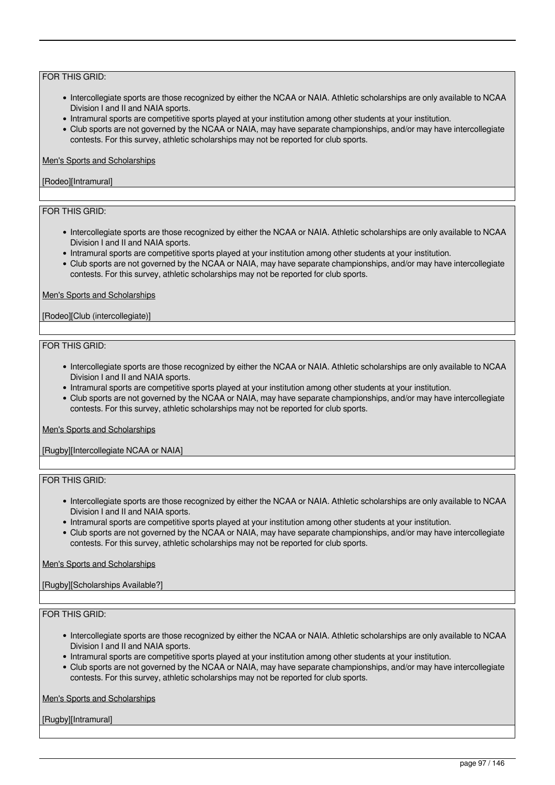- Intercollegiate sports are those recognized by either the NCAA or NAIA. Athletic scholarships are only available to NCAA Division I and II and NAIA sports.
- Intramural sports are competitive sports played at your institution among other students at your institution.
- Club sports are not governed by the NCAA or NAIA, may have separate championships, and/or may have intercollegiate contests. For this survey, athletic scholarships may not be reported for club sports.

# Men's Sports and Scholarships

### [Rodeo][Intramural]

# FOR THIS GRID:

- Intercollegiate sports are those recognized by either the NCAA or NAIA. Athletic scholarships are only available to NCAA Division I and II and NAIA sports.
- Intramural sports are competitive sports played at your institution among other students at your institution.
- Club sports are not governed by the NCAA or NAIA, may have separate championships, and/or may have intercollegiate contests. For this survey, athletic scholarships may not be reported for club sports.

#### Men's Sports and Scholarships

### [Rodeo][Club (intercollegiate)]

#### FOR THIS GRID:

- Intercollegiate sports are those recognized by either the NCAA or NAIA. Athletic scholarships are only available to NCAA Division I and II and NAIA sports.
- Intramural sports are competitive sports played at your institution among other students at your institution.
- Club sports are not governed by the NCAA or NAIA, may have separate championships, and/or may have intercollegiate contests. For this survey, athletic scholarships may not be reported for club sports.

#### Men's Sports and Scholarships

[Rugby][Intercollegiate NCAA or NAIA]

# FOR THIS GRID:

- Intercollegiate sports are those recognized by either the NCAA or NAIA. Athletic scholarships are only available to NCAA Division I and II and NAIA sports.
- Intramural sports are competitive sports played at your institution among other students at your institution.
- Club sports are not governed by the NCAA or NAIA, may have separate championships, and/or may have intercollegiate contests. For this survey, athletic scholarships may not be reported for club sports.

# Men's Sports and Scholarships

# [Rugby][Scholarships Available?]

# FOR THIS GRID:

- Intercollegiate sports are those recognized by either the NCAA or NAIA. Athletic scholarships are only available to NCAA Division I and II and NAIA sports.
- Intramural sports are competitive sports played at your institution among other students at your institution.
- Club sports are not governed by the NCAA or NAIA, may have separate championships, and/or may have intercollegiate contests. For this survey, athletic scholarships may not be reported for club sports.

Men's Sports and Scholarships

[Rugby][Intramural]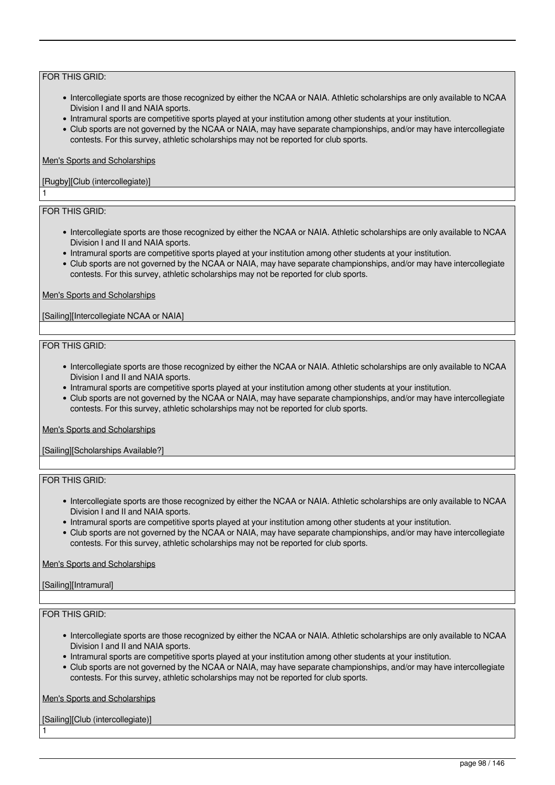- Intercollegiate sports are those recognized by either the NCAA or NAIA. Athletic scholarships are only available to NCAA Division I and II and NAIA sports.
- Intramural sports are competitive sports played at your institution among other students at your institution.
- Club sports are not governed by the NCAA or NAIA, may have separate championships, and/or may have intercollegiate contests. For this survey, athletic scholarships may not be reported for club sports.

#### Men's Sports and Scholarships

# [Rugby][Club (intercollegiate)]

# FOR THIS GRID:

1

- Intercollegiate sports are those recognized by either the NCAA or NAIA. Athletic scholarships are only available to NCAA Division I and II and NAIA sports.
- Intramural sports are competitive sports played at your institution among other students at your institution.
- Club sports are not governed by the NCAA or NAIA, may have separate championships, and/or may have intercollegiate contests. For this survey, athletic scholarships may not be reported for club sports.

#### Men's Sports and Scholarships

[Sailing][Intercollegiate NCAA or NAIA]

#### FOR THIS GRID:

- Intercollegiate sports are those recognized by either the NCAA or NAIA. Athletic scholarships are only available to NCAA Division I and II and NAIA sports.
- Intramural sports are competitive sports played at your institution among other students at your institution.
- Club sports are not governed by the NCAA or NAIA, may have separate championships, and/or may have intercollegiate contests. For this survey, athletic scholarships may not be reported for club sports.

#### Men's Sports and Scholarships

[Sailing][Scholarships Available?]

# FOR THIS GRID:

- Intercollegiate sports are those recognized by either the NCAA or NAIA. Athletic scholarships are only available to NCAA Division I and II and NAIA sports.
- Intramural sports are competitive sports played at your institution among other students at your institution.
- Club sports are not governed by the NCAA or NAIA, may have separate championships, and/or may have intercollegiate contests. For this survey, athletic scholarships may not be reported for club sports.

# Men's Sports and Scholarships

# [Sailing][Intramural]

# FOR THIS GRID:

1

- Intercollegiate sports are those recognized by either the NCAA or NAIA. Athletic scholarships are only available to NCAA Division I and II and NAIA sports.
- Intramural sports are competitive sports played at your institution among other students at your institution.
- Club sports are not governed by the NCAA or NAIA, may have separate championships, and/or may have intercollegiate contests. For this survey, athletic scholarships may not be reported for club sports.

Men's Sports and Scholarships

[Sailing][Club (intercollegiate)]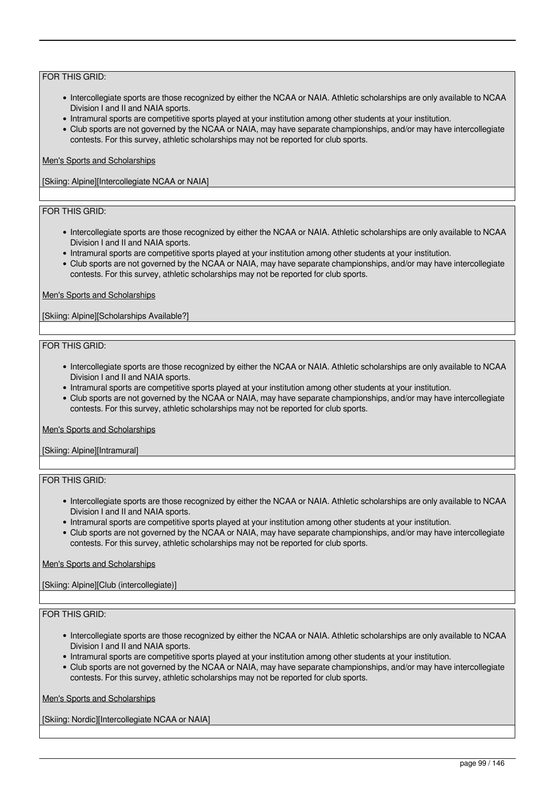- Intercollegiate sports are those recognized by either the NCAA or NAIA. Athletic scholarships are only available to NCAA Division I and II and NAIA sports.
- Intramural sports are competitive sports played at your institution among other students at your institution.
- Club sports are not governed by the NCAA or NAIA, may have separate championships, and/or may have intercollegiate contests. For this survey, athletic scholarships may not be reported for club sports.

### Men's Sports and Scholarships

[Skiing: Alpine][Intercollegiate NCAA or NAIA]

# FOR THIS GRID:

- Intercollegiate sports are those recognized by either the NCAA or NAIA. Athletic scholarships are only available to NCAA Division I and II and NAIA sports.
- Intramural sports are competitive sports played at your institution among other students at your institution.
- Club sports are not governed by the NCAA or NAIA, may have separate championships, and/or may have intercollegiate contests. For this survey, athletic scholarships may not be reported for club sports.

#### Men's Sports and Scholarships

[Skiing: Alpine][Scholarships Available?]

#### FOR THIS GRID:

- Intercollegiate sports are those recognized by either the NCAA or NAIA. Athletic scholarships are only available to NCAA Division I and II and NAIA sports.
- Intramural sports are competitive sports played at your institution among other students at your institution.
- Club sports are not governed by the NCAA or NAIA, may have separate championships, and/or may have intercollegiate contests. For this survey, athletic scholarships may not be reported for club sports.

#### Men's Sports and Scholarships

[Skiing: Alpine][Intramural]

# FOR THIS GRID:

- Intercollegiate sports are those recognized by either the NCAA or NAIA. Athletic scholarships are only available to NCAA Division I and II and NAIA sports.
- Intramural sports are competitive sports played at your institution among other students at your institution.
- Club sports are not governed by the NCAA or NAIA, may have separate championships, and/or may have intercollegiate contests. For this survey, athletic scholarships may not be reported for club sports.

# Men's Sports and Scholarships

[Skiing: Alpine][Club (intercollegiate)]

# FOR THIS GRID:

- Intercollegiate sports are those recognized by either the NCAA or NAIA. Athletic scholarships are only available to NCAA Division I and II and NAIA sports.
- Intramural sports are competitive sports played at your institution among other students at your institution.
- Club sports are not governed by the NCAA or NAIA, may have separate championships, and/or may have intercollegiate contests. For this survey, athletic scholarships may not be reported for club sports.

Men's Sports and Scholarships

[Skiing: Nordic][Intercollegiate NCAA or NAIA]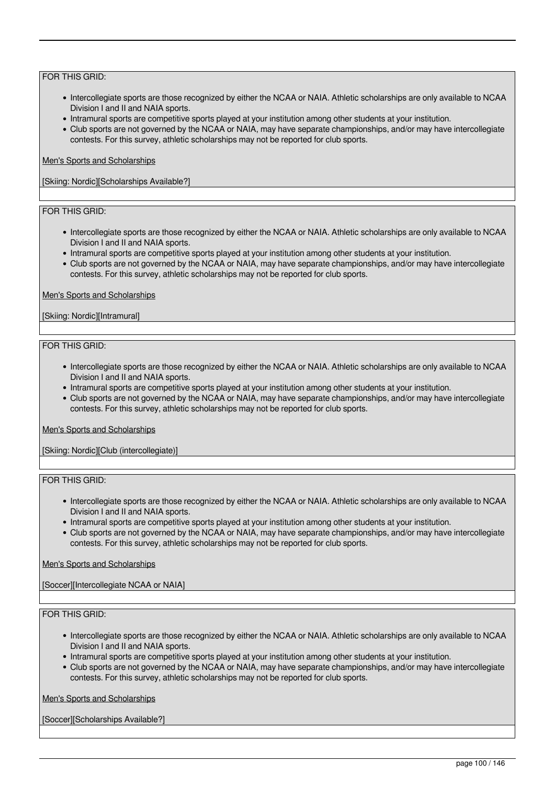- Intercollegiate sports are those recognized by either the NCAA or NAIA. Athletic scholarships are only available to NCAA Division I and II and NAIA sports.
- Intramural sports are competitive sports played at your institution among other students at your institution.
- Club sports are not governed by the NCAA or NAIA, may have separate championships, and/or may have intercollegiate contests. For this survey, athletic scholarships may not be reported for club sports.

### Men's Sports and Scholarships

[Skiing: Nordic][Scholarships Available?]

# FOR THIS GRID:

- Intercollegiate sports are those recognized by either the NCAA or NAIA. Athletic scholarships are only available to NCAA Division I and II and NAIA sports.
- Intramural sports are competitive sports played at your institution among other students at your institution.
- Club sports are not governed by the NCAA or NAIA, may have separate championships, and/or may have intercollegiate contests. For this survey, athletic scholarships may not be reported for club sports.

#### Men's Sports and Scholarships

#### [Skiing: Nordic][Intramural]

#### FOR THIS GRID:

- Intercollegiate sports are those recognized by either the NCAA or NAIA. Athletic scholarships are only available to NCAA Division I and II and NAIA sports.
- Intramural sports are competitive sports played at your institution among other students at your institution.
- Club sports are not governed by the NCAA or NAIA, may have separate championships, and/or may have intercollegiate contests. For this survey, athletic scholarships may not be reported for club sports.

#### Men's Sports and Scholarships

[Skiing: Nordic][Club (intercollegiate)]

# FOR THIS GRID:

- Intercollegiate sports are those recognized by either the NCAA or NAIA. Athletic scholarships are only available to NCAA Division I and II and NAIA sports.
- Intramural sports are competitive sports played at your institution among other students at your institution.
- Club sports are not governed by the NCAA or NAIA, may have separate championships, and/or may have intercollegiate contests. For this survey, athletic scholarships may not be reported for club sports.

# Men's Sports and Scholarships

[Soccer][Intercollegiate NCAA or NAIA]

# FOR THIS GRID:

- Intercollegiate sports are those recognized by either the NCAA or NAIA. Athletic scholarships are only available to NCAA Division I and II and NAIA sports.
- Intramural sports are competitive sports played at your institution among other students at your institution.
- Club sports are not governed by the NCAA or NAIA, may have separate championships, and/or may have intercollegiate contests. For this survey, athletic scholarships may not be reported for club sports.

Men's Sports and Scholarships

[Soccer][Scholarships Available?]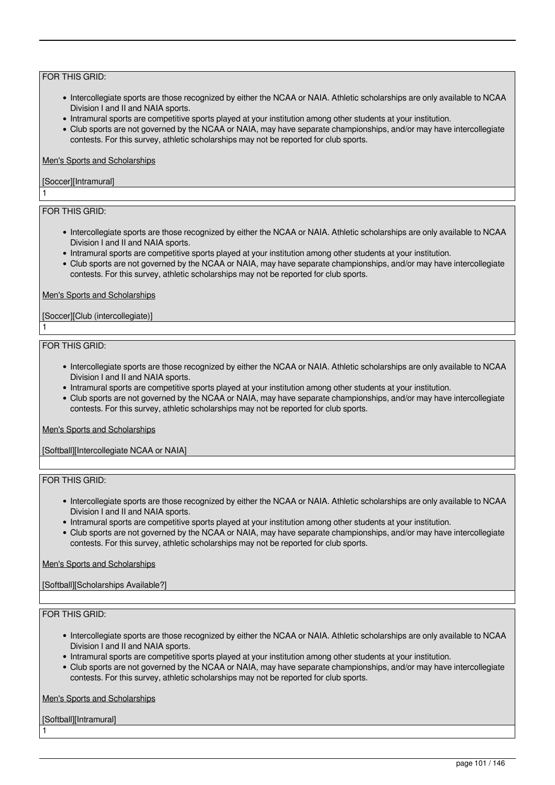- Intercollegiate sports are those recognized by either the NCAA or NAIA. Athletic scholarships are only available to NCAA Division I and II and NAIA sports.
- Intramural sports are competitive sports played at your institution among other students at your institution.
- Club sports are not governed by the NCAA or NAIA, may have separate championships, and/or may have intercollegiate contests. For this survey, athletic scholarships may not be reported for club sports.

#### Men's Sports and Scholarships

# [Soccer][Intramural]

# FOR THIS GRID:

1

1

- Intercollegiate sports are those recognized by either the NCAA or NAIA. Athletic scholarships are only available to NCAA Division I and II and NAIA sports.
- Intramural sports are competitive sports played at your institution among other students at your institution.
- Club sports are not governed by the NCAA or NAIA, may have separate championships, and/or may have intercollegiate contests. For this survey, athletic scholarships may not be reported for club sports.

#### Men's Sports and Scholarships

### [Soccer][Club (intercollegiate)]

#### FOR THIS GRID:

- Intercollegiate sports are those recognized by either the NCAA or NAIA. Athletic scholarships are only available to NCAA Division I and II and NAIA sports.
- Intramural sports are competitive sports played at your institution among other students at your institution.
- Club sports are not governed by the NCAA or NAIA, may have separate championships, and/or may have intercollegiate contests. For this survey, athletic scholarships may not be reported for club sports.

#### Men's Sports and Scholarships

[Softball][Intercollegiate NCAA or NAIA]

# FOR THIS GRID:

- Intercollegiate sports are those recognized by either the NCAA or NAIA. Athletic scholarships are only available to NCAA Division I and II and NAIA sports.
- Intramural sports are competitive sports played at your institution among other students at your institution.
- Club sports are not governed by the NCAA or NAIA, may have separate championships, and/or may have intercollegiate contests. For this survey, athletic scholarships may not be reported for club sports.

# Men's Sports and Scholarships

# [Softball][Scholarships Available?]

# FOR THIS GRID:

- Intercollegiate sports are those recognized by either the NCAA or NAIA. Athletic scholarships are only available to NCAA Division I and II and NAIA sports.
- Intramural sports are competitive sports played at your institution among other students at your institution.
- Club sports are not governed by the NCAA or NAIA, may have separate championships, and/or may have intercollegiate contests. For this survey, athletic scholarships may not be reported for club sports.

Men's Sports and Scholarships

[Softball][Intramural]

1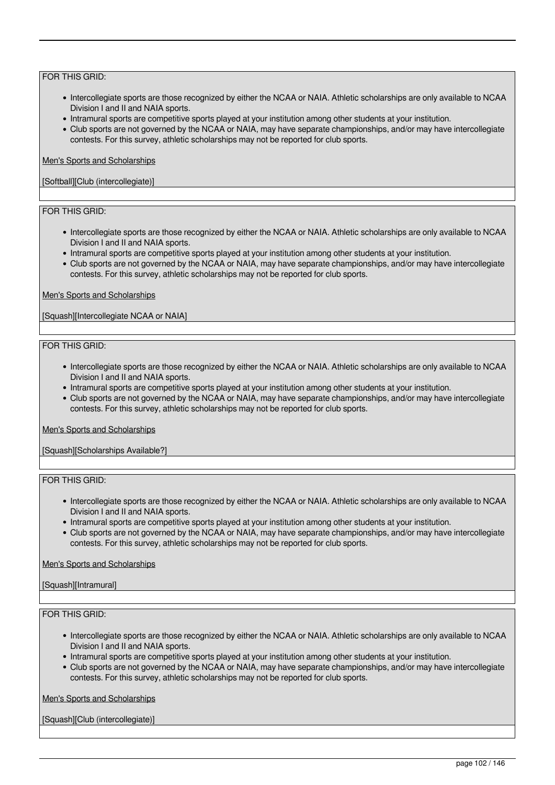- Intercollegiate sports are those recognized by either the NCAA or NAIA. Athletic scholarships are only available to NCAA Division I and II and NAIA sports.
- Intramural sports are competitive sports played at your institution among other students at your institution.
- Club sports are not governed by the NCAA or NAIA, may have separate championships, and/or may have intercollegiate contests. For this survey, athletic scholarships may not be reported for club sports.

#### Men's Sports and Scholarships

### [Softball][Club (intercollegiate)]

# FOR THIS GRID:

- Intercollegiate sports are those recognized by either the NCAA or NAIA. Athletic scholarships are only available to NCAA Division I and II and NAIA sports.
- Intramural sports are competitive sports played at your institution among other students at your institution.
- Club sports are not governed by the NCAA or NAIA, may have separate championships, and/or may have intercollegiate contests. For this survey, athletic scholarships may not be reported for club sports.

#### Men's Sports and Scholarships

[Squash][Intercollegiate NCAA or NAIA]

#### FOR THIS GRID:

- Intercollegiate sports are those recognized by either the NCAA or NAIA. Athletic scholarships are only available to NCAA Division I and II and NAIA sports.
- Intramural sports are competitive sports played at your institution among other students at your institution.
- Club sports are not governed by the NCAA or NAIA, may have separate championships, and/or may have intercollegiate contests. For this survey, athletic scholarships may not be reported for club sports.

#### Men's Sports and Scholarships

[Squash][Scholarships Available?]

# FOR THIS GRID:

- Intercollegiate sports are those recognized by either the NCAA or NAIA. Athletic scholarships are only available to NCAA Division I and II and NAIA sports.
- Intramural sports are competitive sports played at your institution among other students at your institution.
- Club sports are not governed by the NCAA or NAIA, may have separate championships, and/or may have intercollegiate contests. For this survey, athletic scholarships may not be reported for club sports.

# Men's Sports and Scholarships

# [Squash][Intramural]

### FOR THIS GRID:

- Intercollegiate sports are those recognized by either the NCAA or NAIA. Athletic scholarships are only available to NCAA Division I and II and NAIA sports.
- Intramural sports are competitive sports played at your institution among other students at your institution.
- Club sports are not governed by the NCAA or NAIA, may have separate championships, and/or may have intercollegiate contests. For this survey, athletic scholarships may not be reported for club sports.

Men's Sports and Scholarships

[Squash][Club (intercollegiate)]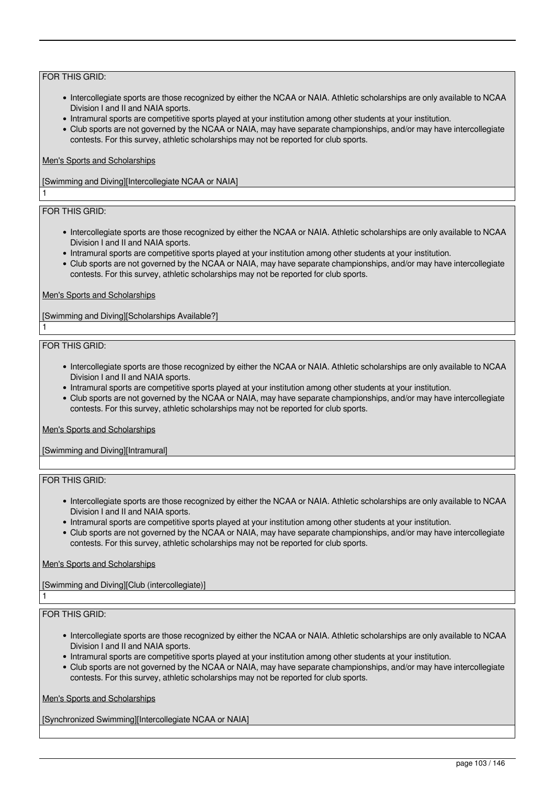- Intercollegiate sports are those recognized by either the NCAA or NAIA. Athletic scholarships are only available to NCAA Division I and II and NAIA sports.
- Intramural sports are competitive sports played at your institution among other students at your institution.
- Club sports are not governed by the NCAA or NAIA, may have separate championships, and/or may have intercollegiate contests. For this survey, athletic scholarships may not be reported for club sports.

# Men's Sports and Scholarships

[Swimming and Diving][Intercollegiate NCAA or NAIA]

# FOR THIS GRID:

1

1

- Intercollegiate sports are those recognized by either the NCAA or NAIA. Athletic scholarships are only available to NCAA Division I and II and NAIA sports.
- Intramural sports are competitive sports played at your institution among other students at your institution.
- Club sports are not governed by the NCAA or NAIA, may have separate championships, and/or may have intercollegiate contests. For this survey, athletic scholarships may not be reported for club sports.

#### Men's Sports and Scholarships

[Swimming and Diving][Scholarships Available?]

#### FOR THIS GRID:

- Intercollegiate sports are those recognized by either the NCAA or NAIA. Athletic scholarships are only available to NCAA Division I and II and NAIA sports.
- Intramural sports are competitive sports played at your institution among other students at your institution.
- Club sports are not governed by the NCAA or NAIA, may have separate championships, and/or may have intercollegiate contests. For this survey, athletic scholarships may not be reported for club sports.

#### Men's Sports and Scholarships

[Swimming and Diving][Intramural]

# FOR THIS GRID:

- Intercollegiate sports are those recognized by either the NCAA or NAIA. Athletic scholarships are only available to NCAA Division I and II and NAIA sports.
- Intramural sports are competitive sports played at your institution among other students at your institution.
- Club sports are not governed by the NCAA or NAIA, may have separate championships, and/or may have intercollegiate contests. For this survey, athletic scholarships may not be reported for club sports.

# Men's Sports and Scholarships

[Swimming and Diving][Club (intercollegiate)]

# FOR THIS GRID:

1

- Intercollegiate sports are those recognized by either the NCAA or NAIA. Athletic scholarships are only available to NCAA Division I and II and NAIA sports.
- Intramural sports are competitive sports played at your institution among other students at your institution.
- Club sports are not governed by the NCAA or NAIA, may have separate championships, and/or may have intercollegiate contests. For this survey, athletic scholarships may not be reported for club sports.

Men's Sports and Scholarships

[Synchronized Swimming][Intercollegiate NCAA or NAIA]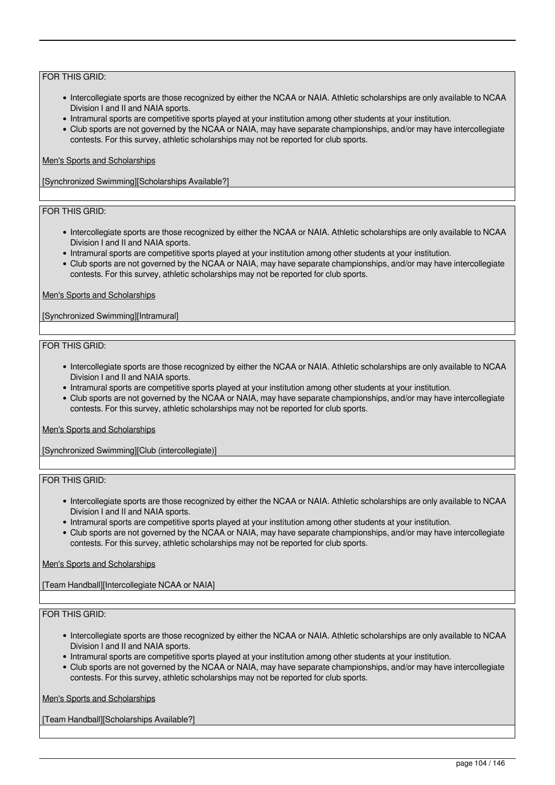- Intercollegiate sports are those recognized by either the NCAA or NAIA. Athletic scholarships are only available to NCAA Division I and II and NAIA sports.
- Intramural sports are competitive sports played at your institution among other students at your institution.
- Club sports are not governed by the NCAA or NAIA, may have separate championships, and/or may have intercollegiate contests. For this survey, athletic scholarships may not be reported for club sports.

### Men's Sports and Scholarships

[Synchronized Swimming][Scholarships Available?]

# FOR THIS GRID:

- Intercollegiate sports are those recognized by either the NCAA or NAIA. Athletic scholarships are only available to NCAA Division I and II and NAIA sports.
- Intramural sports are competitive sports played at your institution among other students at your institution.
- Club sports are not governed by the NCAA or NAIA, may have separate championships, and/or may have intercollegiate contests. For this survey, athletic scholarships may not be reported for club sports.

#### Men's Sports and Scholarships

[Synchronized Swimming][Intramural]

#### FOR THIS GRID:

- Intercollegiate sports are those recognized by either the NCAA or NAIA. Athletic scholarships are only available to NCAA Division I and II and NAIA sports.
- Intramural sports are competitive sports played at your institution among other students at your institution.
- Club sports are not governed by the NCAA or NAIA, may have separate championships, and/or may have intercollegiate contests. For this survey, athletic scholarships may not be reported for club sports.

#### Men's Sports and Scholarships

[Synchronized Swimming][Club (intercollegiate)]

# FOR THIS GRID:

- Intercollegiate sports are those recognized by either the NCAA or NAIA. Athletic scholarships are only available to NCAA Division I and II and NAIA sports.
- Intramural sports are competitive sports played at your institution among other students at your institution.
- Club sports are not governed by the NCAA or NAIA, may have separate championships, and/or may have intercollegiate contests. For this survey, athletic scholarships may not be reported for club sports.

# Men's Sports and Scholarships

[Team Handball][Intercollegiate NCAA or NAIA]

# FOR THIS GRID:

- Intercollegiate sports are those recognized by either the NCAA or NAIA. Athletic scholarships are only available to NCAA Division I and II and NAIA sports.
- Intramural sports are competitive sports played at your institution among other students at your institution.
- Club sports are not governed by the NCAA or NAIA, may have separate championships, and/or may have intercollegiate contests. For this survey, athletic scholarships may not be reported for club sports.

Men's Sports and Scholarships

[Team Handball][Scholarships Available?]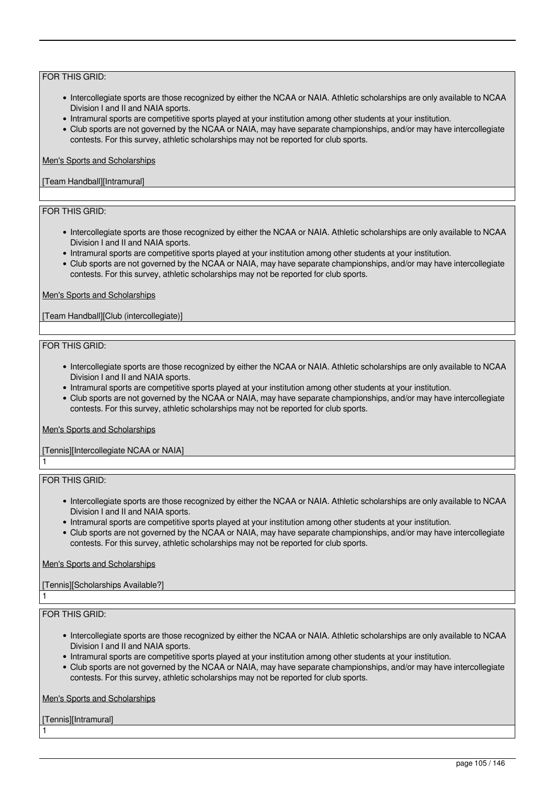- Intercollegiate sports are those recognized by either the NCAA or NAIA. Athletic scholarships are only available to NCAA Division I and II and NAIA sports.
- Intramural sports are competitive sports played at your institution among other students at your institution.
- Club sports are not governed by the NCAA or NAIA, may have separate championships, and/or may have intercollegiate contests. For this survey, athletic scholarships may not be reported for club sports.

#### Men's Sports and Scholarships

### [Team Handball][Intramural]

# FOR THIS GRID:

- Intercollegiate sports are those recognized by either the NCAA or NAIA. Athletic scholarships are only available to NCAA Division I and II and NAIA sports.
- Intramural sports are competitive sports played at your institution among other students at your institution.
- Club sports are not governed by the NCAA or NAIA, may have separate championships, and/or may have intercollegiate contests. For this survey, athletic scholarships may not be reported for club sports.

#### Men's Sports and Scholarships

[Team Handball][Club (intercollegiate)]

#### FOR THIS GRID:

- Intercollegiate sports are those recognized by either the NCAA or NAIA. Athletic scholarships are only available to NCAA Division I and II and NAIA sports.
- Intramural sports are competitive sports played at your institution among other students at your institution.
- Club sports are not governed by the NCAA or NAIA, may have separate championships, and/or may have intercollegiate contests. For this survey, athletic scholarships may not be reported for club sports.

#### Men's Sports and Scholarships

# [Tennis][Intercollegiate NCAA or NAIA]

FOR THIS GRID:

1

1

1

- Intercollegiate sports are those recognized by either the NCAA or NAIA. Athletic scholarships are only available to NCAA Division I and II and NAIA sports.
- Intramural sports are competitive sports played at your institution among other students at your institution.
- Club sports are not governed by the NCAA or NAIA, may have separate championships, and/or may have intercollegiate contests. For this survey, athletic scholarships may not be reported for club sports.

#### Men's Sports and Scholarships

# [Tennis][Scholarships Available?]

# FOR THIS GRID:

- Intercollegiate sports are those recognized by either the NCAA or NAIA. Athletic scholarships are only available to NCAA Division I and II and NAIA sports.
- Intramural sports are competitive sports played at your institution among other students at your institution.
- Club sports are not governed by the NCAA or NAIA, may have separate championships, and/or may have intercollegiate contests. For this survey, athletic scholarships may not be reported for club sports.

Men's Sports and Scholarships

[Tennis][Intramural]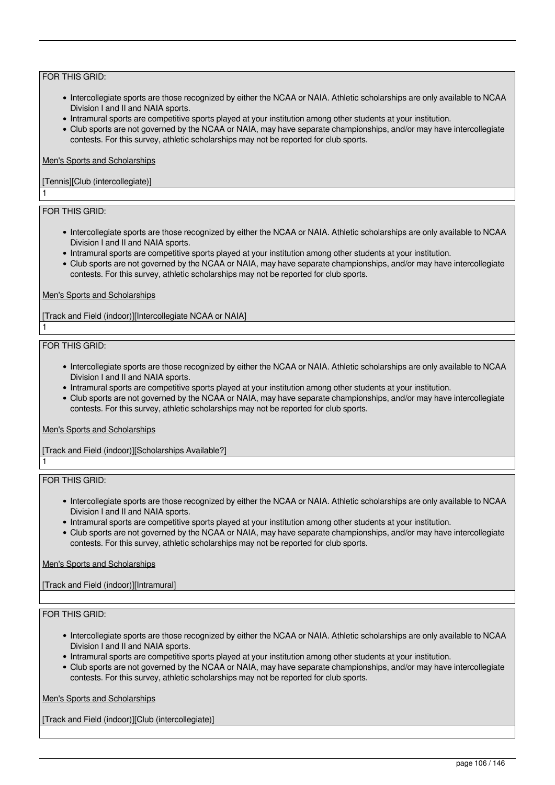- Intercollegiate sports are those recognized by either the NCAA or NAIA. Athletic scholarships are only available to NCAA Division I and II and NAIA sports.
- Intramural sports are competitive sports played at your institution among other students at your institution.
- Club sports are not governed by the NCAA or NAIA, may have separate championships, and/or may have intercollegiate contests. For this survey, athletic scholarships may not be reported for club sports.

#### Men's Sports and Scholarships

# [Tennis][Club (intercollegiate)]

# FOR THIS GRID:

1

1

1

- Intercollegiate sports are those recognized by either the NCAA or NAIA. Athletic scholarships are only available to NCAA Division I and II and NAIA sports.
- Intramural sports are competitive sports played at your institution among other students at your institution.
- Club sports are not governed by the NCAA or NAIA, may have separate championships, and/or may have intercollegiate contests. For this survey, athletic scholarships may not be reported for club sports.

#### Men's Sports and Scholarships

[Track and Field (indoor)][Intercollegiate NCAA or NAIA]

#### FOR THIS GRID:

- Intercollegiate sports are those recognized by either the NCAA or NAIA. Athletic scholarships are only available to NCAA Division I and II and NAIA sports.
- Intramural sports are competitive sports played at your institution among other students at your institution.
- Club sports are not governed by the NCAA or NAIA, may have separate championships, and/or may have intercollegiate contests. For this survey, athletic scholarships may not be reported for club sports.

#### Men's Sports and Scholarships

[Track and Field (indoor)][Scholarships Available?]

# FOR THIS GRID:

- Intercollegiate sports are those recognized by either the NCAA or NAIA. Athletic scholarships are only available to NCAA Division I and II and NAIA sports.
- Intramural sports are competitive sports played at your institution among other students at your institution.
- Club sports are not governed by the NCAA or NAIA, may have separate championships, and/or may have intercollegiate contests. For this survey, athletic scholarships may not be reported for club sports.

# Men's Sports and Scholarships

[Track and Field (indoor)][Intramural]

# FOR THIS GRID:

- Intercollegiate sports are those recognized by either the NCAA or NAIA. Athletic scholarships are only available to NCAA Division I and II and NAIA sports.
- Intramural sports are competitive sports played at your institution among other students at your institution.
- Club sports are not governed by the NCAA or NAIA, may have separate championships, and/or may have intercollegiate contests. For this survey, athletic scholarships may not be reported for club sports.

Men's Sports and Scholarships

[Track and Field (indoor)][Club (intercollegiate)]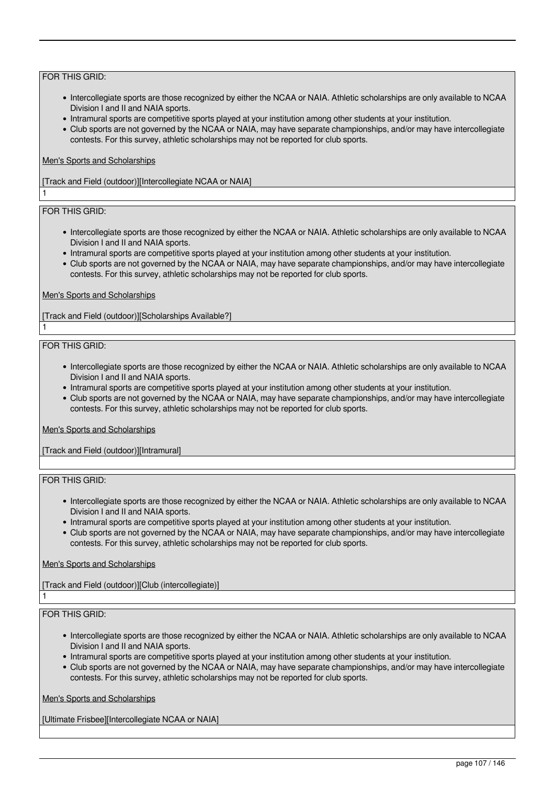- Intercollegiate sports are those recognized by either the NCAA or NAIA. Athletic scholarships are only available to NCAA Division I and II and NAIA sports.
- Intramural sports are competitive sports played at your institution among other students at your institution.
- Club sports are not governed by the NCAA or NAIA, may have separate championships, and/or may have intercollegiate contests. For this survey, athletic scholarships may not be reported for club sports.

### Men's Sports and Scholarships

[Track and Field (outdoor)][Intercollegiate NCAA or NAIA]

# FOR THIS GRID:

1

1

- Intercollegiate sports are those recognized by either the NCAA or NAIA. Athletic scholarships are only available to NCAA Division I and II and NAIA sports.
- Intramural sports are competitive sports played at your institution among other students at your institution.
- Club sports are not governed by the NCAA or NAIA, may have separate championships, and/or may have intercollegiate contests. For this survey, athletic scholarships may not be reported for club sports.

#### Men's Sports and Scholarships

[Track and Field (outdoor)][Scholarships Available?]

#### FOR THIS GRID:

- Intercollegiate sports are those recognized by either the NCAA or NAIA. Athletic scholarships are only available to NCAA Division I and II and NAIA sports.
- Intramural sports are competitive sports played at your institution among other students at your institution.
- Club sports are not governed by the NCAA or NAIA, may have separate championships, and/or may have intercollegiate contests. For this survey, athletic scholarships may not be reported for club sports.

#### Men's Sports and Scholarships

[Track and Field (outdoor)][Intramural]

# FOR THIS GRID:

- Intercollegiate sports are those recognized by either the NCAA or NAIA. Athletic scholarships are only available to NCAA Division I and II and NAIA sports.
- Intramural sports are competitive sports played at your institution among other students at your institution.
- Club sports are not governed by the NCAA or NAIA, may have separate championships, and/or may have intercollegiate contests. For this survey, athletic scholarships may not be reported for club sports.

# Men's Sports and Scholarships

[Track and Field (outdoor)][Club (intercollegiate)]

# FOR THIS GRID:

1

- Intercollegiate sports are those recognized by either the NCAA or NAIA. Athletic scholarships are only available to NCAA Division I and II and NAIA sports.
- Intramural sports are competitive sports played at your institution among other students at your institution.
- Club sports are not governed by the NCAA or NAIA, may have separate championships, and/or may have intercollegiate contests. For this survey, athletic scholarships may not be reported for club sports.

Men's Sports and Scholarships

[Ultimate Frisbee][Intercollegiate NCAA or NAIA]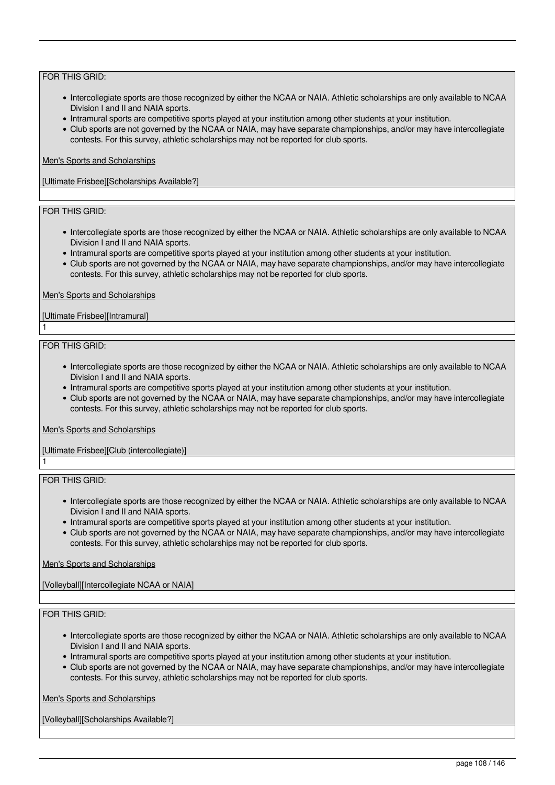- Intercollegiate sports are those recognized by either the NCAA or NAIA. Athletic scholarships are only available to NCAA Division I and II and NAIA sports.
- Intramural sports are competitive sports played at your institution among other students at your institution.
- Club sports are not governed by the NCAA or NAIA, may have separate championships, and/or may have intercollegiate contests. For this survey, athletic scholarships may not be reported for club sports.

### Men's Sports and Scholarships

[Ultimate Frisbee][Scholarships Available?]

# FOR THIS GRID:

- Intercollegiate sports are those recognized by either the NCAA or NAIA. Athletic scholarships are only available to NCAA Division I and II and NAIA sports.
- Intramural sports are competitive sports played at your institution among other students at your institution.
- Club sports are not governed by the NCAA or NAIA, may have separate championships, and/or may have intercollegiate contests. For this survey, athletic scholarships may not be reported for club sports.

#### Men's Sports and Scholarships

### [Ultimate Frisbee][Intramural]

#### FOR THIS GRID:

1

1

- Intercollegiate sports are those recognized by either the NCAA or NAIA. Athletic scholarships are only available to NCAA Division I and II and NAIA sports.
- Intramural sports are competitive sports played at your institution among other students at your institution.
- Club sports are not governed by the NCAA or NAIA, may have separate championships, and/or may have intercollegiate contests. For this survey, athletic scholarships may not be reported for club sports.

#### Men's Sports and Scholarships

# [Ultimate Frisbee][Club (intercollegiate)]

FOR THIS GRID:

- Intercollegiate sports are those recognized by either the NCAA or NAIA. Athletic scholarships are only available to NCAA Division I and II and NAIA sports.
- Intramural sports are competitive sports played at your institution among other students at your institution.
- Club sports are not governed by the NCAA or NAIA, may have separate championships, and/or may have intercollegiate contests. For this survey, athletic scholarships may not be reported for club sports.

# Men's Sports and Scholarships

[Volleyball][Intercollegiate NCAA or NAIA]

# FOR THIS GRID:

- Intercollegiate sports are those recognized by either the NCAA or NAIA. Athletic scholarships are only available to NCAA Division I and II and NAIA sports.
- Intramural sports are competitive sports played at your institution among other students at your institution.
- Club sports are not governed by the NCAA or NAIA, may have separate championships, and/or may have intercollegiate contests. For this survey, athletic scholarships may not be reported for club sports.

Men's Sports and Scholarships

[Volleyball][Scholarships Available?]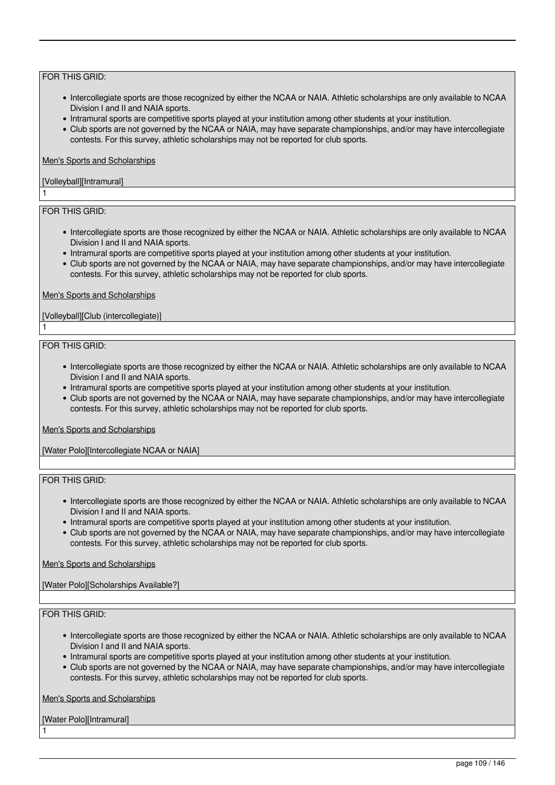## FOR THIS GRID:

- Intercollegiate sports are those recognized by either the NCAA or NAIA. Athletic scholarships are only available to NCAA Division I and II and NAIA sports.
- Intramural sports are competitive sports played at your institution among other students at your institution.
- Club sports are not governed by the NCAA or NAIA, may have separate championships, and/or may have intercollegiate contests. For this survey, athletic scholarships may not be reported for club sports.

### Men's Sports and Scholarships

## [Volleyball][Intramural]

## FOR THIS GRID:

1

1

- Intercollegiate sports are those recognized by either the NCAA or NAIA. Athletic scholarships are only available to NCAA Division I and II and NAIA sports.
- Intramural sports are competitive sports played at your institution among other students at your institution.
- Club sports are not governed by the NCAA or NAIA, may have separate championships, and/or may have intercollegiate contests. For this survey, athletic scholarships may not be reported for club sports.

### Men's Sports and Scholarships

## [Volleyball][Club (intercollegiate)]

### FOR THIS GRID:

- Intercollegiate sports are those recognized by either the NCAA or NAIA. Athletic scholarships are only available to NCAA Division I and II and NAIA sports.
- Intramural sports are competitive sports played at your institution among other students at your institution.
- Club sports are not governed by the NCAA or NAIA, may have separate championships, and/or may have intercollegiate contests. For this survey, athletic scholarships may not be reported for club sports.

#### Men's Sports and Scholarships

[Water Polo][Intercollegiate NCAA or NAIA]

## FOR THIS GRID:

- Intercollegiate sports are those recognized by either the NCAA or NAIA. Athletic scholarships are only available to NCAA Division I and II and NAIA sports.
- Intramural sports are competitive sports played at your institution among other students at your institution.
- Club sports are not governed by the NCAA or NAIA, may have separate championships, and/or may have intercollegiate contests. For this survey, athletic scholarships may not be reported for club sports.

## Men's Sports and Scholarships

[Water Polo][Scholarships Available?]

## FOR THIS GRID:

- Intercollegiate sports are those recognized by either the NCAA or NAIA. Athletic scholarships are only available to NCAA Division I and II and NAIA sports.
- Intramural sports are competitive sports played at your institution among other students at your institution.
- Club sports are not governed by the NCAA or NAIA, may have separate championships, and/or may have intercollegiate contests. For this survey, athletic scholarships may not be reported for club sports.

Men's Sports and Scholarships

[Water Polo][Intramural]

1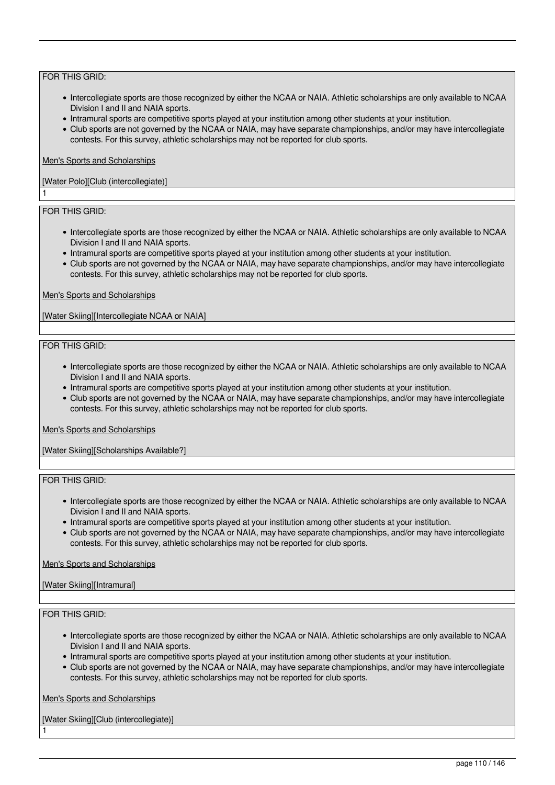## FOR THIS GRID:

- Intercollegiate sports are those recognized by either the NCAA or NAIA. Athletic scholarships are only available to NCAA Division I and II and NAIA sports.
- Intramural sports are competitive sports played at your institution among other students at your institution.
- Club sports are not governed by the NCAA or NAIA, may have separate championships, and/or may have intercollegiate contests. For this survey, athletic scholarships may not be reported for club sports.

### Men's Sports and Scholarships

## [Water Polo][Club (intercollegiate)]

## FOR THIS GRID:

1

- Intercollegiate sports are those recognized by either the NCAA or NAIA. Athletic scholarships are only available to NCAA Division I and II and NAIA sports.
- Intramural sports are competitive sports played at your institution among other students at your institution.
- Club sports are not governed by the NCAA or NAIA, may have separate championships, and/or may have intercollegiate contests. For this survey, athletic scholarships may not be reported for club sports.

### Men's Sports and Scholarships

[Water Skiing][Intercollegiate NCAA or NAIA]

### FOR THIS GRID:

- Intercollegiate sports are those recognized by either the NCAA or NAIA. Athletic scholarships are only available to NCAA Division I and II and NAIA sports.
- Intramural sports are competitive sports played at your institution among other students at your institution.
- Club sports are not governed by the NCAA or NAIA, may have separate championships, and/or may have intercollegiate contests. For this survey, athletic scholarships may not be reported for club sports.

#### Men's Sports and Scholarships

[Water Skiing][Scholarships Available?]

## FOR THIS GRID:

- Intercollegiate sports are those recognized by either the NCAA or NAIA. Athletic scholarships are only available to NCAA Division I and II and NAIA sports.
- Intramural sports are competitive sports played at your institution among other students at your institution.
- Club sports are not governed by the NCAA or NAIA, may have separate championships, and/or may have intercollegiate contests. For this survey, athletic scholarships may not be reported for club sports.

#### Men's Sports and Scholarships

## [Water Skiing][Intramural]

## FOR THIS GRID:

1

- Intercollegiate sports are those recognized by either the NCAA or NAIA. Athletic scholarships are only available to NCAA Division I and II and NAIA sports.
- Intramural sports are competitive sports played at your institution among other students at your institution.
- Club sports are not governed by the NCAA or NAIA, may have separate championships, and/or may have intercollegiate contests. For this survey, athletic scholarships may not be reported for club sports.

## Men's Sports and Scholarships

[Water Skiing][Club (intercollegiate)]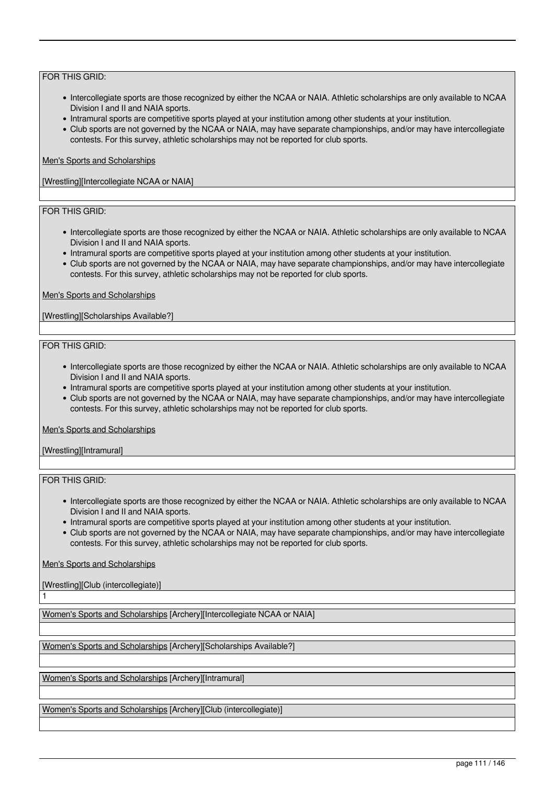## FOR THIS GRID:

- Intercollegiate sports are those recognized by either the NCAA or NAIA. Athletic scholarships are only available to NCAA Division I and II and NAIA sports.
- Intramural sports are competitive sports played at your institution among other students at your institution.
- Club sports are not governed by the NCAA or NAIA, may have separate championships, and/or may have intercollegiate contests. For this survey, athletic scholarships may not be reported for club sports.

## Men's Sports and Scholarships

[Wrestling][Intercollegiate NCAA or NAIA]

## FOR THIS GRID:

- Intercollegiate sports are those recognized by either the NCAA or NAIA. Athletic scholarships are only available to NCAA Division I and II and NAIA sports.
- Intramural sports are competitive sports played at your institution among other students at your institution.
- Club sports are not governed by the NCAA or NAIA, may have separate championships, and/or may have intercollegiate contests. For this survey, athletic scholarships may not be reported for club sports.

### Men's Sports and Scholarships

[Wrestling][Scholarships Available?]

### FOR THIS GRID:

- Intercollegiate sports are those recognized by either the NCAA or NAIA. Athletic scholarships are only available to NCAA Division I and II and NAIA sports.
- Intramural sports are competitive sports played at your institution among other students at your institution.
- Club sports are not governed by the NCAA or NAIA, may have separate championships, and/or may have intercollegiate contests. For this survey, athletic scholarships may not be reported for club sports.

#### Men's Sports and Scholarships

[Wrestling][Intramural]

## FOR THIS GRID:

1

- Intercollegiate sports are those recognized by either the NCAA or NAIA. Athletic scholarships are only available to NCAA Division I and II and NAIA sports.
- Intramural sports are competitive sports played at your institution among other students at your institution.
- Club sports are not governed by the NCAA or NAIA, may have separate championships, and/or may have intercollegiate contests. For this survey, athletic scholarships may not be reported for club sports.

Men's Sports and Scholarships

[Wrestling][Club (intercollegiate)]

Women's Sports and Scholarships [Archery][Intercollegiate NCAA or NAIA]

Women's Sports and Scholarships [Archery][Scholarships Available?]

Women's Sports and Scholarships [Archery][Intramural]

Women's Sports and Scholarships [Archery][Club (intercollegiate)]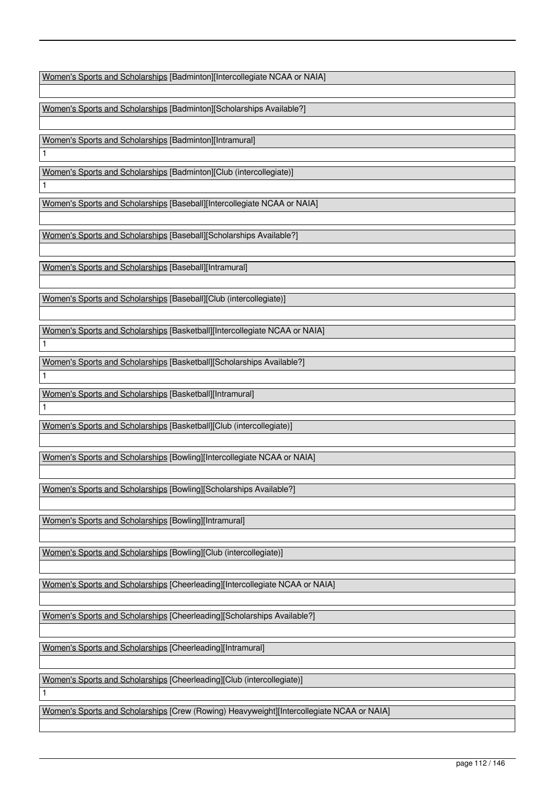Women's Sports and Scholarships [Badminton][Intercollegiate NCAA or NAIA]

Women's Sports and Scholarships [Badminton][Scholarships Available?]

Women's Sports and Scholarships [Badminton][Intramural]

1

1

1

1

1

1

Women's Sports and Scholarships [Badminton][Club (intercollegiate)]

Women's Sports and Scholarships [Baseball][Intercollegiate NCAA or NAIA]

Women's Sports and Scholarships [Baseball][Scholarships Available?]

Women's Sports and Scholarships [Baseball][Intramural]

Women's Sports and Scholarships [Baseball][Club (intercollegiate)]

Women's Sports and Scholarships [Basketball][Intercollegiate NCAA or NAIA]

Women's Sports and Scholarships [Basketball][Scholarships Available?]

Women's Sports and Scholarships [Basketball][Intramural]

Women's Sports and Scholarships [Basketball][Club (intercollegiate)]

Women's Sports and Scholarships [Bowling][Intercollegiate NCAA or NAIA]

Women's Sports and Scholarships [Bowling][Scholarships Available?]

Women's Sports and Scholarships [Bowling][Intramural]

Women's Sports and Scholarships [Bowling][Club (intercollegiate)]

Women's Sports and Scholarships [Cheerleading][Intercollegiate NCAA or NAIA]

Women's Sports and Scholarships [Cheerleading][Scholarships Available?]

Women's Sports and Scholarships [Cheerleading][Intramural]

Women's Sports and Scholarships [Cheerleading][Club (intercollegiate)]

Women's Sports and Scholarships [Crew (Rowing) Heavyweight][Intercollegiate NCAA or NAIA]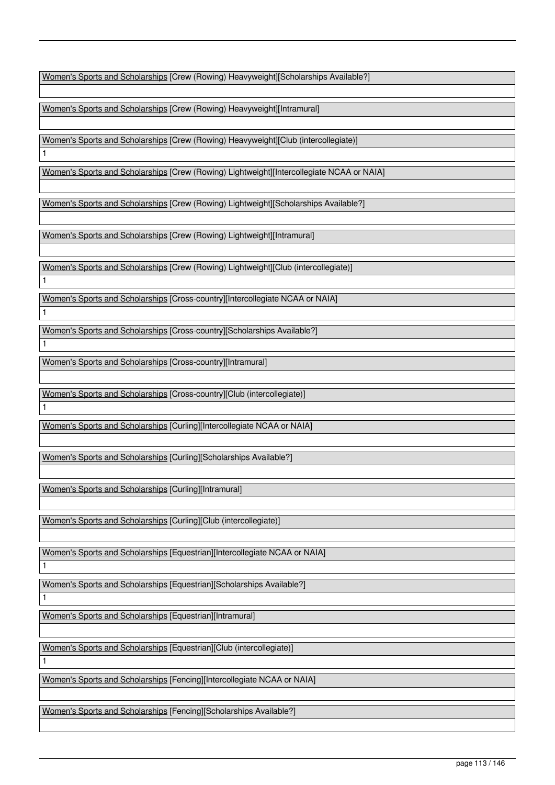Women's Sports and Scholarships [Crew (Rowing) Heavyweight][Scholarships Available?]

Women's Sports and Scholarships [Crew (Rowing) Heavyweight][Intramural]

Women's Sports and Scholarships [Crew (Rowing) Heavyweight][Club (intercollegiate)]

Women's Sports and Scholarships [Crew (Rowing) Lightweight][Intercollegiate NCAA or NAIA]

Women's Sports and Scholarships [Crew (Rowing) Lightweight][Scholarships Available?]

Women's Sports and Scholarships [Crew (Rowing) Lightweight][Intramural]

Women's Sports and Scholarships [Crew (Rowing) Lightweight][Club (intercollegiate)]

Women's Sports and Scholarships [Cross-country][Intercollegiate NCAA or NAIA]

Women's Sports and Scholarships [Cross-country][Scholarships Available?]

Women's Sports and Scholarships [Cross-country][Intramural]

Women's Sports and Scholarships [Cross-country][Club (intercollegiate)]

Women's Sports and Scholarships [Curling][Intercollegiate NCAA or NAIA]

Women's Sports and Scholarships [Curling][Scholarships Available?]

Women's Sports and Scholarships [Curling][Intramural]

Women's Sports and Scholarships [Curling][Club (intercollegiate)]

Women's Sports and Scholarships [Equestrian][Intercollegiate NCAA or NAIA]

1

1

1

1

1

1

1

1

Women's Sports and Scholarships [Equestrian][Scholarships Available?]

Women's Sports and Scholarships [Equestrian][Intramural]

Women's Sports and Scholarships [Equestrian][Club (intercollegiate)]

Women's Sports and Scholarships [Fencing][Intercollegiate NCAA or NAIA]

Women's Sports and Scholarships [Fencing][Scholarships Available?]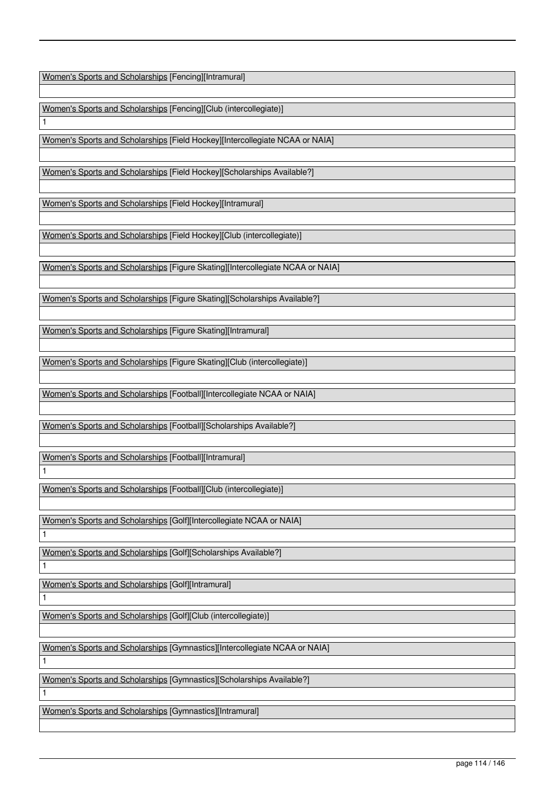Women's Sports and Scholarships [Fencing][Intramural]

1

1

1

1

1

1

Women's Sports and Scholarships [Fencing][Club (intercollegiate)]

Women's Sports and Scholarships [Field Hockey][Intercollegiate NCAA or NAIA]

Women's Sports and Scholarships [Field Hockey][Scholarships Available?]

Women's Sports and Scholarships [Field Hockey][Intramural]

Women's Sports and Scholarships [Field Hockey][Club (intercollegiate)]

Women's Sports and Scholarships [Figure Skating][Intercollegiate NCAA or NAIA]

Women's Sports and Scholarships [Figure Skating][Scholarships Available?]

Women's Sports and Scholarships [Figure Skating][Intramural]

Women's Sports and Scholarships [Figure Skating][Club (intercollegiate)]

Women's Sports and Scholarships [Football][Intercollegiate NCAA or NAIA]

Women's Sports and Scholarships [Football][Scholarships Available?]

Women's Sports and Scholarships [Football][Intramural] 1

Women's Sports and Scholarships [Football][Club (intercollegiate)]

Women's Sports and Scholarships [Golf][Intercollegiate NCAA or NAIA]

Women's Sports and Scholarships [Golf][Scholarships Available?]

Women's Sports and Scholarships [Golf][Intramural]

Women's Sports and Scholarships [Golf][Club (intercollegiate)]

Women's Sports and Scholarships [Gymnastics][Intercollegiate NCAA or NAIA]

Women's Sports and Scholarships [Gymnastics][Scholarships Available?]

Women's Sports and Scholarships [Gymnastics][Intramural]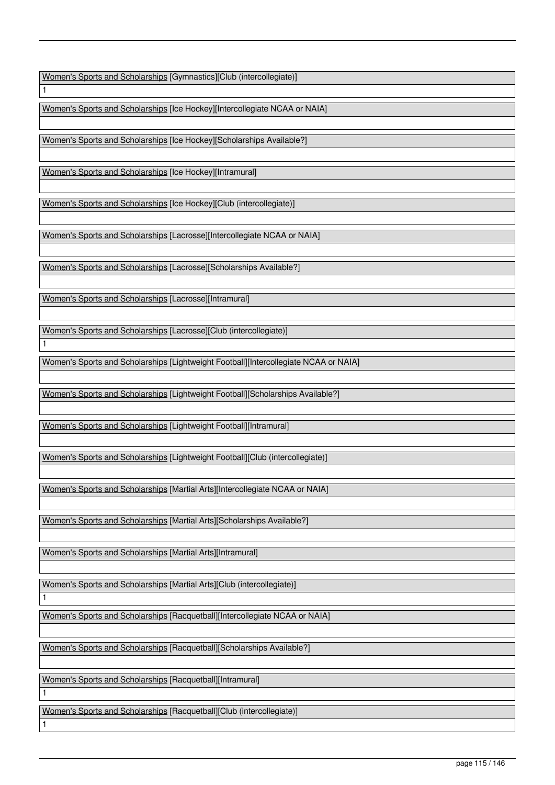Women's Sports and Scholarships [Gymnastics][Club (intercollegiate)]

Women's Sports and Scholarships [Ice Hockey][Intercollegiate NCAA or NAIA]

Women's Sports and Scholarships [Ice Hockey][Scholarships Available?]

Women's Sports and Scholarships [Ice Hockey][Intramural]

1

1

1

1

1

Women's Sports and Scholarships [Ice Hockey][Club (intercollegiate)]

Women's Sports and Scholarships [Lacrosse][Intercollegiate NCAA or NAIA]

Women's Sports and Scholarships [Lacrosse][Scholarships Available?]

Women's Sports and Scholarships [Lacrosse][Intramural]

Women's Sports and Scholarships [Lacrosse][Club (intercollegiate)]

Women's Sports and Scholarships [Lightweight Football][Intercollegiate NCAA or NAIA]

Women's Sports and Scholarships [Lightweight Football][Scholarships Available?]

Women's Sports and Scholarships [Lightweight Football][Intramural]

Women's Sports and Scholarships [Lightweight Football][Club (intercollegiate)]

Women's Sports and Scholarships [Martial Arts][Intercollegiate NCAA or NAIA]

Women's Sports and Scholarships [Martial Arts][Scholarships Available?]

Women's Sports and Scholarships [Martial Arts][Intramural]

Women's Sports and Scholarships [Martial Arts][Club (intercollegiate)]

Women's Sports and Scholarships [Racquetball][Intercollegiate NCAA or NAIA]

Women's Sports and Scholarships [Racquetball][Scholarships Available?]

Women's Sports and Scholarships [Racquetball][Intramural]

Women's Sports and Scholarships [Racquetball][Club (intercollegiate)]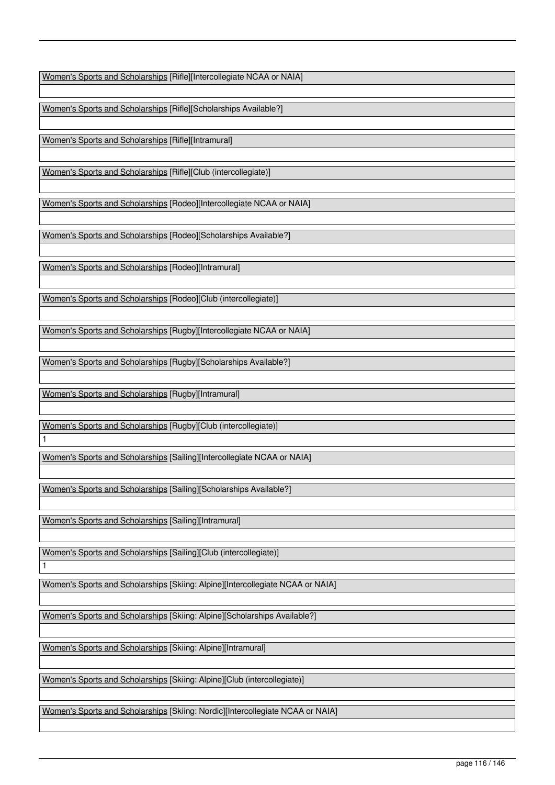Women's Sports and Scholarships [Rifle][Intercollegiate NCAA or NAIA]

Women's Sports and Scholarships [Rifle][Scholarships Available?]

Women's Sports and Scholarships [Rifle][Intramural]

Women's Sports and Scholarships [Rifle][Club (intercollegiate)]

Women's Sports and Scholarships [Rodeo][Intercollegiate NCAA or NAIA]

Women's Sports and Scholarships [Rodeo][Scholarships Available?]

Women's Sports and Scholarships [Rodeo][Intramural]

Women's Sports and Scholarships [Rodeo][Club (intercollegiate)]

Women's Sports and Scholarships [Rugby][Intercollegiate NCAA or NAIA]

Women's Sports and Scholarships [Rugby][Scholarships Available?]

Women's Sports and Scholarships [Rugby][Intramural]

1

1

Women's Sports and Scholarships [Rugby][Club (intercollegiate)]

Women's Sports and Scholarships [Sailing][Intercollegiate NCAA or NAIA]

Women's Sports and Scholarships [Sailing][Scholarships Available?]

Women's Sports and Scholarships [Sailing][Intramural]

Women's Sports and Scholarships [Sailing][Club (intercollegiate)]

Women's Sports and Scholarships [Skiing: Alpine][Intercollegiate NCAA or NAIA]

Women's Sports and Scholarships [Skiing: Alpine][Scholarships Available?]

Women's Sports and Scholarships [Skiing: Alpine][Intramural]

Women's Sports and Scholarships [Skiing: Alpine][Club (intercollegiate)]

Women's Sports and Scholarships [Skiing: Nordic][Intercollegiate NCAA or NAIA]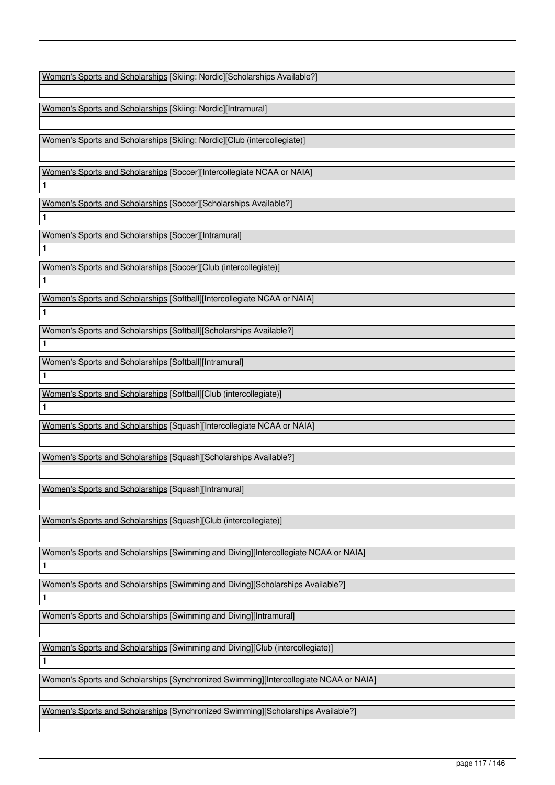Women's Sports and Scholarships [Skiing: Nordic][Scholarships Available?]

Women's Sports and Scholarships [Skiing: Nordic][Intramural]

Women's Sports and Scholarships [Skiing: Nordic][Club (intercollegiate)]

Women's Sports and Scholarships [Soccer][Intercollegiate NCAA or NAIA]

Women's Sports and Scholarships [Soccer][Scholarships Available?]

Women's Sports and Scholarships [Soccer][Intramural]

1

1

1

1

1

1

1

1

1

1

1

Women's Sports and Scholarships [Soccer][Club (intercollegiate)]

Women's Sports and Scholarships [Softball][Intercollegiate NCAA or NAIA]

Women's Sports and Scholarships [Softball][Scholarships Available?]

Women's Sports and Scholarships [Softball][Intramural]

Women's Sports and Scholarships [Softball][Club (intercollegiate)]

Women's Sports and Scholarships [Squash][Intercollegiate NCAA or NAIA]

Women's Sports and Scholarships [Squash][Scholarships Available?]

Women's Sports and Scholarships [Squash][Intramural]

Women's Sports and Scholarships [Squash][Club (intercollegiate)]

Women's Sports and Scholarships [Swimming and Diving][Intercollegiate NCAA or NAIA]

Women's Sports and Scholarships [Swimming and Diving][Scholarships Available?]

Women's Sports and Scholarships [Swimming and Diving][Intramural]

Women's Sports and Scholarships [Swimming and Diving][Club (intercollegiate)]

Women's Sports and Scholarships [Synchronized Swimming][Intercollegiate NCAA or NAIA]

Women's Sports and Scholarships [Synchronized Swimming][Scholarships Available?]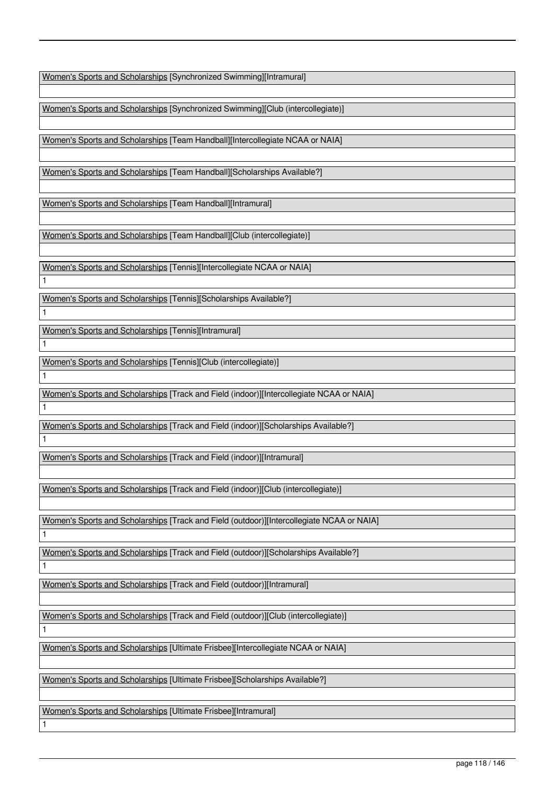Women's Sports and Scholarships [Synchronized Swimming][Intramural]

Women's Sports and Scholarships [Synchronized Swimming][Club (intercollegiate)]

Women's Sports and Scholarships [Team Handball][Intercollegiate NCAA or NAIA]

Women's Sports and Scholarships [Team Handball][Scholarships Available?]

Women's Sports and Scholarships [Team Handball][Intramural]

Women's Sports and Scholarships [Team Handball][Club (intercollegiate)]

Women's Sports and Scholarships [Tennis][Intercollegiate NCAA or NAIA]

Women's Sports and Scholarships [Tennis][Scholarships Available?]

Women's Sports and Scholarships [Tennis][Intramural]

1

1

1

1

1

1

1

1

1

1

Women's Sports and Scholarships [Tennis][Club (intercollegiate)]

Women's Sports and Scholarships [Track and Field (indoor)][Intercollegiate NCAA or NAIA]

Women's Sports and Scholarships [Track and Field (indoor)][Scholarships Available?]

Women's Sports and Scholarships [Track and Field (indoor)][Intramural]

Women's Sports and Scholarships [Track and Field (indoor)][Club (intercollegiate)]

Women's Sports and Scholarships [Track and Field (outdoor)][Intercollegiate NCAA or NAIA]

Women's Sports and Scholarships [Track and Field (outdoor)][Scholarships Available?]

Women's Sports and Scholarships [Track and Field (outdoor)][Intramural]

Women's Sports and Scholarships [Track and Field (outdoor)][Club (intercollegiate)]

Women's Sports and Scholarships [Ultimate Frisbee][Intercollegiate NCAA or NAIA]

Women's Sports and Scholarships [Ultimate Frisbee][Scholarships Available?]

Women's Sports and Scholarships [Ultimate Frisbee][Intramural]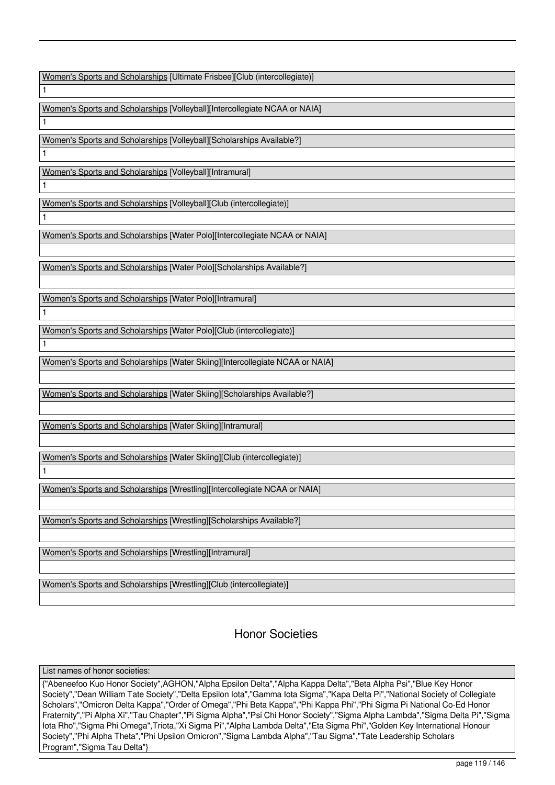Women's Sports and Scholarships [Ultimate Frisbee][Club (intercollegiate)]

Women's Sports and Scholarships [Volleyball][Intercollegiate NCAA or NAIA]

Women's Sports and Scholarships [Volleyball][Scholarships Available?]

Women's Sports and Scholarships [Volleyball][Intramural]

1

1

1

1

1

1

1

1

Women's Sports and Scholarships [Volleyball][Club (intercollegiate)]

Women's Sports and Scholarships [Water Polo][Intercollegiate NCAA or NAIA]

Women's Sports and Scholarships [Water Polo][Scholarships Available?]

Women's Sports and Scholarships [Water Polo][Intramural]

Women's Sports and Scholarships [Water Polo][Club (intercollegiate)]

Women's Sports and Scholarships [Water Skiing][Intercollegiate NCAA or NAIA]

Women's Sports and Scholarships [Water Skiing][Scholarships Available?]

Women's Sports and Scholarships [Water Skiing][Intramural]

Women's Sports and Scholarships [Water Skiing][Club (intercollegiate)]

Women's Sports and Scholarships [Wrestling][Intercollegiate NCAA or NAIA]

Women's Sports and Scholarships [Wrestling][Scholarships Available?]

Women's Sports and Scholarships [Wrestling][Intramural]

Women's Sports and Scholarships [Wrestling][Club (intercollegiate)]

Honor Societies

List names of honor societies:

{"Abeneefoo Kuo Honor Society",AGHON,"Alpha Epsilon Delta","Alpha Kappa Delta","Beta Alpha Psi","Blue Key Honor Society","Dean William Tate Society","Delta Epsilon Iota","Gamma Iota Sigma","Kapa Delta Pi","National Society of Collegiate Scholars","Omicron Delta Kappa","Order of Omega","Phi Beta Kappa","Phi Kappa Phi","Phi Sigma Pi National Co-Ed Honor Fraternity","Pi Alpha Xi","Tau Chapter","Pi Sigma Alpha","Psi Chi Honor Society","Sigma Alpha Lambda","Sigma Delta Pi","Sigma Iota Rho","Sigma Phi Omega",Triota,"Xi Sigma Pi","Alpha Lambda Delta","Eta Sigma Phi","Golden Key International Honour Society","Phi Alpha Theta","Phi Upsilon Omicron","Sigma Lambda Alpha","Tau Sigma","Tate Leadership Scholars Program","Sigma Tau Delta"}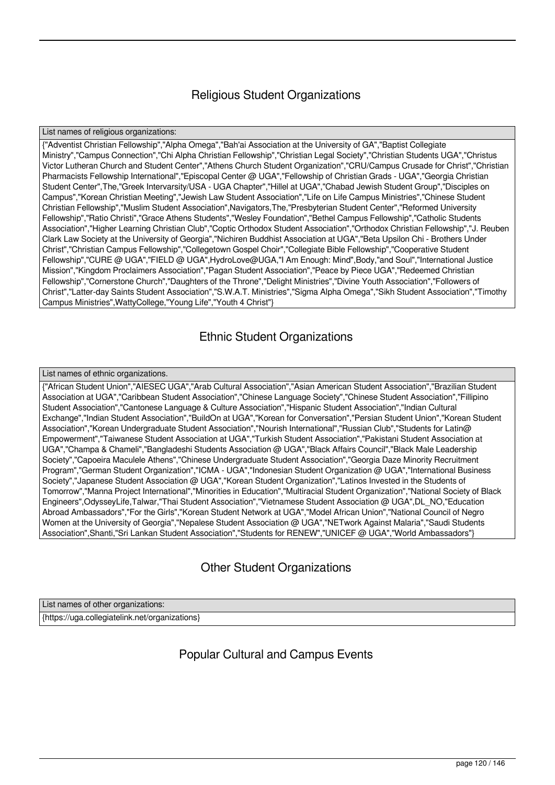# Religious Student Organizations

List names of religious organizations:

{"Adventist Christian Fellowship","Alpha Omega","Bah'ai Association at the University of GA","Baptist Collegiate Ministry","Campus Connection","Chi Alpha Christian Fellowship","Christian Legal Society","Christian Students UGA","Christus Victor Lutheran Church and Student Center","Athens Church Student Organization","CRU/Campus Crusade for Christ","Christian Pharmacists Fellowship International","Episcopal Center @ UGA","Fellowship of Christian Grads - UGA","Georgia Christian Student Center",The,"Greek Intervarsity/USA - UGA Chapter","Hillel at UGA","Chabad Jewish Student Group","Disciples on Campus","Korean Christian Meeting","Jewish Law Student Association","Life on Life Campus Ministries","Chinese Student Christian Fellowship","Muslim Student Association",Navigators,The,"Presbyterian Student Center","Reformed University Fellowship","Ratio Christi","Grace Athens Students","Wesley Foundation","Bethel Campus Fellowship","Catholic Students Association","Higher Learning Christian Club","Coptic Orthodox Student Association","Orthodox Christian Fellowship","J. Reuben Clark Law Society at the University of Georgia","Nichiren Buddhist Association at UGA","Beta Upsilon Chi - Brothers Under Christ","Christian Campus Fellowship","Collegetown Gospel Choir","Collegiate Bible Fellowship","Cooperative Student Fellowship","CURE @ UGA","FIELD @ UGA",HydroLove@UGA,"I Am Enough: Mind",Body,"and Soul","International Justice Mission","Kingdom Proclaimers Association","Pagan Student Association","Peace by Piece UGA","Redeemed Christian Fellowship","Cornerstone Church","Daughters of the Throne","Delight Ministries","Divine Youth Association","Followers of Christ","Latter-day Saints Student Association","S.W.A.T. Ministries","Sigma Alpha Omega","Sikh Student Association","Timothy Campus Ministries",WattyCollege,"Young Life","Youth 4 Christ"}

# Ethnic Student Organizations

## List names of ethnic organizations.

{"African Student Union","AIESEC UGA","Arab Cultural Association","Asian American Student Association","Brazilian Student Association at UGA","Caribbean Student Association","Chinese Language Society","Chinese Student Association","Fillipino Student Association","Cantonese Language & Culture Association","Hispanic Student Association","Indian Cultural Exchange","Indian Student Association","BuildOn at UGA","Korean for Conversation","Persian Student Union","Korean Student Association","Korean Undergraduate Student Association","Nourish International","Russian Club","Students for Latin@ Empowerment","Taiwanese Student Association at UGA","Turkish Student Association","Pakistani Student Association at UGA","Champa & Chameli","Bangladeshi Students Association @ UGA","Black Affairs Council","Black Male Leadership Society","Capoeira Maculele Athens","Chinese Undergraduate Student Association","Georgia Daze Minority Recruitment Program","German Student Organization","ICMA - UGA","Indonesian Student Organization @ UGA","International Business Society","Japanese Student Association @ UGA","Korean Student Organization","Latinos Invested in the Students of Tomorrow","Manna Project International","Minorities in Education","Multiracial Student Organization","National Society of Black Engineers",OdysseyLife,Talwar,"Thai Student Association","Vietnamese Student Association @ UGA",DL\_NO,"Education Abroad Ambassadors","For the Girls","Korean Student Network at UGA","Model African Union","National Council of Negro Women at the University of Georgia","Nepalese Student Association @ UGA","NETwork Against Malaria","Saudi Students Association",Shanti,"Sri Lankan Student Association","Students for RENEW","UNICEF @ UGA","World Ambassadors"}

# Other Student Organizations

List names of other organizations: {https://uga.collegiatelink.net/organizations}

Popular Cultural and Campus Events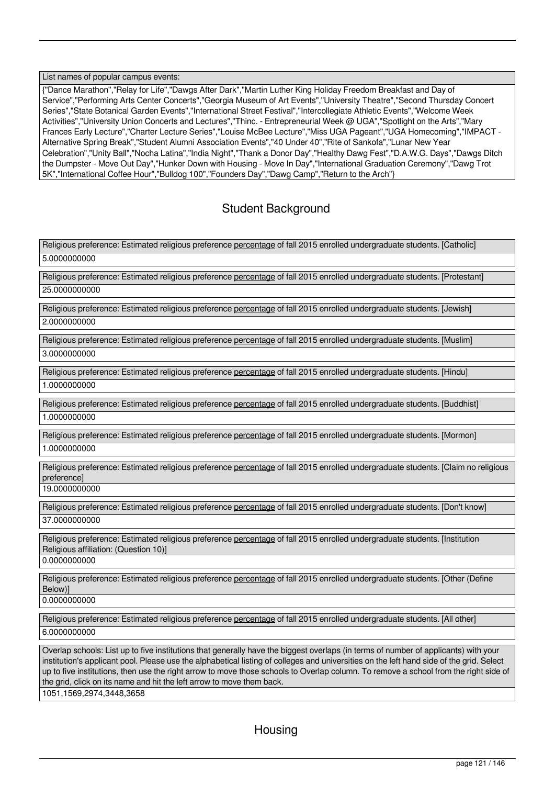## List names of popular campus events:

{"Dance Marathon","Relay for Life","Dawgs After Dark","Martin Luther King Holiday Freedom Breakfast and Day of Service","Performing Arts Center Concerts","Georgia Museum of Art Events","University Theatre","Second Thursday Concert Series","State Botanical Garden Events","International Street Festival","Intercollegiate Athletic Events","Welcome Week Activities","University Union Concerts and Lectures","Thinc. - Entrepreneurial Week @ UGA","Spotlight on the Arts","Mary Frances Early Lecture","Charter Lecture Series","Louise McBee Lecture","Miss UGA Pageant","UGA Homecoming","IMPACT - Alternative Spring Break","Student Alumni Association Events","40 Under 40","Rite of Sankofa","Lunar New Year Celebration","Unity Ball","Nocha Latina","India Night","Thank a Donor Day","Healthy Dawg Fest","D.A.W.G. Days","Dawgs Ditch the Dumpster - Move Out Day","Hunker Down with Housing - Move In Day","International Graduation Ceremony","Dawg Trot 5K","International Coffee Hour","Bulldog 100","Founders Day","Dawg Camp","Return to the Arch"}

## Student Background

Religious preference: Estimated religious preference percentage of fall 2015 enrolled undergraduate students. [Catholic] 5.0000000000

Religious preference: Estimated religious preference percentage of fall 2015 enrolled undergraduate students. [Protestant] 25.0000000000

Religious preference: Estimated religious preference percentage of fall 2015 enrolled undergraduate students. [Jewish] 2.0000000000

Religious preference: Estimated religious preference percentage of fall 2015 enrolled undergraduate students. [Muslim] 3.0000000000

Religious preference: Estimated religious preference percentage of fall 2015 enrolled undergraduate students. [Hindu] 1.0000000000

Religious preference: Estimated religious preference percentage of fall 2015 enrolled undergraduate students. [Buddhist] 1.0000000000

Religious preference: Estimated religious preference percentage of fall 2015 enrolled undergraduate students. [Mormon]

1.0000000000

Religious preference: Estimated religious preference percentage of fall 2015 enrolled undergraduate students. [Claim no religious preference]

19.0000000000

Religious preference: Estimated religious preference percentage of fall 2015 enrolled undergraduate students. [Don't know] 37.0000000000

Religious preference: Estimated religious preference percentage of fall 2015 enrolled undergraduate students. [Institution Religious affiliation: (Question 10)]

0.0000000000

Religious preference: Estimated religious preference percentage of fall 2015 enrolled undergraduate students. [Other (Define Below)]

0.0000000000

Religious preference: Estimated religious preference percentage of fall 2015 enrolled undergraduate students. [All other] 6.0000000000

Overlap schools: List up to five institutions that generally have the biggest overlaps (in terms of number of applicants) with your institution's applicant pool. Please use the alphabetical listing of colleges and universities on the left hand side of the grid. Select up to five institutions, then use the right arrow to move those schools to Overlap column. To remove a school from the right side of the grid, click on its name and hit the left arrow to move them back.

1051,1569,2974,3448,3658

**Housing**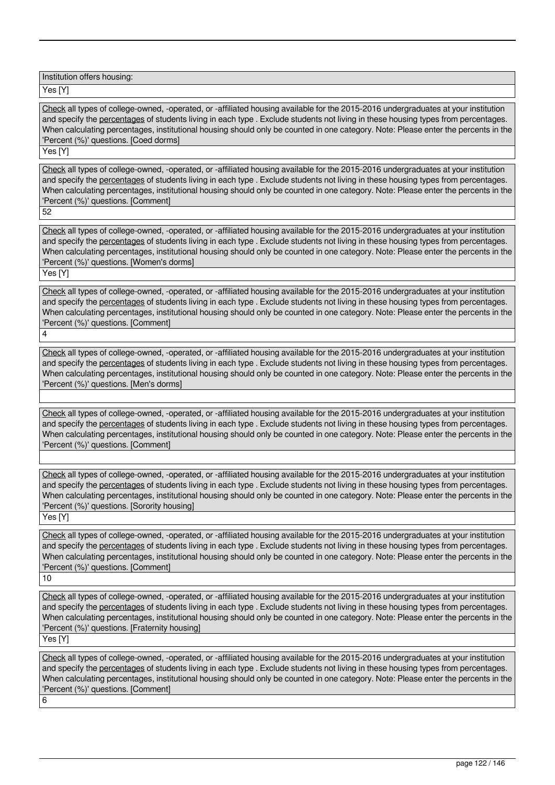Institution offers housing:

Yes [Y]

Check all types of college-owned, -operated, or -affiliated housing available for the 2015-2016 undergraduates at your institution and specify the percentages of students living in each type . Exclude students not living in these housing types from percentages. When calculating percentages, institutional housing should only be counted in one category. Note: Please enter the percents in the 'Percent (%)' questions. [Coed dorms]

Yes [Y]

Check all types of college-owned, -operated, or -affiliated housing available for the 2015-2016 undergraduates at your institution and specify the percentages of students living in each type . Exclude students not living in these housing types from percentages. When calculating percentages, institutional housing should only be counted in one category. Note: Please enter the percents in the 'Percent (%)' questions. [Comment]

52

Check all types of college-owned, -operated, or -affiliated housing available for the 2015-2016 undergraduates at your institution and specify the percentages of students living in each type . Exclude students not living in these housing types from percentages. When calculating percentages, institutional housing should only be counted in one category. Note: Please enter the percents in the 'Percent (%)' questions. [Women's dorms]

Yes [Y]

4

Check all types of college-owned, -operated, or -affiliated housing available for the 2015-2016 undergraduates at your institution and specify the percentages of students living in each type . Exclude students not living in these housing types from percentages. When calculating percentages, institutional housing should only be counted in one category. Note: Please enter the percents in the 'Percent (%)' questions. [Comment]

Check all types of college-owned, -operated, or -affiliated housing available for the 2015-2016 undergraduates at your institution and specify the percentages of students living in each type . Exclude students not living in these housing types from percentages. When calculating percentages, institutional housing should only be counted in one category. Note: Please enter the percents in the 'Percent (%)' questions. [Men's dorms]

Check all types of college-owned, -operated, or -affiliated housing available for the 2015-2016 undergraduates at your institution and specify the percentages of students living in each type . Exclude students not living in these housing types from percentages. When calculating percentages, institutional housing should only be counted in one category. Note: Please enter the percents in the 'Percent (%)' questions. [Comment]

Check all types of college-owned, -operated, or -affiliated housing available for the 2015-2016 undergraduates at your institution and specify the percentages of students living in each type . Exclude students not living in these housing types from percentages. When calculating percentages, institutional housing should only be counted in one category. Note: Please enter the percents in the 'Percent (%)' questions. [Sorority housing]

Yes [Y]

Check all types of college-owned, -operated, or -affiliated housing available for the 2015-2016 undergraduates at your institution and specify the percentages of students living in each type . Exclude students not living in these housing types from percentages. When calculating percentages, institutional housing should only be counted in one category. Note: Please enter the percents in the 'Percent (%)' questions. [Comment]

10

Check all types of college-owned, -operated, or -affiliated housing available for the 2015-2016 undergraduates at your institution and specify the percentages of students living in each type . Exclude students not living in these housing types from percentages. When calculating percentages, institutional housing should only be counted in one category. Note: Please enter the percents in the 'Percent (%)' questions. [Fraternity housing]

Yes [Y]

Check all types of college-owned, -operated, or -affiliated housing available for the 2015-2016 undergraduates at your institution and specify the percentages of students living in each type . Exclude students not living in these housing types from percentages. When calculating percentages, institutional housing should only be counted in one category. Note: Please enter the percents in the 'Percent (%)' questions. [Comment] 6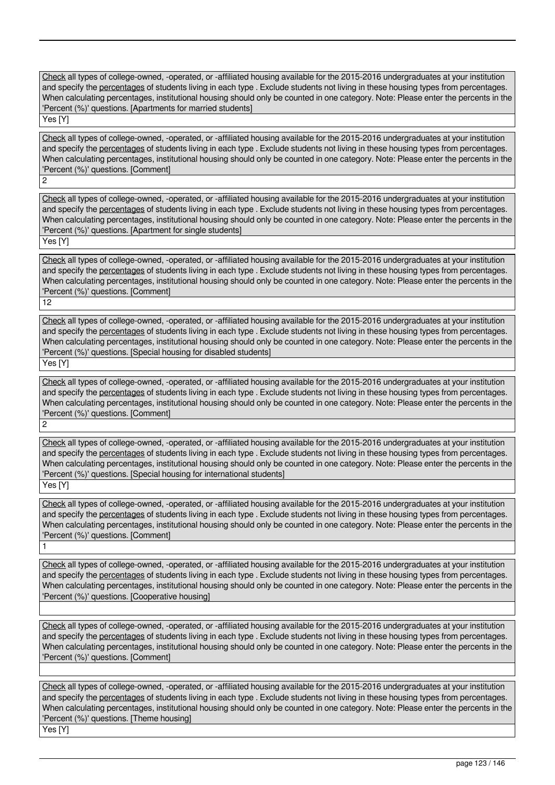Check all types of college-owned, -operated, or -affiliated housing available for the 2015-2016 undergraduates at your institution and specify the percentages of students living in each type . Exclude students not living in these housing types from percentages. When calculating percentages, institutional housing should only be counted in one category. Note: Please enter the percents in the 'Percent (%)' questions. [Apartments for married students]

Yes<sup>[Y]</sup>

2

Check all types of college-owned, -operated, or -affiliated housing available for the 2015-2016 undergraduates at your institution and specify the percentages of students living in each type . Exclude students not living in these housing types from percentages. When calculating percentages, institutional housing should only be counted in one category. Note: Please enter the percents in the 'Percent (%)' questions. [Comment]

Check all types of college-owned, -operated, or -affiliated housing available for the 2015-2016 undergraduates at your institution and specify the percentages of students living in each type . Exclude students not living in these housing types from percentages. When calculating percentages, institutional housing should only be counted in one category. Note: Please enter the percents in the 'Percent (%)' questions. [Apartment for single students] Yes [Y]

Check all types of college-owned, -operated, or -affiliated housing available for the 2015-2016 undergraduates at your institution and specify the percentages of students living in each type . Exclude students not living in these housing types from percentages. When calculating percentages, institutional housing should only be counted in one category. Note: Please enter the percents in the 'Percent (%)' questions. [Comment]

12

Check all types of college-owned, -operated, or -affiliated housing available for the 2015-2016 undergraduates at your institution and specify the percentages of students living in each type . Exclude students not living in these housing types from percentages. When calculating percentages, institutional housing should only be counted in one category. Note: Please enter the percents in the 'Percent (%)' questions. [Special housing for disabled students]

Yes [Y]

1

Check all types of college-owned, -operated, or -affiliated housing available for the 2015-2016 undergraduates at your institution and specify the percentages of students living in each type . Exclude students not living in these housing types from percentages. When calculating percentages, institutional housing should only be counted in one category. Note: Please enter the percents in the 'Percent (%)' questions. [Comment] 2

Check all types of college-owned, -operated, or -affiliated housing available for the 2015-2016 undergraduates at your institution and specify the percentages of students living in each type . Exclude students not living in these housing types from percentages. When calculating percentages, institutional housing should only be counted in one category. Note: Please enter the percents in the 'Percent (%)' questions. [Special housing for international students] Yes [Y]

Check all types of college-owned, -operated, or -affiliated housing available for the 2015-2016 undergraduates at your institution and specify the percentages of students living in each type . Exclude students not living in these housing types from percentages. When calculating percentages, institutional housing should only be counted in one category. Note: Please enter the percents in the 'Percent (%)' questions. [Comment]

Check all types of college-owned, -operated, or -affiliated housing available for the 2015-2016 undergraduates at your institution and specify the percentages of students living in each type . Exclude students not living in these housing types from percentages. When calculating percentages, institutional housing should only be counted in one category. Note: Please enter the percents in the 'Percent (%)' questions. [Cooperative housing]

Check all types of college-owned, -operated, or -affiliated housing available for the 2015-2016 undergraduates at your institution and specify the percentages of students living in each type . Exclude students not living in these housing types from percentages. When calculating percentages, institutional housing should only be counted in one category. Note: Please enter the percents in the 'Percent (%)' questions. [Comment]

Check all types of college-owned, -operated, or -affiliated housing available for the 2015-2016 undergraduates at your institution and specify the percentages of students living in each type . Exclude students not living in these housing types from percentages. When calculating percentages, institutional housing should only be counted in one category. Note: Please enter the percents in the 'Percent (%)' questions. [Theme housing] Yes [Y]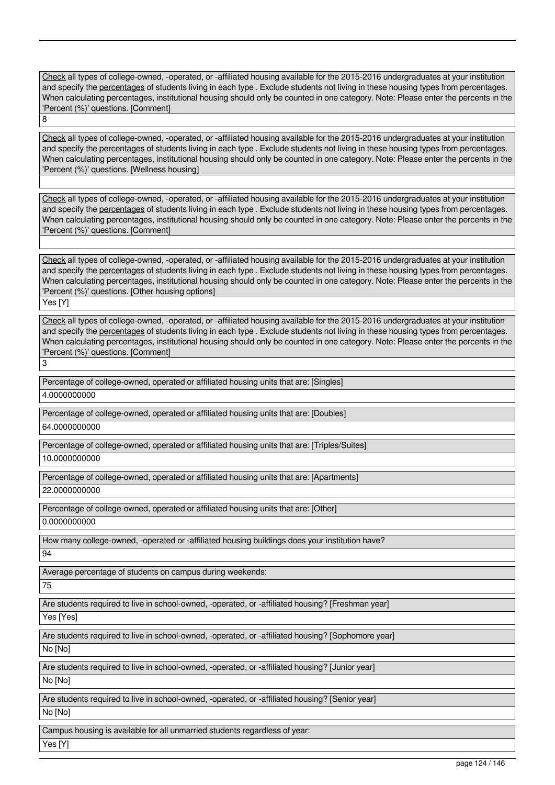Check all types of college-owned, -operated, or -affiliated housing available for the 2015-2016 undergraduates at your institution and specify the percentages of students living in each type . Exclude students not living in these housing types from percentages. When calculating percentages, institutional housing should only be counted in one category. Note: Please enter the percents in the 'Percent (%)' questions. [Comment] 8

Check all types of college-owned, -operated, or -affiliated housing available for the 2015-2016 undergraduates at your institution and specify the percentages of students living in each type . Exclude students not living in these housing types from percentages. When calculating percentages, institutional housing should only be counted in one category. Note: Please enter the percents in the 'Percent (%)' questions. [Wellness housing]

Check all types of college-owned, -operated, or -affiliated housing available for the 2015-2016 undergraduates at your institution and specify the percentages of students living in each type . Exclude students not living in these housing types from percentages. When calculating percentages, institutional housing should only be counted in one category. Note: Please enter the percents in the 'Percent (%)' questions. [Comment]

Check all types of college-owned, -operated, or -affiliated housing available for the 2015-2016 undergraduates at your institution and specify the percentages of students living in each type . Exclude students not living in these housing types from percentages. When calculating percentages, institutional housing should only be counted in one category. Note: Please enter the percents in the 'Percent (%)' questions. [Other housing options]

Yes [Y]

3

Check all types of college-owned, -operated, or -affiliated housing available for the 2015-2016 undergraduates at your institution and specify the percentages of students living in each type . Exclude students not living in these housing types from percentages. When calculating percentages, institutional housing should only be counted in one category. Note: Please enter the percents in the 'Percent (%)' questions. [Comment]

Percentage of college-owned, operated or affiliated housing units that are: [Singles]

4.0000000000

Percentage of college-owned, operated or affiliated housing units that are: [Doubles]

64.0000000000

Percentage of college-owned, operated or affiliated housing units that are: [Triples/Suites]

10.0000000000

Percentage of college-owned, operated or affiliated housing units that are: [Apartments] 22.0000000000

Percentage of college-owned, operated or affiliated housing units that are: [Other] 0.0000000000

How many college-owned, -operated or -affiliated housing buildings does your institution have?

94

Average percentage of students on campus during weekends:

75

Are students required to live in school-owned, -operated, or -affiliated housing? [Freshman year]

Yes [Yes]

Are students required to live in school-owned, -operated, or -affiliated housing? [Sophomore year]

No [No]

Are students required to live in school-owned, -operated, or -affiliated housing? [Junior year]

No [No]

Are students required to live in school-owned, -operated, or -affiliated housing? [Senior year]

No [No]

Campus housing is available for all unmarried students regardless of year:

Yes [Y]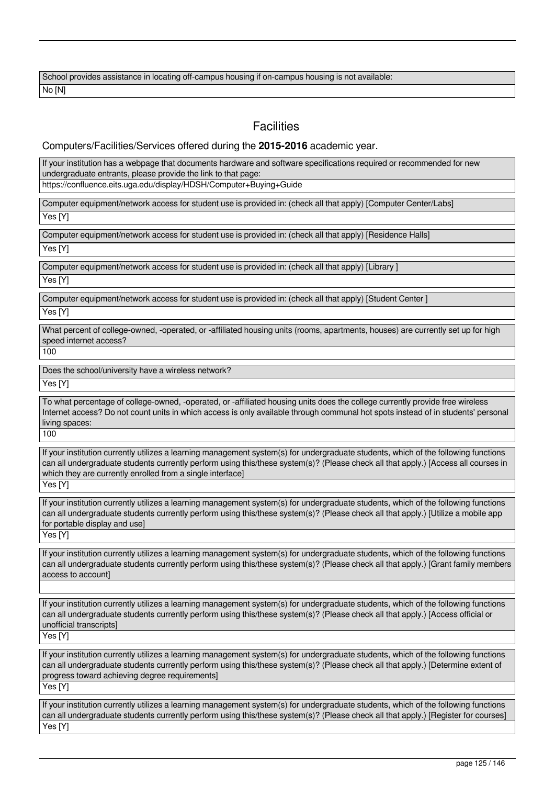School provides assistance in locating off-campus housing if on-campus housing is not available: No [N]

## **Facilities**

Computers/Facilities/Services offered during the **2015-2016** academic year.

If your institution has a webpage that documents hardware and software specifications required or recommended for new undergraduate entrants, please provide the link to that page:

https://confluence.eits.uga.edu/display/HDSH/Computer+Buying+Guide

Computer equipment/network access for student use is provided in: (check all that apply) [Computer Center/Labs]

Yes [Y]

Computer equipment/network access for student use is provided in: (check all that apply) [Residence Halls] Yes [Y]

Computer equipment/network access for student use is provided in: (check all that apply) [Library ]

Yes [Y]

Computer equipment/network access for student use is provided in: (check all that apply) [Student Center ]

Yes [Y]

What percent of college-owned, -operated, or -affiliated housing units (rooms, apartments, houses) are currently set up for high speed internet access?

100

Does the school/university have a wireless network?

Yes [Y]

To what percentage of college-owned, -operated, or -affiliated housing units does the college currently provide free wireless Internet access? Do not count units in which access is only available through communal hot spots instead of in students' personal living spaces:

100

If your institution currently utilizes a learning management system(s) for undergraduate students, which of the following functions can all undergraduate students currently perform using this/these system(s)? (Please check all that apply.) [Access all courses in which they are currently enrolled from a single interface]

Yes [Y]

If your institution currently utilizes a learning management system(s) for undergraduate students, which of the following functions can all undergraduate students currently perform using this/these system(s)? (Please check all that apply.) [Utilize a mobile app for portable display and use]

Yes [Y]

If your institution currently utilizes a learning management system(s) for undergraduate students, which of the following functions can all undergraduate students currently perform using this/these system(s)? (Please check all that apply.) [Grant family members access to account]

If your institution currently utilizes a learning management system(s) for undergraduate students, which of the following functions can all undergraduate students currently perform using this/these system(s)? (Please check all that apply.) [Access official or unofficial transcripts]

Yes<sup>[Y]</sup>

If your institution currently utilizes a learning management system(s) for undergraduate students, which of the following functions can all undergraduate students currently perform using this/these system(s)? (Please check all that apply.) [Determine extent of progress toward achieving degree requirements]

Yes [Y]

If your institution currently utilizes a learning management system(s) for undergraduate students, which of the following functions can all undergraduate students currently perform using this/these system(s)? (Please check all that apply.) [Register for courses] Yes [Y]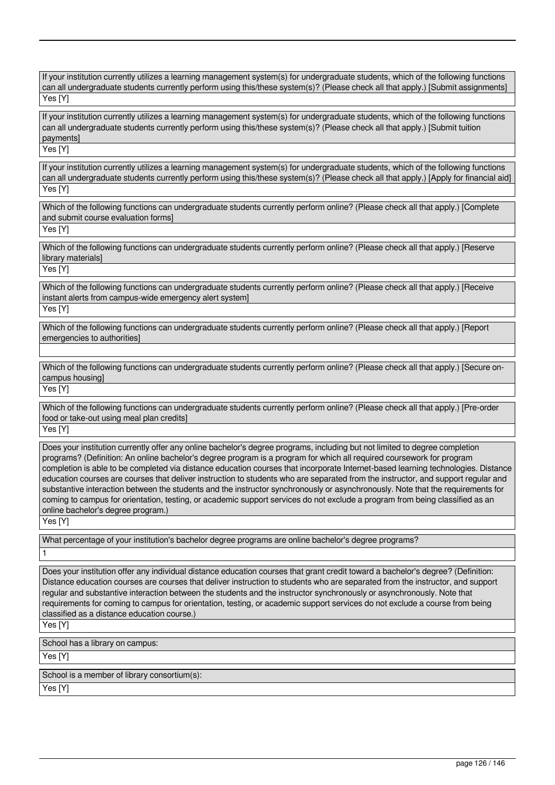If your institution currently utilizes a learning management system(s) for undergraduate students, which of the following functions can all undergraduate students currently perform using this/these system(s)? (Please check all that apply.) [Submit assignments] Yes [Y]

If your institution currently utilizes a learning management system(s) for undergraduate students, which of the following functions can all undergraduate students currently perform using this/these system(s)? (Please check all that apply.) [Submit tuition payments]

Yes [Y]

If your institution currently utilizes a learning management system(s) for undergraduate students, which of the following functions can all undergraduate students currently perform using this/these system(s)? (Please check all that apply.) [Apply for financial aid] Yes [Y]

Which of the following functions can undergraduate students currently perform online? (Please check all that apply.) [Complete and submit course evaluation forms]

Yes [Y]

Which of the following functions can undergraduate students currently perform online? (Please check all that apply.) [Reserve library materials]

Yes [Y]

Which of the following functions can undergraduate students currently perform online? (Please check all that apply.) [Receive instant alerts from campus-wide emergency alert system] Yes [Y]

Which of the following functions can undergraduate students currently perform online? (Please check all that apply.) [Report emergencies to authorities]

Which of the following functions can undergraduate students currently perform online? (Please check all that apply.) [Secure oncampus housing]

Yes [Y]

Which of the following functions can undergraduate students currently perform online? (Please check all that apply.) [Pre-order food or take-out using meal plan credits]

Yes [Y]

Does your institution currently offer any online bachelor's degree programs, including but not limited to degree completion programs? (Definition: An online bachelor's degree program is a program for which all required coursework for program completion is able to be completed via distance education courses that incorporate Internet-based learning technologies. Distance education courses are courses that deliver instruction to students who are separated from the instructor, and support regular and substantive interaction between the students and the instructor synchronously or asynchronously. Note that the requirements for coming to campus for orientation, testing, or academic support services do not exclude a program from being classified as an online bachelor's degree program.)

Yes [Y]

What percentage of your institution's bachelor degree programs are online bachelor's degree programs?

1

Does your institution offer any individual distance education courses that grant credit toward a bachelor's degree? (Definition: Distance education courses are courses that deliver instruction to students who are separated from the instructor, and support regular and substantive interaction between the students and the instructor synchronously or asynchronously. Note that requirements for coming to campus for orientation, testing, or academic support services do not exclude a course from being classified as a distance education course.)

Yes [Y]

School has a library on campus:

Yes [Y]

School is a member of library consortium(s):

Yes [Y]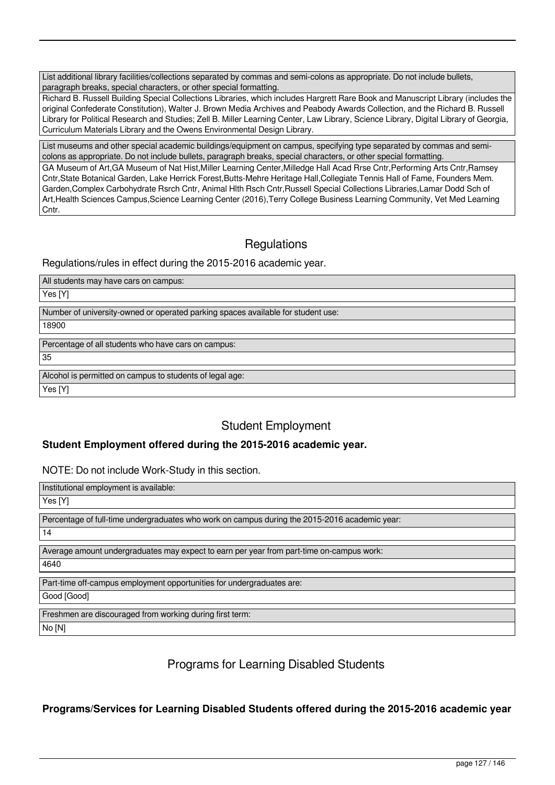List additional library facilities/collections separated by commas and semi-colons as appropriate. Do not include bullets, paragraph breaks, special characters, or other special formatting.

Richard B. Russell Building Special Collections Libraries, which includes Hargrett Rare Book and Manuscript Library (includes the original Confederate Constitution), Walter J. Brown Media Archives and Peabody Awards Collection, and the Richard B. Russell Library for Political Research and Studies; Zell B. Miller Learning Center, Law Library, Science Library, Digital Library of Georgia, Curriculum Materials Library and the Owens Environmental Design Library.

List museums and other special academic buildings/equipment on campus, specifying type separated by commas and semicolons as appropriate. Do not include bullets, paragraph breaks, special characters, or other special formatting.

GA Museum of Art, GA Museum of Nat Hist, Miller Learning Center, Milledge Hall Acad Rrse Cntr, Performing Arts Cntr, Ramsey Cntr,State Botanical Garden, Lake Herrick Forest,Butts-Mehre Heritage Hall,Collegiate Tennis Hall of Fame, Founders Mem. Garden,Complex Carbohydrate Rsrch Cntr, Animal Hlth Rsch Cntr,Russell Special Collections Libraries,Lamar Dodd Sch of Art,Health Sciences Campus,Science Learning Center (2016),Terry College Business Learning Community, Vet Med Learning Cntr.

# **Regulations**

Regulations/rules in effect during the 2015-2016 academic year.

All students may have cars on campus:

Yes [Y]

Number of university-owned or operated parking spaces available for student use:

18900

Percentage of all students who have cars on campus: 35

Alcohol is permitted on campus to students of legal age:

Yes [Y]

# Student Employment

## **Student Employment offered during the 2015-2016 academic year.**

NOTE: Do not include Work-Study in this section.

| Institutional employment is available:                                                        |
|-----------------------------------------------------------------------------------------------|
| Yes [Y]                                                                                       |
| Percentage of full-time undergraduates who work on campus during the 2015-2016 academic year: |
| 14                                                                                            |
| Average amount undergraduates may expect to earn per year from part-time on-campus work:      |
| 4640                                                                                          |
| Part-time off-campus employment opportunities for undergraduates are:                         |
| Good [Good]                                                                                   |
| Freshmen are discouraged from working during first term:                                      |
| No [N]                                                                                        |

# Programs for Learning Disabled Students

**Programs/Services for Learning Disabled Students offered during the 2015-2016 academic year**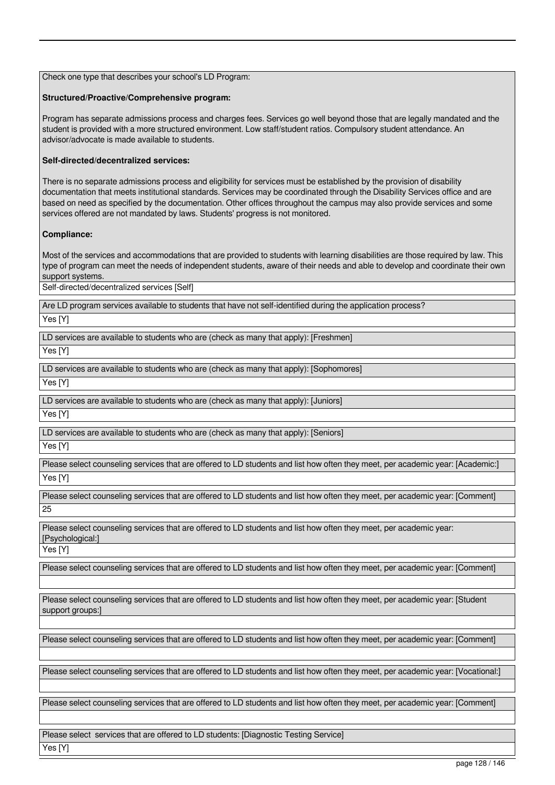Check one type that describes your school's LD Program:

### **Structured/Proactive/Comprehensive program:**

Program has separate admissions process and charges fees. Services go well beyond those that are legally mandated and the student is provided with a more structured environment. Low staff/student ratios. Compulsory student attendance. An advisor/advocate is made available to students.

## **Self-directed/decentralized services:**

There is no separate admissions process and eligibility for services must be established by the provision of disability documentation that meets institutional standards. Services may be coordinated through the Disability Services office and are based on need as specified by the documentation. Other offices throughout the campus may also provide services and some services offered are not mandated by laws. Students' progress is not monitored.

## **Compliance:**

Most of the services and accommodations that are provided to students with learning disabilities are those required by law. This type of program can meet the needs of independent students, aware of their needs and able to develop and coordinate their own support systems.

Self-directed/decentralized services [Self]

Are LD program services available to students that have not self-identified during the application process?

Yes [Y]

LD services are available to students who are (check as many that apply): [Freshmen]

Yes [Y]

LD services are available to students who are (check as many that apply): [Sophomores]

Yes [Y]

LD services are available to students who are (check as many that apply): [Juniors]

Yes [Y]

LD services are available to students who are (check as many that apply): [Seniors]

Yes [Y]

Please select counseling services that are offered to LD students and list how often they meet, per academic year: [Academic:] Yes [Y]

Please select counseling services that are offered to LD students and list how often they meet, per academic year: [Comment] 25

Please select counseling services that are offered to LD students and list how often they meet, per academic year: [Psychological:]

Yes [Y]

Please select counseling services that are offered to LD students and list how often they meet, per academic year: [Comment]

Please select counseling services that are offered to LD students and list how often they meet, per academic year: [Student support groups:]

Please select counseling services that are offered to LD students and list how often they meet, per academic year: [Comment]

Please select counseling services that are offered to LD students and list how often they meet, per academic year: [Vocational:]

Please select counseling services that are offered to LD students and list how often they meet, per academic year: [Comment]

Please select services that are offered to LD students: [Diagnostic Testing Service] Yes [Y]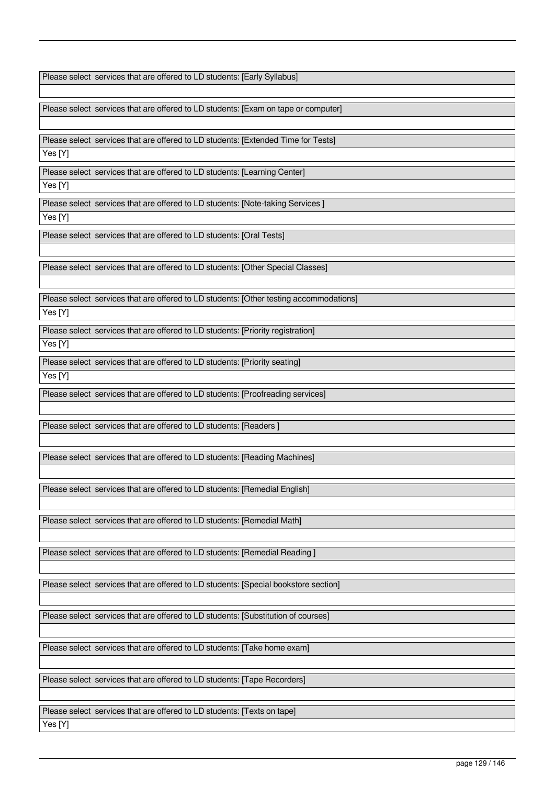Please select services that are offered to LD students: [Early Syllabus]

Please select services that are offered to LD students: [Exam on tape or computer]

Please select services that are offered to LD students: [Extended Time for Tests]

Yes [Y]

Please select services that are offered to LD students: [Learning Center]

Yes [Y]

Please select services that are offered to LD students: [Note-taking Services ]

Yes [Y]

Please select services that are offered to LD students: [Oral Tests]

Please select services that are offered to LD students: [Other Special Classes]

Please select services that are offered to LD students: [Other testing accommodations] Yes [Y]

Please select services that are offered to LD students: [Priority registration] Yes [Y]

Please select services that are offered to LD students: [Priority seating] Yes [Y]

Please select services that are offered to LD students: [Proofreading services]

Please select services that are offered to LD students: [Readers ]

Please select services that are offered to LD students: [Reading Machines]

Please select services that are offered to LD students: [Remedial English]

Please select services that are offered to LD students: [Remedial Math]

Please select services that are offered to LD students: [Remedial Reading ]

Please select services that are offered to LD students: [Special bookstore section]

Please select services that are offered to LD students: [Substitution of courses]

Please select services that are offered to LD students: [Take home exam]

Please select services that are offered to LD students: [Tape Recorders]

Please select services that are offered to LD students: [Texts on tape] Yes [Y]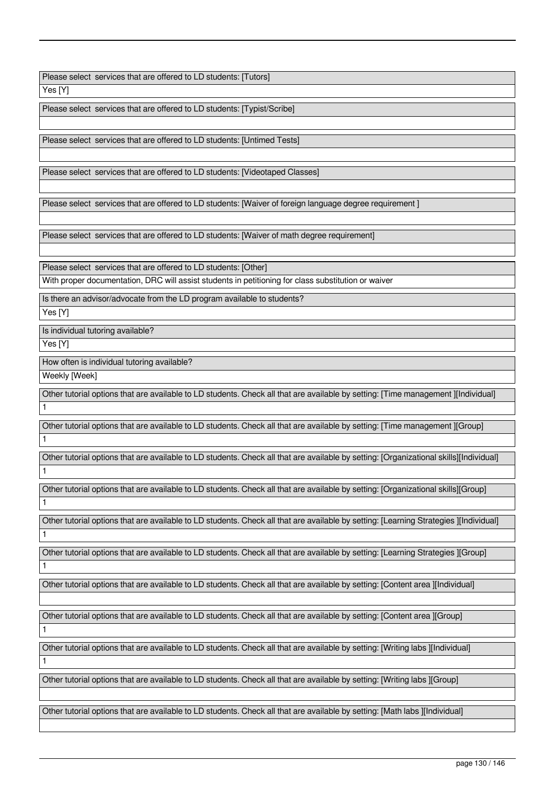Please select services that are offered to LD students: [Tutors]

Yes [Y]

Please select services that are offered to LD students: [Typist/Scribe]

Please select services that are offered to LD students: [Untimed Tests]

Please select services that are offered to LD students: [Videotaped Classes]

Please select services that are offered to LD students: [Waiver of foreign language degree requirement ]

Please select services that are offered to LD students: [Waiver of math degree requirement]

Please select services that are offered to LD students: [Other]

With proper documentation, DRC will assist students in petitioning for class substitution or waiver

Is there an advisor/advocate from the LD program available to students?

Yes [Y]

Is individual tutoring available?

Yes [Y]

1

1

1

1

How often is individual tutoring available?

Weekly [Week]

Other tutorial options that are available to LD students. Check all that are available by setting: [Time management ][Individual] 1

Other tutorial options that are available to LD students. Check all that are available by setting: [Time management ][Group] 1

Other tutorial options that are available to LD students. Check all that are available by setting: [Organizational skills][Individual] 1

Other tutorial options that are available to LD students. Check all that are available by setting: [Organizational skills][Group]

Other tutorial options that are available to LD students. Check all that are available by setting: [Learning Strategies ][Individual] 1

Other tutorial options that are available to LD students. Check all that are available by setting: [Learning Strategies ][Group]

Other tutorial options that are available to LD students. Check all that are available by setting: [Content area ][Individual]

Other tutorial options that are available to LD students. Check all that are available by setting: [Content area ][Group]

Other tutorial options that are available to LD students. Check all that are available by setting: [Writing labs ][Individual]

Other tutorial options that are available to LD students. Check all that are available by setting: [Writing labs ][Group]

Other tutorial options that are available to LD students. Check all that are available by setting: [Math labs ][Individual]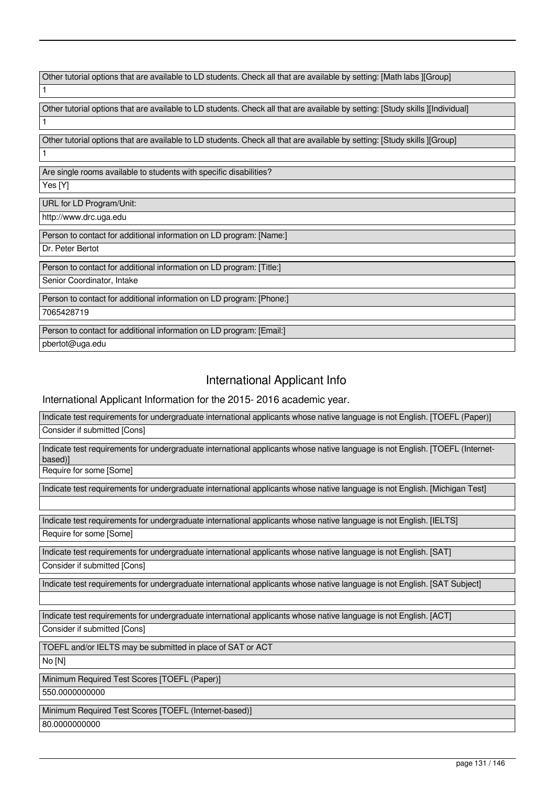| Other tutorial options that are available to LD students. Check all that are available by setting: [Math labs][Group]          |
|--------------------------------------------------------------------------------------------------------------------------------|
| 1                                                                                                                              |
|                                                                                                                                |
| Other tutorial options that are available to LD students. Check all that are available by setting: [Study skills ][Individual] |
| 1                                                                                                                              |
| Other tutorial options that are available to LD students. Check all that are available by setting: [Study skills ][Group]      |
| 1                                                                                                                              |
| Are single rooms available to students with specific disabilities?                                                             |
| Yes [Y]                                                                                                                        |
| URL for LD Program/Unit:                                                                                                       |
| http://www.drc.uga.edu                                                                                                         |
| Person to contact for additional information on LD program: [Name:]                                                            |
| Dr. Peter Bertot                                                                                                               |
| Person to contact for additional information on LD program: [Title:]                                                           |
| Senior Coordinator, Intake                                                                                                     |
| Person to contact for additional information on LD program: [Phone:]                                                           |
| 7065428719                                                                                                                     |
| Person to contact for additional information on LD program: [Email:]                                                           |
| pbertot@uga.edu                                                                                                                |

# International Applicant Info

International Applicant Information for the 2015- 2016 academic year.

Indicate test requirements for undergraduate international applicants whose native language is not English. [TOEFL (Paper)] Consider if submitted [Cons]

Indicate test requirements for undergraduate international applicants whose native language is not English. [TOEFL (Internetbased)]

Require for some [Some]

Indicate test requirements for undergraduate international applicants whose native language is not English. [Michigan Test]

Indicate test requirements for undergraduate international applicants whose native language is not English. [IELTS] Require for some [Some]

Indicate test requirements for undergraduate international applicants whose native language is not English. [SAT]

Consider if submitted [Cons]

Indicate test requirements for undergraduate international applicants whose native language is not English. [SAT Subject]

Indicate test requirements for undergraduate international applicants whose native language is not English. [ACT]

Consider if submitted [Cons]

TOEFL and/or IELTS may be submitted in place of SAT or ACT

No [N]

Minimum Required Test Scores [TOEFL (Paper)]

550.0000000000

Minimum Required Test Scores [TOEFL (Internet-based)] 80.0000000000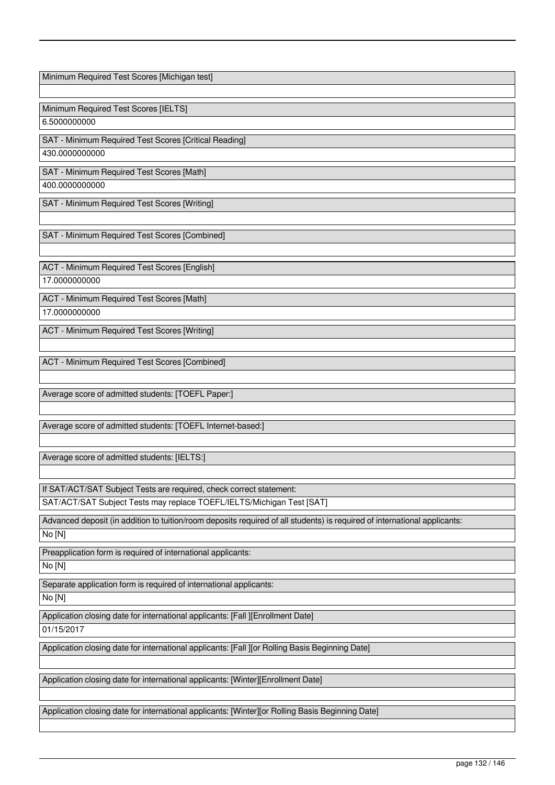Minimum Required Test Scores [Michigan test] Minimum Required Test Scores [IELTS] 6.5000000000 SAT - Minimum Required Test Scores [Critical Reading] 430.0000000000 SAT - Minimum Required Test Scores [Math]

400.0000000000

SAT - Minimum Required Test Scores [Writing]

SAT - Minimum Required Test Scores [Combined]

ACT - Minimum Required Test Scores [English] 17.0000000000

ACT - Minimum Required Test Scores [Math] 17.0000000000

ACT - Minimum Required Test Scores [Writing]

ACT - Minimum Required Test Scores [Combined]

Average score of admitted students: [TOEFL Paper:]

Average score of admitted students: [TOEFL Internet-based:]

Average score of admitted students: [IELTS:]

If SAT/ACT/SAT Subject Tests are required, check correct statement: SAT/ACT/SAT Subject Tests may replace TOEFL/IELTS/Michigan Test [SAT]

Advanced deposit (in addition to tuition/room deposits required of all students) is required of international applicants:

No [N]

Preapplication form is required of international applicants:

No [N]

Separate application form is required of international applicants:

No [N]

Application closing date for international applicants: [Fall ][Enrollment Date]

01/15/2017

Application closing date for international applicants: [Fall ][or Rolling Basis Beginning Date]

Application closing date for international applicants: [Winter][Enrollment Date]

Application closing date for international applicants: [Winter][or Rolling Basis Beginning Date]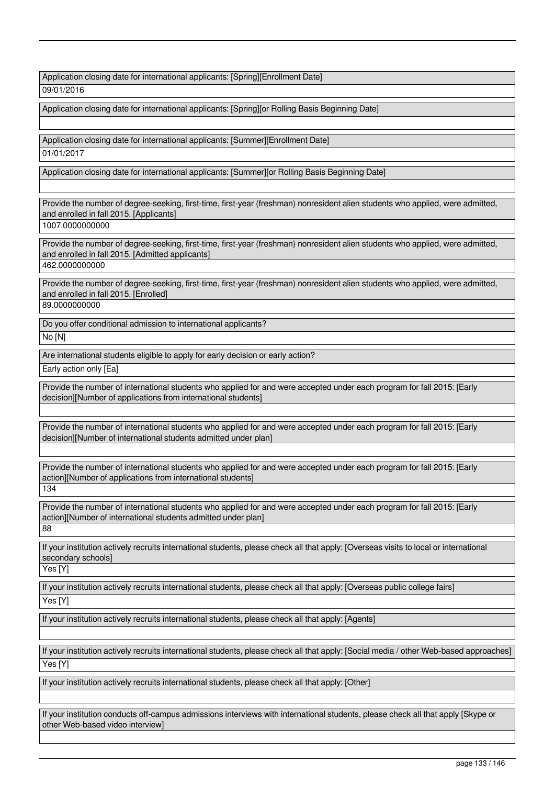Application closing date for international applicants: [Spring][Enrollment Date]

09/01/2016

Application closing date for international applicants: [Spring][or Rolling Basis Beginning Date]

Application closing date for international applicants: [Summer][Enrollment Date]

01/01/2017

Application closing date for international applicants: [Summer][or Rolling Basis Beginning Date]

Provide the number of degree-seeking, first-time, first-year (freshman) nonresident alien students who applied, were admitted, and enrolled in fall 2015. [Applicants]

1007.0000000000

Provide the number of degree-seeking, first-time, first-year (freshman) nonresident alien students who applied, were admitted, and enrolled in fall 2015. [Admitted applicants]

462.0000000000

Provide the number of degree-seeking, first-time, first-year (freshman) nonresident alien students who applied, were admitted, and enrolled in fall 2015. [Enrolled]

89.0000000000

Do you offer conditional admission to international applicants?

No [N]

Are international students eligible to apply for early decision or early action?

Early action only [Ea]

Provide the number of international students who applied for and were accepted under each program for fall 2015: [Early decision][Number of applications from international students]

Provide the number of international students who applied for and were accepted under each program for fall 2015: [Early decision][Number of international students admitted under plan]

Provide the number of international students who applied for and were accepted under each program for fall 2015: [Early action][Number of applications from international students] 134

Provide the number of international students who applied for and were accepted under each program for fall 2015: [Early action][Number of international students admitted under plan] 88

If your institution actively recruits international students, please check all that apply: [Overseas visits to local or international secondary schools]

Yes [Y]

If your institution actively recruits international students, please check all that apply: [Overseas public college fairs]

Yes [Y]

If your institution actively recruits international students, please check all that apply: [Agents]

If your institution actively recruits international students, please check all that apply: [Social media / other Web-based approaches]

Yes [Y]

If your institution actively recruits international students, please check all that apply: [Other]

If your institution conducts off-campus admissions interviews with international students, please check all that apply [Skype or other Web-based video interview]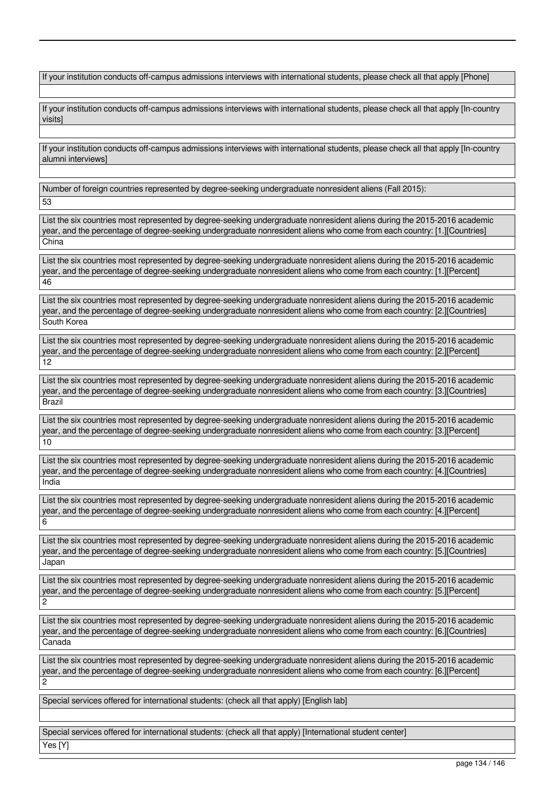If your institution conducts off-campus admissions interviews with international students, please check all that apply [Phone]

If your institution conducts off-campus admissions interviews with international students, please check all that apply [In-country visits]

If your institution conducts off-campus admissions interviews with international students, please check all that apply [In-country alumni interviews]

Number of foreign countries represented by degree-seeking undergraduate nonresident aliens (Fall 2015):

53

List the six countries most represented by degree-seeking undergraduate nonresident aliens during the 2015-2016 academic year, and the percentage of degree-seeking undergraduate nonresident aliens who come from each country: [1.][Countries] China

List the six countries most represented by degree-seeking undergraduate nonresident aliens during the 2015-2016 academic year, and the percentage of degree-seeking undergraduate nonresident aliens who come from each country: [1.][Percent] 46

List the six countries most represented by degree-seeking undergraduate nonresident aliens during the 2015-2016 academic year, and the percentage of degree-seeking undergraduate nonresident aliens who come from each country: [2.][Countries] South Korea

List the six countries most represented by degree-seeking undergraduate nonresident aliens during the 2015-2016 academic year, and the percentage of degree-seeking undergraduate nonresident aliens who come from each country: [2.][Percent] 12

List the six countries most represented by degree-seeking undergraduate nonresident aliens during the 2015-2016 academic year, and the percentage of degree-seeking undergraduate nonresident aliens who come from each country: [3.][Countries] Brazil

List the six countries most represented by degree-seeking undergraduate nonresident aliens during the 2015-2016 academic year, and the percentage of degree-seeking undergraduate nonresident aliens who come from each country: [3.][Percent] 10

List the six countries most represented by degree-seeking undergraduate nonresident aliens during the 2015-2016 academic year, and the percentage of degree-seeking undergraduate nonresident aliens who come from each country: [4.][Countries] India

List the six countries most represented by degree-seeking undergraduate nonresident aliens during the 2015-2016 academic year, and the percentage of degree-seeking undergraduate nonresident aliens who come from each country: [4.][Percent] 6

List the six countries most represented by degree-seeking undergraduate nonresident aliens during the 2015-2016 academic year, and the percentage of degree-seeking undergraduate nonresident aliens who come from each country: [5.][Countries] Japan

List the six countries most represented by degree-seeking undergraduate nonresident aliens during the 2015-2016 academic year, and the percentage of degree-seeking undergraduate nonresident aliens who come from each country: [5.][Percent]  $\overline{2}$ 

List the six countries most represented by degree-seeking undergraduate nonresident aliens during the 2015-2016 academic year, and the percentage of degree-seeking undergraduate nonresident aliens who come from each country: [6.][Countries] Canada

List the six countries most represented by degree-seeking undergraduate nonresident aliens during the 2015-2016 academic year, and the percentage of degree-seeking undergraduate nonresident aliens who come from each country: [6.][Percent] 2

Special services offered for international students: (check all that apply) [English lab]

Special services offered for international students: (check all that apply) [International student center]

Yes [Y]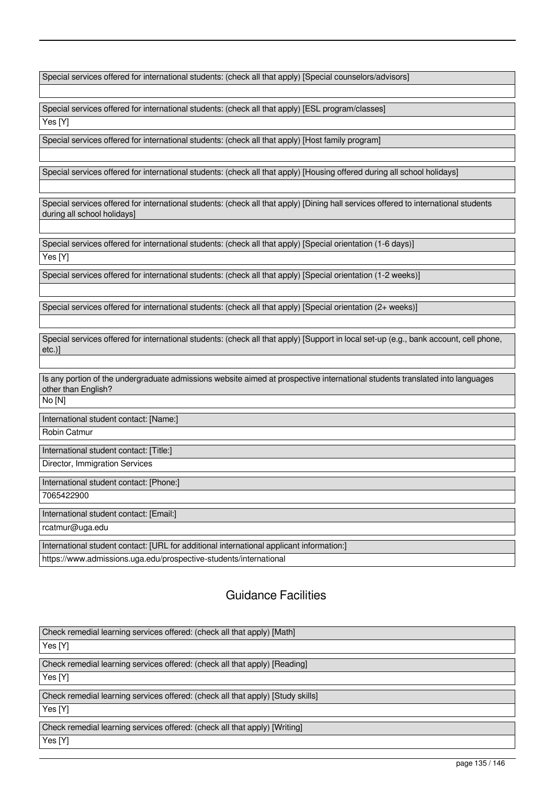Special services offered for international students: (check all that apply) [Special counselors/advisors]

Special services offered for international students: (check all that apply) [ESL program/classes] Yes [Y]

Special services offered for international students: (check all that apply) [Host family program]

Special services offered for international students: (check all that apply) [Housing offered during all school holidays]

Special services offered for international students: (check all that apply) [Dining hall services offered to international students during all school holidays]

Special services offered for international students: (check all that apply) [Special orientation (1-6 days)] Yes [Y]

Special services offered for international students: (check all that apply) [Special orientation (1-2 weeks)]

Special services offered for international students: (check all that apply) [Special orientation (2+ weeks)]

Special services offered for international students: (check all that apply) [Support in local set-up (e.g., bank account, cell phone, etc.)]

Is any portion of the undergraduate admissions website aimed at prospective international students translated into languages other than English?

No [N]

International student contact: [Name:]

Robin Catmur

International student contact: [Title:]

Director, Immigration Services

International student contact: [Phone:]

7065422900

International student contact: [Email:]

rcatmur@uga.edu

International student contact: [URL for additional international applicant information:]

https://www.admissions.uga.edu/prospective-students/international

# Guidance Facilities

Check remedial learning services offered: (check all that apply) [Math] Yes [Y] Check remedial learning services offered: (check all that apply) [Reading] Yes [Y] Check remedial learning services offered: (check all that apply) [Study skills] Yes [Y] Check remedial learning services offered: (check all that apply) [Writing] Yes [Y]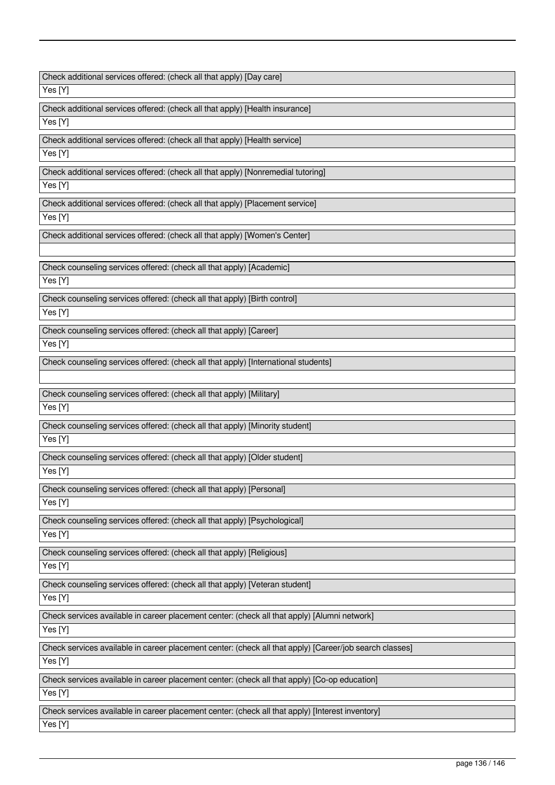| Check additional services offered: (check all that apply) [Day care]                                    |
|---------------------------------------------------------------------------------------------------------|
| Yes [Y]                                                                                                 |
| Check additional services offered: (check all that apply) [Health insurance]                            |
| Yes [Y]                                                                                                 |
| Check additional services offered: (check all that apply) [Health service]                              |
| Yes [Y]                                                                                                 |
| Check additional services offered: (check all that apply) [Nonremedial tutoring]                        |
| Yes [Y]                                                                                                 |
| Check additional services offered: (check all that apply) [Placement service]                           |
| Yes [Y]                                                                                                 |
| Check additional services offered: (check all that apply) [Women's Center]                              |
|                                                                                                         |
| Check counseling services offered: (check all that apply) [Academic]                                    |
| Yes [Y]                                                                                                 |
| Check counseling services offered: (check all that apply) [Birth control]                               |
| Yes [Y]                                                                                                 |
| Check counseling services offered: (check all that apply) [Career]                                      |
| Yes [Y]                                                                                                 |
| Check counseling services offered: (check all that apply) [International students]                      |
|                                                                                                         |
| Check counseling services offered: (check all that apply) [Military]                                    |
| Yes [Y]                                                                                                 |
| Check counseling services offered: (check all that apply) [Minority student]                            |
| Yes [Y]                                                                                                 |
| Check counseling services offered: (check all that apply) [Older student]                               |
| Yes [Y]                                                                                                 |
| Check counseling services offered: (check all that apply) [Personal]                                    |
| Yes [Y]                                                                                                 |
| Check counseling services offered: (check all that apply) [Psychological]                               |
| Yes [Y]                                                                                                 |
| Check counseling services offered: (check all that apply) [Religious]                                   |
| Yes [Y]                                                                                                 |
| Check counseling services offered: (check all that apply) [Veteran student]                             |
| Yes [Y]                                                                                                 |
| Check services available in career placement center: (check all that apply) [Alumni network]            |
| Yes [Y]                                                                                                 |
| Check services available in career placement center: (check all that apply) [Career/job search classes] |
| Yes [Y]                                                                                                 |
| Check services available in career placement center: (check all that apply) [Co-op education]           |
| Yes [Y]                                                                                                 |
| Check services available in career placement center: (check all that apply) [Interest inventory]        |
| Yes [Y]                                                                                                 |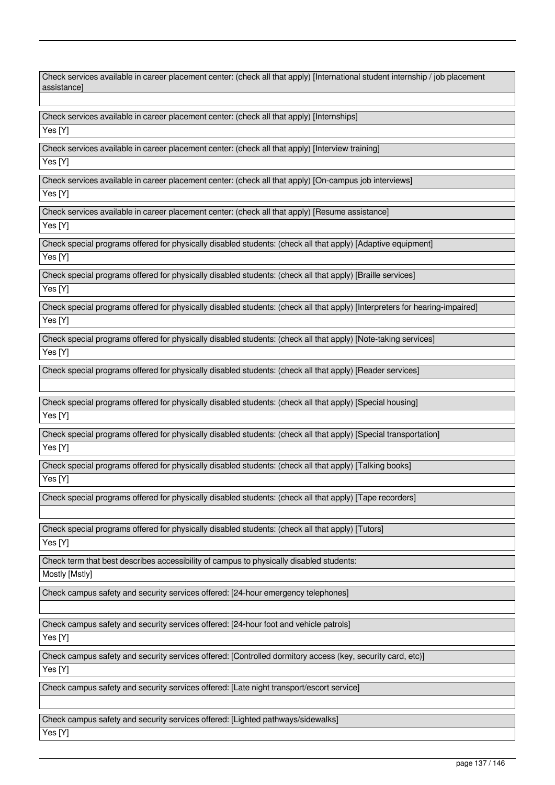| Check services available in career placement center: (check all that apply) [International student internship / job placement<br>assistancel |
|----------------------------------------------------------------------------------------------------------------------------------------------|
| Check services available in career placement center: (check all that apply) [Internships]                                                    |
| Yes [Y]                                                                                                                                      |
|                                                                                                                                              |
| Check services available in career placement center: (check all that apply) [Interview training]<br>Yes [Y]                                  |
|                                                                                                                                              |
| Check services available in career placement center: (check all that apply) [On-campus job interviews]                                       |
| Yes [Y]                                                                                                                                      |
| Check services available in career placement center: (check all that apply) [Resume assistance]                                              |
| Yes [Y]                                                                                                                                      |
| Check special programs offered for physically disabled students: (check all that apply) [Adaptive equipment]                                 |
| Yes [Y]                                                                                                                                      |
| Check special programs offered for physically disabled students: (check all that apply) [Braille services]                                   |
| $\overline{Y}$ es [Y]                                                                                                                        |
| Check special programs offered for physically disabled students: (check all that apply) [Interpreters for hearing-impaired]                  |
| Yes [Y]                                                                                                                                      |
| Check special programs offered for physically disabled students: (check all that apply) [Note-taking services]                               |
| Yes [Y]                                                                                                                                      |
| Check special programs offered for physically disabled students: (check all that apply) [Reader services]                                    |
|                                                                                                                                              |
| Check special programs offered for physically disabled students: (check all that apply) [Special housing]                                    |
| Yes [Y]                                                                                                                                      |
| Check special programs offered for physically disabled students: (check all that apply) [Special transportation]                             |
| Yes [Y]                                                                                                                                      |
| Check special programs offered for physically disabled students: (check all that apply) [Talking books]                                      |
| Yes [Y]                                                                                                                                      |
|                                                                                                                                              |
| Check special programs offered for physically disabled students: (check all that apply) [Tape recorders]                                     |
|                                                                                                                                              |
| Check special programs offered for physically disabled students: (check all that apply) [Tutors]                                             |
| Yes [Y]                                                                                                                                      |
| Check term that best describes accessibility of campus to physically disabled students:                                                      |
| Mostly [Mstly]                                                                                                                               |
| Check campus safety and security services offered: [24-hour emergency telephones]                                                            |
|                                                                                                                                              |
| Check campus safety and security services offered: [24-hour foot and vehicle patrols]                                                        |
| Yes [Y]                                                                                                                                      |
| Check campus safety and security services offered: [Controlled dormitory access (key, security card, etc)]                                   |
| Yes [Y]                                                                                                                                      |
| Check campus safety and security services offered: [Late night transport/escort service]                                                     |
|                                                                                                                                              |
| Check campus safety and security services offered: [Lighted pathways/sidewalks]                                                              |
| Yes [Y]                                                                                                                                      |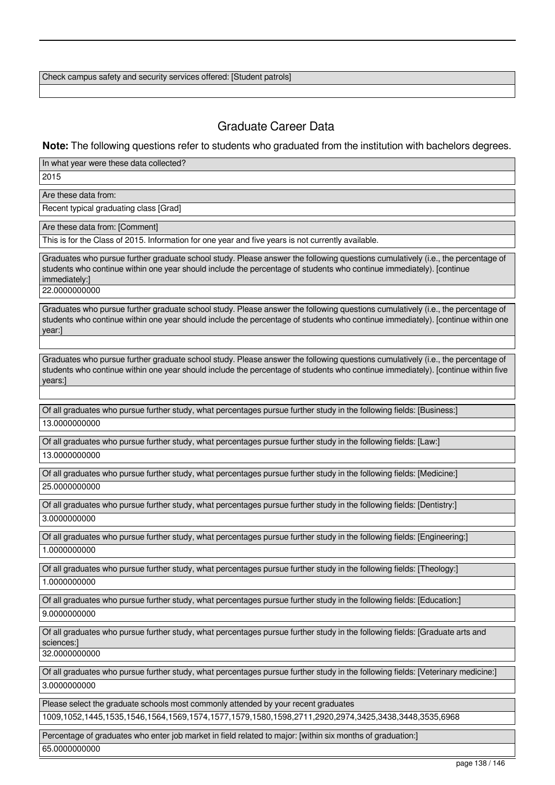Check campus safety and security services offered: [Student patrols]

# Graduate Career Data

## **Note:** The following questions refer to students who graduated from the institution with bachelors degrees.

In what year were these data collected?

2015

Are these data from:

Recent typical graduating class [Grad]

Are these data from: [Comment]

This is for the Class of 2015. Information for one year and five years is not currently available.

Graduates who pursue further graduate school study. Please answer the following questions cumulatively (i.e., the percentage of students who continue within one year should include the percentage of students who continue immediately). [continue immediately:] 22.0000000000

Graduates who pursue further graduate school study. Please answer the following questions cumulatively (i.e., the percentage of students who continue within one year should include the percentage of students who continue immediately). [continue within one year:]

Graduates who pursue further graduate school study. Please answer the following questions cumulatively (i.e., the percentage of students who continue within one year should include the percentage of students who continue immediately). [continue within five years:]

Of all graduates who pursue further study, what percentages pursue further study in the following fields: [Business:] 13.0000000000

Of all graduates who pursue further study, what percentages pursue further study in the following fields: [Law:] 13.0000000000

Of all graduates who pursue further study, what percentages pursue further study in the following fields: [Medicine:] 25.0000000000

Of all graduates who pursue further study, what percentages pursue further study in the following fields: [Dentistry:] 3.0000000000

Of all graduates who pursue further study, what percentages pursue further study in the following fields: [Engineering:] 1.0000000000

Of all graduates who pursue further study, what percentages pursue further study in the following fields: [Theology:]

1.0000000000

Of all graduates who pursue further study, what percentages pursue further study in the following fields: [Education:]

9.0000000000

Of all graduates who pursue further study, what percentages pursue further study in the following fields: [Graduate arts and sciences:]

32.0000000000

Of all graduates who pursue further study, what percentages pursue further study in the following fields: [Veterinary medicine:] 3.0000000000

Please select the graduate schools most commonly attended by your recent graduates

1009,1052,1445,1535,1546,1564,1569,1574,1577,1579,1580,1598,2711,2920,2974,3425,3438,3448,3535,6968

Percentage of graduates who enter job market in field related to major: [within six months of graduation:] 65.0000000000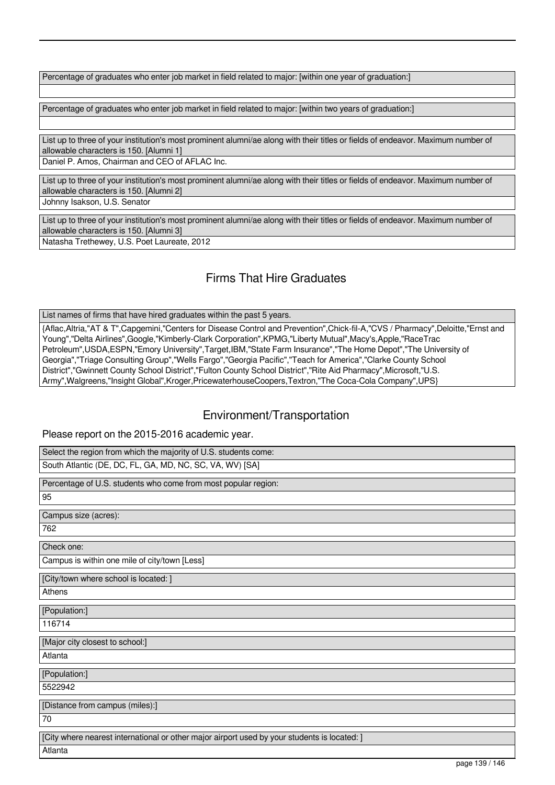Percentage of graduates who enter job market in field related to major: [within one year of graduation:]

Percentage of graduates who enter job market in field related to major: [within two years of graduation:]

List up to three of your institution's most prominent alumni/ae along with their titles or fields of endeavor. Maximum number of allowable characters is 150. [Alumni 1] Daniel P. Amos, Chairman and CEO of AFLAC Inc.

List up to three of your institution's most prominent alumni/ae along with their titles or fields of endeavor. Maximum number of allowable characters is 150. [Alumni 2]

Johnny Isakson, U.S. Senator

List up to three of your institution's most prominent alumni/ae along with their titles or fields of endeavor. Maximum number of allowable characters is 150. [Alumni 3] Natasha Trethewey, U.S. Poet Laureate, 2012

# Firms That Hire Graduates

List names of firms that have hired graduates within the past 5 years.

{Aflac,Altria,"AT & T",Capgemini,"Centers for Disease Control and Prevention",Chick-fil-A,"CVS / Pharmacy",Deloitte,"Ernst and Young","Delta Airlines",Google,"Kimberly-Clark Corporation",KPMG,"Liberty Mutual",Macy's,Apple,"RaceTrac Petroleum",USDA,ESPN,"Emory University",Target,IBM,"State Farm Insurance","The Home Depot","The University of Georgia","Triage Consulting Group","Wells Fargo","Georgia Pacific","Teach for America","Clarke County School District","Gwinnett County School District","Fulton County School District","Rite Aid Pharmacy",Microsoft,"U.S. Army",Walgreens,"Insight Global",Kroger,PricewaterhouseCoopers,Textron,"The Coca-Cola Company",UPS}

## Environment/Transportation

Please report on the 2015-2016 academic year.

| Select the region from which the majority of U.S. students come:                             |
|----------------------------------------------------------------------------------------------|
| South Atlantic (DE, DC, FL, GA, MD, NC, SC, VA, WV) [SA]                                     |
| Percentage of U.S. students who come from most popular region:                               |
| 95                                                                                           |
| Campus size (acres):                                                                         |
| 762                                                                                          |
| Check one:                                                                                   |
| Campus is within one mile of city/town [Less]                                                |
| [City/town where school is located: ]                                                        |
| Athens                                                                                       |
| [Population:]                                                                                |
| 116714                                                                                       |
| [Major city closest to school:]                                                              |
| Atlanta                                                                                      |
| [Population:]                                                                                |
| 5522942                                                                                      |
| [Distance from campus (miles):]                                                              |
| 70                                                                                           |
| [City where nearest international or other major airport used by your students is located: ] |
| Atlanta                                                                                      |
| page 120/146                                                                                 |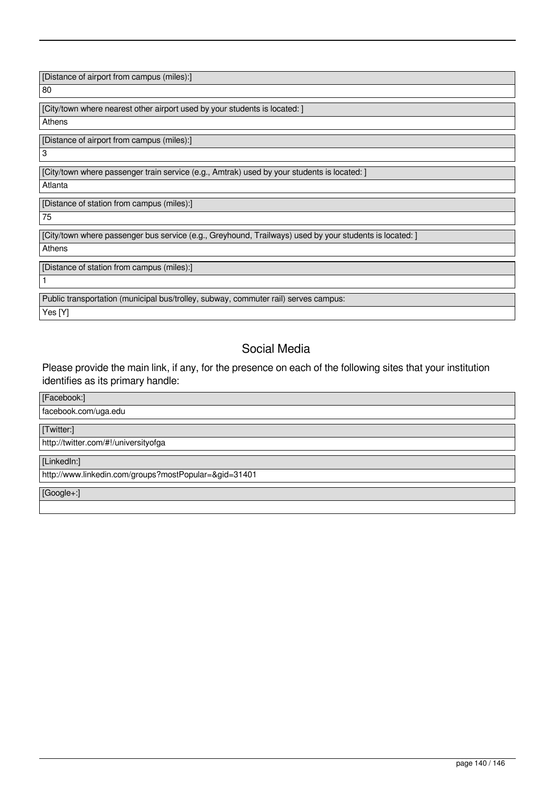[Distance of airport from campus (miles):]

80

[City/town where nearest other airport used by your students is located: ]

**Athens** 

[Distance of airport from campus (miles):]

[City/town where passenger train service (e.g., Amtrak) used by your students is located: ]

Atlanta

[Distance of station from campus (miles):]

75

1

3

[City/town where passenger bus service (e.g., Greyhound, Trailways) used by your students is located: ]

Athens

[Distance of station from campus (miles):]

Public transportation (municipal bus/trolley, subway, commuter rail) serves campus: Yes [Y]

# Social Media

Please provide the main link, if any, for the presence on each of the following sites that your institution identifies as its primary handle:

# [Facebook:] facebook.com/uga.edu [Twitter:] http://twitter.com/#!/universityofga [LinkedIn:] http://www.linkedin.com/groups?mostPopular=&gid=31401 [Google+:]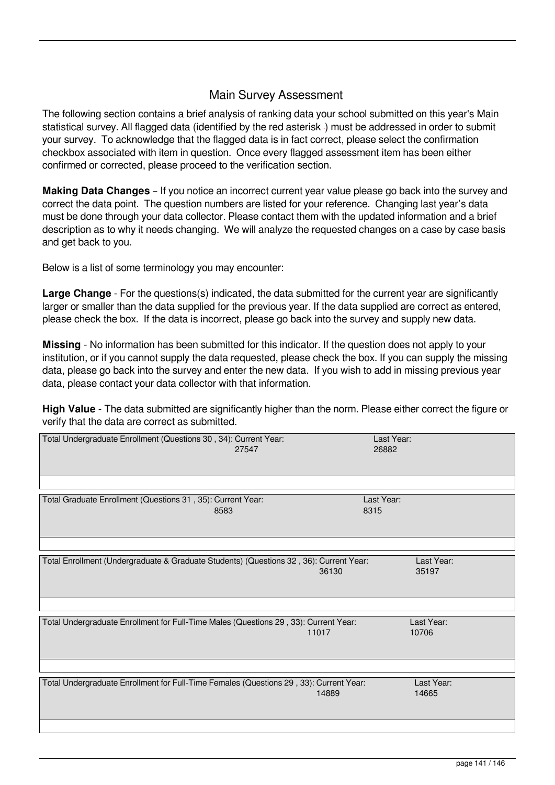## Main Survey Assessment

The following section contains a brief analysis of ranking data your school submitted on this year's Main statistical survey. All flagged data (identified by the red asterisk) must be addressed in order to submit your survey. To acknowledge that the flagged data is in fact correct, please select the confirmation checkbox associated with item in question. Once every flagged assessment item has been either confirmed or corrected, please proceed to the verification section.

**Making Data Changes** – If you notice an incorrect current year value please go back into the survey and correct the data point. The question numbers are listed for your reference. Changing last year's data must be done through your data collector. Please contact them with the updated information and a brief description as to why it needs changing. We will analyze the requested changes on a case by case basis and get back to you.

Below is a list of some terminology you may encounter:

**Large Change** - For the questions(s) indicated, the data submitted for the current year are significantly larger or smaller than the data supplied for the previous year. If the data supplied are correct as entered, please check the box. If the data is incorrect, please go back into the survey and supply new data.

**Missing** - No information has been submitted for this indicator. If the question does not apply to your institution, or if you cannot supply the data requested, please check the box. If you can supply the missing data, please go back into the survey and enter the new data. If you wish to add in missing previous year data, please contact your data collector with that information.

**High Value** - The data submitted are significantly higher than the norm. Please either correct the figure or verify that the data are correct as submitted.

| Last Year:<br>26882                                                                                                    |
|------------------------------------------------------------------------------------------------------------------------|
|                                                                                                                        |
| Last Year:<br>8315                                                                                                     |
|                                                                                                                        |
| Total Enrollment (Undergraduate & Graduate Students) (Questions 32, 36): Current Year:<br>Last Year:<br>36130<br>35197 |
|                                                                                                                        |
| Total Undergraduate Enrollment for Full-Time Males (Questions 29, 33): Current Year:<br>Last Year:<br>11017<br>10706   |
|                                                                                                                        |
| Total Undergraduate Enrollment for Full-Time Females (Questions 29, 33): Current Year:<br>Last Year:<br>14889<br>14665 |
|                                                                                                                        |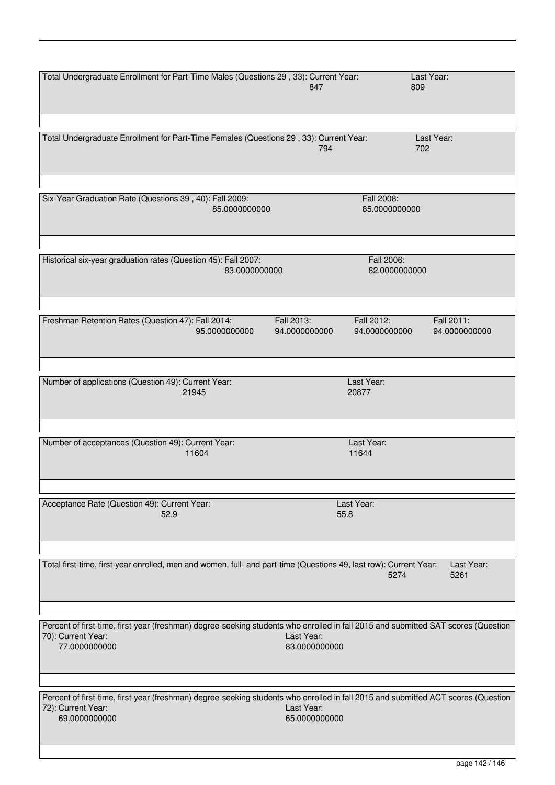| Total Undergraduate Enrollment for Part-Time Males (Questions 29, 33): Current Year:                                                                                     | 847                                                        | Last Year:<br>809           |
|--------------------------------------------------------------------------------------------------------------------------------------------------------------------------|------------------------------------------------------------|-----------------------------|
| Total Undergraduate Enrollment for Part-Time Females (Questions 29, 33): Current Year:                                                                                   | 794                                                        | Last Year:<br>702           |
| Six-Year Graduation Rate (Questions 39, 40): Fall 2009:<br>85.0000000000                                                                                                 | Fall 2008:<br>85.0000000000                                |                             |
| Historical six-year graduation rates (Question 45): Fall 2007:<br>83.0000000000                                                                                          | Fall 2006:<br>82.0000000000                                |                             |
| Freshman Retention Rates (Question 47): Fall 2014:<br>95.0000000000                                                                                                      | Fall 2013:<br>Fall 2012:<br>94.0000000000<br>94.0000000000 | Fall 2011:<br>94.0000000000 |
| Number of applications (Question 49): Current Year:<br>21945                                                                                                             | Last Year:<br>20877                                        |                             |
| Number of acceptances (Question 49): Current Year:<br>11604                                                                                                              | Last Year:<br>11644                                        |                             |
| Acceptance Rate (Question 49): Current Year:<br>52.9                                                                                                                     | Last Year:<br>55.8                                         |                             |
| Total first-time, first-year enrolled, men and women, full- and part-time (Questions 49, last row): Current Year:                                                        | 5274                                                       | Last Year:<br>5261          |
| Percent of first-time, first-year (freshman) degree-seeking students who enrolled in fall 2015 and submitted SAT scores (Question<br>70): Current Year:<br>77.0000000000 | Last Year:<br>83.0000000000                                |                             |
| Percent of first-time, first-year (freshman) degree-seeking students who enrolled in fall 2015 and submitted ACT scores (Question<br>72): Current Year:<br>69.0000000000 | Last Year:<br>65.0000000000                                |                             |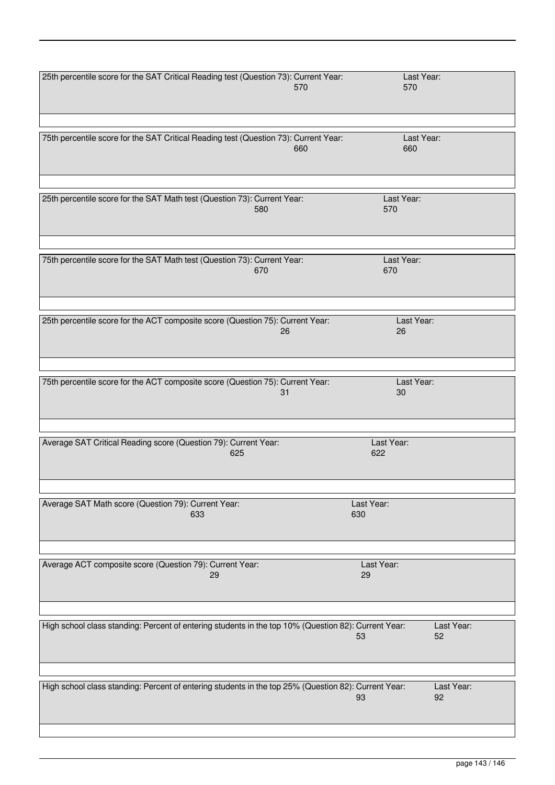| 25th percentile score for the SAT Critical Reading test (Question 73): Current Year:                 |            | Last Year: |
|------------------------------------------------------------------------------------------------------|------------|------------|
|                                                                                                      | 570        | 570        |
|                                                                                                      |            |            |
|                                                                                                      |            |            |
|                                                                                                      |            |            |
|                                                                                                      |            |            |
| 75th percentile score for the SAT Critical Reading test (Question 73): Current Year:                 |            | Last Year: |
|                                                                                                      | 660        | 660        |
|                                                                                                      |            |            |
|                                                                                                      |            |            |
|                                                                                                      |            |            |
|                                                                                                      |            |            |
|                                                                                                      |            |            |
| 25th percentile score for the SAT Math test (Question 73): Current Year:                             |            | Last Year: |
| 580                                                                                                  | 570        |            |
|                                                                                                      |            |            |
|                                                                                                      |            |            |
|                                                                                                      |            |            |
|                                                                                                      |            |            |
| 75th percentile score for the SAT Math test (Question 73): Current Year:                             |            | Last Year: |
| 670                                                                                                  | 670        |            |
|                                                                                                      |            |            |
|                                                                                                      |            |            |
|                                                                                                      |            |            |
|                                                                                                      |            |            |
| 25th percentile score for the ACT composite score (Question 75): Current Year:                       |            | Last Year: |
|                                                                                                      | 26<br>26   |            |
|                                                                                                      |            |            |
|                                                                                                      |            |            |
|                                                                                                      |            |            |
|                                                                                                      |            |            |
|                                                                                                      |            |            |
| 75th percentile score for the ACT composite score (Question 75): Current Year:                       |            | Last Year: |
|                                                                                                      | 31         | 30         |
|                                                                                                      |            |            |
|                                                                                                      |            |            |
|                                                                                                      |            |            |
|                                                                                                      |            |            |
| Average SAT Critical Reading score (Question 79): Current Year:                                      | Last Year: |            |
| 625                                                                                                  | 622        |            |
|                                                                                                      |            |            |
|                                                                                                      |            |            |
|                                                                                                      |            |            |
|                                                                                                      |            |            |
| Average SAT Math score (Question 79): Current Year:                                                  | Last Year: |            |
| 633                                                                                                  | 630        |            |
|                                                                                                      |            |            |
|                                                                                                      |            |            |
|                                                                                                      |            |            |
|                                                                                                      |            |            |
|                                                                                                      |            |            |
| Average ACT composite score (Question 79): Current Year:                                             | Last Year: |            |
| 29                                                                                                   | 29         |            |
|                                                                                                      |            |            |
|                                                                                                      |            |            |
|                                                                                                      |            |            |
|                                                                                                      |            |            |
| High school class standing: Percent of entering students in the top 10% (Question 82): Current Year: |            | Last Year: |
|                                                                                                      | 53         | 52         |
|                                                                                                      |            |            |
|                                                                                                      |            |            |
|                                                                                                      |            |            |
|                                                                                                      |            |            |
| High school class standing: Percent of entering students in the top 25% (Question 82): Current Year: |            | Last Year: |
|                                                                                                      | 93         | 92         |
|                                                                                                      |            |            |
|                                                                                                      |            |            |
|                                                                                                      |            |            |
|                                                                                                      |            |            |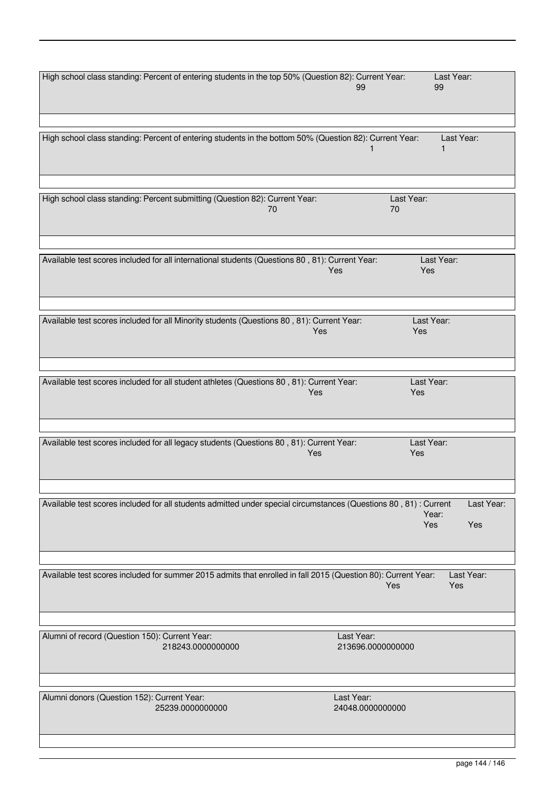| High school class standing: Percent of entering students in the top 50% (Question 82): Current Year:<br>99           | Last Year:<br>99                  |
|----------------------------------------------------------------------------------------------------------------------|-----------------------------------|
|                                                                                                                      |                                   |
| High school class standing: Percent of entering students in the bottom 50% (Question 82): Current Year:              | Last Year:                        |
|                                                                                                                      |                                   |
| High school class standing: Percent submitting (Question 82): Current Year:<br>Last Year:<br>70<br>70                |                                   |
|                                                                                                                      |                                   |
| Available test scores included for all international students (Questions 80, 81): Current Year:<br><b>Yes</b>        | Last Year:<br>Yes                 |
|                                                                                                                      |                                   |
| Available test scores included for all Minority students (Questions 80, 81): Current Year:<br>Yes                    | Last Year:<br>Yes                 |
|                                                                                                                      |                                   |
| Available test scores included for all student athletes (Questions 80, 81): Current Year:<br>Yes                     | Last Year:<br>Yes                 |
|                                                                                                                      |                                   |
| Available test scores included for all legacy students (Questions 80, 81): Current Year:<br>Yes                      | Last Year:<br>Yes                 |
|                                                                                                                      |                                   |
| Available test scores included for all students admitted under special circumstances (Questions 80, 81): Current     | Last Year:<br>Year:<br>Yes<br>Yes |
|                                                                                                                      |                                   |
| Available test scores included for summer 2015 admits that enrolled in fall 2015 (Question 80): Current Year:<br>Yes | Last Year:<br>Yes                 |
|                                                                                                                      |                                   |
| Alumni of record (Question 150): Current Year:<br>Last Year:<br>218243.0000000000<br>213696.0000000000               |                                   |
|                                                                                                                      |                                   |
| Alumni donors (Question 152): Current Year:<br>Last Year:<br>25239.0000000000<br>24048.0000000000                    |                                   |
|                                                                                                                      |                                   |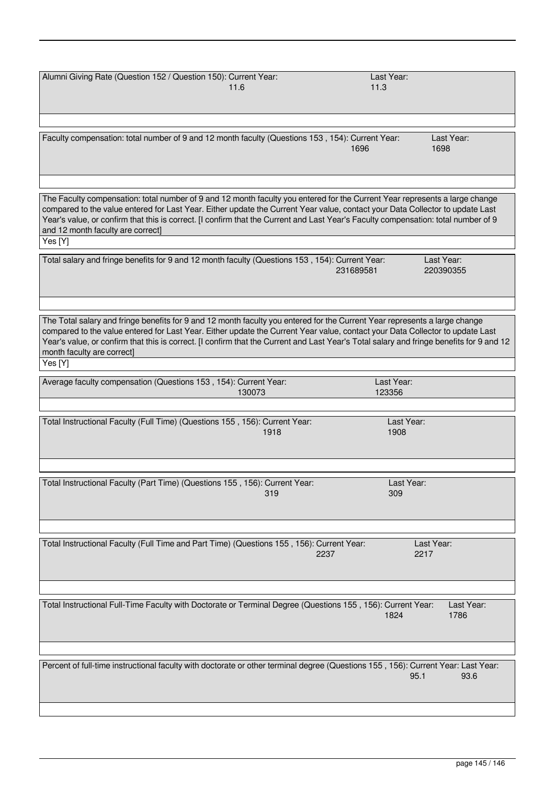| Alumni Giving Rate (Question 152 / Question 150): Current Year:<br>11.6                                                                                                                                                                                                                                                                                                                                                                                         | Last Year:<br>11.3                   |  |
|-----------------------------------------------------------------------------------------------------------------------------------------------------------------------------------------------------------------------------------------------------------------------------------------------------------------------------------------------------------------------------------------------------------------------------------------------------------------|--------------------------------------|--|
| Faculty compensation: total number of 9 and 12 month faculty (Questions 153, 154): Current Year:                                                                                                                                                                                                                                                                                                                                                                | Last Year:<br>1696<br>1698           |  |
| The Faculty compensation: total number of 9 and 12 month faculty you entered for the Current Year represents a large change<br>compared to the value entered for Last Year. Either update the Current Year value, contact your Data Collector to update Last<br>Year's value, or confirm that this is correct. [I confirm that the Current and Last Year's Faculty compensation: total number of 9<br>and 12 month faculty are correct]<br>Yes $[\overline{Y}]$ |                                      |  |
| Total salary and fringe benefits for 9 and 12 month faculty (Questions 153, 154): Current Year:                                                                                                                                                                                                                                                                                                                                                                 | Last Year:<br>231689581<br>220390355 |  |
| The Total salary and fringe benefits for 9 and 12 month faculty you entered for the Current Year represents a large change<br>compared to the value entered for Last Year. Either update the Current Year value, contact your Data Collector to update Last<br>Year's value, or confirm that this is correct. [I confirm that the Current and Last Year's Total salary and fringe benefits for 9 and 12<br>month faculty are correct]<br>Yes [Y]                |                                      |  |
| Average faculty compensation (Questions 153, 154): Current Year:<br>130073                                                                                                                                                                                                                                                                                                                                                                                      | Last Year:<br>123356                 |  |
| Total Instructional Faculty (Full Time) (Questions 155, 156): Current Year:<br>1918                                                                                                                                                                                                                                                                                                                                                                             | Last Year:<br>1908                   |  |
| Total Instructional Faculty (Part Time) (Questions 155, 156): Current Year:<br>319                                                                                                                                                                                                                                                                                                                                                                              | Last Year:<br>309                    |  |
| Total Instructional Faculty (Full Time and Part Time) (Questions 155, 156): Current Year:<br>2237                                                                                                                                                                                                                                                                                                                                                               | Last Year:<br>2217                   |  |
| Total Instructional Full-Time Faculty with Doctorate or Terminal Degree (Questions 155, 156): Current Year:                                                                                                                                                                                                                                                                                                                                                     | Last Year:<br>1786<br>1824           |  |
| Percent of full-time instructional faculty with doctorate or other terminal degree (Questions 155, 156): Current Year: Last Year:                                                                                                                                                                                                                                                                                                                               | 95.1<br>93.6                         |  |